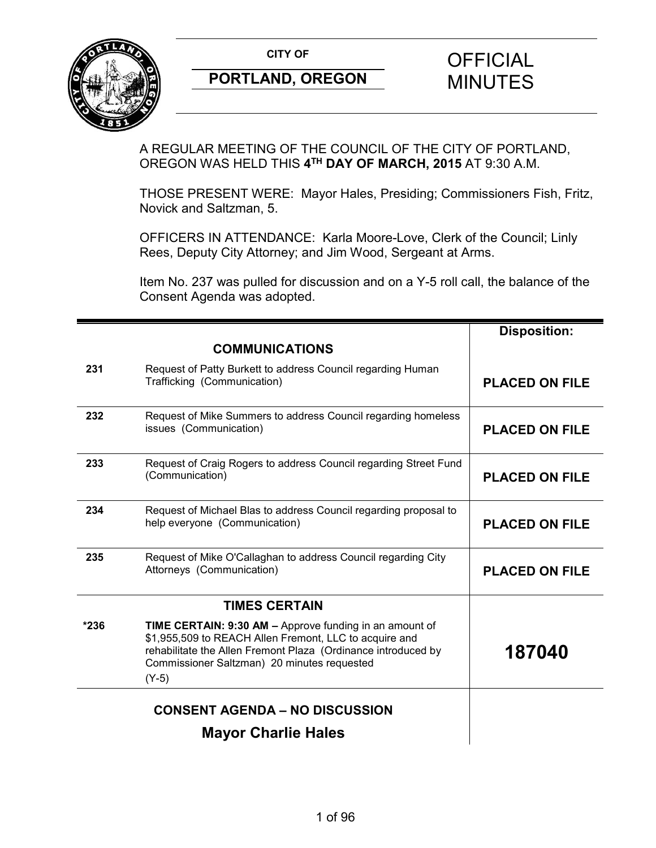

A REGULAR MEETING OF THE COUNCIL OF THE CITY OF PORTLAND, OREGON WAS HELD THIS **4TH DAY OF MARCH, 2015** AT 9:30 A.M.

THOSE PRESENT WERE: Mayor Hales, Presiding; Commissioners Fish, Fritz, Novick and Saltzman, 5.

OFFICERS IN ATTENDANCE: Karla Moore-Love, Clerk of the Council; Linly Rees, Deputy City Attorney; and Jim Wood, Sergeant at Arms.

Item No. 237 was pulled for discussion and on a Y-5 roll call, the balance of the Consent Agenda was adopted.

|        |                                                                                                                                                                                                                                              | <b>Disposition:</b>   |
|--------|----------------------------------------------------------------------------------------------------------------------------------------------------------------------------------------------------------------------------------------------|-----------------------|
|        | <b>COMMUNICATIONS</b>                                                                                                                                                                                                                        |                       |
| 231    | Request of Patty Burkett to address Council regarding Human<br>Trafficking (Communication)                                                                                                                                                   | <b>PLACED ON FILE</b> |
| 232    | Request of Mike Summers to address Council regarding homeless<br>issues (Communication)                                                                                                                                                      | <b>PLACED ON FILE</b> |
| 233    | Request of Craig Rogers to address Council regarding Street Fund<br>(Communication)                                                                                                                                                          | <b>PLACED ON FILE</b> |
| 234    | Request of Michael Blas to address Council regarding proposal to<br>help everyone (Communication)                                                                                                                                            | <b>PLACED ON FILE</b> |
| 235    | Request of Mike O'Callaghan to address Council regarding City<br>Attorneys (Communication)                                                                                                                                                   | <b>PLACED ON FILE</b> |
|        | <b>TIMES CERTAIN</b>                                                                                                                                                                                                                         |                       |
| $*236$ | TIME CERTAIN: 9:30 AM - Approve funding in an amount of<br>\$1,955,509 to REACH Allen Fremont, LLC to acquire and<br>rehabilitate the Allen Fremont Plaza (Ordinance introduced by<br>Commissioner Saltzman) 20 minutes requested<br>$(Y-5)$ | 187040                |
|        | <b>CONSENT AGENDA - NO DISCUSSION</b>                                                                                                                                                                                                        |                       |
|        | <b>Mayor Charlie Hales</b>                                                                                                                                                                                                                   |                       |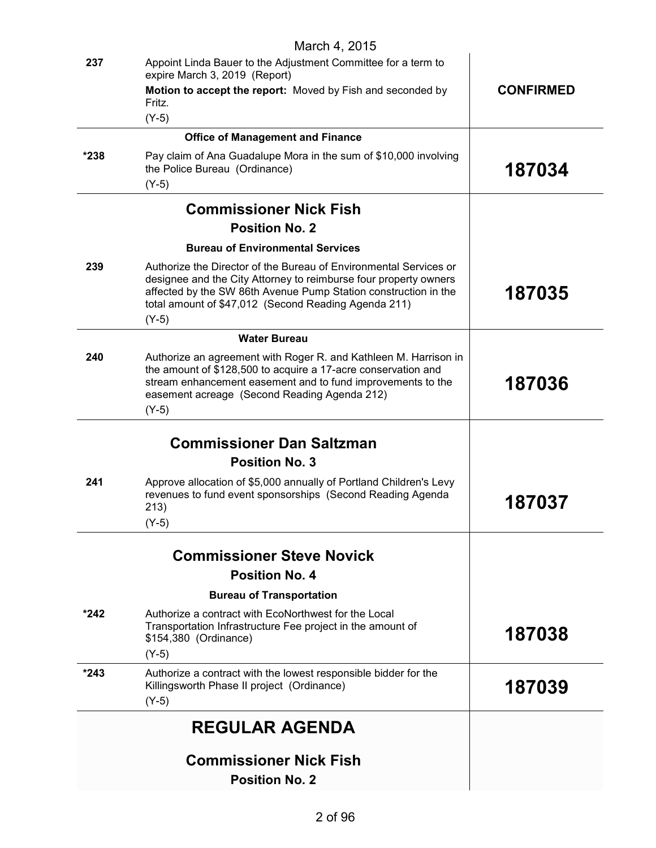|        | <b>Commissioner Nick Fish</b><br><b>Position No. 2</b>                                                                                                                                                                                                                      |                  |
|--------|-----------------------------------------------------------------------------------------------------------------------------------------------------------------------------------------------------------------------------------------------------------------------------|------------------|
|        | <b>REGULAR AGENDA</b>                                                                                                                                                                                                                                                       |                  |
| $*243$ | Authorize a contract with the lowest responsible bidder for the<br>Killingsworth Phase II project (Ordinance)<br>$(Y-5)$                                                                                                                                                    | 187039           |
| $*242$ | Authorize a contract with EcoNorthwest for the Local<br>Transportation Infrastructure Fee project in the amount of<br>\$154,380 (Ordinance)<br>$(Y-5)$                                                                                                                      | 187038           |
|        | <b>Bureau of Transportation</b>                                                                                                                                                                                                                                             |                  |
|        | <b>Commissioner Steve Novick</b><br><b>Position No. 4</b>                                                                                                                                                                                                                   |                  |
|        |                                                                                                                                                                                                                                                                             |                  |
| 241    | Approve allocation of \$5,000 annually of Portland Children's Levy<br>revenues to fund event sponsorships (Second Reading Agenda<br>213)<br>$(Y-5)$                                                                                                                         | 187037           |
|        | <b>Position No. 3</b>                                                                                                                                                                                                                                                       |                  |
|        | <b>Commissioner Dan Saltzman</b>                                                                                                                                                                                                                                            |                  |
| 240    | Authorize an agreement with Roger R. and Kathleen M. Harrison in<br>the amount of \$128,500 to acquire a 17-acre conservation and<br>stream enhancement easement and to fund improvements to the<br>easement acreage (Second Reading Agenda 212)<br>$(Y-5)$                 | 187036           |
|        | <b>Water Bureau</b>                                                                                                                                                                                                                                                         |                  |
| 239    | Authorize the Director of the Bureau of Environmental Services or<br>designee and the City Attorney to reimburse four property owners<br>affected by the SW 86th Avenue Pump Station construction in the<br>total amount of \$47,012 (Second Reading Agenda 211)<br>$(Y-5)$ | 187035           |
|        | <b>Bureau of Environmental Services</b>                                                                                                                                                                                                                                     |                  |
|        | <b>Position No. 2</b>                                                                                                                                                                                                                                                       |                  |
|        | <b>Commissioner Nick Fish</b>                                                                                                                                                                                                                                               |                  |
| *238   | Pay claim of Ana Guadalupe Mora in the sum of \$10,000 involving<br>the Police Bureau (Ordinance)<br>$(Y-5)$                                                                                                                                                                | 187034           |
|        | <b>Office of Management and Finance</b>                                                                                                                                                                                                                                     |                  |
|        | Fritz.<br>$(Y-5)$                                                                                                                                                                                                                                                           |                  |
|        | expire March 3, 2019 (Report)<br>Motion to accept the report: Moved by Fish and seconded by                                                                                                                                                                                 | <b>CONFIRMED</b> |
| 237    | March 4, 2015<br>Appoint Linda Bauer to the Adjustment Committee for a term to                                                                                                                                                                                              |                  |
|        |                                                                                                                                                                                                                                                                             |                  |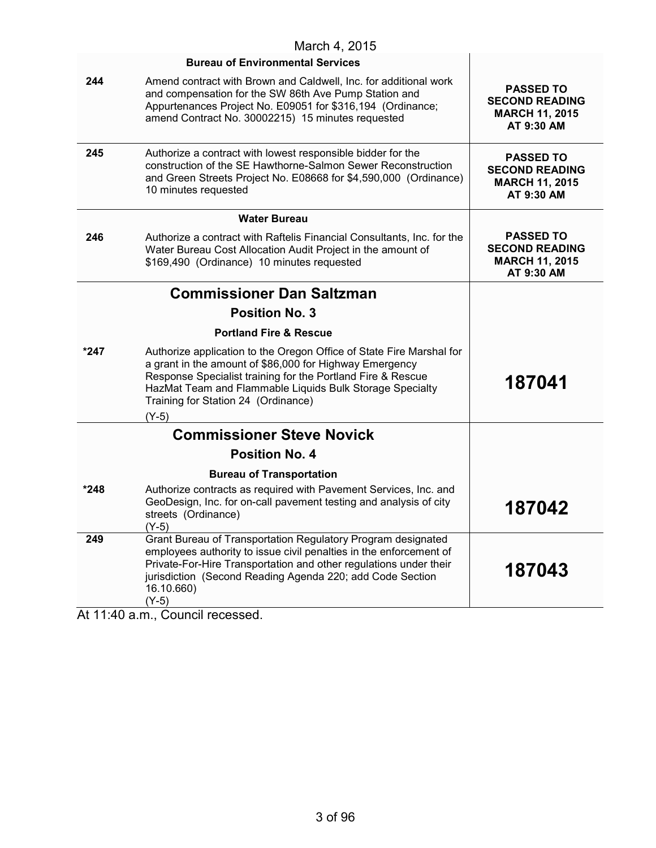|        | March 4, 2015                                                                                                                                                                                                                                                                                                |                                                                                  |
|--------|--------------------------------------------------------------------------------------------------------------------------------------------------------------------------------------------------------------------------------------------------------------------------------------------------------------|----------------------------------------------------------------------------------|
|        | <b>Bureau of Environmental Services</b>                                                                                                                                                                                                                                                                      |                                                                                  |
| 244    | Amend contract with Brown and Caldwell, Inc. for additional work<br>and compensation for the SW 86th Ave Pump Station and<br>Appurtenances Project No. E09051 for \$316,194 (Ordinance;<br>amend Contract No. 30002215) 15 minutes requested                                                                 | <b>PASSED TO</b><br><b>SECOND READING</b><br><b>MARCH 11, 2015</b><br>AT 9:30 AM |
| 245    | Authorize a contract with lowest responsible bidder for the<br>construction of the SE Hawthorne-Salmon Sewer Reconstruction<br>and Green Streets Project No. E08668 for \$4,590,000 (Ordinance)<br>10 minutes requested                                                                                      | <b>PASSED TO</b><br><b>SECOND READING</b><br><b>MARCH 11, 2015</b><br>AT 9:30 AM |
|        | <b>Water Bureau</b>                                                                                                                                                                                                                                                                                          |                                                                                  |
| 246    | Authorize a contract with Raftelis Financial Consultants, Inc. for the<br>Water Bureau Cost Allocation Audit Project in the amount of<br>\$169,490 (Ordinance) 10 minutes requested                                                                                                                          | <b>PASSED TO</b><br><b>SECOND READING</b><br><b>MARCH 11, 2015</b><br>AT 9:30 AM |
|        | <b>Commissioner Dan Saltzman</b>                                                                                                                                                                                                                                                                             |                                                                                  |
|        | <b>Position No. 3</b>                                                                                                                                                                                                                                                                                        |                                                                                  |
|        | <b>Portland Fire &amp; Rescue</b>                                                                                                                                                                                                                                                                            |                                                                                  |
| $*247$ | Authorize application to the Oregon Office of State Fire Marshal for<br>a grant in the amount of \$86,000 for Highway Emergency<br>Response Specialist training for the Portland Fire & Rescue<br>HazMat Team and Flammable Liquids Bulk Storage Specialty<br>Training for Station 24 (Ordinance)<br>$(Y-5)$ | 187041                                                                           |
|        | <b>Commissioner Steve Novick</b>                                                                                                                                                                                                                                                                             |                                                                                  |
|        | <b>Position No. 4</b>                                                                                                                                                                                                                                                                                        |                                                                                  |
|        | <b>Bureau of Transportation</b>                                                                                                                                                                                                                                                                              |                                                                                  |
| *248   | Authorize contracts as required with Pavement Services, Inc. and<br>GeoDesign, Inc. for on-call pavement testing and analysis of city<br>streets (Ordinance)<br>$(Y-5)$                                                                                                                                      | 187042                                                                           |
| 249    | Grant Bureau of Transportation Regulatory Program designated<br>employees authority to issue civil penalties in the enforcement of<br>Private-For-Hire Transportation and other regulations under their<br>jurisdiction (Second Reading Agenda 220; add Code Section<br>16.10.660)<br>$(Y-5)$                | 187043                                                                           |

At 11:40 a.m., Council recessed.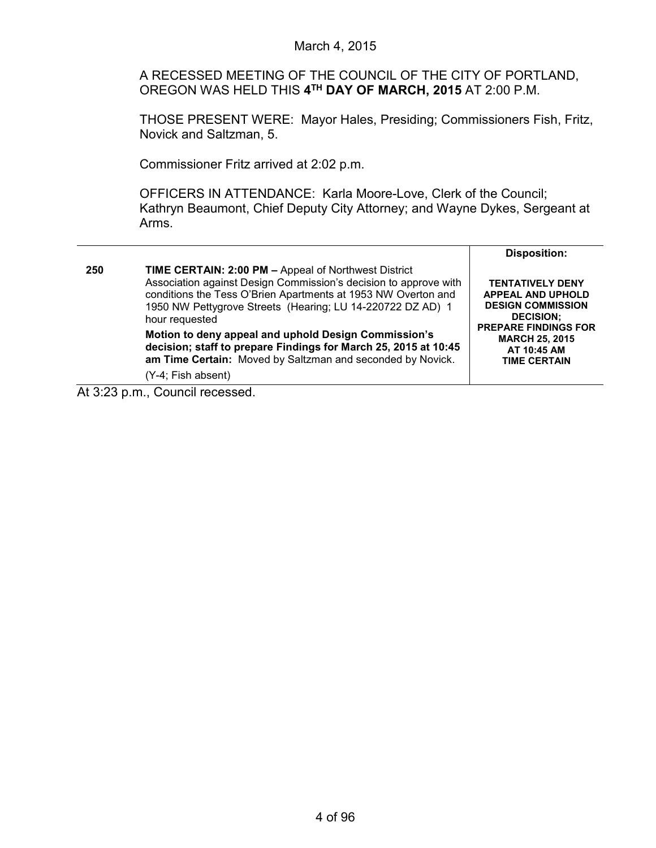A RECESSED MEETING OF THE COUNCIL OF THE CITY OF PORTLAND, OREGON WAS HELD THIS **4TH DAY OF MARCH, 2015** AT 2:00 P.M.

THOSE PRESENT WERE: Mayor Hales, Presiding; Commissioners Fish, Fritz, Novick and Saltzman, 5.

Commissioner Fritz arrived at 2:02 p.m.

OFFICERS IN ATTENDANCE: Karla Moore-Love, Clerk of the Council; Kathryn Beaumont, Chief Deputy City Attorney; and Wayne Dykes, Sergeant at Arms.

|     |                                                                                                                                                                                                                                                                                                                                                                                                                                                                                                 | <b>Disposition:</b>                                                                                                                                                                               |
|-----|-------------------------------------------------------------------------------------------------------------------------------------------------------------------------------------------------------------------------------------------------------------------------------------------------------------------------------------------------------------------------------------------------------------------------------------------------------------------------------------------------|---------------------------------------------------------------------------------------------------------------------------------------------------------------------------------------------------|
| 250 | <b>TIME CERTAIN: 2:00 PM - Appeal of Northwest District</b><br>Association against Design Commission's decision to approve with<br>conditions the Tess O'Brien Apartments at 1953 NW Overton and<br>1950 NW Pettygrove Streets (Hearing; LU 14-220722 DZ AD) 1<br>hour requested<br>Motion to deny appeal and uphold Design Commission's<br>decision; staff to prepare Findings for March 25, 2015 at 10:45<br>am Time Certain: Moved by Saltzman and seconded by Novick.<br>(Y-4; Fish absent) | <b>TENTATIVELY DENY</b><br><b>APPEAL AND UPHOLD</b><br><b>DESIGN COMMISSION</b><br><b>DECISION:</b><br><b>PREPARE FINDINGS FOR</b><br><b>MARCH 25, 2015</b><br>AT 10:45 AM<br><b>TIME CERTAIN</b> |

At 3:23 p.m., Council recessed.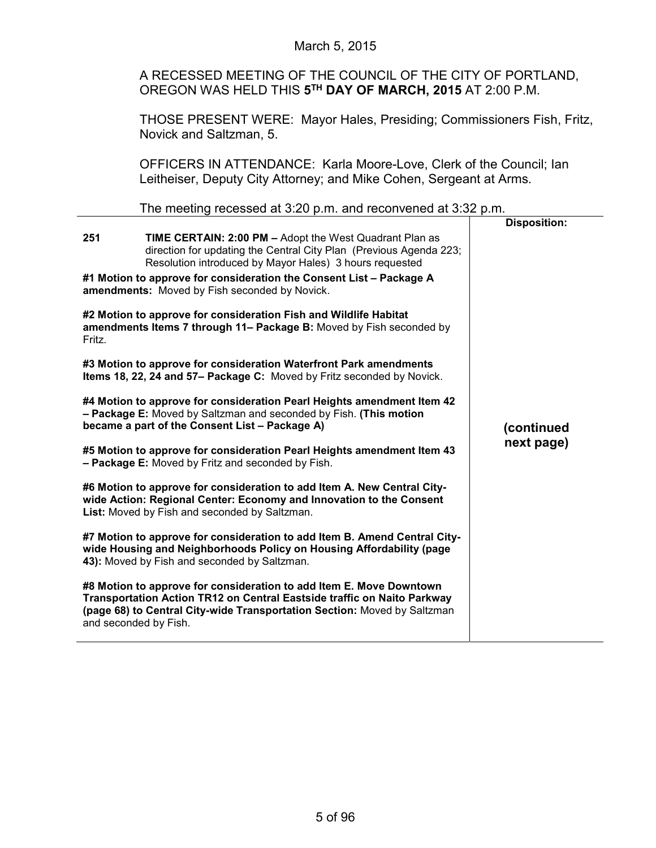## March 5, 2015

A RECESSED MEETING OF THE COUNCIL OF THE CITY OF PORTLAND, OREGON WAS HELD THIS **5TH DAY OF MARCH, 2015** AT 2:00 P.M.

THOSE PRESENT WERE: Mayor Hales, Presiding; Commissioners Fish, Fritz, Novick and Saltzman, 5.

OFFICERS IN ATTENDANCE: Karla Moore-Love, Clerk of the Council; Ian Leitheiser, Deputy City Attorney; and Mike Cohen, Sergeant at Arms.

The meeting recessed at 3:20 p.m. and reconvened at 3:32 p.m.

|                                                                                                                      |                                                                                                                                                                                                                            | <b>Disposition:</b> |
|----------------------------------------------------------------------------------------------------------------------|----------------------------------------------------------------------------------------------------------------------------------------------------------------------------------------------------------------------------|---------------------|
| 251                                                                                                                  | <b>TIME CERTAIN: 2:00 PM - Adopt the West Quadrant Plan as</b><br>direction for updating the Central City Plan (Previous Agenda 223;<br>Resolution introduced by Mayor Hales) 3 hours requested                            |                     |
| #1 Motion to approve for consideration the Consent List - Package A<br>amendments: Moved by Fish seconded by Novick. |                                                                                                                                                                                                                            |                     |
| Fritz.                                                                                                               | #2 Motion to approve for consideration Fish and Wildlife Habitat<br>amendments Items 7 through 11- Package B: Moved by Fish seconded by                                                                                    |                     |
|                                                                                                                      | #3 Motion to approve for consideration Waterfront Park amendments<br>Items 18, 22, 24 and 57- Package C: Moved by Fritz seconded by Novick.                                                                                |                     |
|                                                                                                                      | #4 Motion to approve for consideration Pearl Heights amendment Item 42<br>- Package E: Moved by Saltzman and seconded by Fish. (This motion<br>became a part of the Consent List - Package A)                              | (continued          |
|                                                                                                                      | #5 Motion to approve for consideration Pearl Heights amendment Item 43<br>- Package E: Moved by Fritz and seconded by Fish.                                                                                                | next page)          |
|                                                                                                                      | #6 Motion to approve for consideration to add Item A. New Central City-<br>wide Action: Regional Center: Economy and Innovation to the Consent<br>List: Moved by Fish and seconded by Saltzman.                            |                     |
|                                                                                                                      | #7 Motion to approve for consideration to add Item B. Amend Central City-<br>wide Housing and Neighborhoods Policy on Housing Affordability (page<br>43): Moved by Fish and seconded by Saltzman.                          |                     |
| and seconded by Fish.                                                                                                | #8 Motion to approve for consideration to add Item E. Move Downtown<br>Transportation Action TR12 on Central Eastside traffic on Naito Parkway<br>(page 68) to Central City-wide Transportation Section: Moved by Saltzman |                     |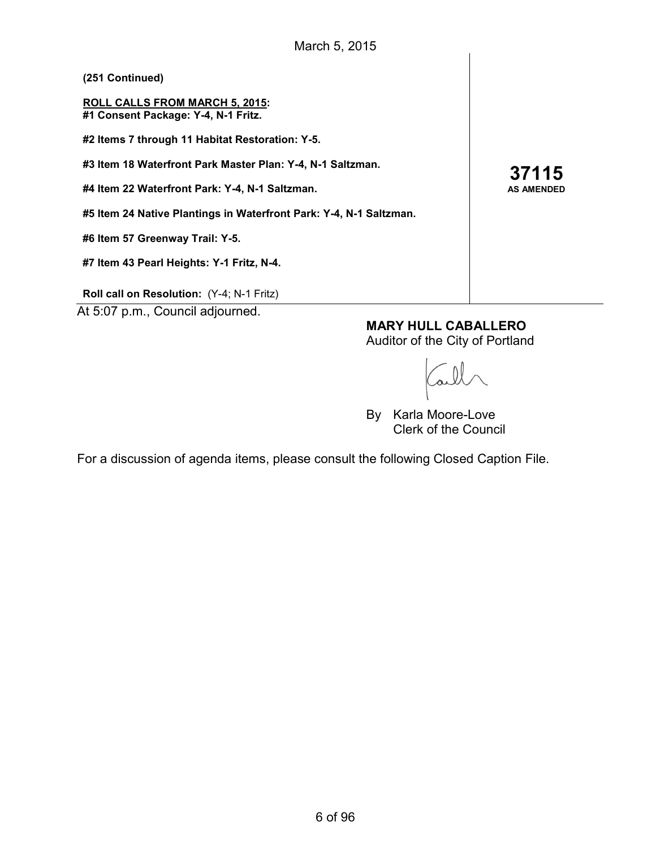| (251 Continued)                                                              |
|------------------------------------------------------------------------------|
| <b>ROLL CALLS FROM MARCH 5, 2015:</b><br>#1 Consent Package: Y-4, N-1 Fritz. |
| #2 Items 7 through 11 Habitat Restoration: Y-5.                              |
| #3 Item 18 Waterfront Park Master Plan: Y-4, N-1 Saltzman.                   |
| #4 Item 22 Waterfront Park: Y-4, N-1 Saltzman.                               |
| #5 Item 24 Native Plantings in Waterfront Park: Y-4, N-1 Saltzman.           |
| #6 Item 57 Greenway Trail: Y-5.                                              |
| #7 Item 43 Pearl Heights: Y-1 Fritz, N-4.                                    |
|                                                                              |

**37115 AS AMENDED**

**Roll call on Resolution:** (Y-4; N-1 Fritz)

At 5:07 p.m., Council adjourned.

**MARY HULL CABALLERO** Auditor of the City of Portland

By Karla Moore-Love Clerk of the Council

For a discussion of agenda items, please consult the following Closed Caption File.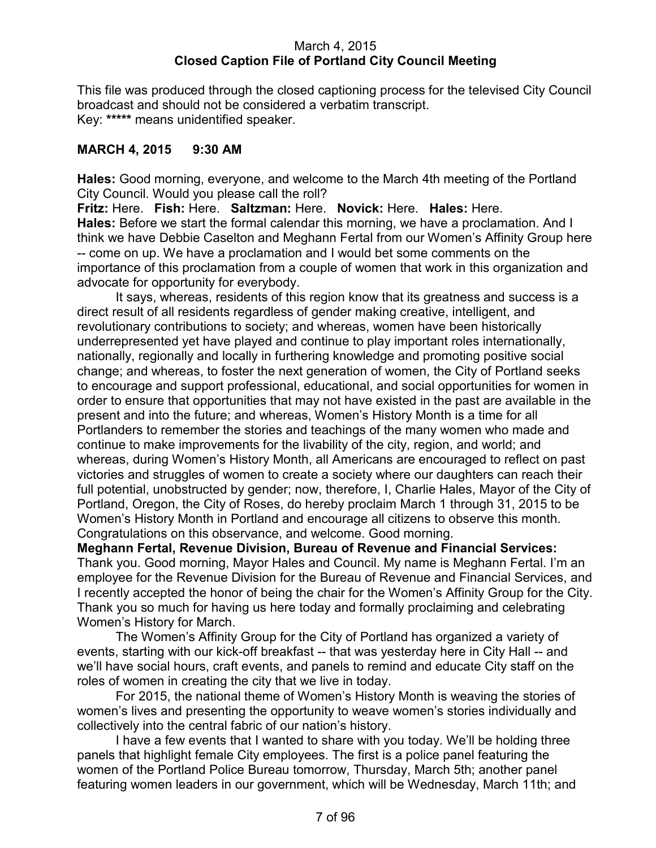## March 4, 2015 **Closed Caption File of Portland City Council Meeting**

This file was produced through the closed captioning process for the televised City Council broadcast and should not be considered a verbatim transcript. Key: **\*\*\*\*\*** means unidentified speaker.

# **MARCH 4, 2015 9:30 AM**

**Hales:** Good morning, everyone, and welcome to the March 4th meeting of the Portland City Council. Would you please call the roll?

**Fritz:** Here. **Fish:** Here. **Saltzman:** Here. **Novick:** Here. **Hales:** Here. **Hales:** Before we start the formal calendar this morning, we have a proclamation. And I think we have Debbie Caselton and Meghann Fertal from our Women's Affinity Group here -- come on up. We have a proclamation and I would bet some comments on the importance of this proclamation from a couple of women that work in this organization and advocate for opportunity for everybody.

It says, whereas, residents of this region know that its greatness and success is a direct result of all residents regardless of gender making creative, intelligent, and revolutionary contributions to society; and whereas, women have been historically underrepresented yet have played and continue to play important roles internationally, nationally, regionally and locally in furthering knowledge and promoting positive social change; and whereas, to foster the next generation of women, the City of Portland seeks to encourage and support professional, educational, and social opportunities for women in order to ensure that opportunities that may not have existed in the past are available in the present and into the future; and whereas, Women's History Month is a time for all Portlanders to remember the stories and teachings of the many women who made and continue to make improvements for the livability of the city, region, and world; and whereas, during Women's History Month, all Americans are encouraged to reflect on past victories and struggles of women to create a society where our daughters can reach their full potential, unobstructed by gender; now, therefore, I, Charlie Hales, Mayor of the City of Portland, Oregon, the City of Roses, do hereby proclaim March 1 through 31, 2015 to be Women's History Month in Portland and encourage all citizens to observe this month. Congratulations on this observance, and welcome. Good morning.

**Meghann Fertal, Revenue Division, Bureau of Revenue and Financial Services:**  Thank you. Good morning, Mayor Hales and Council. My name is Meghann Fertal. I'm an employee for the Revenue Division for the Bureau of Revenue and Financial Services, and I recently accepted the honor of being the chair for the Women's Affinity Group for the City. Thank you so much for having us here today and formally proclaiming and celebrating Women's History for March.

The Women's Affinity Group for the City of Portland has organized a variety of events, starting with our kick-off breakfast -- that was yesterday here in City Hall -- and we'll have social hours, craft events, and panels to remind and educate City staff on the roles of women in creating the city that we live in today.

For 2015, the national theme of Women's History Month is weaving the stories of women's lives and presenting the opportunity to weave women's stories individually and collectively into the central fabric of our nation's history.

I have a few events that I wanted to share with you today. We'll be holding three panels that highlight female City employees. The first is a police panel featuring the women of the Portland Police Bureau tomorrow, Thursday, March 5th; another panel featuring women leaders in our government, which will be Wednesday, March 11th; and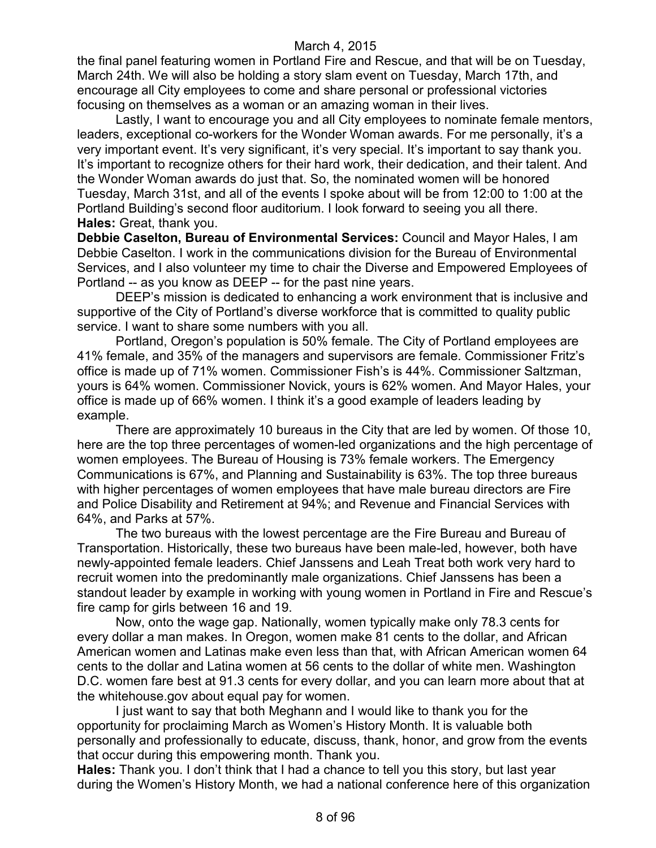the final panel featuring women in Portland Fire and Rescue, and that will be on Tuesday, March 24th. We will also be holding a story slam event on Tuesday, March 17th, and encourage all City employees to come and share personal or professional victories focusing on themselves as a woman or an amazing woman in their lives.

Lastly, I want to encourage you and all City employees to nominate female mentors, leaders, exceptional co-workers for the Wonder Woman awards. For me personally, it's a very important event. It's very significant, it's very special. It's important to say thank you. It's important to recognize others for their hard work, their dedication, and their talent. And the Wonder Woman awards do just that. So, the nominated women will be honored Tuesday, March 31st, and all of the events I spoke about will be from 12:00 to 1:00 at the Portland Building's second floor auditorium. I look forward to seeing you all there. **Hales:** Great, thank you.

**Debbie Caselton, Bureau of Environmental Services:** Council and Mayor Hales, I am Debbie Caselton. I work in the communications division for the Bureau of Environmental Services, and I also volunteer my time to chair the Diverse and Empowered Employees of Portland -- as you know as DEEP -- for the past nine years.

DEEP's mission is dedicated to enhancing a work environment that is inclusive and supportive of the City of Portland's diverse workforce that is committed to quality public service. I want to share some numbers with you all.

Portland, Oregon's population is 50% female. The City of Portland employees are 41% female, and 35% of the managers and supervisors are female. Commissioner Fritz's office is made up of 71% women. Commissioner Fish's is 44%. Commissioner Saltzman, yours is 64% women. Commissioner Novick, yours is 62% women. And Mayor Hales, your office is made up of 66% women. I think it's a good example of leaders leading by example.

There are approximately 10 bureaus in the City that are led by women. Of those 10, here are the top three percentages of women-led organizations and the high percentage of women employees. The Bureau of Housing is 73% female workers. The Emergency Communications is 67%, and Planning and Sustainability is 63%. The top three bureaus with higher percentages of women employees that have male bureau directors are Fire and Police Disability and Retirement at 94%; and Revenue and Financial Services with 64%, and Parks at 57%.

The two bureaus with the lowest percentage are the Fire Bureau and Bureau of Transportation. Historically, these two bureaus have been male-led, however, both have newly-appointed female leaders. Chief Janssens and Leah Treat both work very hard to recruit women into the predominantly male organizations. Chief Janssens has been a standout leader by example in working with young women in Portland in Fire and Rescue's fire camp for girls between 16 and 19.

Now, onto the wage gap. Nationally, women typically make only 78.3 cents for every dollar a man makes. In Oregon, women make 81 cents to the dollar, and African American women and Latinas make even less than that, with African American women 64 cents to the dollar and Latina women at 56 cents to the dollar of white men. Washington D.C. women fare best at 91.3 cents for every dollar, and you can learn more about that at the whitehouse.gov about equal pay for women.

I just want to say that both Meghann and I would like to thank you for the opportunity for proclaiming March as Women's History Month. It is valuable both personally and professionally to educate, discuss, thank, honor, and grow from the events that occur during this empowering month. Thank you.

**Hales:** Thank you. I don't think that I had a chance to tell you this story, but last year during the Women's History Month, we had a national conference here of this organization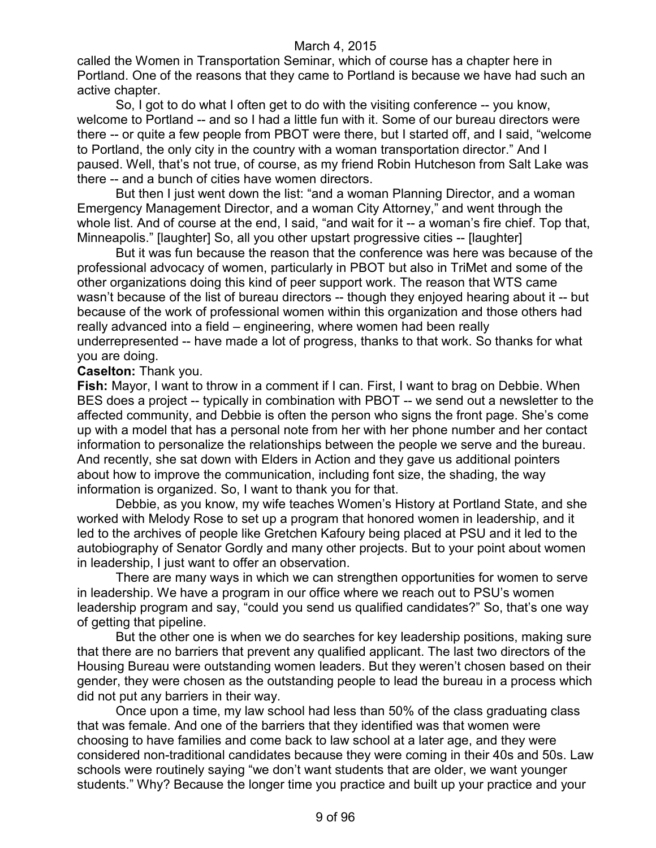called the Women in Transportation Seminar, which of course has a chapter here in Portland. One of the reasons that they came to Portland is because we have had such an active chapter.

So, I got to do what I often get to do with the visiting conference -- you know, welcome to Portland -- and so I had a little fun with it. Some of our bureau directors were there -- or quite a few people from PBOT were there, but I started off, and I said, "welcome to Portland, the only city in the country with a woman transportation director." And I paused. Well, that's not true, of course, as my friend Robin Hutcheson from Salt Lake was there -- and a bunch of cities have women directors.

But then I just went down the list: "and a woman Planning Director, and a woman Emergency Management Director, and a woman City Attorney," and went through the whole list. And of course at the end, I said, "and wait for it -- a woman's fire chief. Top that, Minneapolis." [laughter] So, all you other upstart progressive cities -- [laughter]

But it was fun because the reason that the conference was here was because of the professional advocacy of women, particularly in PBOT but also in TriMet and some of the other organizations doing this kind of peer support work. The reason that WTS came wasn't because of the list of bureau directors -- though they enjoyed hearing about it -- but because of the work of professional women within this organization and those others had really advanced into a field – engineering, where women had been really underrepresented -- have made a lot of progress, thanks to that work. So thanks for what you are doing.

**Caselton:** Thank you.

**Fish:** Mayor, I want to throw in a comment if I can. First, I want to brag on Debbie. When BES does a project -- typically in combination with PBOT -- we send out a newsletter to the affected community, and Debbie is often the person who signs the front page. She's come up with a model that has a personal note from her with her phone number and her contact information to personalize the relationships between the people we serve and the bureau. And recently, she sat down with Elders in Action and they gave us additional pointers about how to improve the communication, including font size, the shading, the way information is organized. So, I want to thank you for that.

Debbie, as you know, my wife teaches Women's History at Portland State, and she worked with Melody Rose to set up a program that honored women in leadership, and it led to the archives of people like Gretchen Kafoury being placed at PSU and it led to the autobiography of Senator Gordly and many other projects. But to your point about women in leadership, I just want to offer an observation.

There are many ways in which we can strengthen opportunities for women to serve in leadership. We have a program in our office where we reach out to PSU's women leadership program and say, "could you send us qualified candidates?" So, that's one way of getting that pipeline.

But the other one is when we do searches for key leadership positions, making sure that there are no barriers that prevent any qualified applicant. The last two directors of the Housing Bureau were outstanding women leaders. But they weren't chosen based on their gender, they were chosen as the outstanding people to lead the bureau in a process which did not put any barriers in their way.

Once upon a time, my law school had less than 50% of the class graduating class that was female. And one of the barriers that they identified was that women were choosing to have families and come back to law school at a later age, and they were considered non-traditional candidates because they were coming in their 40s and 50s. Law schools were routinely saying "we don't want students that are older, we want younger students." Why? Because the longer time you practice and built up your practice and your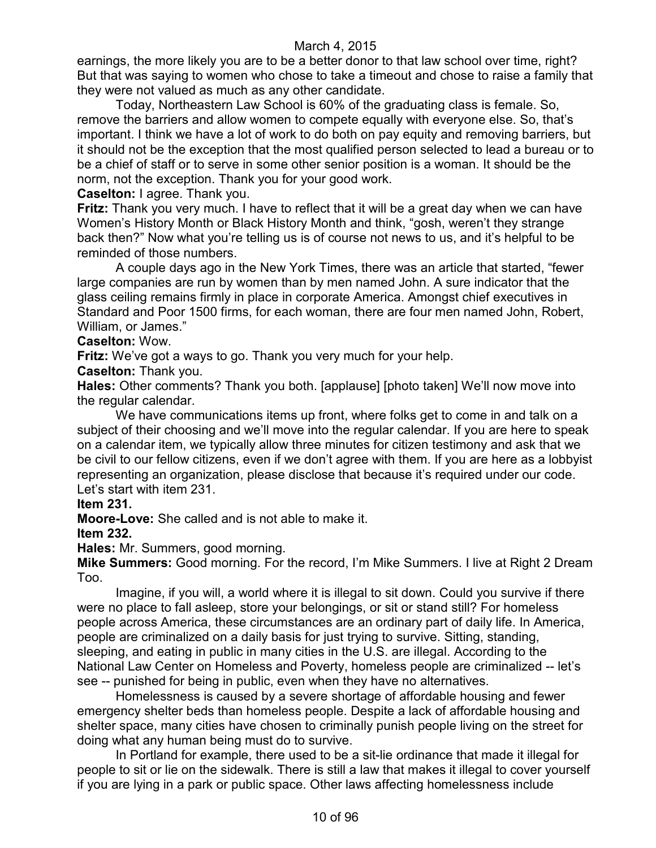earnings, the more likely you are to be a better donor to that law school over time, right? But that was saying to women who chose to take a timeout and chose to raise a family that they were not valued as much as any other candidate.

Today, Northeastern Law School is 60% of the graduating class is female. So, remove the barriers and allow women to compete equally with everyone else. So, that's important. I think we have a lot of work to do both on pay equity and removing barriers, but it should not be the exception that the most qualified person selected to lead a bureau or to be a chief of staff or to serve in some other senior position is a woman. It should be the norm, not the exception. Thank you for your good work.

**Caselton:** I agree. Thank you.

**Fritz:** Thank you very much. I have to reflect that it will be a great day when we can have Women's History Month or Black History Month and think, "gosh, weren't they strange back then?" Now what you're telling us is of course not news to us, and it's helpful to be reminded of those numbers.

A couple days ago in the New York Times, there was an article that started, "fewer large companies are run by women than by men named John. A sure indicator that the glass ceiling remains firmly in place in corporate America. Amongst chief executives in Standard and Poor 1500 firms, for each woman, there are four men named John, Robert, William, or James."

### **Caselton:** Wow.

**Fritz:** We've got a ways to go. Thank you very much for your help.

**Caselton:** Thank you.

**Hales:** Other comments? Thank you both. [applause] [photo taken] We'll now move into the regular calendar.

We have communications items up front, where folks get to come in and talk on a subject of their choosing and we'll move into the regular calendar. If you are here to speak on a calendar item, we typically allow three minutes for citizen testimony and ask that we be civil to our fellow citizens, even if we don't agree with them. If you are here as a lobbyist representing an organization, please disclose that because it's required under our code. Let's start with item 231.

#### **Item 231.**

**Moore-Love:** She called and is not able to make it.

**Item 232.**

**Hales:** Mr. Summers, good morning.

**Mike Summers:** Good morning. For the record, I'm Mike Summers. I live at Right 2 Dream Too.

Imagine, if you will, a world where it is illegal to sit down. Could you survive if there were no place to fall asleep, store your belongings, or sit or stand still? For homeless people across America, these circumstances are an ordinary part of daily life. In America, people are criminalized on a daily basis for just trying to survive. Sitting, standing, sleeping, and eating in public in many cities in the U.S. are illegal. According to the National Law Center on Homeless and Poverty, homeless people are criminalized -- let's see -- punished for being in public, even when they have no alternatives.

Homelessness is caused by a severe shortage of affordable housing and fewer emergency shelter beds than homeless people. Despite a lack of affordable housing and shelter space, many cities have chosen to criminally punish people living on the street for doing what any human being must do to survive.

In Portland for example, there used to be a sit-lie ordinance that made it illegal for people to sit or lie on the sidewalk. There is still a law that makes it illegal to cover yourself if you are lying in a park or public space. Other laws affecting homelessness include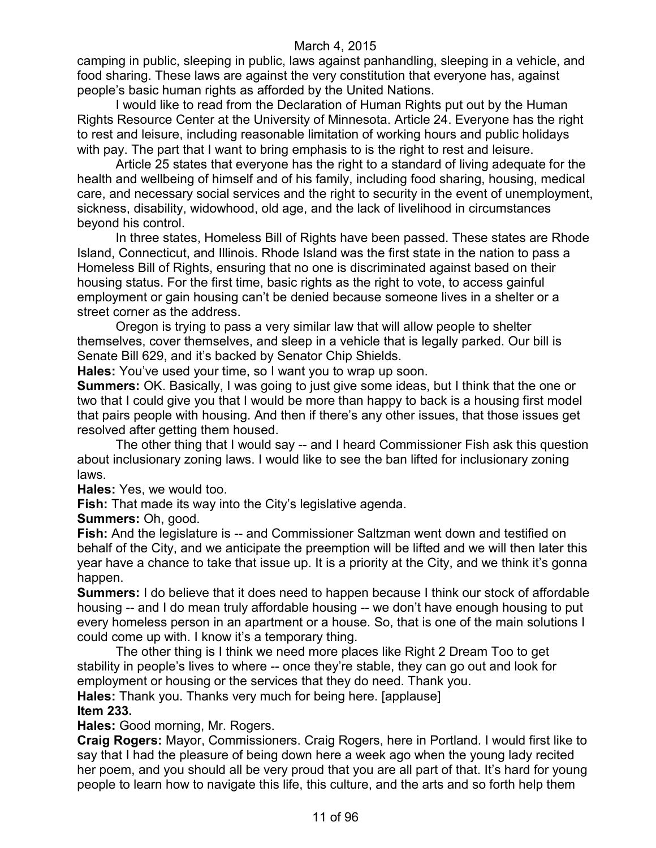camping in public, sleeping in public, laws against panhandling, sleeping in a vehicle, and food sharing. These laws are against the very constitution that everyone has, against people's basic human rights as afforded by the United Nations.

I would like to read from the Declaration of Human Rights put out by the Human Rights Resource Center at the University of Minnesota. Article 24. Everyone has the right to rest and leisure, including reasonable limitation of working hours and public holidays with pay. The part that I want to bring emphasis to is the right to rest and leisure.

Article 25 states that everyone has the right to a standard of living adequate for the health and wellbeing of himself and of his family, including food sharing, housing, medical care, and necessary social services and the right to security in the event of unemployment, sickness, disability, widowhood, old age, and the lack of livelihood in circumstances beyond his control.

In three states, Homeless Bill of Rights have been passed. These states are Rhode Island, Connecticut, and Illinois. Rhode Island was the first state in the nation to pass a Homeless Bill of Rights, ensuring that no one is discriminated against based on their housing status. For the first time, basic rights as the right to vote, to access gainful employment or gain housing can't be denied because someone lives in a shelter or a street corner as the address.

Oregon is trying to pass a very similar law that will allow people to shelter themselves, cover themselves, and sleep in a vehicle that is legally parked. Our bill is Senate Bill 629, and it's backed by Senator Chip Shields.

**Hales:** You've used your time, so I want you to wrap up soon.

**Summers:** OK. Basically, I was going to just give some ideas, but I think that the one or two that I could give you that I would be more than happy to back is a housing first model that pairs people with housing. And then if there's any other issues, that those issues get resolved after getting them housed.

The other thing that I would say -- and I heard Commissioner Fish ask this question about inclusionary zoning laws. I would like to see the ban lifted for inclusionary zoning laws.

**Hales:** Yes, we would too.

**Fish:** That made its way into the City's legislative agenda.

**Summers:** Oh, good.

**Fish:** And the legislature is -- and Commissioner Saltzman went down and testified on behalf of the City, and we anticipate the preemption will be lifted and we will then later this year have a chance to take that issue up. It is a priority at the City, and we think it's gonna happen.

**Summers:** I do believe that it does need to happen because I think our stock of affordable housing -- and I do mean truly affordable housing -- we don't have enough housing to put every homeless person in an apartment or a house. So, that is one of the main solutions I could come up with. I know it's a temporary thing.

The other thing is I think we need more places like Right 2 Dream Too to get stability in people's lives to where -- once they're stable, they can go out and look for employment or housing or the services that they do need. Thank you.

**Hales:** Thank you. Thanks very much for being here. [applause] **Item 233.**

**Hales:** Good morning, Mr. Rogers.

**Craig Rogers:** Mayor, Commissioners. Craig Rogers, here in Portland. I would first like to say that I had the pleasure of being down here a week ago when the young lady recited her poem, and you should all be very proud that you are all part of that. It's hard for young people to learn how to navigate this life, this culture, and the arts and so forth help them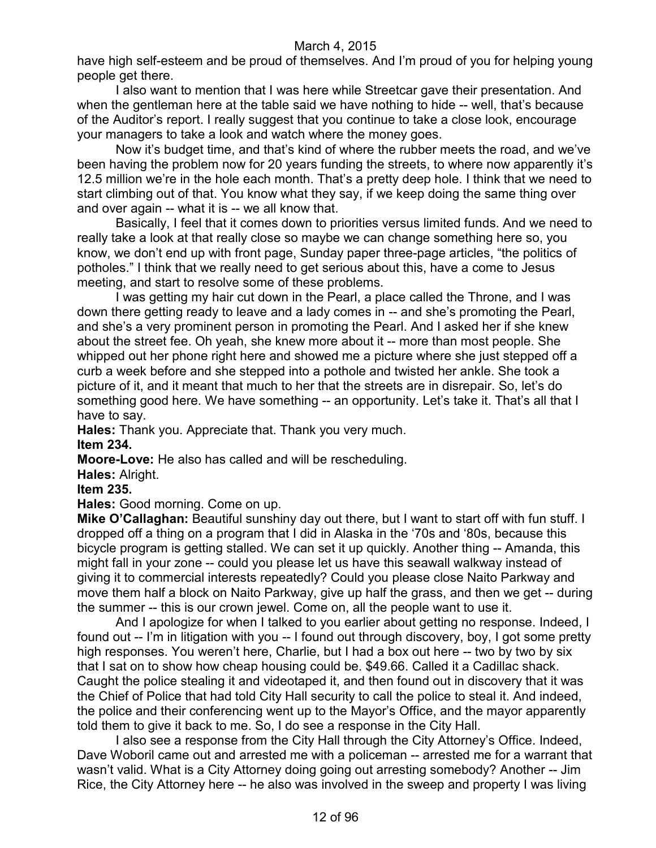have high self-esteem and be proud of themselves. And I'm proud of you for helping young people get there.

I also want to mention that I was here while Streetcar gave their presentation. And when the gentleman here at the table said we have nothing to hide -- well, that's because of the Auditor's report. I really suggest that you continue to take a close look, encourage your managers to take a look and watch where the money goes.

Now it's budget time, and that's kind of where the rubber meets the road, and we've been having the problem now for 20 years funding the streets, to where now apparently it's 12.5 million we're in the hole each month. That's a pretty deep hole. I think that we need to start climbing out of that. You know what they say, if we keep doing the same thing over and over again -- what it is -- we all know that.

Basically, I feel that it comes down to priorities versus limited funds. And we need to really take a look at that really close so maybe we can change something here so, you know, we don't end up with front page, Sunday paper three-page articles, "the politics of potholes." I think that we really need to get serious about this, have a come to Jesus meeting, and start to resolve some of these problems.

I was getting my hair cut down in the Pearl, a place called the Throne, and I was down there getting ready to leave and a lady comes in -- and she's promoting the Pearl, and she's a very prominent person in promoting the Pearl. And I asked her if she knew about the street fee. Oh yeah, she knew more about it -- more than most people. She whipped out her phone right here and showed me a picture where she just stepped off a curb a week before and she stepped into a pothole and twisted her ankle. She took a picture of it, and it meant that much to her that the streets are in disrepair. So, let's do something good here. We have something -- an opportunity. Let's take it. That's all that I have to say.

**Hales:** Thank you. Appreciate that. Thank you very much. **Item 234.**

**Moore-Love:** He also has called and will be rescheduling.

**Hales:** Alright.

**Item 235.**

**Hales:** Good morning. Come on up.

**Mike O'Callaghan:** Beautiful sunshiny day out there, but I want to start off with fun stuff. I dropped off a thing on a program that I did in Alaska in the '70s and '80s, because this bicycle program is getting stalled. We can set it up quickly. Another thing -- Amanda, this might fall in your zone -- could you please let us have this seawall walkway instead of giving it to commercial interests repeatedly? Could you please close Naito Parkway and move them half a block on Naito Parkway, give up half the grass, and then we get -- during the summer -- this is our crown jewel. Come on, all the people want to use it.

And I apologize for when I talked to you earlier about getting no response. Indeed, I found out -- I'm in litigation with you -- I found out through discovery, boy, I got some pretty high responses. You weren't here, Charlie, but I had a box out here -- two by two by six that I sat on to show how cheap housing could be. \$49.66. Called it a Cadillac shack. Caught the police stealing it and videotaped it, and then found out in discovery that it was the Chief of Police that had told City Hall security to call the police to steal it. And indeed, the police and their conferencing went up to the Mayor's Office, and the mayor apparently told them to give it back to me. So, I do see a response in the City Hall.

I also see a response from the City Hall through the City Attorney's Office. Indeed, Dave Woboril came out and arrested me with a policeman -- arrested me for a warrant that wasn't valid. What is a City Attorney doing going out arresting somebody? Another -- Jim Rice, the City Attorney here -- he also was involved in the sweep and property I was living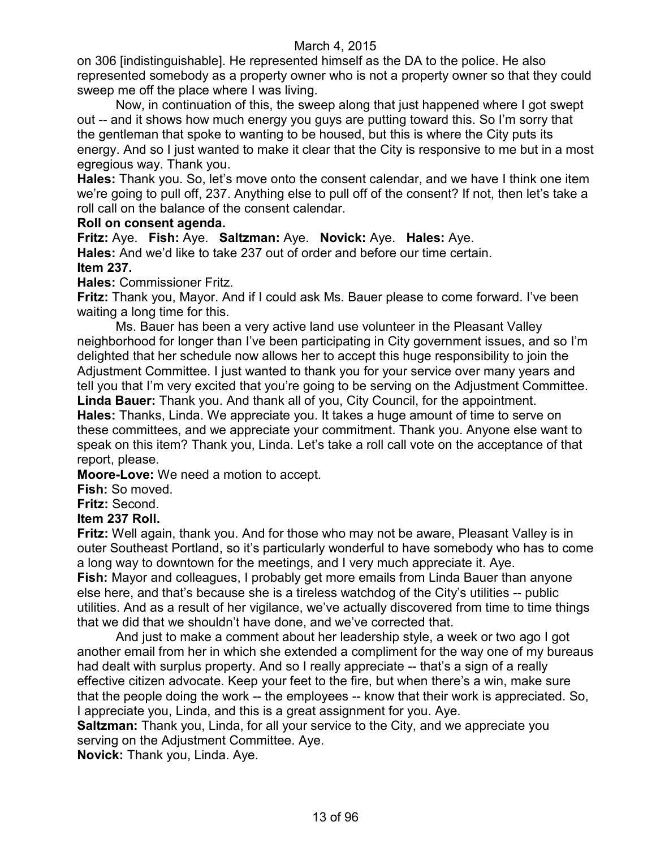on 306 [indistinguishable]. He represented himself as the DA to the police. He also represented somebody as a property owner who is not a property owner so that they could sweep me off the place where I was living.

Now, in continuation of this, the sweep along that just happened where I got swept out -- and it shows how much energy you guys are putting toward this. So I'm sorry that the gentleman that spoke to wanting to be housed, but this is where the City puts its energy. And so I just wanted to make it clear that the City is responsive to me but in a most egregious way. Thank you.

**Hales:** Thank you. So, let's move onto the consent calendar, and we have I think one item we're going to pull off, 237. Anything else to pull off of the consent? If not, then let's take a roll call on the balance of the consent calendar.

### **Roll on consent agenda.**

**Fritz:** Aye. **Fish:** Aye. **Saltzman:** Aye. **Novick:** Aye. **Hales:** Aye. **Hales:** And we'd like to take 237 out of order and before our time certain. **Item 237.**

**Hales:** Commissioner Fritz.

**Fritz:** Thank you, Mayor. And if I could ask Ms. Bauer please to come forward. I've been waiting a long time for this.

Ms. Bauer has been a very active land use volunteer in the Pleasant Valley neighborhood for longer than I've been participating in City government issues, and so I'm delighted that her schedule now allows her to accept this huge responsibility to join the Adjustment Committee. I just wanted to thank you for your service over many years and tell you that I'm very excited that you're going to be serving on the Adjustment Committee. **Linda Bauer:** Thank you. And thank all of you, City Council, for the appointment. **Hales:** Thanks, Linda. We appreciate you. It takes a huge amount of time to serve on

these committees, and we appreciate your commitment. Thank you. Anyone else want to speak on this item? Thank you, Linda. Let's take a roll call vote on the acceptance of that report, please.

**Moore-Love:** We need a motion to accept.

**Fish:** So moved.

**Fritz:** Second.

## **Item 237 Roll.**

**Fritz:** Well again, thank you. And for those who may not be aware, Pleasant Valley is in outer Southeast Portland, so it's particularly wonderful to have somebody who has to come a long way to downtown for the meetings, and I very much appreciate it. Aye. **Fish:** Mayor and colleagues, I probably get more emails from Linda Bauer than anyone else here, and that's because she is a tireless watchdog of the City's utilities -- public utilities. And as a result of her vigilance, we've actually discovered from time to time things that we did that we shouldn't have done, and we've corrected that.

And just to make a comment about her leadership style, a week or two ago I got another email from her in which she extended a compliment for the way one of my bureaus had dealt with surplus property. And so I really appreciate -- that's a sign of a really effective citizen advocate. Keep your feet to the fire, but when there's a win, make sure that the people doing the work -- the employees -- know that their work is appreciated. So, I appreciate you, Linda, and this is a great assignment for you. Aye.

**Saltzman:** Thank you, Linda, for all your service to the City, and we appreciate you serving on the Adjustment Committee. Aye.

**Novick:** Thank you, Linda. Aye.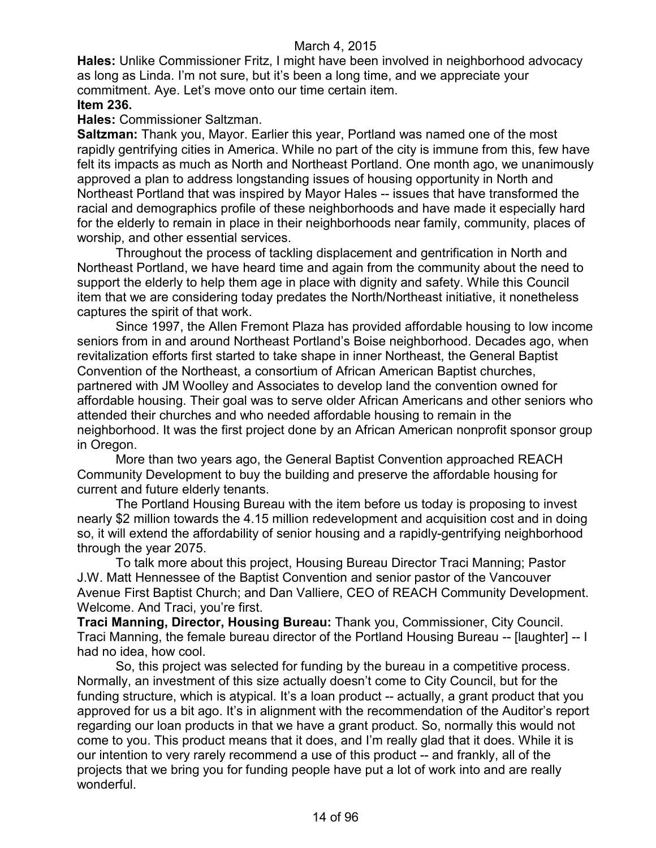**Hales:** Unlike Commissioner Fritz, I might have been involved in neighborhood advocacy as long as Linda. I'm not sure, but it's been a long time, and we appreciate your commitment. Aye. Let's move onto our time certain item. **Item 236.**

**Hales:** Commissioner Saltzman.

**Saltzman:** Thank you, Mayor. Earlier this year, Portland was named one of the most rapidly gentrifying cities in America. While no part of the city is immune from this, few have felt its impacts as much as North and Northeast Portland. One month ago, we unanimously approved a plan to address longstanding issues of housing opportunity in North and Northeast Portland that was inspired by Mayor Hales -- issues that have transformed the racial and demographics profile of these neighborhoods and have made it especially hard for the elderly to remain in place in their neighborhoods near family, community, places of worship, and other essential services.

Throughout the process of tackling displacement and gentrification in North and Northeast Portland, we have heard time and again from the community about the need to support the elderly to help them age in place with dignity and safety. While this Council item that we are considering today predates the North/Northeast initiative, it nonetheless captures the spirit of that work.

Since 1997, the Allen Fremont Plaza has provided affordable housing to low income seniors from in and around Northeast Portland's Boise neighborhood. Decades ago, when revitalization efforts first started to take shape in inner Northeast, the General Baptist Convention of the Northeast, a consortium of African American Baptist churches, partnered with JM Woolley and Associates to develop land the convention owned for affordable housing. Their goal was to serve older African Americans and other seniors who attended their churches and who needed affordable housing to remain in the neighborhood. It was the first project done by an African American nonprofit sponsor group in Oregon.

More than two years ago, the General Baptist Convention approached REACH Community Development to buy the building and preserve the affordable housing for current and future elderly tenants.

The Portland Housing Bureau with the item before us today is proposing to invest nearly \$2 million towards the 4.15 million redevelopment and acquisition cost and in doing so, it will extend the affordability of senior housing and a rapidly-gentrifying neighborhood through the year 2075.

To talk more about this project, Housing Bureau Director Traci Manning; Pastor J.W. Matt Hennessee of the Baptist Convention and senior pastor of the Vancouver Avenue First Baptist Church; and Dan Valliere, CEO of REACH Community Development. Welcome. And Traci, you're first.

**Traci Manning, Director, Housing Bureau:** Thank you, Commissioner, City Council. Traci Manning, the female bureau director of the Portland Housing Bureau -- [laughter] -- I had no idea, how cool.

So, this project was selected for funding by the bureau in a competitive process. Normally, an investment of this size actually doesn't come to City Council, but for the funding structure, which is atypical. It's a loan product -- actually, a grant product that you approved for us a bit ago. It's in alignment with the recommendation of the Auditor's report regarding our loan products in that we have a grant product. So, normally this would not come to you. This product means that it does, and I'm really glad that it does. While it is our intention to very rarely recommend a use of this product -- and frankly, all of the projects that we bring you for funding people have put a lot of work into and are really wonderful.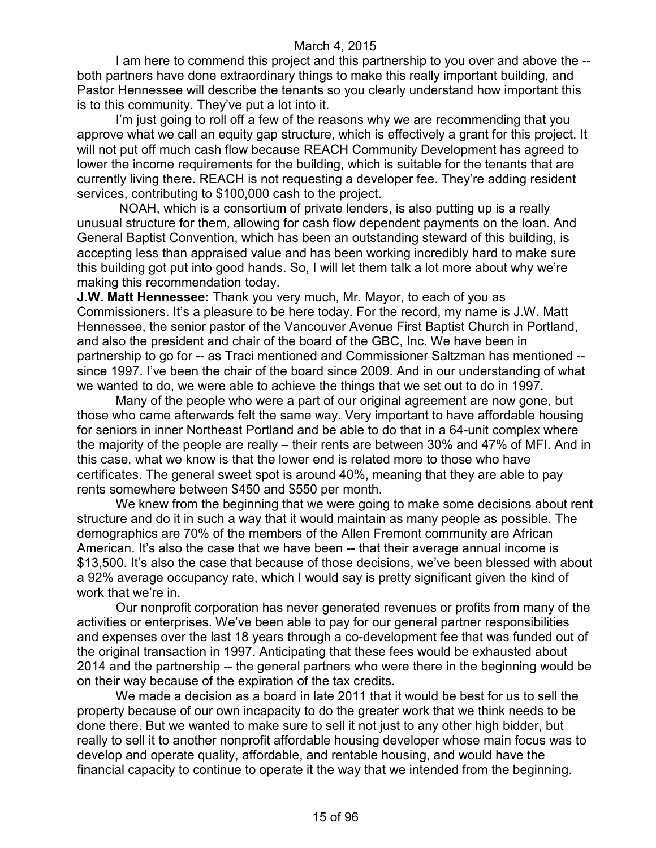I am here to commend this project and this partnership to you over and above the - both partners have done extraordinary things to make this really important building, and Pastor Hennessee will describe the tenants so you clearly understand how important this is to this community. They've put a lot into it.

I'm just going to roll off a few of the reasons why we are recommending that you approve what we call an equity gap structure, which is effectively a grant for this project. It will not put off much cash flow because REACH Community Development has agreed to lower the income requirements for the building, which is suitable for the tenants that are currently living there. REACH is not requesting a developer fee. They're adding resident services, contributing to \$100,000 cash to the project.

NOAH, which is a consortium of private lenders, is also putting up is a really unusual structure for them, allowing for cash flow dependent payments on the loan. And General Baptist Convention, which has been an outstanding steward of this building, is accepting less than appraised value and has been working incredibly hard to make sure this building got put into good hands. So, I will let them talk a lot more about why we're making this recommendation today.

**J.W. Matt Hennessee:** Thank you very much, Mr. Mayor, to each of you as Commissioners. It's a pleasure to be here today. For the record, my name is J.W. Matt Hennessee, the senior pastor of the Vancouver Avenue First Baptist Church in Portland, and also the president and chair of the board of the GBC, Inc. We have been in partnership to go for -- as Traci mentioned and Commissioner Saltzman has mentioned - since 1997. I've been the chair of the board since 2009. And in our understanding of what we wanted to do, we were able to achieve the things that we set out to do in 1997.

Many of the people who were a part of our original agreement are now gone, but those who came afterwards felt the same way. Very important to have affordable housing for seniors in inner Northeast Portland and be able to do that in a 64-unit complex where the majority of the people are really – their rents are between 30% and 47% of MFI. And in this case, what we know is that the lower end is related more to those who have certificates. The general sweet spot is around 40%, meaning that they are able to pay rents somewhere between \$450 and \$550 per month.

We knew from the beginning that we were going to make some decisions about rent structure and do it in such a way that it would maintain as many people as possible. The demographics are 70% of the members of the Allen Fremont community are African American. It's also the case that we have been -- that their average annual income is \$13,500. It's also the case that because of those decisions, we've been blessed with about a 92% average occupancy rate, which I would say is pretty significant given the kind of work that we're in.

Our nonprofit corporation has never generated revenues or profits from many of the activities or enterprises. We've been able to pay for our general partner responsibilities and expenses over the last 18 years through a co-development fee that was funded out of the original transaction in 1997. Anticipating that these fees would be exhausted about 2014 and the partnership -- the general partners who were there in the beginning would be on their way because of the expiration of the tax credits.

We made a decision as a board in late 2011 that it would be best for us to sell the property because of our own incapacity to do the greater work that we think needs to be done there. But we wanted to make sure to sell it not just to any other high bidder, but really to sell it to another nonprofit affordable housing developer whose main focus was to develop and operate quality, affordable, and rentable housing, and would have the financial capacity to continue to operate it the way that we intended from the beginning.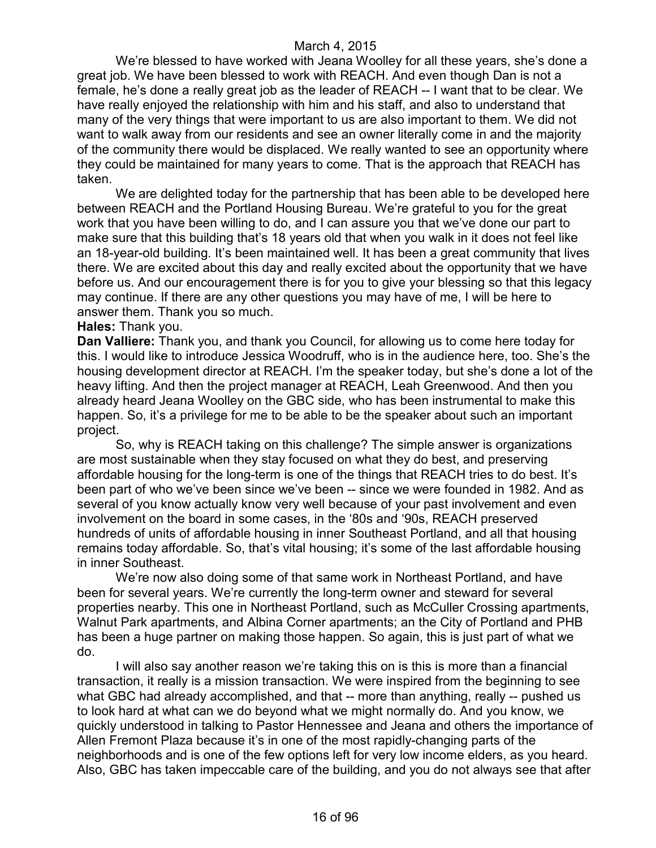We're blessed to have worked with Jeana Woolley for all these years, she's done a great job. We have been blessed to work with REACH. And even though Dan is not a female, he's done a really great job as the leader of REACH -- I want that to be clear. We have really enjoyed the relationship with him and his staff, and also to understand that many of the very things that were important to us are also important to them. We did not want to walk away from our residents and see an owner literally come in and the majority of the community there would be displaced. We really wanted to see an opportunity where they could be maintained for many years to come. That is the approach that REACH has taken.

We are delighted today for the partnership that has been able to be developed here between REACH and the Portland Housing Bureau. We're grateful to you for the great work that you have been willing to do, and I can assure you that we've done our part to make sure that this building that's 18 years old that when you walk in it does not feel like an 18-year-old building. It's been maintained well. It has been a great community that lives there. We are excited about this day and really excited about the opportunity that we have before us. And our encouragement there is for you to give your blessing so that this legacy may continue. If there are any other questions you may have of me, I will be here to answer them. Thank you so much.

#### **Hales:** Thank you.

**Dan Valliere:** Thank you, and thank you Council, for allowing us to come here today for this. I would like to introduce Jessica Woodruff, who is in the audience here, too. She's the housing development director at REACH. I'm the speaker today, but she's done a lot of the heavy lifting. And then the project manager at REACH, Leah Greenwood. And then you already heard Jeana Woolley on the GBC side, who has been instrumental to make this happen. So, it's a privilege for me to be able to be the speaker about such an important project.

So, why is REACH taking on this challenge? The simple answer is organizations are most sustainable when they stay focused on what they do best, and preserving affordable housing for the long-term is one of the things that REACH tries to do best. It's been part of who we've been since we've been -- since we were founded in 1982. And as several of you know actually know very well because of your past involvement and even involvement on the board in some cases, in the '80s and '90s, REACH preserved hundreds of units of affordable housing in inner Southeast Portland, and all that housing remains today affordable. So, that's vital housing; it's some of the last affordable housing in inner Southeast.

We're now also doing some of that same work in Northeast Portland, and have been for several years. We're currently the long-term owner and steward for several properties nearby. This one in Northeast Portland, such as McCuller Crossing apartments, Walnut Park apartments, and Albina Corner apartments; an the City of Portland and PHB has been a huge partner on making those happen. So again, this is just part of what we do.

I will also say another reason we're taking this on is this is more than a financial transaction, it really is a mission transaction. We were inspired from the beginning to see what GBC had already accomplished, and that -- more than anything, really -- pushed us to look hard at what can we do beyond what we might normally do. And you know, we quickly understood in talking to Pastor Hennessee and Jeana and others the importance of Allen Fremont Plaza because it's in one of the most rapidly-changing parts of the neighborhoods and is one of the few options left for very low income elders, as you heard. Also, GBC has taken impeccable care of the building, and you do not always see that after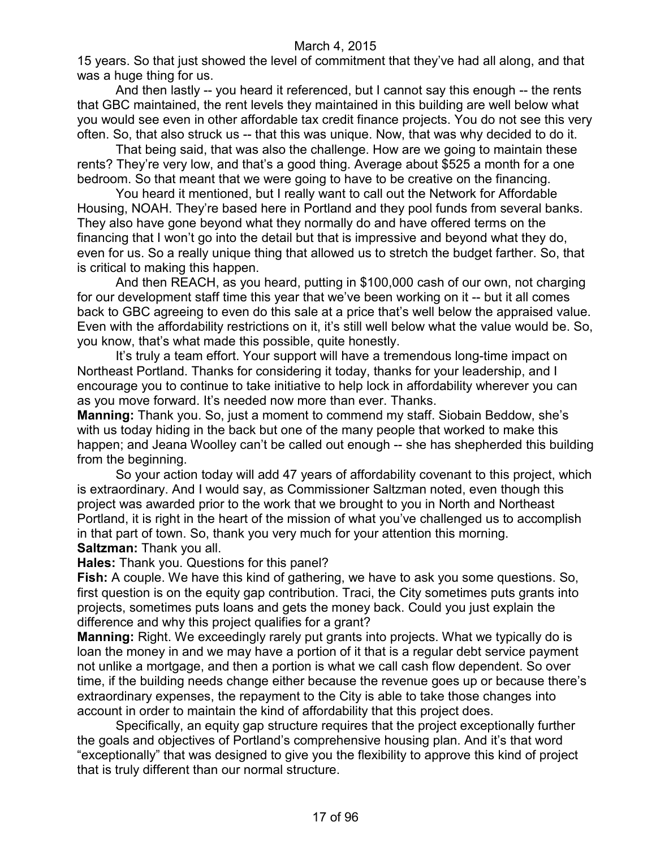15 years. So that just showed the level of commitment that they've had all along, and that was a huge thing for us.

And then lastly -- you heard it referenced, but I cannot say this enough -- the rents that GBC maintained, the rent levels they maintained in this building are well below what you would see even in other affordable tax credit finance projects. You do not see this very often. So, that also struck us -- that this was unique. Now, that was why decided to do it.

That being said, that was also the challenge. How are we going to maintain these rents? They're very low, and that's a good thing. Average about \$525 a month for a one bedroom. So that meant that we were going to have to be creative on the financing.

You heard it mentioned, but I really want to call out the Network for Affordable Housing, NOAH. They're based here in Portland and they pool funds from several banks. They also have gone beyond what they normally do and have offered terms on the financing that I won't go into the detail but that is impressive and beyond what they do, even for us. So a really unique thing that allowed us to stretch the budget farther. So, that is critical to making this happen.

And then REACH, as you heard, putting in \$100,000 cash of our own, not charging for our development staff time this year that we've been working on it -- but it all comes back to GBC agreeing to even do this sale at a price that's well below the appraised value. Even with the affordability restrictions on it, it's still well below what the value would be. So, you know, that's what made this possible, quite honestly.

It's truly a team effort. Your support will have a tremendous long-time impact on Northeast Portland. Thanks for considering it today, thanks for your leadership, and I encourage you to continue to take initiative to help lock in affordability wherever you can as you move forward. It's needed now more than ever. Thanks.

**Manning:** Thank you. So, just a moment to commend my staff. Siobain Beddow, she's with us today hiding in the back but one of the many people that worked to make this happen; and Jeana Woolley can't be called out enough -- she has shepherded this building from the beginning.

So your action today will add 47 years of affordability covenant to this project, which is extraordinary. And I would say, as Commissioner Saltzman noted, even though this project was awarded prior to the work that we brought to you in North and Northeast Portland, it is right in the heart of the mission of what you've challenged us to accomplish in that part of town. So, thank you very much for your attention this morning. **Saltzman:** Thank you all.

**Hales:** Thank you. Questions for this panel?

**Fish:** A couple. We have this kind of gathering, we have to ask you some questions. So, first question is on the equity gap contribution. Traci, the City sometimes puts grants into projects, sometimes puts loans and gets the money back. Could you just explain the difference and why this project qualifies for a grant?

**Manning:** Right. We exceedingly rarely put grants into projects. What we typically do is loan the money in and we may have a portion of it that is a regular debt service payment not unlike a mortgage, and then a portion is what we call cash flow dependent. So over time, if the building needs change either because the revenue goes up or because there's extraordinary expenses, the repayment to the City is able to take those changes into account in order to maintain the kind of affordability that this project does.

Specifically, an equity gap structure requires that the project exceptionally further the goals and objectives of Portland's comprehensive housing plan. And it's that word "exceptionally" that was designed to give you the flexibility to approve this kind of project that is truly different than our normal structure.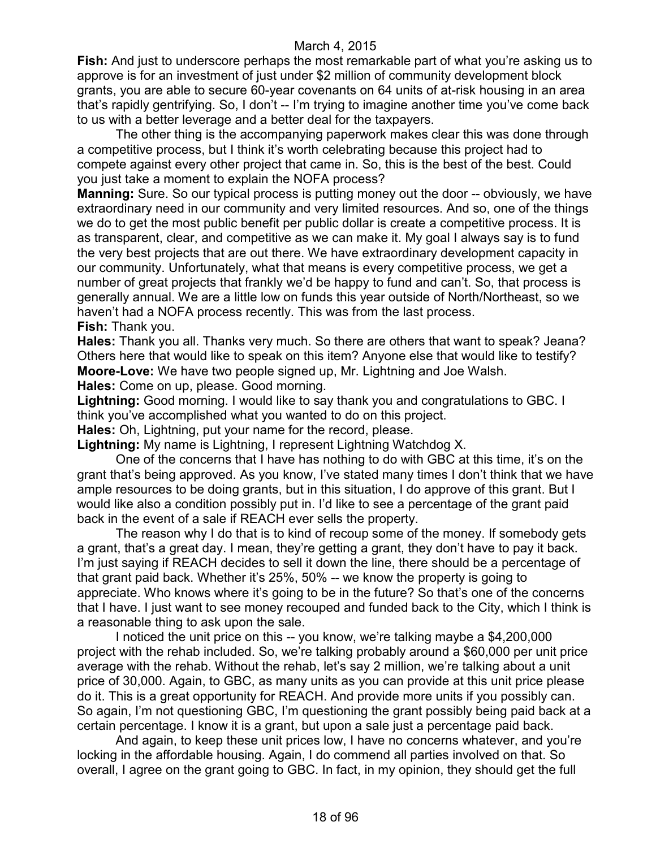**Fish:** And just to underscore perhaps the most remarkable part of what you're asking us to approve is for an investment of just under \$2 million of community development block grants, you are able to secure 60-year covenants on 64 units of at-risk housing in an area that's rapidly gentrifying. So, I don't -- I'm trying to imagine another time you've come back to us with a better leverage and a better deal for the taxpayers.

The other thing is the accompanying paperwork makes clear this was done through a competitive process, but I think it's worth celebrating because this project had to compete against every other project that came in. So, this is the best of the best. Could you just take a moment to explain the NOFA process?

**Manning:** Sure. So our typical process is putting money out the door -- obviously, we have extraordinary need in our community and very limited resources. And so, one of the things we do to get the most public benefit per public dollar is create a competitive process. It is as transparent, clear, and competitive as we can make it. My goal I always say is to fund the very best projects that are out there. We have extraordinary development capacity in our community. Unfortunately, what that means is every competitive process, we get a number of great projects that frankly we'd be happy to fund and can't. So, that process is generally annual. We are a little low on funds this year outside of North/Northeast, so we haven't had a NOFA process recently. This was from the last process. **Fish:** Thank you.

**Hales:** Thank you all. Thanks very much. So there are others that want to speak? Jeana? Others here that would like to speak on this item? Anyone else that would like to testify? **Moore-Love:** We have two people signed up, Mr. Lightning and Joe Walsh.

**Hales:** Come on up, please. Good morning.

**Lightning:** Good morning. I would like to say thank you and congratulations to GBC. I think you've accomplished what you wanted to do on this project.

**Hales:** Oh, Lightning, put your name for the record, please.

**Lightning:** My name is Lightning, I represent Lightning Watchdog X.

One of the concerns that I have has nothing to do with GBC at this time, it's on the grant that's being approved. As you know, I've stated many times I don't think that we have ample resources to be doing grants, but in this situation, I do approve of this grant. But I would like also a condition possibly put in. I'd like to see a percentage of the grant paid back in the event of a sale if REACH ever sells the property.

The reason why I do that is to kind of recoup some of the money. If somebody gets a grant, that's a great day. I mean, they're getting a grant, they don't have to pay it back. I'm just saying if REACH decides to sell it down the line, there should be a percentage of that grant paid back. Whether it's 25%, 50% -- we know the property is going to appreciate. Who knows where it's going to be in the future? So that's one of the concerns that I have. I just want to see money recouped and funded back to the City, which I think is a reasonable thing to ask upon the sale.

I noticed the unit price on this -- you know, we're talking maybe a \$4,200,000 project with the rehab included. So, we're talking probably around a \$60,000 per unit price average with the rehab. Without the rehab, let's say 2 million, we're talking about a unit price of 30,000. Again, to GBC, as many units as you can provide at this unit price please do it. This is a great opportunity for REACH. And provide more units if you possibly can. So again, I'm not questioning GBC, I'm questioning the grant possibly being paid back at a certain percentage. I know it is a grant, but upon a sale just a percentage paid back.

And again, to keep these unit prices low, I have no concerns whatever, and you're locking in the affordable housing. Again, I do commend all parties involved on that. So overall, I agree on the grant going to GBC. In fact, in my opinion, they should get the full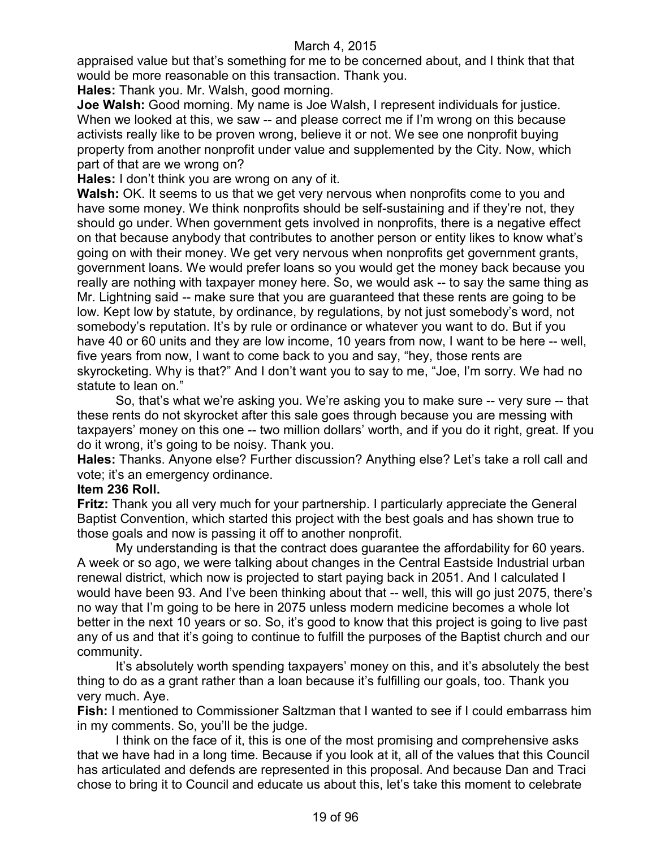appraised value but that's something for me to be concerned about, and I think that that would be more reasonable on this transaction. Thank you.

**Hales:** Thank you. Mr. Walsh, good morning.

**Joe Walsh:** Good morning. My name is Joe Walsh, I represent individuals for justice. When we looked at this, we saw -- and please correct me if I'm wrong on this because activists really like to be proven wrong, believe it or not. We see one nonprofit buying property from another nonprofit under value and supplemented by the City. Now, which part of that are we wrong on?

**Hales:** I don't think you are wrong on any of it.

**Walsh:** OK. It seems to us that we get very nervous when nonprofits come to you and have some money. We think nonprofits should be self-sustaining and if they're not, they should go under. When government gets involved in nonprofits, there is a negative effect on that because anybody that contributes to another person or entity likes to know what's going on with their money. We get very nervous when nonprofits get government grants, government loans. We would prefer loans so you would get the money back because you really are nothing with taxpayer money here. So, we would ask -- to say the same thing as Mr. Lightning said -- make sure that you are guaranteed that these rents are going to be low. Kept low by statute, by ordinance, by regulations, by not just somebody's word, not somebody's reputation. It's by rule or ordinance or whatever you want to do. But if you have 40 or 60 units and they are low income, 10 years from now, I want to be here -- well, five years from now, I want to come back to you and say, "hey, those rents are skyrocketing. Why is that?" And I don't want you to say to me, "Joe, I'm sorry. We had no statute to lean on."

So, that's what we're asking you. We're asking you to make sure -- very sure -- that these rents do not skyrocket after this sale goes through because you are messing with taxpayers' money on this one -- two million dollars' worth, and if you do it right, great. If you do it wrong, it's going to be noisy. Thank you.

**Hales:** Thanks. Anyone else? Further discussion? Anything else? Let's take a roll call and vote; it's an emergency ordinance.

## **Item 236 Roll.**

**Fritz:** Thank you all very much for your partnership. I particularly appreciate the General Baptist Convention, which started this project with the best goals and has shown true to those goals and now is passing it off to another nonprofit.

My understanding is that the contract does guarantee the affordability for 60 years. A week or so ago, we were talking about changes in the Central Eastside Industrial urban renewal district, which now is projected to start paying back in 2051. And I calculated I would have been 93. And I've been thinking about that -- well, this will go just 2075, there's no way that I'm going to be here in 2075 unless modern medicine becomes a whole lot better in the next 10 years or so. So, it's good to know that this project is going to live past any of us and that it's going to continue to fulfill the purposes of the Baptist church and our community.

It's absolutely worth spending taxpayers' money on this, and it's absolutely the best thing to do as a grant rather than a loan because it's fulfilling our goals, too. Thank you very much. Aye.

**Fish:** I mentioned to Commissioner Saltzman that I wanted to see if I could embarrass him in my comments. So, you'll be the judge.

I think on the face of it, this is one of the most promising and comprehensive asks that we have had in a long time. Because if you look at it, all of the values that this Council has articulated and defends are represented in this proposal. And because Dan and Traci chose to bring it to Council and educate us about this, let's take this moment to celebrate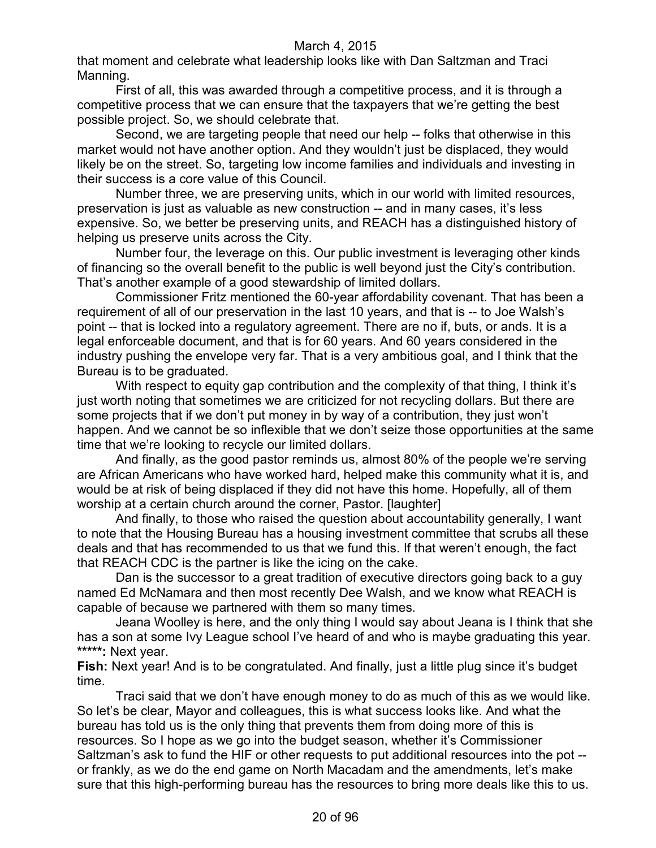that moment and celebrate what leadership looks like with Dan Saltzman and Traci Manning.

First of all, this was awarded through a competitive process, and it is through a competitive process that we can ensure that the taxpayers that we're getting the best possible project. So, we should celebrate that.

Second, we are targeting people that need our help -- folks that otherwise in this market would not have another option. And they wouldn't just be displaced, they would likely be on the street. So, targeting low income families and individuals and investing in their success is a core value of this Council.

Number three, we are preserving units, which in our world with limited resources, preservation is just as valuable as new construction -- and in many cases, it's less expensive. So, we better be preserving units, and REACH has a distinguished history of helping us preserve units across the City.

Number four, the leverage on this. Our public investment is leveraging other kinds of financing so the overall benefit to the public is well beyond just the City's contribution. That's another example of a good stewardship of limited dollars.

Commissioner Fritz mentioned the 60-year affordability covenant. That has been a requirement of all of our preservation in the last 10 years, and that is -- to Joe Walsh's point -- that is locked into a regulatory agreement. There are no if, buts, or ands. It is a legal enforceable document, and that is for 60 years. And 60 years considered in the industry pushing the envelope very far. That is a very ambitious goal, and I think that the Bureau is to be graduated.

With respect to equity gap contribution and the complexity of that thing, I think it's just worth noting that sometimes we are criticized for not recycling dollars. But there are some projects that if we don't put money in by way of a contribution, they just won't happen. And we cannot be so inflexible that we don't seize those opportunities at the same time that we're looking to recycle our limited dollars.

And finally, as the good pastor reminds us, almost 80% of the people we're serving are African Americans who have worked hard, helped make this community what it is, and would be at risk of being displaced if they did not have this home. Hopefully, all of them worship at a certain church around the corner, Pastor. [laughter]

And finally, to those who raised the question about accountability generally, I want to note that the Housing Bureau has a housing investment committee that scrubs all these deals and that has recommended to us that we fund this. If that weren't enough, the fact that REACH CDC is the partner is like the icing on the cake.

Dan is the successor to a great tradition of executive directors going back to a guy named Ed McNamara and then most recently Dee Walsh, and we know what REACH is capable of because we partnered with them so many times.

Jeana Woolley is here, and the only thing I would say about Jeana is I think that she has a son at some Ivy League school I've heard of and who is maybe graduating this year. **\*\*\*\*\*:** Next year.

**Fish:** Next year! And is to be congratulated. And finally, just a little plug since it's budget time.

Traci said that we don't have enough money to do as much of this as we would like. So let's be clear, Mayor and colleagues, this is what success looks like. And what the bureau has told us is the only thing that prevents them from doing more of this is resources. So I hope as we go into the budget season, whether it's Commissioner Saltzman's ask to fund the HIF or other requests to put additional resources into the pot - or frankly, as we do the end game on North Macadam and the amendments, let's make sure that this high-performing bureau has the resources to bring more deals like this to us.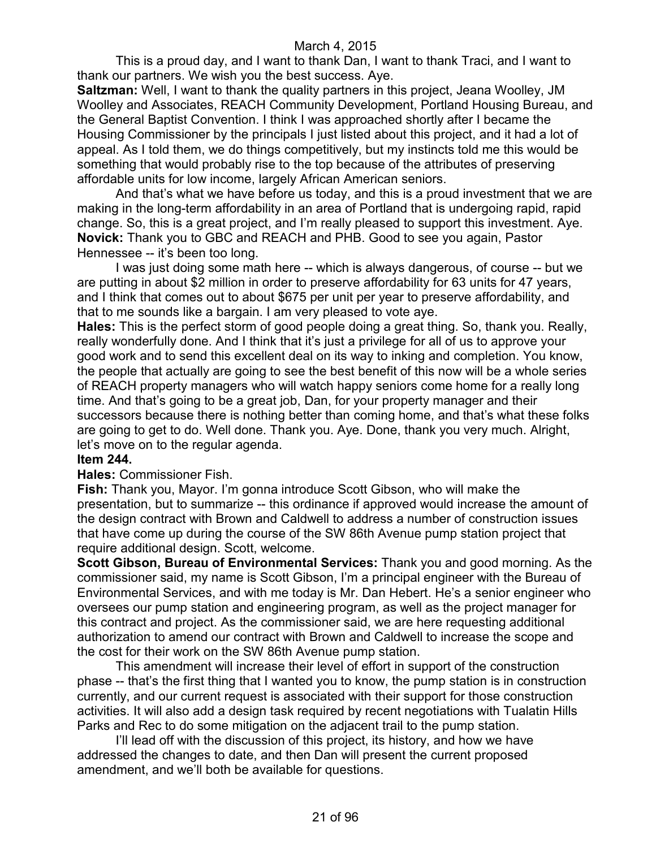This is a proud day, and I want to thank Dan, I want to thank Traci, and I want to thank our partners. We wish you the best success. Aye.

**Saltzman:** Well, I want to thank the quality partners in this project, Jeana Woolley, JM Woolley and Associates, REACH Community Development, Portland Housing Bureau, and the General Baptist Convention. I think I was approached shortly after I became the Housing Commissioner by the principals I just listed about this project, and it had a lot of appeal. As I told them, we do things competitively, but my instincts told me this would be something that would probably rise to the top because of the attributes of preserving affordable units for low income, largely African American seniors.

And that's what we have before us today, and this is a proud investment that we are making in the long-term affordability in an area of Portland that is undergoing rapid, rapid change. So, this is a great project, and I'm really pleased to support this investment. Aye. **Novick:** Thank you to GBC and REACH and PHB. Good to see you again, Pastor Hennessee -- it's been too long.

I was just doing some math here -- which is always dangerous, of course -- but we are putting in about \$2 million in order to preserve affordability for 63 units for 47 years, and I think that comes out to about \$675 per unit per year to preserve affordability, and that to me sounds like a bargain. I am very pleased to vote aye.

**Hales:** This is the perfect storm of good people doing a great thing. So, thank you. Really, really wonderfully done. And I think that it's just a privilege for all of us to approve your good work and to send this excellent deal on its way to inking and completion. You know, the people that actually are going to see the best benefit of this now will be a whole series of REACH property managers who will watch happy seniors come home for a really long time. And that's going to be a great job, Dan, for your property manager and their successors because there is nothing better than coming home, and that's what these folks are going to get to do. Well done. Thank you. Aye. Done, thank you very much. Alright, let's move on to the regular agenda.

## **Item 244.**

#### **Hales:** Commissioner Fish.

**Fish:** Thank you, Mayor. I'm gonna introduce Scott Gibson, who will make the presentation, but to summarize -- this ordinance if approved would increase the amount of the design contract with Brown and Caldwell to address a number of construction issues that have come up during the course of the SW 86th Avenue pump station project that require additional design. Scott, welcome.

**Scott Gibson, Bureau of Environmental Services:** Thank you and good morning. As the commissioner said, my name is Scott Gibson, I'm a principal engineer with the Bureau of Environmental Services, and with me today is Mr. Dan Hebert. He's a senior engineer who oversees our pump station and engineering program, as well as the project manager for this contract and project. As the commissioner said, we are here requesting additional authorization to amend our contract with Brown and Caldwell to increase the scope and the cost for their work on the SW 86th Avenue pump station.

This amendment will increase their level of effort in support of the construction phase -- that's the first thing that I wanted you to know, the pump station is in construction currently, and our current request is associated with their support for those construction activities. It will also add a design task required by recent negotiations with Tualatin Hills Parks and Rec to do some mitigation on the adjacent trail to the pump station.

I'll lead off with the discussion of this project, its history, and how we have addressed the changes to date, and then Dan will present the current proposed amendment, and we'll both be available for questions.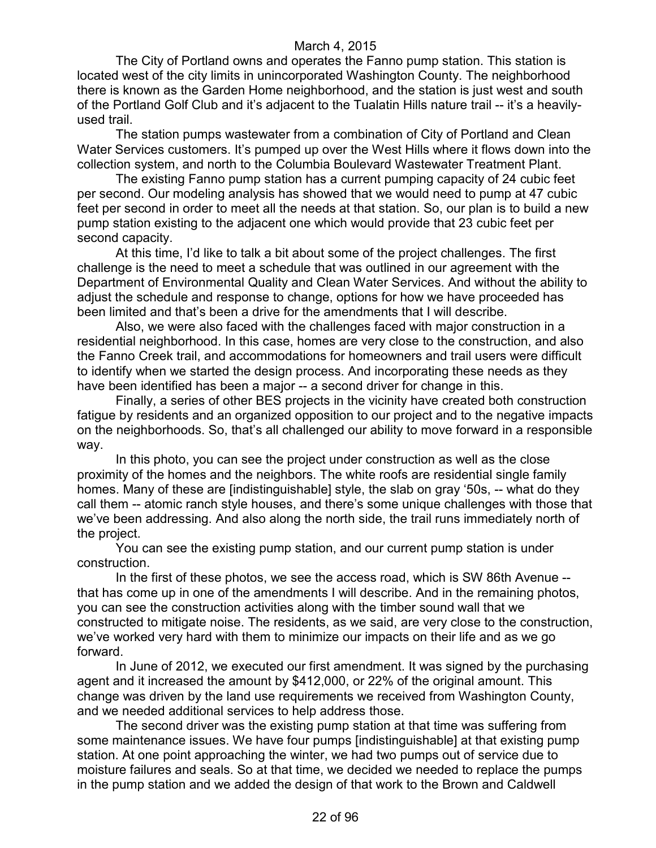The City of Portland owns and operates the Fanno pump station. This station is located west of the city limits in unincorporated Washington County. The neighborhood there is known as the Garden Home neighborhood, and the station is just west and south of the Portland Golf Club and it's adjacent to the Tualatin Hills nature trail -- it's a heavilyused trail.

The station pumps wastewater from a combination of City of Portland and Clean Water Services customers. It's pumped up over the West Hills where it flows down into the collection system, and north to the Columbia Boulevard Wastewater Treatment Plant.

The existing Fanno pump station has a current pumping capacity of 24 cubic feet per second. Our modeling analysis has showed that we would need to pump at 47 cubic feet per second in order to meet all the needs at that station. So, our plan is to build a new pump station existing to the adjacent one which would provide that 23 cubic feet per second capacity.

At this time, I'd like to talk a bit about some of the project challenges. The first challenge is the need to meet a schedule that was outlined in our agreement with the Department of Environmental Quality and Clean Water Services. And without the ability to adjust the schedule and response to change, options for how we have proceeded has been limited and that's been a drive for the amendments that I will describe.

Also, we were also faced with the challenges faced with major construction in a residential neighborhood. In this case, homes are very close to the construction, and also the Fanno Creek trail, and accommodations for homeowners and trail users were difficult to identify when we started the design process. And incorporating these needs as they have been identified has been a major -- a second driver for change in this.

Finally, a series of other BES projects in the vicinity have created both construction fatigue by residents and an organized opposition to our project and to the negative impacts on the neighborhoods. So, that's all challenged our ability to move forward in a responsible way.

In this photo, you can see the project under construction as well as the close proximity of the homes and the neighbors. The white roofs are residential single family homes. Many of these are [indistinguishable] style, the slab on gray '50s, -- what do they call them -- atomic ranch style houses, and there's some unique challenges with those that we've been addressing. And also along the north side, the trail runs immediately north of the project.

You can see the existing pump station, and our current pump station is under construction.

In the first of these photos, we see the access road, which is SW 86th Avenue - that has come up in one of the amendments I will describe. And in the remaining photos, you can see the construction activities along with the timber sound wall that we constructed to mitigate noise. The residents, as we said, are very close to the construction, we've worked very hard with them to minimize our impacts on their life and as we go forward.

In June of 2012, we executed our first amendment. It was signed by the purchasing agent and it increased the amount by \$412,000, or 22% of the original amount. This change was driven by the land use requirements we received from Washington County, and we needed additional services to help address those.

The second driver was the existing pump station at that time was suffering from some maintenance issues. We have four pumps [indistinguishable] at that existing pump station. At one point approaching the winter, we had two pumps out of service due to moisture failures and seals. So at that time, we decided we needed to replace the pumps in the pump station and we added the design of that work to the Brown and Caldwell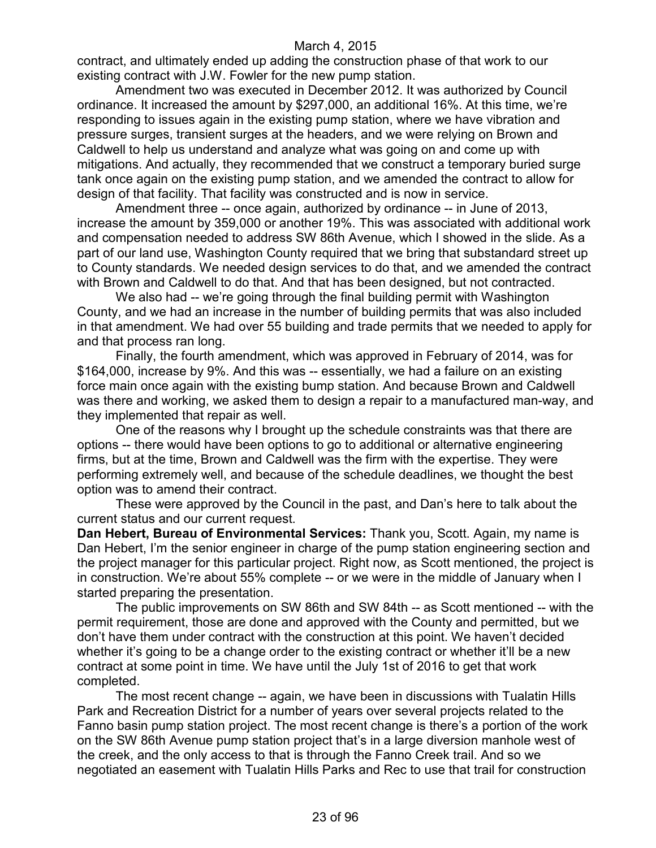contract, and ultimately ended up adding the construction phase of that work to our existing contract with J.W. Fowler for the new pump station.

Amendment two was executed in December 2012. It was authorized by Council ordinance. It increased the amount by \$297,000, an additional 16%. At this time, we're responding to issues again in the existing pump station, where we have vibration and pressure surges, transient surges at the headers, and we were relying on Brown and Caldwell to help us understand and analyze what was going on and come up with mitigations. And actually, they recommended that we construct a temporary buried surge tank once again on the existing pump station, and we amended the contract to allow for design of that facility. That facility was constructed and is now in service.

Amendment three -- once again, authorized by ordinance -- in June of 2013, increase the amount by 359,000 or another 19%. This was associated with additional work and compensation needed to address SW 86th Avenue, which I showed in the slide. As a part of our land use, Washington County required that we bring that substandard street up to County standards. We needed design services to do that, and we amended the contract with Brown and Caldwell to do that. And that has been designed, but not contracted.

We also had -- we're going through the final building permit with Washington County, and we had an increase in the number of building permits that was also included in that amendment. We had over 55 building and trade permits that we needed to apply for and that process ran long.

Finally, the fourth amendment, which was approved in February of 2014, was for \$164,000, increase by 9%. And this was -- essentially, we had a failure on an existing force main once again with the existing bump station. And because Brown and Caldwell was there and working, we asked them to design a repair to a manufactured man-way, and they implemented that repair as well.

One of the reasons why I brought up the schedule constraints was that there are options -- there would have been options to go to additional or alternative engineering firms, but at the time, Brown and Caldwell was the firm with the expertise. They were performing extremely well, and because of the schedule deadlines, we thought the best option was to amend their contract.

These were approved by the Council in the past, and Dan's here to talk about the current status and our current request.

**Dan Hebert, Bureau of Environmental Services:** Thank you, Scott. Again, my name is Dan Hebert, I'm the senior engineer in charge of the pump station engineering section and the project manager for this particular project. Right now, as Scott mentioned, the project is in construction. We're about 55% complete -- or we were in the middle of January when I started preparing the presentation.

The public improvements on SW 86th and SW 84th -- as Scott mentioned -- with the permit requirement, those are done and approved with the County and permitted, but we don't have them under contract with the construction at this point. We haven't decided whether it's going to be a change order to the existing contract or whether it'll be a new contract at some point in time. We have until the July 1st of 2016 to get that work completed.

The most recent change -- again, we have been in discussions with Tualatin Hills Park and Recreation District for a number of years over several projects related to the Fanno basin pump station project. The most recent change is there's a portion of the work on the SW 86th Avenue pump station project that's in a large diversion manhole west of the creek, and the only access to that is through the Fanno Creek trail. And so we negotiated an easement with Tualatin Hills Parks and Rec to use that trail for construction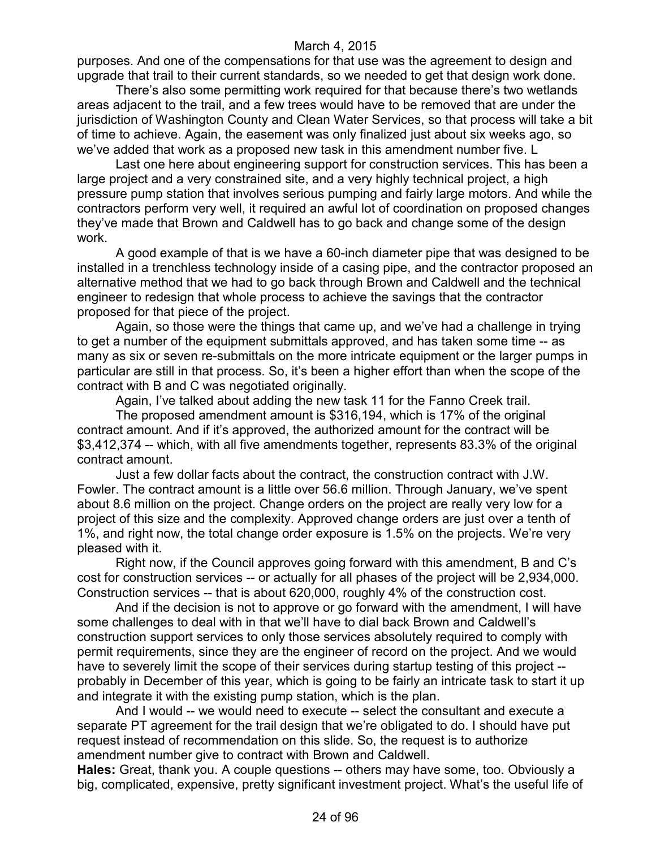purposes. And one of the compensations for that use was the agreement to design and upgrade that trail to their current standards, so we needed to get that design work done.

There's also some permitting work required for that because there's two wetlands areas adjacent to the trail, and a few trees would have to be removed that are under the jurisdiction of Washington County and Clean Water Services, so that process will take a bit of time to achieve. Again, the easement was only finalized just about six weeks ago, so we've added that work as a proposed new task in this amendment number five. L

Last one here about engineering support for construction services. This has been a large project and a very constrained site, and a very highly technical project, a high pressure pump station that involves serious pumping and fairly large motors. And while the contractors perform very well, it required an awful lot of coordination on proposed changes they've made that Brown and Caldwell has to go back and change some of the design work.

A good example of that is we have a 60-inch diameter pipe that was designed to be installed in a trenchless technology inside of a casing pipe, and the contractor proposed an alternative method that we had to go back through Brown and Caldwell and the technical engineer to redesign that whole process to achieve the savings that the contractor proposed for that piece of the project.

Again, so those were the things that came up, and we've had a challenge in trying to get a number of the equipment submittals approved, and has taken some time -- as many as six or seven re-submittals on the more intricate equipment or the larger pumps in particular are still in that process. So, it's been a higher effort than when the scope of the contract with B and C was negotiated originally.

Again, I've talked about adding the new task 11 for the Fanno Creek trail.

The proposed amendment amount is \$316,194, which is 17% of the original contract amount. And if it's approved, the authorized amount for the contract will be \$3,412,374 -- which, with all five amendments together, represents 83.3% of the original contract amount.

Just a few dollar facts about the contract, the construction contract with J.W. Fowler. The contract amount is a little over 56.6 million. Through January, we've spent about 8.6 million on the project. Change orders on the project are really very low for a project of this size and the complexity. Approved change orders are just over a tenth of 1%, and right now, the total change order exposure is 1.5% on the projects. We're very pleased with it.

Right now, if the Council approves going forward with this amendment, B and C's cost for construction services -- or actually for all phases of the project will be 2,934,000. Construction services -- that is about 620,000, roughly 4% of the construction cost.

And if the decision is not to approve or go forward with the amendment, I will have some challenges to deal with in that we'll have to dial back Brown and Caldwell's construction support services to only those services absolutely required to comply with permit requirements, since they are the engineer of record on the project. And we would have to severely limit the scope of their services during startup testing of this project -probably in December of this year, which is going to be fairly an intricate task to start it up and integrate it with the existing pump station, which is the plan.

And I would -- we would need to execute -- select the consultant and execute a separate PT agreement for the trail design that we're obligated to do. I should have put request instead of recommendation on this slide. So, the request is to authorize amendment number give to contract with Brown and Caldwell.

**Hales:** Great, thank you. A couple questions -- others may have some, too. Obviously a big, complicated, expensive, pretty significant investment project. What's the useful life of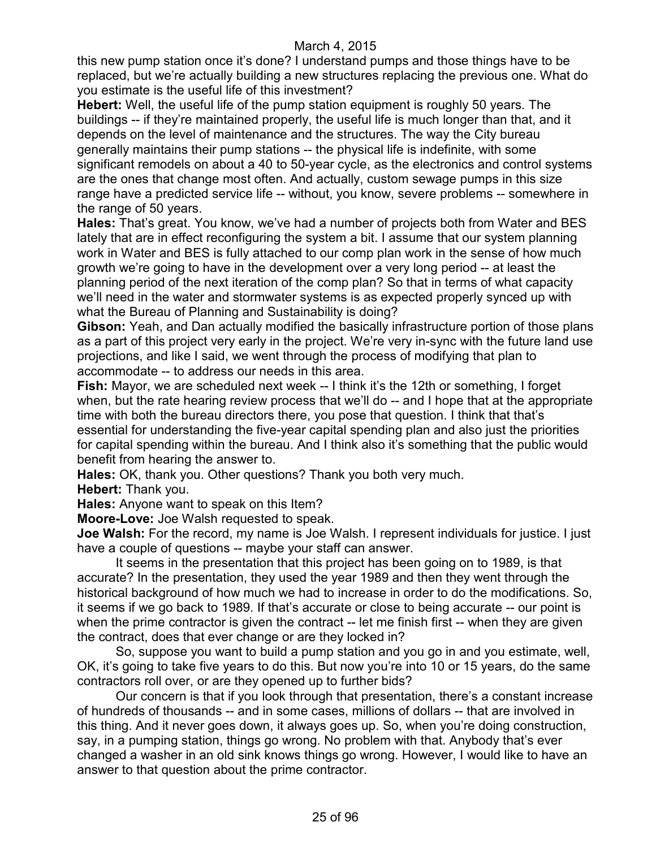this new pump station once it's done? I understand pumps and those things have to be replaced, but we're actually building a new structures replacing the previous one. What do you estimate is the useful life of this investment?

**Hebert:** Well, the useful life of the pump station equipment is roughly 50 years. The buildings -- if they're maintained properly, the useful life is much longer than that, and it depends on the level of maintenance and the structures. The way the City bureau generally maintains their pump stations -- the physical life is indefinite, with some significant remodels on about a 40 to 50-year cycle, as the electronics and control systems are the ones that change most often. And actually, custom sewage pumps in this size range have a predicted service life -- without, you know, severe problems -- somewhere in the range of 50 years.

**Hales:** That's great. You know, we've had a number of projects both from Water and BES lately that are in effect reconfiguring the system a bit. I assume that our system planning work in Water and BES is fully attached to our comp plan work in the sense of how much growth we're going to have in the development over a very long period -- at least the planning period of the next iteration of the comp plan? So that in terms of what capacity we'll need in the water and stormwater systems is as expected properly synced up with what the Bureau of Planning and Sustainability is doing?

**Gibson:** Yeah, and Dan actually modified the basically infrastructure portion of those plans as a part of this project very early in the project. We're very in-sync with the future land use projections, and like I said, we went through the process of modifying that plan to accommodate -- to address our needs in this area.

**Fish:** Mayor, we are scheduled next week -- I think it's the 12th or something, I forget when, but the rate hearing review process that we'll do -- and I hope that at the appropriate time with both the bureau directors there, you pose that question. I think that that's essential for understanding the five-year capital spending plan and also just the priorities for capital spending within the bureau. And I think also it's something that the public would benefit from hearing the answer to.

**Hales:** OK, thank you. Other questions? Thank you both very much.

**Hebert:** Thank you.

**Hales:** Anyone want to speak on this Item?

**Moore-Love:** Joe Walsh requested to speak.

**Joe Walsh:** For the record, my name is Joe Walsh. I represent individuals for justice. I just have a couple of questions -- maybe your staff can answer.

It seems in the presentation that this project has been going on to 1989, is that accurate? In the presentation, they used the year 1989 and then they went through the historical background of how much we had to increase in order to do the modifications. So, it seems if we go back to 1989. If that's accurate or close to being accurate -- our point is when the prime contractor is given the contract -- let me finish first -- when they are given the contract, does that ever change or are they locked in?

So, suppose you want to build a pump station and you go in and you estimate, well, OK, it's going to take five years to do this. But now you're into 10 or 15 years, do the same contractors roll over, or are they opened up to further bids?

Our concern is that if you look through that presentation, there's a constant increase of hundreds of thousands -- and in some cases, millions of dollars -- that are involved in this thing. And it never goes down, it always goes up. So, when you're doing construction, say, in a pumping station, things go wrong. No problem with that. Anybody that's ever changed a washer in an old sink knows things go wrong. However, I would like to have an answer to that question about the prime contractor.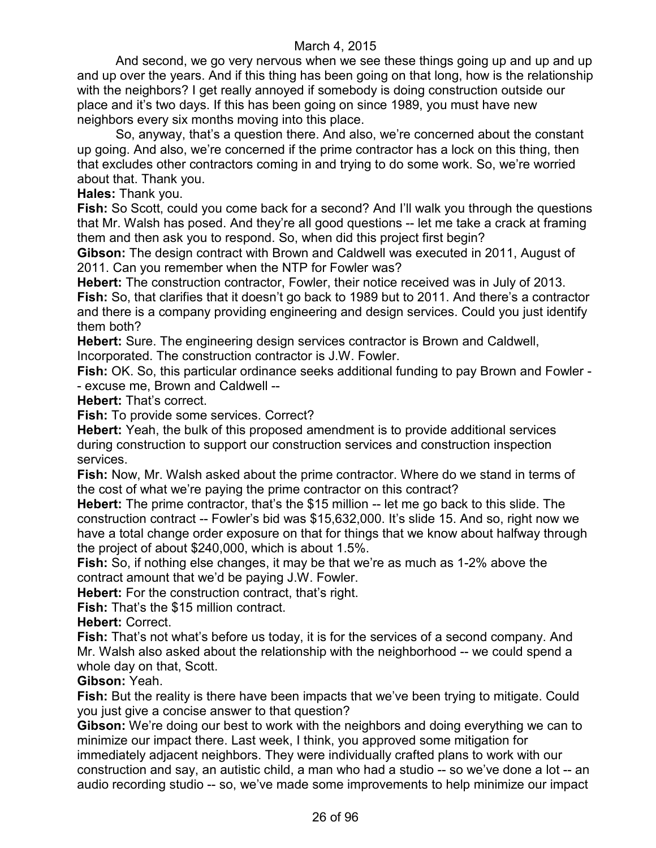And second, we go very nervous when we see these things going up and up and up and up over the years. And if this thing has been going on that long, how is the relationship with the neighbors? I get really annoyed if somebody is doing construction outside our place and it's two days. If this has been going on since 1989, you must have new neighbors every six months moving into this place.

So, anyway, that's a question there. And also, we're concerned about the constant up going. And also, we're concerned if the prime contractor has a lock on this thing, then that excludes other contractors coming in and trying to do some work. So, we're worried about that. Thank you.

**Hales:** Thank you.

**Fish:** So Scott, could you come back for a second? And I'll walk you through the questions that Mr. Walsh has posed. And they're all good questions -- let me take a crack at framing them and then ask you to respond. So, when did this project first begin?

**Gibson:** The design contract with Brown and Caldwell was executed in 2011, August of 2011. Can you remember when the NTP for Fowler was?

**Hebert:** The construction contractor, Fowler, their notice received was in July of 2013. **Fish:** So, that clarifies that it doesn't go back to 1989 but to 2011. And there's a contractor and there is a company providing engineering and design services. Could you just identify them both?

**Hebert:** Sure. The engineering design services contractor is Brown and Caldwell, Incorporated. The construction contractor is J.W. Fowler.

**Fish:** OK. So, this particular ordinance seeks additional funding to pay Brown and Fowler - - excuse me, Brown and Caldwell --

**Hebert:** That's correct.

**Fish:** To provide some services. Correct?

**Hebert:** Yeah, the bulk of this proposed amendment is to provide additional services during construction to support our construction services and construction inspection services.

**Fish:** Now, Mr. Walsh asked about the prime contractor. Where do we stand in terms of the cost of what we're paying the prime contractor on this contract?

**Hebert:** The prime contractor, that's the \$15 million -- let me go back to this slide. The construction contract -- Fowler's bid was \$15,632,000. It's slide 15. And so, right now we have a total change order exposure on that for things that we know about halfway through the project of about \$240,000, which is about 1.5%.

**Fish:** So, if nothing else changes, it may be that we're as much as 1-2% above the contract amount that we'd be paying J.W. Fowler.

**Hebert:** For the construction contract, that's right.

**Fish:** That's the \$15 million contract.

**Hebert:** Correct.

**Fish:** That's not what's before us today, it is for the services of a second company. And Mr. Walsh also asked about the relationship with the neighborhood -- we could spend a whole day on that, Scott.

**Gibson:** Yeah.

**Fish:** But the reality is there have been impacts that we've been trying to mitigate. Could you just give a concise answer to that question?

**Gibson:** We're doing our best to work with the neighbors and doing everything we can to minimize our impact there. Last week, I think, you approved some mitigation for immediately adjacent neighbors. They were individually crafted plans to work with our

construction and say, an autistic child, a man who had a studio -- so we've done a lot -- an audio recording studio -- so, we've made some improvements to help minimize our impact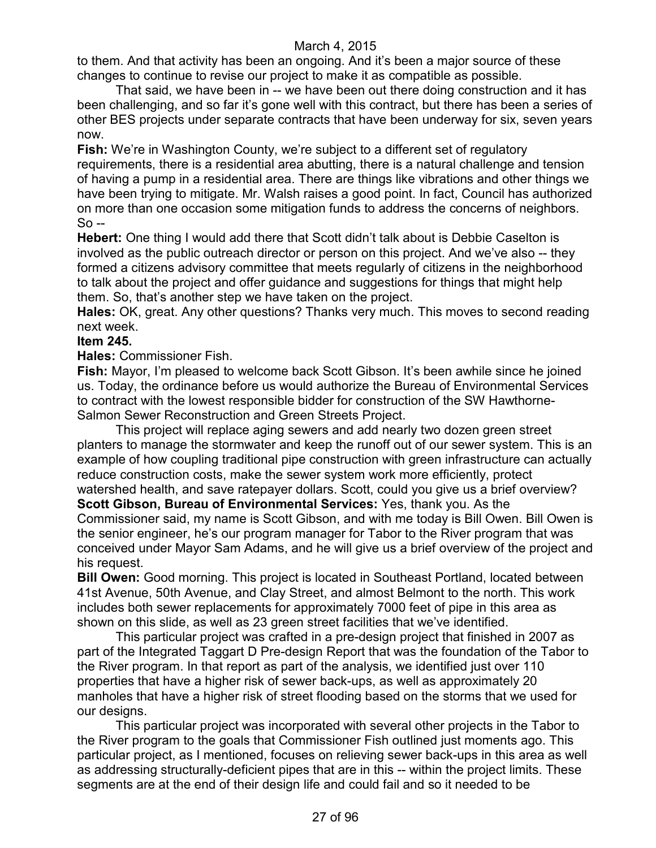to them. And that activity has been an ongoing. And it's been a major source of these changes to continue to revise our project to make it as compatible as possible.

That said, we have been in -- we have been out there doing construction and it has been challenging, and so far it's gone well with this contract, but there has been a series of other BES projects under separate contracts that have been underway for six, seven years now.

**Fish:** We're in Washington County, we're subject to a different set of regulatory requirements, there is a residential area abutting, there is a natural challenge and tension of having a pump in a residential area. There are things like vibrations and other things we have been trying to mitigate. Mr. Walsh raises a good point. In fact, Council has authorized on more than one occasion some mitigation funds to address the concerns of neighbors. So --

**Hebert:** One thing I would add there that Scott didn't talk about is Debbie Caselton is involved as the public outreach director or person on this project. And we've also -- they formed a citizens advisory committee that meets regularly of citizens in the neighborhood to talk about the project and offer guidance and suggestions for things that might help them. So, that's another step we have taken on the project.

**Hales:** OK, great. Any other questions? Thanks very much. This moves to second reading next week.

# **Item 245.**

**Hales:** Commissioner Fish.

**Fish:** Mayor, I'm pleased to welcome back Scott Gibson. It's been awhile since he joined us. Today, the ordinance before us would authorize the Bureau of Environmental Services to contract with the lowest responsible bidder for construction of the SW Hawthorne-Salmon Sewer Reconstruction and Green Streets Project.

This project will replace aging sewers and add nearly two dozen green street planters to manage the stormwater and keep the runoff out of our sewer system. This is an example of how coupling traditional pipe construction with green infrastructure can actually reduce construction costs, make the sewer system work more efficiently, protect watershed health, and save ratepayer dollars. Scott, could you give us a brief overview? **Scott Gibson, Bureau of Environmental Services:** Yes, thank you. As the Commissioner said, my name is Scott Gibson, and with me today is Bill Owen. Bill Owen is the senior engineer, he's our program manager for Tabor to the River program that was conceived under Mayor Sam Adams, and he will give us a brief overview of the project and his request.

**Bill Owen:** Good morning. This project is located in Southeast Portland, located between 41st Avenue, 50th Avenue, and Clay Street, and almost Belmont to the north. This work includes both sewer replacements for approximately 7000 feet of pipe in this area as shown on this slide, as well as 23 green street facilities that we've identified.

This particular project was crafted in a pre-design project that finished in 2007 as part of the Integrated Taggart D Pre-design Report that was the foundation of the Tabor to the River program. In that report as part of the analysis, we identified just over 110 properties that have a higher risk of sewer back-ups, as well as approximately 20 manholes that have a higher risk of street flooding based on the storms that we used for our designs.

This particular project was incorporated with several other projects in the Tabor to the River program to the goals that Commissioner Fish outlined just moments ago. This particular project, as I mentioned, focuses on relieving sewer back-ups in this area as well as addressing structurally-deficient pipes that are in this -- within the project limits. These segments are at the end of their design life and could fail and so it needed to be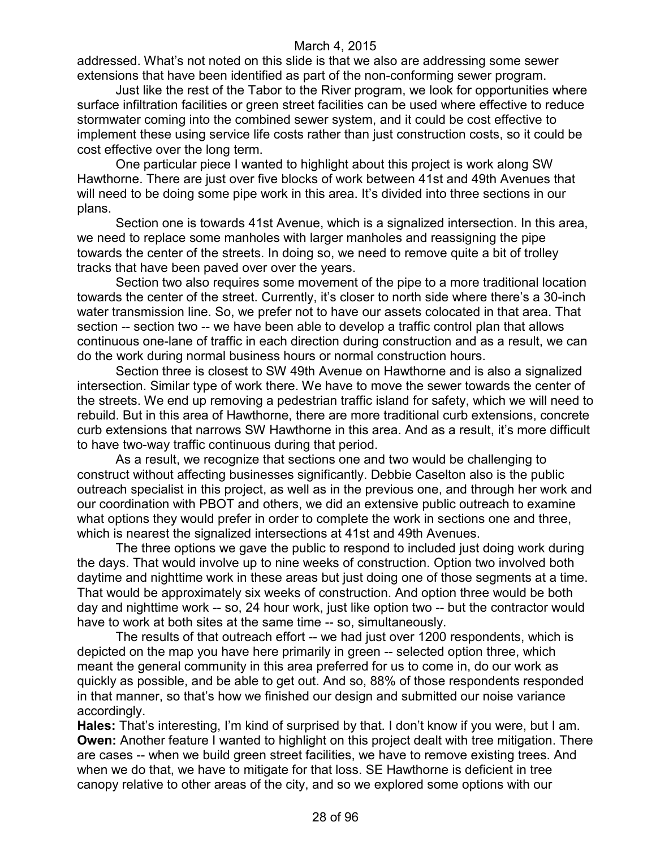addressed. What's not noted on this slide is that we also are addressing some sewer extensions that have been identified as part of the non-conforming sewer program.

Just like the rest of the Tabor to the River program, we look for opportunities where surface infiltration facilities or green street facilities can be used where effective to reduce stormwater coming into the combined sewer system, and it could be cost effective to implement these using service life costs rather than just construction costs, so it could be cost effective over the long term.

One particular piece I wanted to highlight about this project is work along SW Hawthorne. There are just over five blocks of work between 41st and 49th Avenues that will need to be doing some pipe work in this area. It's divided into three sections in our plans.

Section one is towards 41st Avenue, which is a signalized intersection. In this area, we need to replace some manholes with larger manholes and reassigning the pipe towards the center of the streets. In doing so, we need to remove quite a bit of trolley tracks that have been paved over over the years.

Section two also requires some movement of the pipe to a more traditional location towards the center of the street. Currently, it's closer to north side where there's a 30-inch water transmission line. So, we prefer not to have our assets colocated in that area. That section -- section two -- we have been able to develop a traffic control plan that allows continuous one-lane of traffic in each direction during construction and as a result, we can do the work during normal business hours or normal construction hours.

Section three is closest to SW 49th Avenue on Hawthorne and is also a signalized intersection. Similar type of work there. We have to move the sewer towards the center of the streets. We end up removing a pedestrian traffic island for safety, which we will need to rebuild. But in this area of Hawthorne, there are more traditional curb extensions, concrete curb extensions that narrows SW Hawthorne in this area. And as a result, it's more difficult to have two-way traffic continuous during that period.

As a result, we recognize that sections one and two would be challenging to construct without affecting businesses significantly. Debbie Caselton also is the public outreach specialist in this project, as well as in the previous one, and through her work and our coordination with PBOT and others, we did an extensive public outreach to examine what options they would prefer in order to complete the work in sections one and three, which is nearest the signalized intersections at 41st and 49th Avenues.

The three options we gave the public to respond to included just doing work during the days. That would involve up to nine weeks of construction. Option two involved both daytime and nighttime work in these areas but just doing one of those segments at a time. That would be approximately six weeks of construction. And option three would be both day and nighttime work -- so, 24 hour work, just like option two -- but the contractor would have to work at both sites at the same time -- so, simultaneously.

The results of that outreach effort -- we had just over 1200 respondents, which is depicted on the map you have here primarily in green -- selected option three, which meant the general community in this area preferred for us to come in, do our work as quickly as possible, and be able to get out. And so, 88% of those respondents responded in that manner, so that's how we finished our design and submitted our noise variance accordingly.

**Hales:** That's interesting, I'm kind of surprised by that. I don't know if you were, but I am. **Owen:** Another feature I wanted to highlight on this project dealt with tree mitigation. There are cases -- when we build green street facilities, we have to remove existing trees. And when we do that, we have to mitigate for that loss. SE Hawthorne is deficient in tree canopy relative to other areas of the city, and so we explored some options with our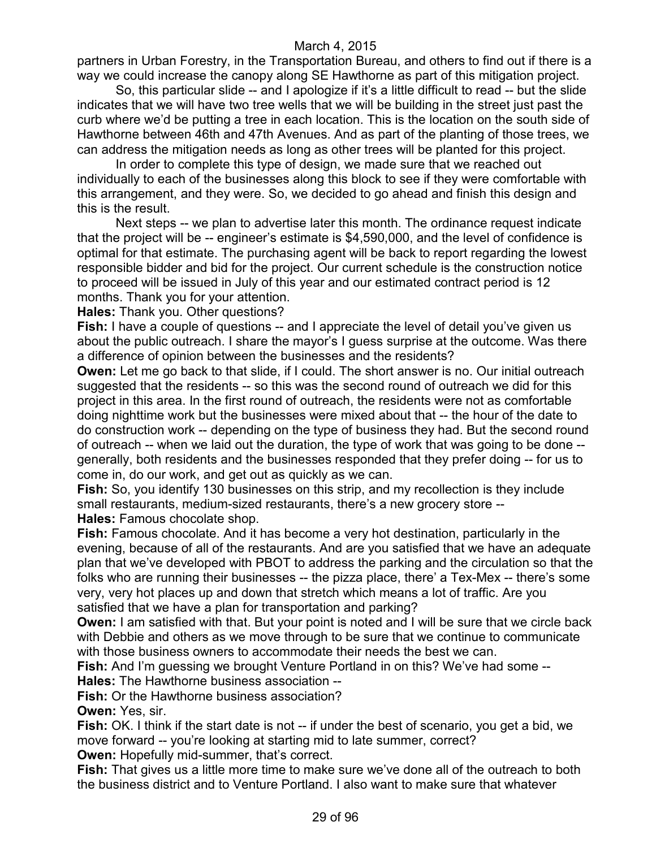partners in Urban Forestry, in the Transportation Bureau, and others to find out if there is a way we could increase the canopy along SE Hawthorne as part of this mitigation project.

So, this particular slide -- and I apologize if it's a little difficult to read -- but the slide indicates that we will have two tree wells that we will be building in the street just past the curb where we'd be putting a tree in each location. This is the location on the south side of Hawthorne between 46th and 47th Avenues. And as part of the planting of those trees, we can address the mitigation needs as long as other trees will be planted for this project.

In order to complete this type of design, we made sure that we reached out individually to each of the businesses along this block to see if they were comfortable with this arrangement, and they were. So, we decided to go ahead and finish this design and this is the result.

Next steps -- we plan to advertise later this month. The ordinance request indicate that the project will be -- engineer's estimate is \$4,590,000, and the level of confidence is optimal for that estimate. The purchasing agent will be back to report regarding the lowest responsible bidder and bid for the project. Our current schedule is the construction notice to proceed will be issued in July of this year and our estimated contract period is 12 months. Thank you for your attention.

**Hales:** Thank you. Other questions?

Fish: I have a couple of questions -- and I appreciate the level of detail you've given us about the public outreach. I share the mayor's I guess surprise at the outcome. Was there a difference of opinion between the businesses and the residents?

**Owen:** Let me go back to that slide, if I could. The short answer is no. Our initial outreach suggested that the residents -- so this was the second round of outreach we did for this project in this area. In the first round of outreach, the residents were not as comfortable doing nighttime work but the businesses were mixed about that -- the hour of the date to do construction work -- depending on the type of business they had. But the second round of outreach -- when we laid out the duration, the type of work that was going to be done - generally, both residents and the businesses responded that they prefer doing -- for us to come in, do our work, and get out as quickly as we can.

**Fish:** So, you identify 130 businesses on this strip, and my recollection is they include small restaurants, medium-sized restaurants, there's a new grocery store -- **Hales:** Famous chocolate shop.

**Fish:** Famous chocolate. And it has become a very hot destination, particularly in the evening, because of all of the restaurants. And are you satisfied that we have an adequate plan that we've developed with PBOT to address the parking and the circulation so that the folks who are running their businesses -- the pizza place, there' a Tex-Mex -- there's some very, very hot places up and down that stretch which means a lot of traffic. Are you satisfied that we have a plan for transportation and parking?

**Owen:** I am satisfied with that. But your point is noted and I will be sure that we circle back with Debbie and others as we move through to be sure that we continue to communicate with those business owners to accommodate their needs the best we can.

**Fish:** And I'm guessing we brought Venture Portland in on this? We've had some --

**Hales:** The Hawthorne business association --

**Fish:** Or the Hawthorne business association?

**Owen:** Yes, sir.

**Fish:** OK. I think if the start date is not -- if under the best of scenario, you get a bid, we move forward -- you're looking at starting mid to late summer, correct?

**Owen:** Hopefully mid-summer, that's correct.

**Fish:** That gives us a little more time to make sure we've done all of the outreach to both the business district and to Venture Portland. I also want to make sure that whatever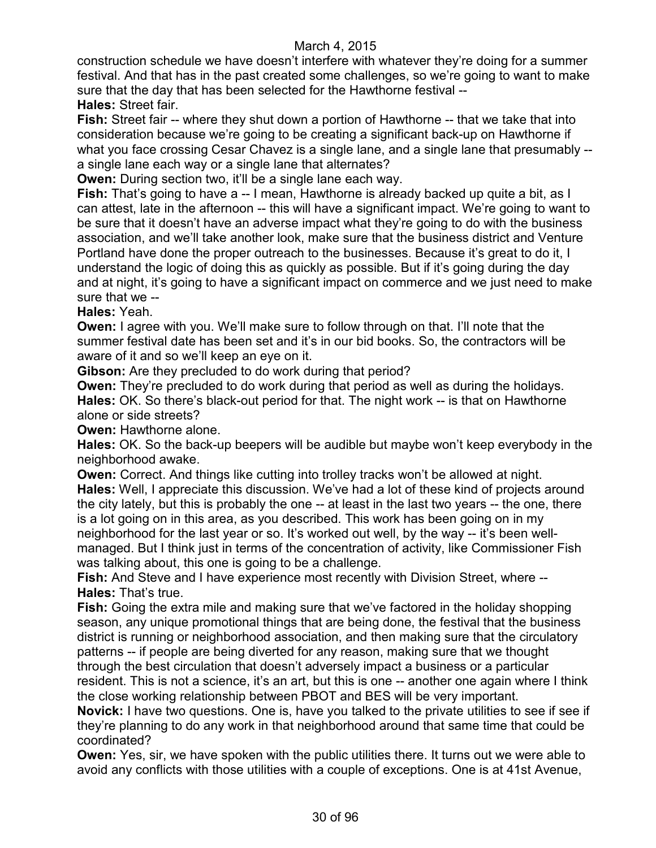construction schedule we have doesn't interfere with whatever they're doing for a summer festival. And that has in the past created some challenges, so we're going to want to make sure that the day that has been selected for the Hawthorne festival -- **Hales:** Street fair.

**Fish:** Street fair -- where they shut down a portion of Hawthorne -- that we take that into consideration because we're going to be creating a significant back-up on Hawthorne if what you face crossing Cesar Chavez is a single lane, and a single lane that presumably - a single lane each way or a single lane that alternates?

**Owen:** During section two, it'll be a single lane each way.

**Fish:** That's going to have a -- I mean, Hawthorne is already backed up quite a bit, as I can attest, late in the afternoon -- this will have a significant impact. We're going to want to be sure that it doesn't have an adverse impact what they're going to do with the business association, and we'll take another look, make sure that the business district and Venture Portland have done the proper outreach to the businesses. Because it's great to do it, I understand the logic of doing this as quickly as possible. But if it's going during the day and at night, it's going to have a significant impact on commerce and we just need to make sure that we --

**Hales:** Yeah.

**Owen:** I agree with you. We'll make sure to follow through on that. I'll note that the summer festival date has been set and it's in our bid books. So, the contractors will be aware of it and so we'll keep an eye on it.

**Gibson:** Are they precluded to do work during that period?

**Owen:** They're precluded to do work during that period as well as during the holidays. **Hales:** OK. So there's black-out period for that. The night work -- is that on Hawthorne alone or side streets?

**Owen: Hawthorne alone.** 

**Hales:** OK. So the back-up beepers will be audible but maybe won't keep everybody in the neighborhood awake.

**Owen:** Correct. And things like cutting into trolley tracks won't be allowed at night. **Hales:** Well, I appreciate this discussion. We've had a lot of these kind of projects around the city lately, but this is probably the one -- at least in the last two years -- the one, there is a lot going on in this area, as you described. This work has been going on in my neighborhood for the last year or so. It's worked out well, by the way -- it's been wellmanaged. But I think just in terms of the concentration of activity, like Commissioner Fish was talking about, this one is going to be a challenge.

**Fish:** And Steve and I have experience most recently with Division Street, where -- **Hales:** That's true.

**Fish:** Going the extra mile and making sure that we've factored in the holiday shopping season, any unique promotional things that are being done, the festival that the business district is running or neighborhood association, and then making sure that the circulatory patterns -- if people are being diverted for any reason, making sure that we thought through the best circulation that doesn't adversely impact a business or a particular resident. This is not a science, it's an art, but this is one -- another one again where I think the close working relationship between PBOT and BES will be very important.

**Novick:** I have two questions. One is, have you talked to the private utilities to see if see if they're planning to do any work in that neighborhood around that same time that could be coordinated?

**Owen:** Yes, sir, we have spoken with the public utilities there. It turns out we were able to avoid any conflicts with those utilities with a couple of exceptions. One is at 41st Avenue,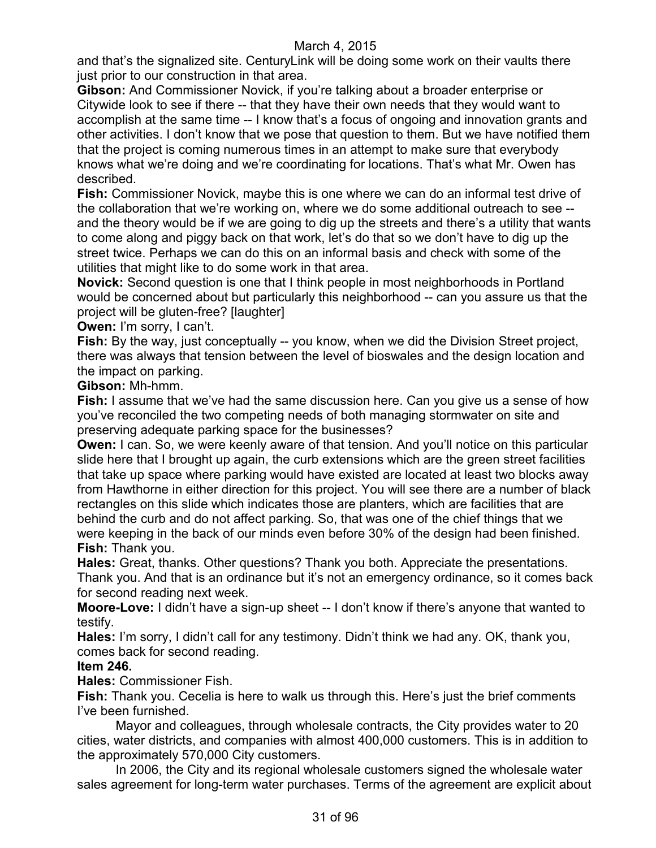and that's the signalized site. CenturyLink will be doing some work on their vaults there just prior to our construction in that area.

**Gibson:** And Commissioner Novick, if you're talking about a broader enterprise or Citywide look to see if there -- that they have their own needs that they would want to accomplish at the same time -- I know that's a focus of ongoing and innovation grants and other activities. I don't know that we pose that question to them. But we have notified them that the project is coming numerous times in an attempt to make sure that everybody knows what we're doing and we're coordinating for locations. That's what Mr. Owen has described.

**Fish:** Commissioner Novick, maybe this is one where we can do an informal test drive of the collaboration that we're working on, where we do some additional outreach to see - and the theory would be if we are going to dig up the streets and there's a utility that wants to come along and piggy back on that work, let's do that so we don't have to dig up the street twice. Perhaps we can do this on an informal basis and check with some of the utilities that might like to do some work in that area.

**Novick:** Second question is one that I think people in most neighborhoods in Portland would be concerned about but particularly this neighborhood -- can you assure us that the project will be gluten-free? [laughter]

## **Owen:** I'm sorry, I can't.

**Fish:** By the way, just conceptually -- you know, when we did the Division Street project, there was always that tension between the level of bioswales and the design location and the impact on parking.

### **Gibson:** Mh-hmm.

**Fish:** I assume that we've had the same discussion here. Can you give us a sense of how you've reconciled the two competing needs of both managing stormwater on site and preserving adequate parking space for the businesses?

**Owen:** I can. So, we were keenly aware of that tension. And you'll notice on this particular slide here that I brought up again, the curb extensions which are the green street facilities that take up space where parking would have existed are located at least two blocks away from Hawthorne in either direction for this project. You will see there are a number of black rectangles on this slide which indicates those are planters, which are facilities that are behind the curb and do not affect parking. So, that was one of the chief things that we were keeping in the back of our minds even before 30% of the design had been finished. **Fish:** Thank you.

**Hales:** Great, thanks. Other questions? Thank you both. Appreciate the presentations. Thank you. And that is an ordinance but it's not an emergency ordinance, so it comes back for second reading next week.

**Moore-Love:** I didn't have a sign-up sheet -- I don't know if there's anyone that wanted to testify.

**Hales:** I'm sorry, I didn't call for any testimony. Didn't think we had any. OK, thank you, comes back for second reading.

#### **Item 246.**

**Hales:** Commissioner Fish.

**Fish:** Thank you. Cecelia is here to walk us through this. Here's just the brief comments I've been furnished.

Mayor and colleagues, through wholesale contracts, the City provides water to 20 cities, water districts, and companies with almost 400,000 customers. This is in addition to the approximately 570,000 City customers.

In 2006, the City and its regional wholesale customers signed the wholesale water sales agreement for long-term water purchases. Terms of the agreement are explicit about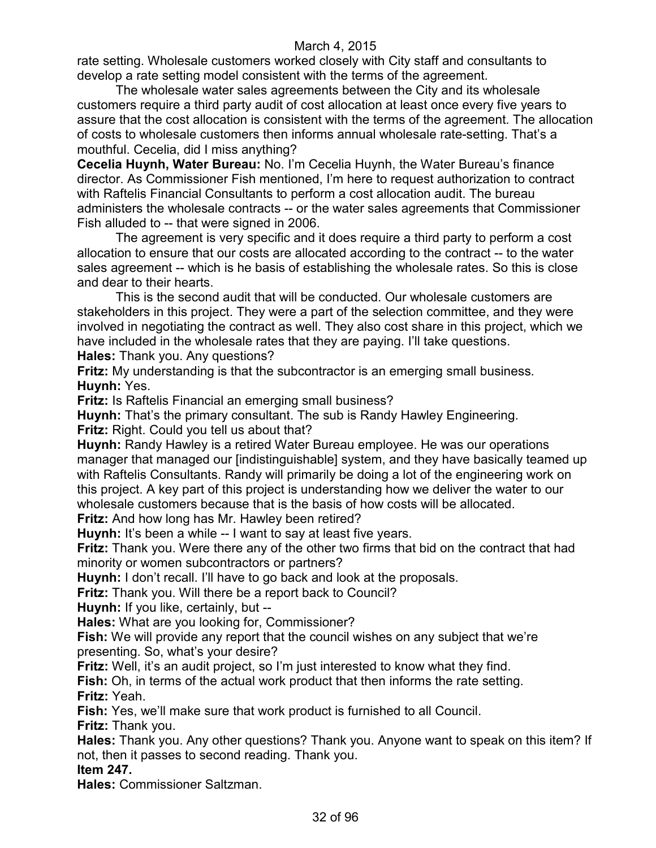rate setting. Wholesale customers worked closely with City staff and consultants to develop a rate setting model consistent with the terms of the agreement.

The wholesale water sales agreements between the City and its wholesale customers require a third party audit of cost allocation at least once every five years to assure that the cost allocation is consistent with the terms of the agreement. The allocation of costs to wholesale customers then informs annual wholesale rate-setting. That's a mouthful. Cecelia, did I miss anything?

**Cecelia Huynh, Water Bureau:** No. I'm Cecelia Huynh, the Water Bureau's finance director. As Commissioner Fish mentioned, I'm here to request authorization to contract with Raftelis Financial Consultants to perform a cost allocation audit. The bureau administers the wholesale contracts -- or the water sales agreements that Commissioner Fish alluded to -- that were signed in 2006.

The agreement is very specific and it does require a third party to perform a cost allocation to ensure that our costs are allocated according to the contract -- to the water sales agreement -- which is he basis of establishing the wholesale rates. So this is close and dear to their hearts.

This is the second audit that will be conducted. Our wholesale customers are stakeholders in this project. They were a part of the selection committee, and they were involved in negotiating the contract as well. They also cost share in this project, which we have included in the wholesale rates that they are paying. I'll take questions. **Hales:** Thank you. Any questions?

**Fritz:** My understanding is that the subcontractor is an emerging small business. **Huynh:** Yes.

**Fritz:** Is Raftelis Financial an emerging small business?

**Huynh:** That's the primary consultant. The sub is Randy Hawley Engineering. **Fritz:** Right. Could you tell us about that?

**Huynh:** Randy Hawley is a retired Water Bureau employee. He was our operations manager that managed our [indistinguishable] system, and they have basically teamed up with Raftelis Consultants. Randy will primarily be doing a lot of the engineering work on this project. A key part of this project is understanding how we deliver the water to our wholesale customers because that is the basis of how costs will be allocated.

**Fritz:** And how long has Mr. Hawley been retired?

**Huynh:** It's been a while -- I want to say at least five years.

**Fritz:** Thank you. Were there any of the other two firms that bid on the contract that had minority or women subcontractors or partners?

**Huynh:** I don't recall. I'll have to go back and look at the proposals.

**Fritz:** Thank you. Will there be a report back to Council?

**Huynh:** If you like, certainly, but --

**Hales:** What are you looking for, Commissioner?

**Fish:** We will provide any report that the council wishes on any subject that we're presenting. So, what's your desire?

**Fritz:** Well, it's an audit project, so I'm just interested to know what they find.

**Fish:** Oh, in terms of the actual work product that then informs the rate setting. **Fritz:** Yeah.

**Fish:** Yes, we'll make sure that work product is furnished to all Council. **Fritz:** Thank you.

**Hales:** Thank you. Any other questions? Thank you. Anyone want to speak on this item? If not, then it passes to second reading. Thank you.

**Item 247.**

**Hales:** Commissioner Saltzman.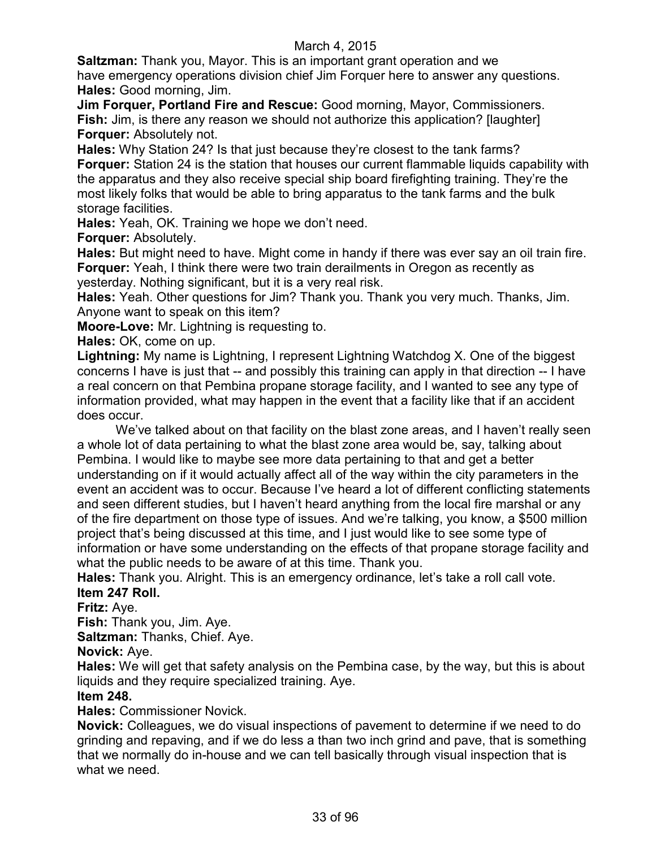**Saltzman:** Thank you, Mayor. This is an important grant operation and we have emergency operations division chief Jim Forquer here to answer any questions. **Hales:** Good morning, Jim.

**Jim Forquer, Portland Fire and Rescue:** Good morning, Mayor, Commissioners. **Fish:** Jim, is there any reason we should not authorize this application? [laughter] **Forquer:** Absolutely not.

**Hales:** Why Station 24? Is that just because they're closest to the tank farms? **Forquer:** Station 24 is the station that houses our current flammable liquids capability with the apparatus and they also receive special ship board firefighting training. They're the most likely folks that would be able to bring apparatus to the tank farms and the bulk storage facilities.

**Hales:** Yeah, OK. Training we hope we don't need.

**Forquer:** Absolutely.

**Hales:** But might need to have. Might come in handy if there was ever say an oil train fire. **Forquer:** Yeah, I think there were two train derailments in Oregon as recently as yesterday. Nothing significant, but it is a very real risk.

**Hales:** Yeah. Other questions for Jim? Thank you. Thank you very much. Thanks, Jim. Anyone want to speak on this item?

**Moore-Love:** Mr. Lightning is requesting to.

**Hales:** OK, come on up.

**Lightning:** My name is Lightning, I represent Lightning Watchdog X. One of the biggest concerns I have is just that -- and possibly this training can apply in that direction -- I have a real concern on that Pembina propane storage facility, and I wanted to see any type of information provided, what may happen in the event that a facility like that if an accident does occur.

We've talked about on that facility on the blast zone areas, and I haven't really seen a whole lot of data pertaining to what the blast zone area would be, say, talking about Pembina. I would like to maybe see more data pertaining to that and get a better understanding on if it would actually affect all of the way within the city parameters in the event an accident was to occur. Because I've heard a lot of different conflicting statements and seen different studies, but I haven't heard anything from the local fire marshal or any of the fire department on those type of issues. And we're talking, you know, a \$500 million project that's being discussed at this time, and I just would like to see some type of information or have some understanding on the effects of that propane storage facility and what the public needs to be aware of at this time. Thank you.

**Hales:** Thank you. Alright. This is an emergency ordinance, let's take a roll call vote. **Item 247 Roll.**

**Fritz:** Aye.

**Fish:** Thank you, Jim. Aye.

**Saltzman:** Thanks, Chief. Aye.

**Novick:** Aye.

**Hales:** We will get that safety analysis on the Pembina case, by the way, but this is about liquids and they require specialized training. Aye.

## **Item 248.**

**Hales:** Commissioner Novick.

**Novick:** Colleagues, we do visual inspections of pavement to determine if we need to do grinding and repaving, and if we do less a than two inch grind and pave, that is something that we normally do in-house and we can tell basically through visual inspection that is what we need.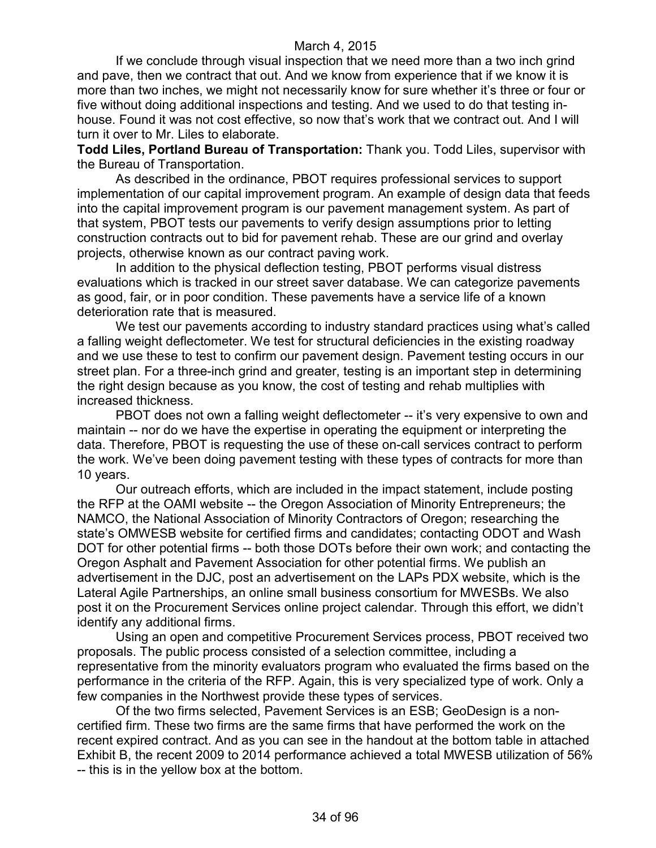If we conclude through visual inspection that we need more than a two inch grind and pave, then we contract that out. And we know from experience that if we know it is more than two inches, we might not necessarily know for sure whether it's three or four or five without doing additional inspections and testing. And we used to do that testing inhouse. Found it was not cost effective, so now that's work that we contract out. And I will turn it over to Mr. Liles to elaborate.

**Todd Liles, Portland Bureau of Transportation:** Thank you. Todd Liles, supervisor with the Bureau of Transportation.

As described in the ordinance, PBOT requires professional services to support implementation of our capital improvement program. An example of design data that feeds into the capital improvement program is our pavement management system. As part of that system, PBOT tests our pavements to verify design assumptions prior to letting construction contracts out to bid for pavement rehab. These are our grind and overlay projects, otherwise known as our contract paving work.

In addition to the physical deflection testing, PBOT performs visual distress evaluations which is tracked in our street saver database. We can categorize pavements as good, fair, or in poor condition. These pavements have a service life of a known deterioration rate that is measured.

We test our pavements according to industry standard practices using what's called a falling weight deflectometer. We test for structural deficiencies in the existing roadway and we use these to test to confirm our pavement design. Pavement testing occurs in our street plan. For a three-inch grind and greater, testing is an important step in determining the right design because as you know, the cost of testing and rehab multiplies with increased thickness.

PBOT does not own a falling weight deflectometer -- it's very expensive to own and maintain -- nor do we have the expertise in operating the equipment or interpreting the data. Therefore, PBOT is requesting the use of these on-call services contract to perform the work. We've been doing pavement testing with these types of contracts for more than 10 years.

Our outreach efforts, which are included in the impact statement, include posting the RFP at the OAMI website -- the Oregon Association of Minority Entrepreneurs; the NAMCO, the National Association of Minority Contractors of Oregon; researching the state's OMWESB website for certified firms and candidates; contacting ODOT and Wash DOT for other potential firms -- both those DOTs before their own work; and contacting the Oregon Asphalt and Pavement Association for other potential firms. We publish an advertisement in the DJC, post an advertisement on the LAPs PDX website, which is the Lateral Agile Partnerships, an online small business consortium for MWESBs. We also post it on the Procurement Services online project calendar. Through this effort, we didn't identify any additional firms.

Using an open and competitive Procurement Services process, PBOT received two proposals. The public process consisted of a selection committee, including a representative from the minority evaluators program who evaluated the firms based on the performance in the criteria of the RFP. Again, this is very specialized type of work. Only a few companies in the Northwest provide these types of services.

Of the two firms selected, Pavement Services is an ESB; GeoDesign is a noncertified firm. These two firms are the same firms that have performed the work on the recent expired contract. And as you can see in the handout at the bottom table in attached Exhibit B, the recent 2009 to 2014 performance achieved a total MWESB utilization of 56% -- this is in the yellow box at the bottom.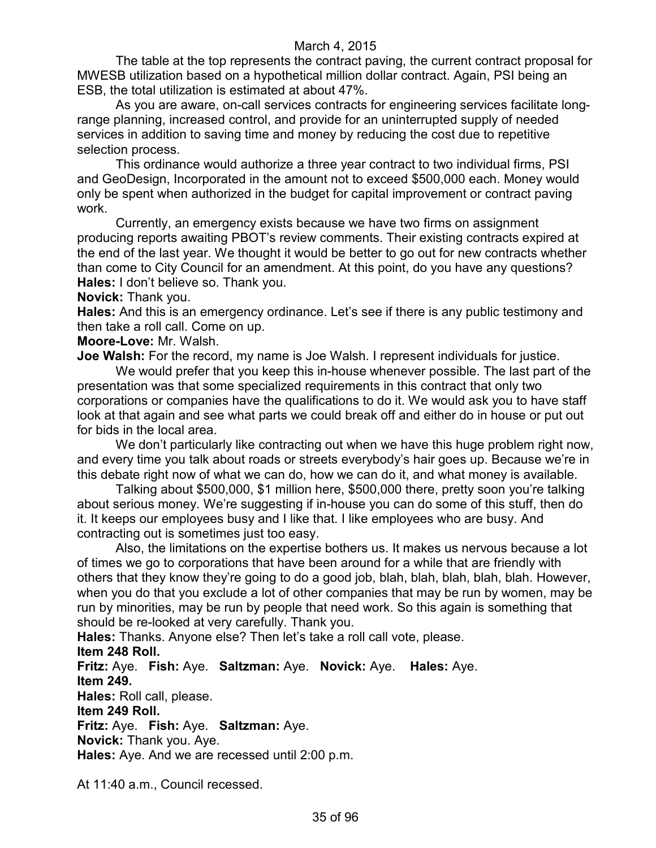The table at the top represents the contract paving, the current contract proposal for MWESB utilization based on a hypothetical million dollar contract. Again, PSI being an ESB, the total utilization is estimated at about 47%.

As you are aware, on-call services contracts for engineering services facilitate longrange planning, increased control, and provide for an uninterrupted supply of needed services in addition to saving time and money by reducing the cost due to repetitive selection process.

This ordinance would authorize a three year contract to two individual firms, PSI and GeoDesign, Incorporated in the amount not to exceed \$500,000 each. Money would only be spent when authorized in the budget for capital improvement or contract paving work.

Currently, an emergency exists because we have two firms on assignment producing reports awaiting PBOT's review comments. Their existing contracts expired at the end of the last year. We thought it would be better to go out for new contracts whether than come to City Council for an amendment. At this point, do you have any questions? **Hales:** I don't believe so. Thank you.

**Novick:** Thank you.

**Hales:** And this is an emergency ordinance. Let's see if there is any public testimony and then take a roll call. Come on up.

**Moore-Love:** Mr. Walsh.

**Joe Walsh:** For the record, my name is Joe Walsh. I represent individuals for justice.

We would prefer that you keep this in-house whenever possible. The last part of the presentation was that some specialized requirements in this contract that only two corporations or companies have the qualifications to do it. We would ask you to have staff look at that again and see what parts we could break off and either do in house or put out for bids in the local area.

We don't particularly like contracting out when we have this huge problem right now, and every time you talk about roads or streets everybody's hair goes up. Because we're in this debate right now of what we can do, how we can do it, and what money is available.

Talking about \$500,000, \$1 million here, \$500,000 there, pretty soon you're talking about serious money. We're suggesting if in-house you can do some of this stuff, then do it. It keeps our employees busy and I like that. I like employees who are busy. And contracting out is sometimes just too easy.

Also, the limitations on the expertise bothers us. It makes us nervous because a lot of times we go to corporations that have been around for a while that are friendly with others that they know they're going to do a good job, blah, blah, blah, blah, blah. However, when you do that you exclude a lot of other companies that may be run by women, may be run by minorities, may be run by people that need work. So this again is something that should be re-looked at very carefully. Thank you.

**Hales:** Thanks. Anyone else? Then let's take a roll call vote, please. **Item 248 Roll.**

**Fritz:** Aye. **Fish:** Aye. **Saltzman:** Aye. **Novick:** Aye. **Hales:** Aye. **Item 249.**

**Hales:** Roll call, please.

**Item 249 Roll.**

**Fritz:** Aye. **Fish:** Aye. **Saltzman:** Aye.

**Novick:** Thank you. Aye.

**Hales:** Aye. And we are recessed until 2:00 p.m.

At 11:40 a.m., Council recessed.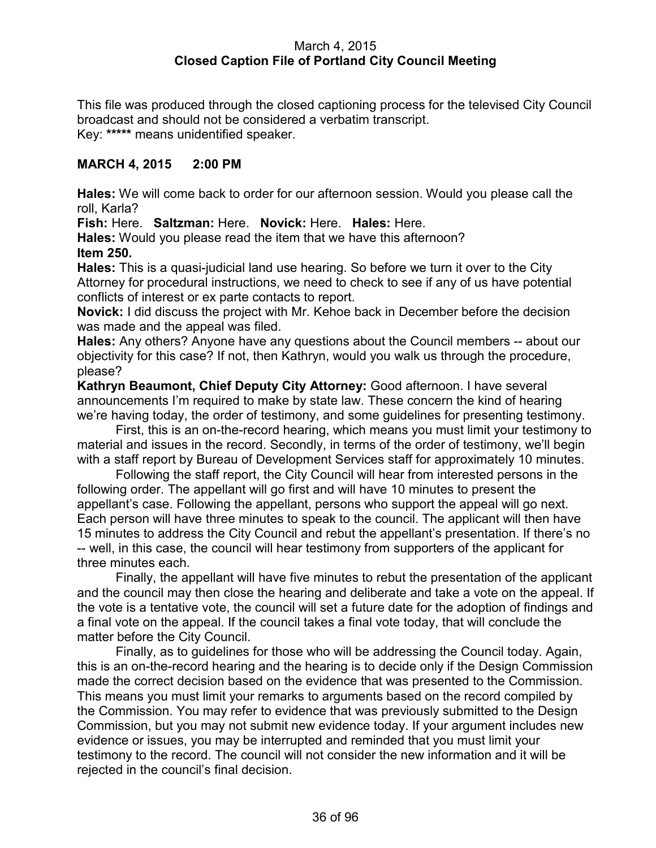### March 4, 2015 **Closed Caption File of Portland City Council Meeting**

This file was produced through the closed captioning process for the televised City Council broadcast and should not be considered a verbatim transcript. Key: **\*\*\*\*\*** means unidentified speaker.

## **MARCH 4, 2015 2:00 PM**

**Hales:** We will come back to order for our afternoon session. Would you please call the roll, Karla?

**Fish:** Here. **Saltzman:** Here. **Novick:** Here. **Hales:** Here.

**Hales:** Would you please read the item that we have this afternoon? **Item 250.**

**Hales:** This is a quasi-judicial land use hearing. So before we turn it over to the City Attorney for procedural instructions, we need to check to see if any of us have potential conflicts of interest or ex parte contacts to report.

**Novick:** I did discuss the project with Mr. Kehoe back in December before the decision was made and the appeal was filed.

**Hales:** Any others? Anyone have any questions about the Council members -- about our objectivity for this case? If not, then Kathryn, would you walk us through the procedure, please?

**Kathryn Beaumont, Chief Deputy City Attorney:** Good afternoon. I have several announcements I'm required to make by state law. These concern the kind of hearing we're having today, the order of testimony, and some guidelines for presenting testimony.

First, this is an on-the-record hearing, which means you must limit your testimony to material and issues in the record. Secondly, in terms of the order of testimony, we'll begin with a staff report by Bureau of Development Services staff for approximately 10 minutes.

Following the staff report, the City Council will hear from interested persons in the following order. The appellant will go first and will have 10 minutes to present the appellant's case. Following the appellant, persons who support the appeal will go next. Each person will have three minutes to speak to the council. The applicant will then have 15 minutes to address the City Council and rebut the appellant's presentation. If there's no -- well, in this case, the council will hear testimony from supporters of the applicant for three minutes each.

Finally, the appellant will have five minutes to rebut the presentation of the applicant and the council may then close the hearing and deliberate and take a vote on the appeal. If the vote is a tentative vote, the council will set a future date for the adoption of findings and a final vote on the appeal. If the council takes a final vote today, that will conclude the matter before the City Council.

Finally, as to guidelines for those who will be addressing the Council today. Again, this is an on-the-record hearing and the hearing is to decide only if the Design Commission made the correct decision based on the evidence that was presented to the Commission. This means you must limit your remarks to arguments based on the record compiled by the Commission. You may refer to evidence that was previously submitted to the Design Commission, but you may not submit new evidence today. If your argument includes new evidence or issues, you may be interrupted and reminded that you must limit your testimony to the record. The council will not consider the new information and it will be rejected in the council's final decision.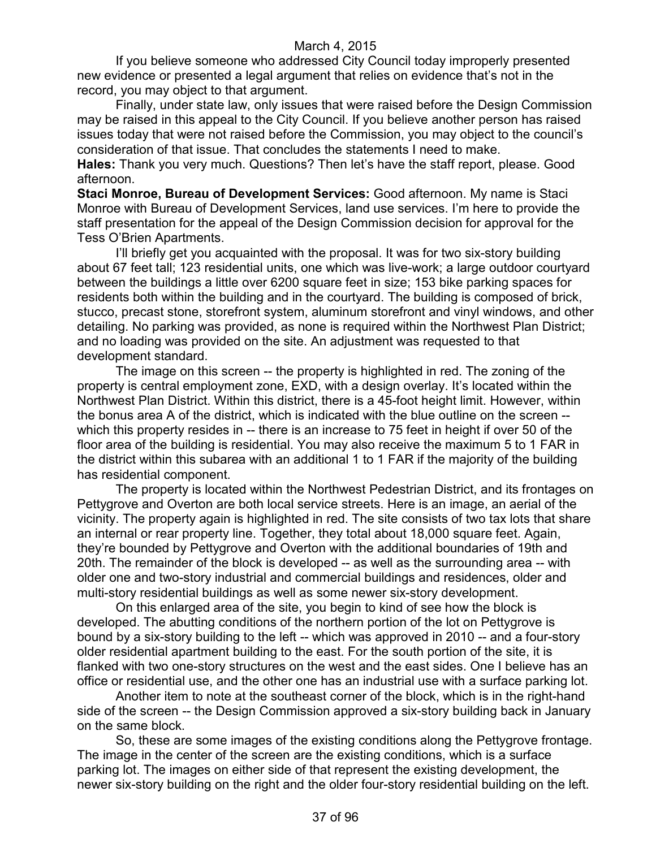If you believe someone who addressed City Council today improperly presented new evidence or presented a legal argument that relies on evidence that's not in the record, you may object to that argument.

Finally, under state law, only issues that were raised before the Design Commission may be raised in this appeal to the City Council. If you believe another person has raised issues today that were not raised before the Commission, you may object to the council's consideration of that issue. That concludes the statements I need to make.

**Hales:** Thank you very much. Questions? Then let's have the staff report, please. Good afternoon.

**Staci Monroe, Bureau of Development Services:** Good afternoon. My name is Staci Monroe with Bureau of Development Services, land use services. I'm here to provide the staff presentation for the appeal of the Design Commission decision for approval for the Tess O'Brien Apartments.

I'll briefly get you acquainted with the proposal. It was for two six-story building about 67 feet tall; 123 residential units, one which was live-work; a large outdoor courtyard between the buildings a little over 6200 square feet in size; 153 bike parking spaces for residents both within the building and in the courtyard. The building is composed of brick, stucco, precast stone, storefront system, aluminum storefront and vinyl windows, and other detailing. No parking was provided, as none is required within the Northwest Plan District; and no loading was provided on the site. An adjustment was requested to that development standard.

The image on this screen -- the property is highlighted in red. The zoning of the property is central employment zone, EXD, with a design overlay. It's located within the Northwest Plan District. Within this district, there is a 45-foot height limit. However, within the bonus area A of the district, which is indicated with the blue outline on the screen - which this property resides in -- there is an increase to 75 feet in height if over 50 of the floor area of the building is residential. You may also receive the maximum 5 to 1 FAR in the district within this subarea with an additional 1 to 1 FAR if the majority of the building has residential component.

The property is located within the Northwest Pedestrian District, and its frontages on Pettygrove and Overton are both local service streets. Here is an image, an aerial of the vicinity. The property again is highlighted in red. The site consists of two tax lots that share an internal or rear property line. Together, they total about 18,000 square feet. Again, they're bounded by Pettygrove and Overton with the additional boundaries of 19th and 20th. The remainder of the block is developed -- as well as the surrounding area -- with older one and two-story industrial and commercial buildings and residences, older and multi-story residential buildings as well as some newer six-story development.

On this enlarged area of the site, you begin to kind of see how the block is developed. The abutting conditions of the northern portion of the lot on Pettygrove is bound by a six-story building to the left -- which was approved in 2010 -- and a four-story older residential apartment building to the east. For the south portion of the site, it is flanked with two one-story structures on the west and the east sides. One I believe has an office or residential use, and the other one has an industrial use with a surface parking lot.

Another item to note at the southeast corner of the block, which is in the right-hand side of the screen -- the Design Commission approved a six-story building back in January on the same block.

So, these are some images of the existing conditions along the Pettygrove frontage. The image in the center of the screen are the existing conditions, which is a surface parking lot. The images on either side of that represent the existing development, the newer six-story building on the right and the older four-story residential building on the left.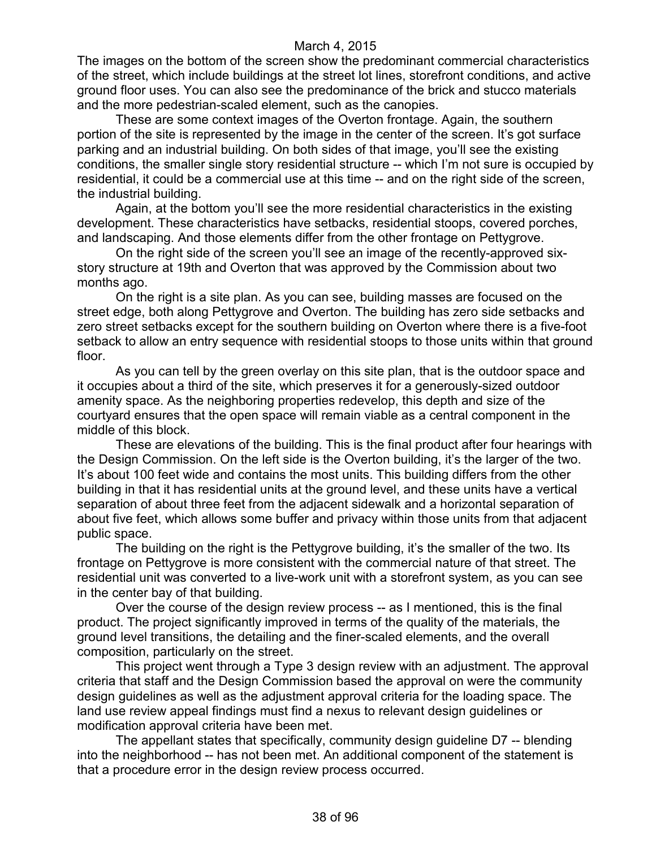The images on the bottom of the screen show the predominant commercial characteristics of the street, which include buildings at the street lot lines, storefront conditions, and active ground floor uses. You can also see the predominance of the brick and stucco materials and the more pedestrian-scaled element, such as the canopies.

These are some context images of the Overton frontage. Again, the southern portion of the site is represented by the image in the center of the screen. It's got surface parking and an industrial building. On both sides of that image, you'll see the existing conditions, the smaller single story residential structure -- which I'm not sure is occupied by residential, it could be a commercial use at this time -- and on the right side of the screen, the industrial building.

Again, at the bottom you'll see the more residential characteristics in the existing development. These characteristics have setbacks, residential stoops, covered porches, and landscaping. And those elements differ from the other frontage on Pettygrove.

On the right side of the screen you'll see an image of the recently-approved sixstory structure at 19th and Overton that was approved by the Commission about two months ago.

On the right is a site plan. As you can see, building masses are focused on the street edge, both along Pettygrove and Overton. The building has zero side setbacks and zero street setbacks except for the southern building on Overton where there is a five-foot setback to allow an entry sequence with residential stoops to those units within that ground floor.

As you can tell by the green overlay on this site plan, that is the outdoor space and it occupies about a third of the site, which preserves it for a generously-sized outdoor amenity space. As the neighboring properties redevelop, this depth and size of the courtyard ensures that the open space will remain viable as a central component in the middle of this block.

These are elevations of the building. This is the final product after four hearings with the Design Commission. On the left side is the Overton building, it's the larger of the two. It's about 100 feet wide and contains the most units. This building differs from the other building in that it has residential units at the ground level, and these units have a vertical separation of about three feet from the adjacent sidewalk and a horizontal separation of about five feet, which allows some buffer and privacy within those units from that adjacent public space.

The building on the right is the Pettygrove building, it's the smaller of the two. Its frontage on Pettygrove is more consistent with the commercial nature of that street. The residential unit was converted to a live-work unit with a storefront system, as you can see in the center bay of that building.

Over the course of the design review process -- as I mentioned, this is the final product. The project significantly improved in terms of the quality of the materials, the ground level transitions, the detailing and the finer-scaled elements, and the overall composition, particularly on the street.

This project went through a Type 3 design review with an adjustment. The approval criteria that staff and the Design Commission based the approval on were the community design guidelines as well as the adjustment approval criteria for the loading space. The land use review appeal findings must find a nexus to relevant design guidelines or modification approval criteria have been met.

The appellant states that specifically, community design guideline D7 -- blending into the neighborhood -- has not been met. An additional component of the statement is that a procedure error in the design review process occurred.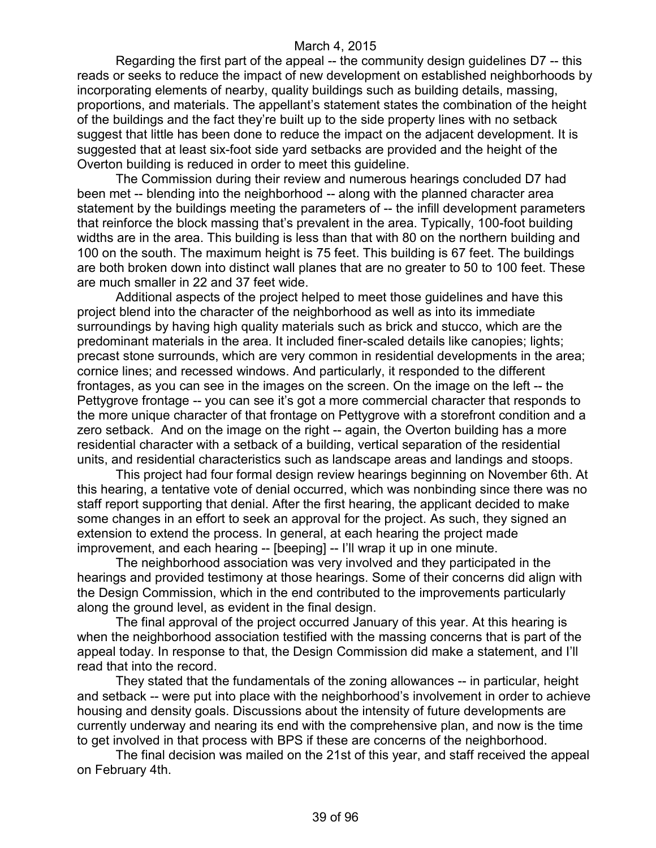Regarding the first part of the appeal -- the community design guidelines D7 -- this reads or seeks to reduce the impact of new development on established neighborhoods by incorporating elements of nearby, quality buildings such as building details, massing, proportions, and materials. The appellant's statement states the combination of the height of the buildings and the fact they're built up to the side property lines with no setback suggest that little has been done to reduce the impact on the adjacent development. It is suggested that at least six-foot side yard setbacks are provided and the height of the Overton building is reduced in order to meet this guideline.

The Commission during their review and numerous hearings concluded D7 had been met -- blending into the neighborhood -- along with the planned character area statement by the buildings meeting the parameters of -- the infill development parameters that reinforce the block massing that's prevalent in the area. Typically, 100-foot building widths are in the area. This building is less than that with 80 on the northern building and 100 on the south. The maximum height is 75 feet. This building is 67 feet. The buildings are both broken down into distinct wall planes that are no greater to 50 to 100 feet. These are much smaller in 22 and 37 feet wide.

Additional aspects of the project helped to meet those guidelines and have this project blend into the character of the neighborhood as well as into its immediate surroundings by having high quality materials such as brick and stucco, which are the predominant materials in the area. It included finer-scaled details like canopies; lights; precast stone surrounds, which are very common in residential developments in the area; cornice lines; and recessed windows. And particularly, it responded to the different frontages, as you can see in the images on the screen. On the image on the left -- the Pettygrove frontage -- you can see it's got a more commercial character that responds to the more unique character of that frontage on Pettygrove with a storefront condition and a zero setback. And on the image on the right -- again, the Overton building has a more residential character with a setback of a building, vertical separation of the residential units, and residential characteristics such as landscape areas and landings and stoops.

This project had four formal design review hearings beginning on November 6th. At this hearing, a tentative vote of denial occurred, which was nonbinding since there was no staff report supporting that denial. After the first hearing, the applicant decided to make some changes in an effort to seek an approval for the project. As such, they signed an extension to extend the process. In general, at each hearing the project made improvement, and each hearing -- [beeping] -- I'll wrap it up in one minute.

The neighborhood association was very involved and they participated in the hearings and provided testimony at those hearings. Some of their concerns did align with the Design Commission, which in the end contributed to the improvements particularly along the ground level, as evident in the final design.

The final approval of the project occurred January of this year. At this hearing is when the neighborhood association testified with the massing concerns that is part of the appeal today. In response to that, the Design Commission did make a statement, and I'll read that into the record.

They stated that the fundamentals of the zoning allowances -- in particular, height and setback -- were put into place with the neighborhood's involvement in order to achieve housing and density goals. Discussions about the intensity of future developments are currently underway and nearing its end with the comprehensive plan, and now is the time to get involved in that process with BPS if these are concerns of the neighborhood.

The final decision was mailed on the 21st of this year, and staff received the appeal on February 4th.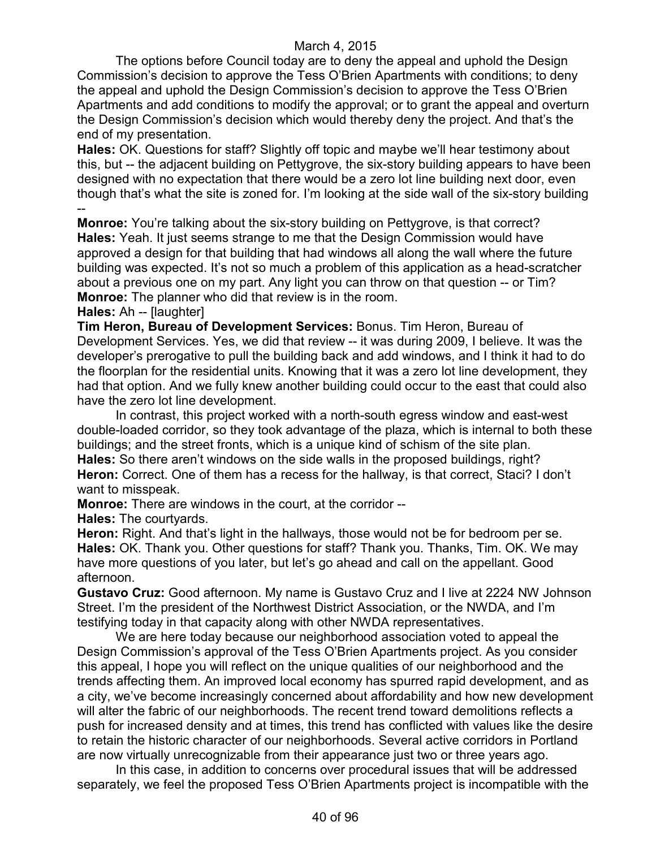The options before Council today are to deny the appeal and uphold the Design Commission's decision to approve the Tess O'Brien Apartments with conditions; to deny the appeal and uphold the Design Commission's decision to approve the Tess O'Brien Apartments and add conditions to modify the approval; or to grant the appeal and overturn the Design Commission's decision which would thereby deny the project. And that's the end of my presentation.

**Hales:** OK. Questions for staff? Slightly off topic and maybe we'll hear testimony about this, but -- the adjacent building on Pettygrove, the six-story building appears to have been designed with no expectation that there would be a zero lot line building next door, even though that's what the site is zoned for. I'm looking at the side wall of the six-story building --

**Monroe:** You're talking about the six-story building on Pettygrove, is that correct? **Hales:** Yeah. It just seems strange to me that the Design Commission would have approved a design for that building that had windows all along the wall where the future building was expected. It's not so much a problem of this application as a head-scratcher about a previous one on my part. Any light you can throw on that question -- or Tim? **Monroe:** The planner who did that review is in the room.

#### **Hales:** Ah -- [laughter]

**Tim Heron, Bureau of Development Services:** Bonus. Tim Heron, Bureau of Development Services. Yes, we did that review -- it was during 2009, I believe. It was the developer's prerogative to pull the building back and add windows, and I think it had to do the floorplan for the residential units. Knowing that it was a zero lot line development, they had that option. And we fully knew another building could occur to the east that could also have the zero lot line development.

In contrast, this project worked with a north-south egress window and east-west double-loaded corridor, so they took advantage of the plaza, which is internal to both these buildings; and the street fronts, which is a unique kind of schism of the site plan. **Hales:** So there aren't windows on the side walls in the proposed buildings, right? **Heron:** Correct. One of them has a recess for the hallway, is that correct, Staci? I don't want to misspeak.

**Monroe:** There are windows in the court, at the corridor --

**Hales:** The courtyards.

**Heron:** Right. And that's light in the hallways, those would not be for bedroom per se. **Hales:** OK. Thank you. Other questions for staff? Thank you. Thanks, Tim. OK. We may have more questions of you later, but let's go ahead and call on the appellant. Good afternoon.

**Gustavo Cruz:** Good afternoon. My name is Gustavo Cruz and I live at 2224 NW Johnson Street. I'm the president of the Northwest District Association, or the NWDA, and I'm testifying today in that capacity along with other NWDA representatives.

We are here today because our neighborhood association voted to appeal the Design Commission's approval of the Tess O'Brien Apartments project. As you consider this appeal, I hope you will reflect on the unique qualities of our neighborhood and the trends affecting them. An improved local economy has spurred rapid development, and as a city, we've become increasingly concerned about affordability and how new development will alter the fabric of our neighborhoods. The recent trend toward demolitions reflects a push for increased density and at times, this trend has conflicted with values like the desire to retain the historic character of our neighborhoods. Several active corridors in Portland are now virtually unrecognizable from their appearance just two or three years ago.

In this case, in addition to concerns over procedural issues that will be addressed separately, we feel the proposed Tess O'Brien Apartments project is incompatible with the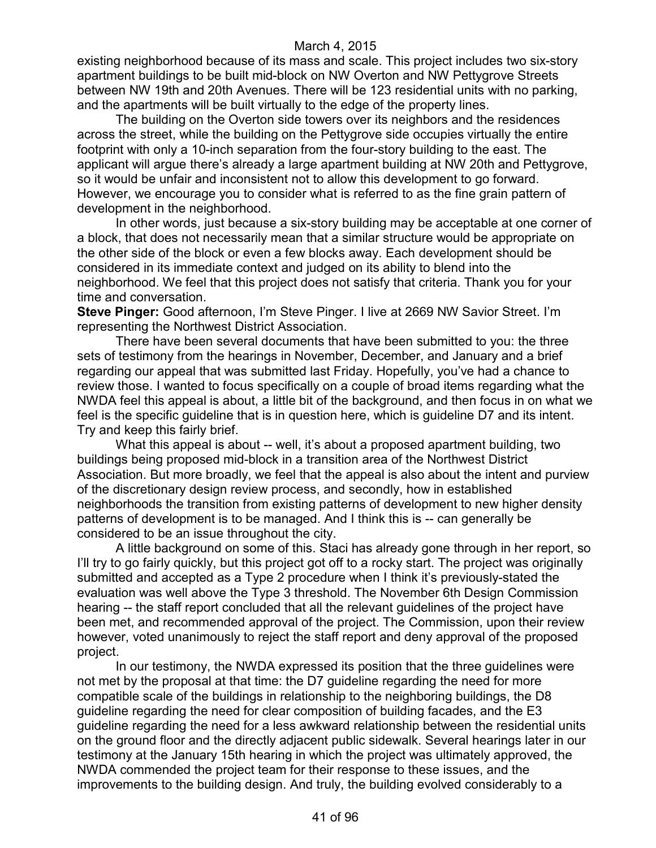existing neighborhood because of its mass and scale. This project includes two six-story apartment buildings to be built mid-block on NW Overton and NW Pettygrove Streets between NW 19th and 20th Avenues. There will be 123 residential units with no parking, and the apartments will be built virtually to the edge of the property lines.

The building on the Overton side towers over its neighbors and the residences across the street, while the building on the Pettygrove side occupies virtually the entire footprint with only a 10-inch separation from the four-story building to the east. The applicant will argue there's already a large apartment building at NW 20th and Pettygrove, so it would be unfair and inconsistent not to allow this development to go forward. However, we encourage you to consider what is referred to as the fine grain pattern of development in the neighborhood.

In other words, just because a six-story building may be acceptable at one corner of a block, that does not necessarily mean that a similar structure would be appropriate on the other side of the block or even a few blocks away. Each development should be considered in its immediate context and judged on its ability to blend into the neighborhood. We feel that this project does not satisfy that criteria. Thank you for your time and conversation.

**Steve Pinger:** Good afternoon, I'm Steve Pinger. I live at 2669 NW Savior Street. I'm representing the Northwest District Association.

There have been several documents that have been submitted to you: the three sets of testimony from the hearings in November, December, and January and a brief regarding our appeal that was submitted last Friday. Hopefully, you've had a chance to review those. I wanted to focus specifically on a couple of broad items regarding what the NWDA feel this appeal is about, a little bit of the background, and then focus in on what we feel is the specific guideline that is in question here, which is guideline D7 and its intent. Try and keep this fairly brief.

What this appeal is about -- well, it's about a proposed apartment building, two buildings being proposed mid-block in a transition area of the Northwest District Association. But more broadly, we feel that the appeal is also about the intent and purview of the discretionary design review process, and secondly, how in established neighborhoods the transition from existing patterns of development to new higher density patterns of development is to be managed. And I think this is -- can generally be considered to be an issue throughout the city.

A little background on some of this. Staci has already gone through in her report, so I'll try to go fairly quickly, but this project got off to a rocky start. The project was originally submitted and accepted as a Type 2 procedure when I think it's previously-stated the evaluation was well above the Type 3 threshold. The November 6th Design Commission hearing -- the staff report concluded that all the relevant guidelines of the project have been met, and recommended approval of the project. The Commission, upon their review however, voted unanimously to reject the staff report and deny approval of the proposed project.

In our testimony, the NWDA expressed its position that the three guidelines were not met by the proposal at that time: the D7 guideline regarding the need for more compatible scale of the buildings in relationship to the neighboring buildings, the D8 guideline regarding the need for clear composition of building facades, and the E3 guideline regarding the need for a less awkward relationship between the residential units on the ground floor and the directly adjacent public sidewalk. Several hearings later in our testimony at the January 15th hearing in which the project was ultimately approved, the NWDA commended the project team for their response to these issues, and the improvements to the building design. And truly, the building evolved considerably to a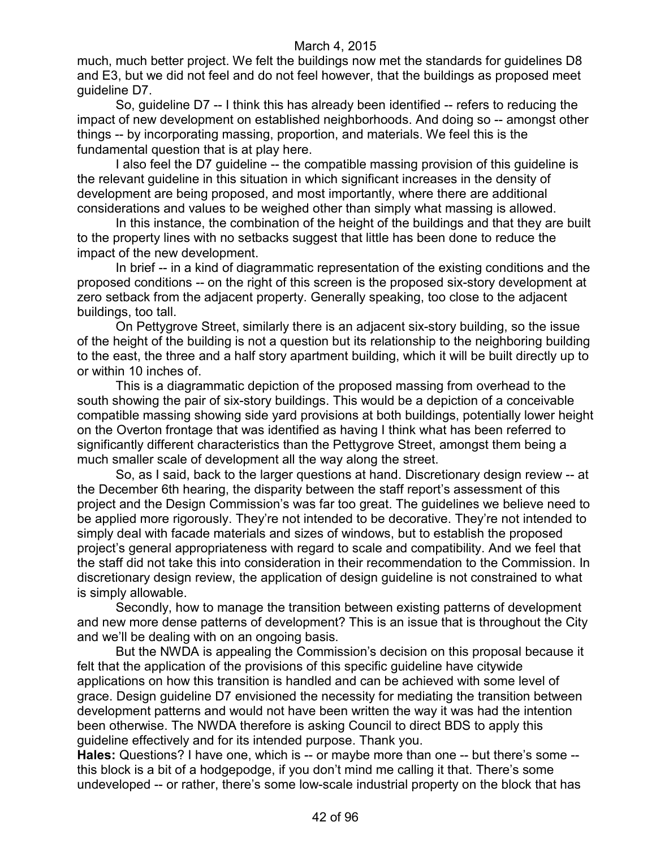much, much better project. We felt the buildings now met the standards for guidelines D8 and E3, but we did not feel and do not feel however, that the buildings as proposed meet guideline D7.

So, guideline D7 -- I think this has already been identified -- refers to reducing the impact of new development on established neighborhoods. And doing so -- amongst other things -- by incorporating massing, proportion, and materials. We feel this is the fundamental question that is at play here.

I also feel the D7 guideline -- the compatible massing provision of this guideline is the relevant guideline in this situation in which significant increases in the density of development are being proposed, and most importantly, where there are additional considerations and values to be weighed other than simply what massing is allowed.

In this instance, the combination of the height of the buildings and that they are built to the property lines with no setbacks suggest that little has been done to reduce the impact of the new development.

In brief -- in a kind of diagrammatic representation of the existing conditions and the proposed conditions -- on the right of this screen is the proposed six-story development at zero setback from the adjacent property. Generally speaking, too close to the adjacent buildings, too tall.

On Pettygrove Street, similarly there is an adjacent six-story building, so the issue of the height of the building is not a question but its relationship to the neighboring building to the east, the three and a half story apartment building, which it will be built directly up to or within 10 inches of.

This is a diagrammatic depiction of the proposed massing from overhead to the south showing the pair of six-story buildings. This would be a depiction of a conceivable compatible massing showing side yard provisions at both buildings, potentially lower height on the Overton frontage that was identified as having I think what has been referred to significantly different characteristics than the Pettygrove Street, amongst them being a much smaller scale of development all the way along the street.

So, as I said, back to the larger questions at hand. Discretionary design review -- at the December 6th hearing, the disparity between the staff report's assessment of this project and the Design Commission's was far too great. The guidelines we believe need to be applied more rigorously. They're not intended to be decorative. They're not intended to simply deal with facade materials and sizes of windows, but to establish the proposed project's general appropriateness with regard to scale and compatibility. And we feel that the staff did not take this into consideration in their recommendation to the Commission. In discretionary design review, the application of design guideline is not constrained to what is simply allowable.

Secondly, how to manage the transition between existing patterns of development and new more dense patterns of development? This is an issue that is throughout the City and we'll be dealing with on an ongoing basis.

But the NWDA is appealing the Commission's decision on this proposal because it felt that the application of the provisions of this specific guideline have citywide applications on how this transition is handled and can be achieved with some level of grace. Design guideline D7 envisioned the necessity for mediating the transition between development patterns and would not have been written the way it was had the intention been otherwise. The NWDA therefore is asking Council to direct BDS to apply this guideline effectively and for its intended purpose. Thank you.

**Hales:** Questions? I have one, which is -- or maybe more than one -- but there's some - this block is a bit of a hodgepodge, if you don't mind me calling it that. There's some undeveloped -- or rather, there's some low-scale industrial property on the block that has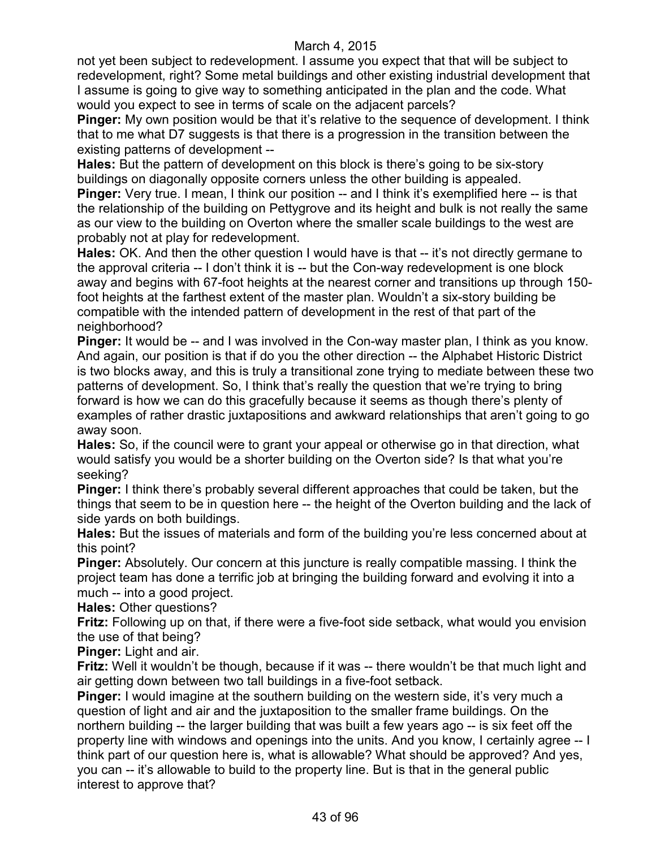not yet been subject to redevelopment. I assume you expect that that will be subject to redevelopment, right? Some metal buildings and other existing industrial development that I assume is going to give way to something anticipated in the plan and the code. What would you expect to see in terms of scale on the adjacent parcels?

**Pinger:** My own position would be that it's relative to the sequence of development. I think that to me what D7 suggests is that there is a progression in the transition between the existing patterns of development --

**Hales:** But the pattern of development on this block is there's going to be six-story buildings on diagonally opposite corners unless the other building is appealed.

**Pinger:** Very true. I mean, I think our position -- and I think it's exemplified here -- is that the relationship of the building on Pettygrove and its height and bulk is not really the same as our view to the building on Overton where the smaller scale buildings to the west are probably not at play for redevelopment.

**Hales:** OK. And then the other question I would have is that -- it's not directly germane to the approval criteria -- I don't think it is -- but the Con-way redevelopment is one block away and begins with 67-foot heights at the nearest corner and transitions up through 150 foot heights at the farthest extent of the master plan. Wouldn't a six-story building be compatible with the intended pattern of development in the rest of that part of the neighborhood?

**Pinger:** It would be -- and I was involved in the Con-way master plan, I think as you know. And again, our position is that if do you the other direction -- the Alphabet Historic District is two blocks away, and this is truly a transitional zone trying to mediate between these two patterns of development. So, I think that's really the question that we're trying to bring forward is how we can do this gracefully because it seems as though there's plenty of examples of rather drastic juxtapositions and awkward relationships that aren't going to go away soon.

**Hales:** So, if the council were to grant your appeal or otherwise go in that direction, what would satisfy you would be a shorter building on the Overton side? Is that what you're seeking?

**Pinger:** I think there's probably several different approaches that could be taken, but the things that seem to be in question here -- the height of the Overton building and the lack of side yards on both buildings.

**Hales:** But the issues of materials and form of the building you're less concerned about at this point?

**Pinger:** Absolutely. Our concern at this juncture is really compatible massing. I think the project team has done a terrific job at bringing the building forward and evolving it into a much -- into a good project.

**Hales:** Other questions?

**Fritz:** Following up on that, if there were a five-foot side setback, what would you envision the use of that being?

**Pinger:** Light and air.

**Fritz:** Well it wouldn't be though, because if it was -- there wouldn't be that much light and air getting down between two tall buildings in a five-foot setback.

**Pinger:** I would imagine at the southern building on the western side, it's very much a question of light and air and the juxtaposition to the smaller frame buildings. On the northern building -- the larger building that was built a few years ago -- is six feet off the property line with windows and openings into the units. And you know, I certainly agree -- I think part of our question here is, what is allowable? What should be approved? And yes, you can -- it's allowable to build to the property line. But is that in the general public interest to approve that?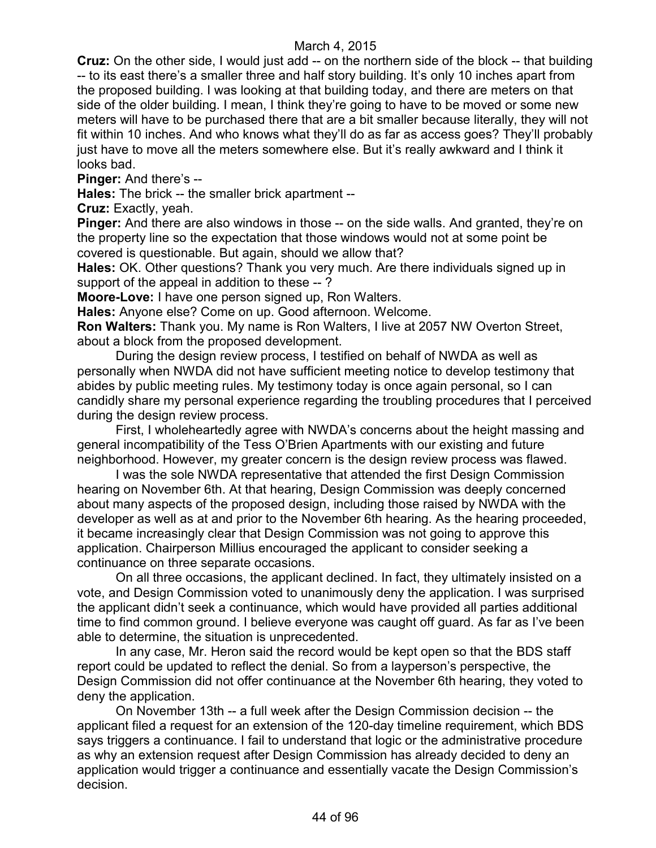**Cruz:** On the other side, I would just add -- on the northern side of the block -- that building -- to its east there's a smaller three and half story building. It's only 10 inches apart from the proposed building. I was looking at that building today, and there are meters on that side of the older building. I mean, I think they're going to have to be moved or some new meters will have to be purchased there that are a bit smaller because literally, they will not fit within 10 inches. And who knows what they'll do as far as access goes? They'll probably just have to move all the meters somewhere else. But it's really awkward and I think it looks bad.

**Pinger:** And there's --

**Hales:** The brick -- the smaller brick apartment --

**Cruz:** Exactly, yeah.

**Pinger:** And there are also windows in those -- on the side walls. And granted, they're on the property line so the expectation that those windows would not at some point be covered is questionable. But again, should we allow that?

**Hales:** OK. Other questions? Thank you very much. Are there individuals signed up in support of the appeal in addition to these --?

**Moore-Love:** I have one person signed up, Ron Walters.

**Hales:** Anyone else? Come on up. Good afternoon. Welcome.

**Ron Walters:** Thank you. My name is Ron Walters, I live at 2057 NW Overton Street, about a block from the proposed development.

During the design review process, I testified on behalf of NWDA as well as personally when NWDA did not have sufficient meeting notice to develop testimony that abides by public meeting rules. My testimony today is once again personal, so I can candidly share my personal experience regarding the troubling procedures that I perceived during the design review process.

First, I wholeheartedly agree with NWDA's concerns about the height massing and general incompatibility of the Tess O'Brien Apartments with our existing and future neighborhood. However, my greater concern is the design review process was flawed.

I was the sole NWDA representative that attended the first Design Commission hearing on November 6th. At that hearing, Design Commission was deeply concerned about many aspects of the proposed design, including those raised by NWDA with the developer as well as at and prior to the November 6th hearing. As the hearing proceeded, it became increasingly clear that Design Commission was not going to approve this application. Chairperson Millius encouraged the applicant to consider seeking a continuance on three separate occasions.

On all three occasions, the applicant declined. In fact, they ultimately insisted on a vote, and Design Commission voted to unanimously deny the application. I was surprised the applicant didn't seek a continuance, which would have provided all parties additional time to find common ground. I believe everyone was caught off guard. As far as I've been able to determine, the situation is unprecedented.

In any case, Mr. Heron said the record would be kept open so that the BDS staff report could be updated to reflect the denial. So from a layperson's perspective, the Design Commission did not offer continuance at the November 6th hearing, they voted to deny the application.

On November 13th -- a full week after the Design Commission decision -- the applicant filed a request for an extension of the 120-day timeline requirement, which BDS says triggers a continuance. I fail to understand that logic or the administrative procedure as why an extension request after Design Commission has already decided to deny an application would trigger a continuance and essentially vacate the Design Commission's decision.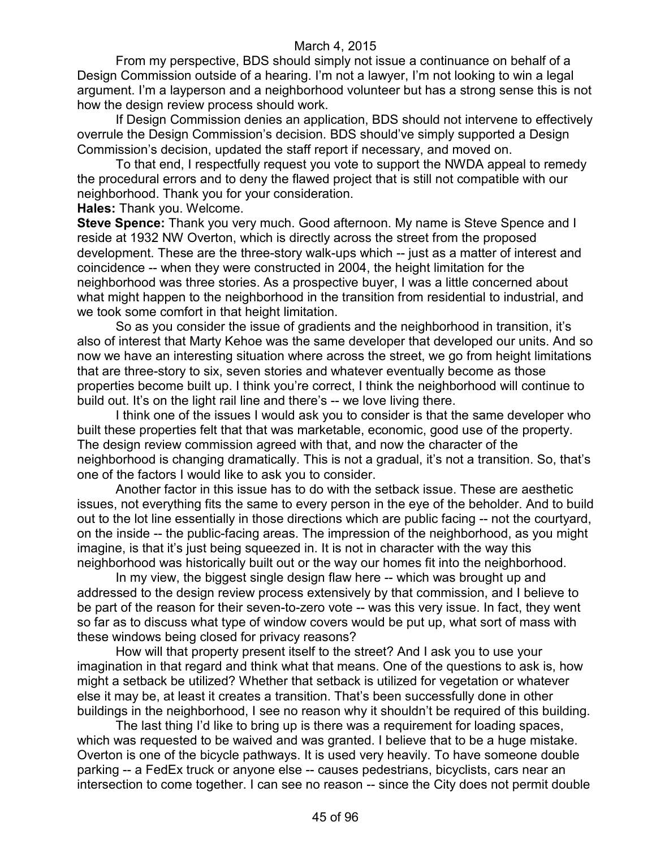From my perspective, BDS should simply not issue a continuance on behalf of a Design Commission outside of a hearing. I'm not a lawyer, I'm not looking to win a legal argument. I'm a layperson and a neighborhood volunteer but has a strong sense this is not how the design review process should work.

If Design Commission denies an application, BDS should not intervene to effectively overrule the Design Commission's decision. BDS should've simply supported a Design Commission's decision, updated the staff report if necessary, and moved on.

To that end, I respectfully request you vote to support the NWDA appeal to remedy the procedural errors and to deny the flawed project that is still not compatible with our neighborhood. Thank you for your consideration.

#### **Hales:** Thank you. Welcome.

**Steve Spence:** Thank you very much. Good afternoon. My name is Steve Spence and I reside at 1932 NW Overton, which is directly across the street from the proposed development. These are the three-story walk-ups which -- just as a matter of interest and coincidence -- when they were constructed in 2004, the height limitation for the neighborhood was three stories. As a prospective buyer, I was a little concerned about what might happen to the neighborhood in the transition from residential to industrial, and we took some comfort in that height limitation.

So as you consider the issue of gradients and the neighborhood in transition, it's also of interest that Marty Kehoe was the same developer that developed our units. And so now we have an interesting situation where across the street, we go from height limitations that are three-story to six, seven stories and whatever eventually become as those properties become built up. I think you're correct, I think the neighborhood will continue to build out. It's on the light rail line and there's -- we love living there.

I think one of the issues I would ask you to consider is that the same developer who built these properties felt that that was marketable, economic, good use of the property. The design review commission agreed with that, and now the character of the neighborhood is changing dramatically. This is not a gradual, it's not a transition. So, that's one of the factors I would like to ask you to consider.

Another factor in this issue has to do with the setback issue. These are aesthetic issues, not everything fits the same to every person in the eye of the beholder. And to build out to the lot line essentially in those directions which are public facing -- not the courtyard, on the inside -- the public-facing areas. The impression of the neighborhood, as you might imagine, is that it's just being squeezed in. It is not in character with the way this neighborhood was historically built out or the way our homes fit into the neighborhood.

In my view, the biggest single design flaw here -- which was brought up and addressed to the design review process extensively by that commission, and I believe to be part of the reason for their seven-to-zero vote -- was this very issue. In fact, they went so far as to discuss what type of window covers would be put up, what sort of mass with these windows being closed for privacy reasons?

How will that property present itself to the street? And I ask you to use your imagination in that regard and think what that means. One of the questions to ask is, how might a setback be utilized? Whether that setback is utilized for vegetation or whatever else it may be, at least it creates a transition. That's been successfully done in other buildings in the neighborhood, I see no reason why it shouldn't be required of this building.

The last thing I'd like to bring up is there was a requirement for loading spaces, which was requested to be waived and was granted. I believe that to be a huge mistake. Overton is one of the bicycle pathways. It is used very heavily. To have someone double parking -- a FedEx truck or anyone else -- causes pedestrians, bicyclists, cars near an intersection to come together. I can see no reason -- since the City does not permit double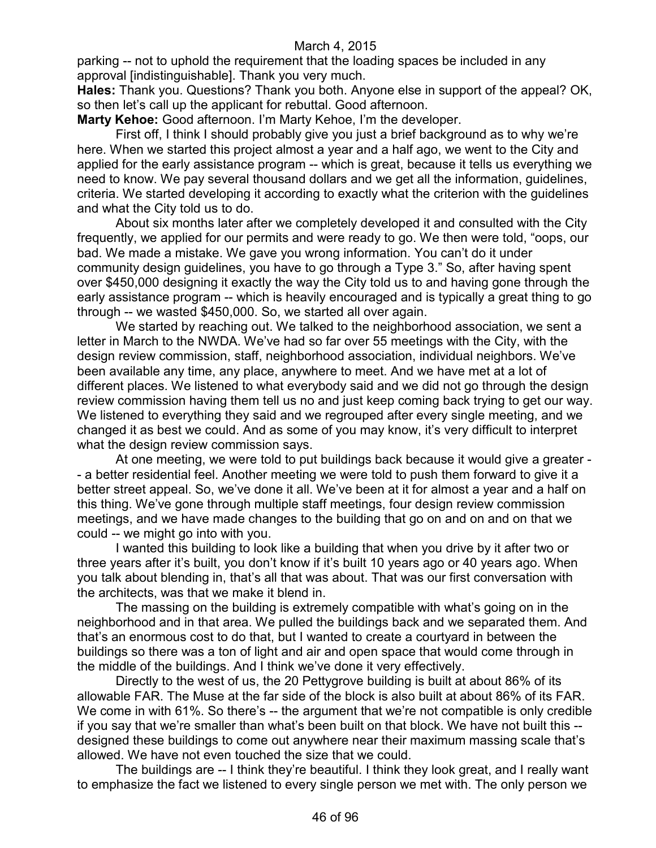parking -- not to uphold the requirement that the loading spaces be included in any approval [indistinguishable]. Thank you very much.

**Hales:** Thank you. Questions? Thank you both. Anyone else in support of the appeal? OK, so then let's call up the applicant for rebuttal. Good afternoon.

**Marty Kehoe:** Good afternoon. I'm Marty Kehoe, I'm the developer.

First off, I think I should probably give you just a brief background as to why we're here. When we started this project almost a year and a half ago, we went to the City and applied for the early assistance program -- which is great, because it tells us everything we need to know. We pay several thousand dollars and we get all the information, guidelines, criteria. We started developing it according to exactly what the criterion with the guidelines and what the City told us to do.

About six months later after we completely developed it and consulted with the City frequently, we applied for our permits and were ready to go. We then were told, "oops, our bad. We made a mistake. We gave you wrong information. You can't do it under community design guidelines, you have to go through a Type 3." So, after having spent over \$450,000 designing it exactly the way the City told us to and having gone through the early assistance program -- which is heavily encouraged and is typically a great thing to go through -- we wasted \$450,000. So, we started all over again.

We started by reaching out. We talked to the neighborhood association, we sent a letter in March to the NWDA. We've had so far over 55 meetings with the City, with the design review commission, staff, neighborhood association, individual neighbors. We've been available any time, any place, anywhere to meet. And we have met at a lot of different places. We listened to what everybody said and we did not go through the design review commission having them tell us no and just keep coming back trying to get our way. We listened to everything they said and we regrouped after every single meeting, and we changed it as best we could. And as some of you may know, it's very difficult to interpret what the design review commission says.

At one meeting, we were told to put buildings back because it would give a greater - - a better residential feel. Another meeting we were told to push them forward to give it a better street appeal. So, we've done it all. We've been at it for almost a year and a half on this thing. We've gone through multiple staff meetings, four design review commission meetings, and we have made changes to the building that go on and on and on that we could -- we might go into with you.

I wanted this building to look like a building that when you drive by it after two or three years after it's built, you don't know if it's built 10 years ago or 40 years ago. When you talk about blending in, that's all that was about. That was our first conversation with the architects, was that we make it blend in.

The massing on the building is extremely compatible with what's going on in the neighborhood and in that area. We pulled the buildings back and we separated them. And that's an enormous cost to do that, but I wanted to create a courtyard in between the buildings so there was a ton of light and air and open space that would come through in the middle of the buildings. And I think we've done it very effectively.

Directly to the west of us, the 20 Pettygrove building is built at about 86% of its allowable FAR. The Muse at the far side of the block is also built at about 86% of its FAR. We come in with 61%. So there's -- the argument that we're not compatible is only credible if you say that we're smaller than what's been built on that block. We have not built this - designed these buildings to come out anywhere near their maximum massing scale that's allowed. We have not even touched the size that we could.

The buildings are -- I think they're beautiful. I think they look great, and I really want to emphasize the fact we listened to every single person we met with. The only person we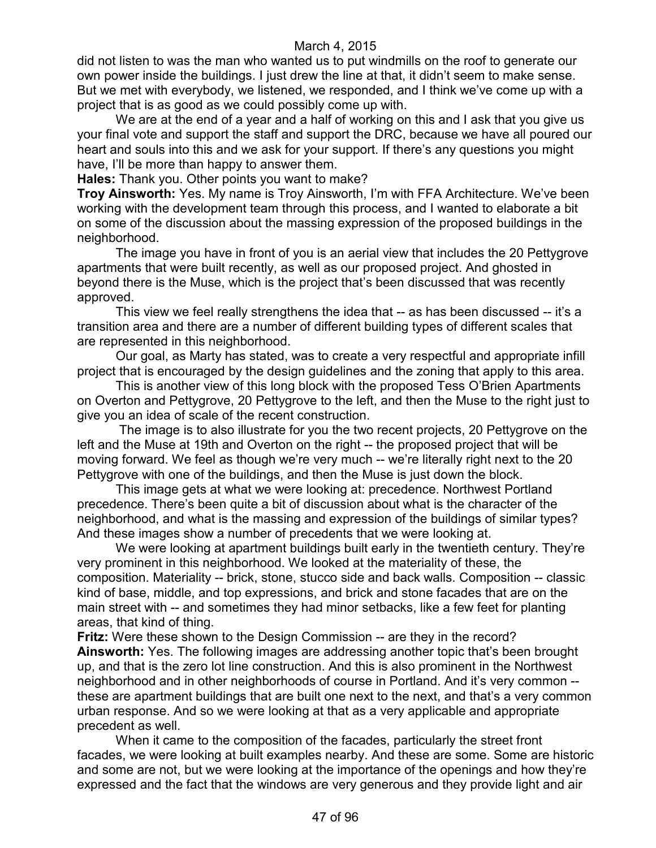did not listen to was the man who wanted us to put windmills on the roof to generate our own power inside the buildings. I just drew the line at that, it didn't seem to make sense. But we met with everybody, we listened, we responded, and I think we've come up with a project that is as good as we could possibly come up with.

We are at the end of a year and a half of working on this and I ask that you give us your final vote and support the staff and support the DRC, because we have all poured our heart and souls into this and we ask for your support. If there's any questions you might have, I'll be more than happy to answer them.

**Hales:** Thank you. Other points you want to make?

**Troy Ainsworth:** Yes. My name is Troy Ainsworth, I'm with FFA Architecture. We've been working with the development team through this process, and I wanted to elaborate a bit on some of the discussion about the massing expression of the proposed buildings in the neighborhood.

The image you have in front of you is an aerial view that includes the 20 Pettygrove apartments that were built recently, as well as our proposed project. And ghosted in beyond there is the Muse, which is the project that's been discussed that was recently approved.

This view we feel really strengthens the idea that -- as has been discussed -- it's a transition area and there are a number of different building types of different scales that are represented in this neighborhood.

Our goal, as Marty has stated, was to create a very respectful and appropriate infill project that is encouraged by the design guidelines and the zoning that apply to this area.

This is another view of this long block with the proposed Tess O'Brien Apartments on Overton and Pettygrove, 20 Pettygrove to the left, and then the Muse to the right just to give you an idea of scale of the recent construction.

The image is to also illustrate for you the two recent projects, 20 Pettygrove on the left and the Muse at 19th and Overton on the right -- the proposed project that will be moving forward. We feel as though we're very much -- we're literally right next to the 20 Pettygrove with one of the buildings, and then the Muse is just down the block.

This image gets at what we were looking at: precedence. Northwest Portland precedence. There's been quite a bit of discussion about what is the character of the neighborhood, and what is the massing and expression of the buildings of similar types? And these images show a number of precedents that we were looking at.

We were looking at apartment buildings built early in the twentieth century. They're very prominent in this neighborhood. We looked at the materiality of these, the composition. Materiality -- brick, stone, stucco side and back walls. Composition -- classic kind of base, middle, and top expressions, and brick and stone facades that are on the main street with -- and sometimes they had minor setbacks, like a few feet for planting areas, that kind of thing.

**Fritz:** Were these shown to the Design Commission -- are they in the record? **Ainsworth:** Yes. The following images are addressing another topic that's been brought up, and that is the zero lot line construction. And this is also prominent in the Northwest neighborhood and in other neighborhoods of course in Portland. And it's very common - these are apartment buildings that are built one next to the next, and that's a very common urban response. And so we were looking at that as a very applicable and appropriate precedent as well.

When it came to the composition of the facades, particularly the street front facades, we were looking at built examples nearby. And these are some. Some are historic and some are not, but we were looking at the importance of the openings and how they're expressed and the fact that the windows are very generous and they provide light and air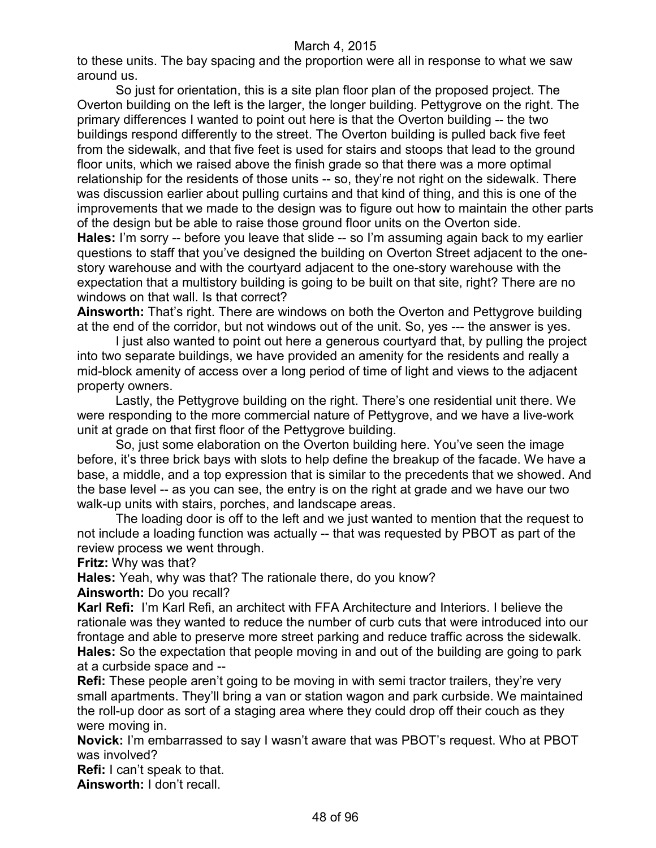to these units. The bay spacing and the proportion were all in response to what we saw around us.

So just for orientation, this is a site plan floor plan of the proposed project. The Overton building on the left is the larger, the longer building. Pettygrove on the right. The primary differences I wanted to point out here is that the Overton building -- the two buildings respond differently to the street. The Overton building is pulled back five feet from the sidewalk, and that five feet is used for stairs and stoops that lead to the ground floor units, which we raised above the finish grade so that there was a more optimal relationship for the residents of those units -- so, they're not right on the sidewalk. There was discussion earlier about pulling curtains and that kind of thing, and this is one of the improvements that we made to the design was to figure out how to maintain the other parts of the design but be able to raise those ground floor units on the Overton side. **Hales:** I'm sorry -- before you leave that slide -- so I'm assuming again back to my earlier questions to staff that you've designed the building on Overton Street adjacent to the onestory warehouse and with the courtyard adjacent to the one-story warehouse with the expectation that a multistory building is going to be built on that site, right? There are no windows on that wall. Is that correct?

**Ainsworth:** That's right. There are windows on both the Overton and Pettygrove building at the end of the corridor, but not windows out of the unit. So, yes --- the answer is yes.

I just also wanted to point out here a generous courtyard that, by pulling the project into two separate buildings, we have provided an amenity for the residents and really a mid-block amenity of access over a long period of time of light and views to the adjacent property owners.

Lastly, the Pettygrove building on the right. There's one residential unit there. We were responding to the more commercial nature of Pettygrove, and we have a live-work unit at grade on that first floor of the Pettygrove building.

So, just some elaboration on the Overton building here. You've seen the image before, it's three brick bays with slots to help define the breakup of the facade. We have a base, a middle, and a top expression that is similar to the precedents that we showed. And the base level -- as you can see, the entry is on the right at grade and we have our two walk-up units with stairs, porches, and landscape areas.

The loading door is off to the left and we just wanted to mention that the request to not include a loading function was actually -- that was requested by PBOT as part of the review process we went through.

**Fritz:** Why was that?

**Hales:** Yeah, why was that? The rationale there, do you know?

**Ainsworth:** Do you recall?

**Karl Refi:** I'm Karl Refi, an architect with FFA Architecture and Interiors. I believe the rationale was they wanted to reduce the number of curb cuts that were introduced into our frontage and able to preserve more street parking and reduce traffic across the sidewalk. **Hales:** So the expectation that people moving in and out of the building are going to park at a curbside space and --

**Refi:** These people aren't going to be moving in with semi tractor trailers, they're very small apartments. They'll bring a van or station wagon and park curbside. We maintained the roll-up door as sort of a staging area where they could drop off their couch as they were moving in.

**Novick:** I'm embarrassed to say I wasn't aware that was PBOT's request. Who at PBOT was involved?

**Refi:** I can't speak to that.

**Ainsworth:** I don't recall.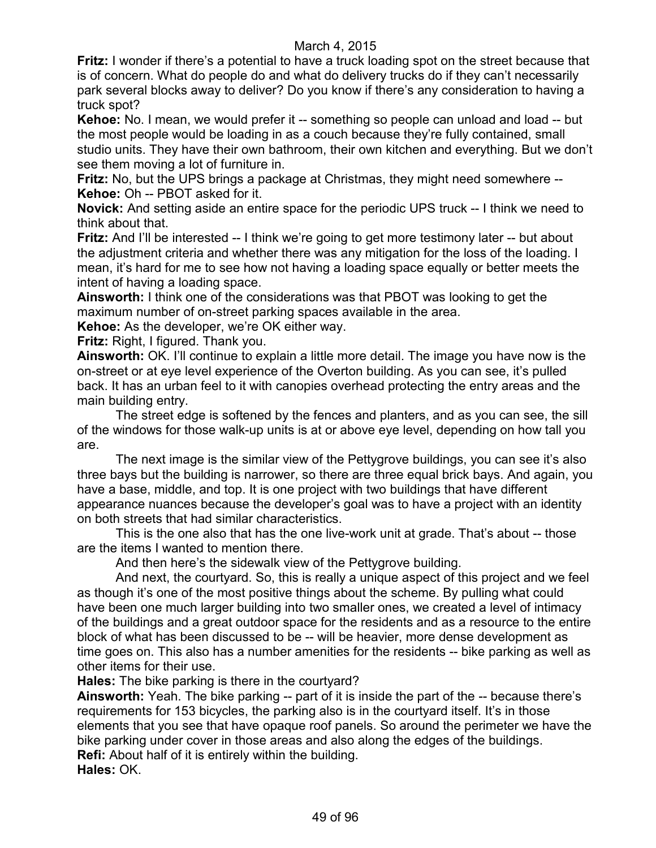**Fritz:** I wonder if there's a potential to have a truck loading spot on the street because that is of concern. What do people do and what do delivery trucks do if they can't necessarily park several blocks away to deliver? Do you know if there's any consideration to having a truck spot?

**Kehoe:** No. I mean, we would prefer it -- something so people can unload and load -- but the most people would be loading in as a couch because they're fully contained, small studio units. They have their own bathroom, their own kitchen and everything. But we don't see them moving a lot of furniture in.

**Fritz:** No, but the UPS brings a package at Christmas, they might need somewhere -- **Kehoe:** Oh -- PBOT asked for it.

**Novick:** And setting aside an entire space for the periodic UPS truck -- I think we need to think about that.

**Fritz:** And I'll be interested -- I think we're going to get more testimony later -- but about the adjustment criteria and whether there was any mitigation for the loss of the loading. I mean, it's hard for me to see how not having a loading space equally or better meets the intent of having a loading space.

**Ainsworth:** I think one of the considerations was that PBOT was looking to get the maximum number of on-street parking spaces available in the area.

**Kehoe:** As the developer, we're OK either way.

**Fritz:** Right, I figured. Thank you.

**Ainsworth:** OK. I'll continue to explain a little more detail. The image you have now is the on-street or at eye level experience of the Overton building. As you can see, it's pulled back. It has an urban feel to it with canopies overhead protecting the entry areas and the main building entry.

The street edge is softened by the fences and planters, and as you can see, the sill of the windows for those walk-up units is at or above eye level, depending on how tall you are.

The next image is the similar view of the Pettygrove buildings, you can see it's also three bays but the building is narrower, so there are three equal brick bays. And again, you have a base, middle, and top. It is one project with two buildings that have different appearance nuances because the developer's goal was to have a project with an identity on both streets that had similar characteristics.

This is the one also that has the one live-work unit at grade. That's about -- those are the items I wanted to mention there.

And then here's the sidewalk view of the Pettygrove building.

And next, the courtyard. So, this is really a unique aspect of this project and we feel as though it's one of the most positive things about the scheme. By pulling what could have been one much larger building into two smaller ones, we created a level of intimacy of the buildings and a great outdoor space for the residents and as a resource to the entire block of what has been discussed to be -- will be heavier, more dense development as time goes on. This also has a number amenities for the residents -- bike parking as well as other items for their use.

**Hales:** The bike parking is there in the courtyard?

**Ainsworth:** Yeah. The bike parking -- part of it is inside the part of the -- because there's requirements for 153 bicycles, the parking also is in the courtyard itself. It's in those elements that you see that have opaque roof panels. So around the perimeter we have the bike parking under cover in those areas and also along the edges of the buildings. **Refi:** About half of it is entirely within the building. **Hales:** OK.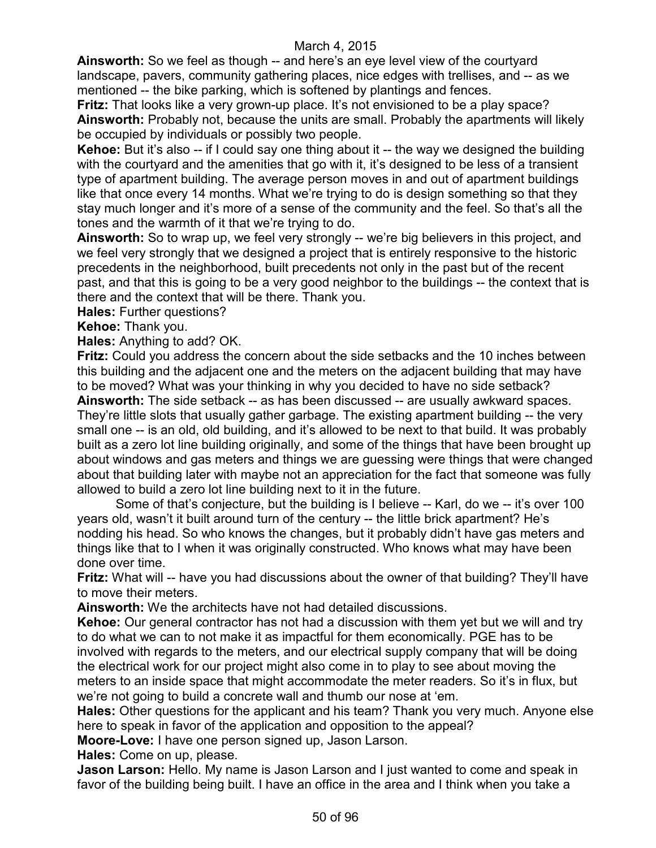**Ainsworth:** So we feel as though -- and here's an eye level view of the courtyard landscape, pavers, community gathering places, nice edges with trellises, and -- as we mentioned -- the bike parking, which is softened by plantings and fences.

**Fritz:** That looks like a very grown-up place. It's not envisioned to be a play space? **Ainsworth:** Probably not, because the units are small. Probably the apartments will likely be occupied by individuals or possibly two people.

**Kehoe:** But it's also -- if I could say one thing about it -- the way we designed the building with the courtyard and the amenities that go with it, it's designed to be less of a transient type of apartment building. The average person moves in and out of apartment buildings like that once every 14 months. What we're trying to do is design something so that they stay much longer and it's more of a sense of the community and the feel. So that's all the tones and the warmth of it that we're trying to do.

**Ainsworth:** So to wrap up, we feel very strongly -- we're big believers in this project, and we feel very strongly that we designed a project that is entirely responsive to the historic precedents in the neighborhood, built precedents not only in the past but of the recent past, and that this is going to be a very good neighbor to the buildings -- the context that is there and the context that will be there. Thank you.

**Hales:** Further questions?

**Kehoe:** Thank you.

**Hales:** Anything to add? OK.

**Fritz:** Could you address the concern about the side setbacks and the 10 inches between this building and the adjacent one and the meters on the adjacent building that may have to be moved? What was your thinking in why you decided to have no side setback? **Ainsworth:** The side setback -- as has been discussed -- are usually awkward spaces. They're little slots that usually gather garbage. The existing apartment building -- the very small one -- is an old, old building, and it's allowed to be next to that build. It was probably built as a zero lot line building originally, and some of the things that have been brought up about windows and gas meters and things we are guessing were things that were changed

about that building later with maybe not an appreciation for the fact that someone was fully allowed to build a zero lot line building next to it in the future.

Some of that's conjecture, but the building is I believe -- Karl, do we -- it's over 100 years old, wasn't it built around turn of the century -- the little brick apartment? He's nodding his head. So who knows the changes, but it probably didn't have gas meters and things like that to I when it was originally constructed. Who knows what may have been done over time.

**Fritz:** What will -- have you had discussions about the owner of that building? They'll have to move their meters.

**Ainsworth:** We the architects have not had detailed discussions.

**Kehoe:** Our general contractor has not had a discussion with them yet but we will and try to do what we can to not make it as impactful for them economically. PGE has to be involved with regards to the meters, and our electrical supply company that will be doing the electrical work for our project might also come in to play to see about moving the meters to an inside space that might accommodate the meter readers. So it's in flux, but we're not going to build a concrete wall and thumb our nose at 'em.

**Hales:** Other questions for the applicant and his team? Thank you very much. Anyone else here to speak in favor of the application and opposition to the appeal?

**Moore-Love:** I have one person signed up, Jason Larson.

**Hales:** Come on up, please.

**Jason Larson:** Hello. My name is Jason Larson and I just wanted to come and speak in favor of the building being built. I have an office in the area and I think when you take a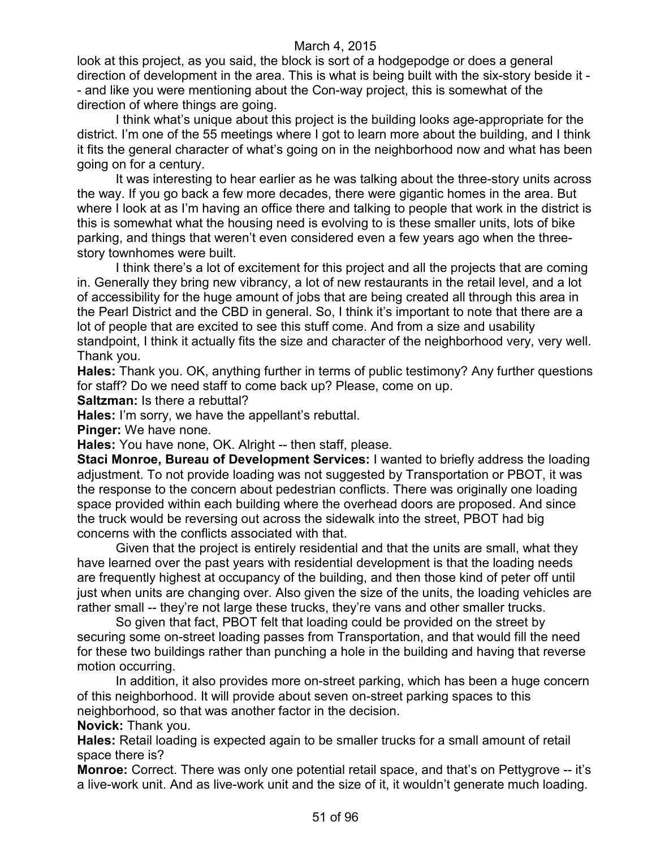look at this project, as you said, the block is sort of a hodgepodge or does a general direction of development in the area. This is what is being built with the six-story beside it - - and like you were mentioning about the Con-way project, this is somewhat of the direction of where things are going.

I think what's unique about this project is the building looks age-appropriate for the district. I'm one of the 55 meetings where I got to learn more about the building, and I think it fits the general character of what's going on in the neighborhood now and what has been going on for a century.

It was interesting to hear earlier as he was talking about the three-story units across the way. If you go back a few more decades, there were gigantic homes in the area. But where I look at as I'm having an office there and talking to people that work in the district is this is somewhat what the housing need is evolving to is these smaller units, lots of bike parking, and things that weren't even considered even a few years ago when the threestory townhomes were built.

I think there's a lot of excitement for this project and all the projects that are coming in. Generally they bring new vibrancy, a lot of new restaurants in the retail level, and a lot of accessibility for the huge amount of jobs that are being created all through this area in the Pearl District and the CBD in general. So, I think it's important to note that there are a lot of people that are excited to see this stuff come. And from a size and usability standpoint, I think it actually fits the size and character of the neighborhood very, very well. Thank you.

**Hales:** Thank you. OK, anything further in terms of public testimony? Any further questions for staff? Do we need staff to come back up? Please, come on up.

**Saltzman:** Is there a rebuttal?

**Hales:** I'm sorry, we have the appellant's rebuttal.

**Pinger:** We have none.

**Hales:** You have none, OK. Alright -- then staff, please.

**Staci Monroe, Bureau of Development Services:** I wanted to briefly address the loading adjustment. To not provide loading was not suggested by Transportation or PBOT, it was the response to the concern about pedestrian conflicts. There was originally one loading space provided within each building where the overhead doors are proposed. And since the truck would be reversing out across the sidewalk into the street, PBOT had big concerns with the conflicts associated with that.

Given that the project is entirely residential and that the units are small, what they have learned over the past years with residential development is that the loading needs are frequently highest at occupancy of the building, and then those kind of peter off until just when units are changing over. Also given the size of the units, the loading vehicles are rather small -- they're not large these trucks, they're vans and other smaller trucks.

So given that fact, PBOT felt that loading could be provided on the street by securing some on-street loading passes from Transportation, and that would fill the need for these two buildings rather than punching a hole in the building and having that reverse motion occurring.

In addition, it also provides more on-street parking, which has been a huge concern of this neighborhood. It will provide about seven on-street parking spaces to this neighborhood, so that was another factor in the decision.

**Novick:** Thank you.

**Hales:** Retail loading is expected again to be smaller trucks for a small amount of retail space there is?

**Monroe:** Correct. There was only one potential retail space, and that's on Pettygrove -- it's a live-work unit. And as live-work unit and the size of it, it wouldn't generate much loading.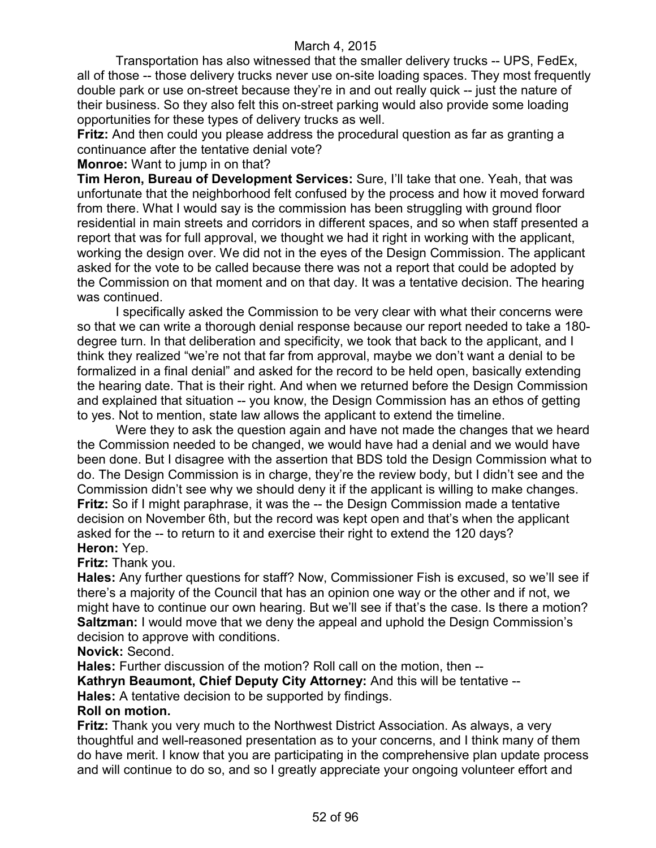Transportation has also witnessed that the smaller delivery trucks -- UPS, FedEx, all of those -- those delivery trucks never use on-site loading spaces. They most frequently double park or use on-street because they're in and out really quick -- just the nature of their business. So they also felt this on-street parking would also provide some loading opportunities for these types of delivery trucks as well.

**Fritz:** And then could you please address the procedural question as far as granting a continuance after the tentative denial vote?

**Monroe:** Want to jump in on that?

**Tim Heron, Bureau of Development Services:** Sure, I'll take that one. Yeah, that was unfortunate that the neighborhood felt confused by the process and how it moved forward from there. What I would say is the commission has been struggling with ground floor residential in main streets and corridors in different spaces, and so when staff presented a report that was for full approval, we thought we had it right in working with the applicant, working the design over. We did not in the eyes of the Design Commission. The applicant asked for the vote to be called because there was not a report that could be adopted by the Commission on that moment and on that day. It was a tentative decision. The hearing was continued.

I specifically asked the Commission to be very clear with what their concerns were so that we can write a thorough denial response because our report needed to take a 180 degree turn. In that deliberation and specificity, we took that back to the applicant, and I think they realized "we're not that far from approval, maybe we don't want a denial to be formalized in a final denial" and asked for the record to be held open, basically extending the hearing date. That is their right. And when we returned before the Design Commission and explained that situation -- you know, the Design Commission has an ethos of getting to yes. Not to mention, state law allows the applicant to extend the timeline.

Were they to ask the question again and have not made the changes that we heard the Commission needed to be changed, we would have had a denial and we would have been done. But I disagree with the assertion that BDS told the Design Commission what to do. The Design Commission is in charge, they're the review body, but I didn't see and the Commission didn't see why we should deny it if the applicant is willing to make changes. **Fritz:** So if I might paraphrase, it was the -- the Design Commission made a tentative decision on November 6th, but the record was kept open and that's when the applicant asked for the -- to return to it and exercise their right to extend the 120 days? **Heron:** Yep.

# **Fritz:** Thank you.

**Hales:** Any further questions for staff? Now, Commissioner Fish is excused, so we'll see if there's a majority of the Council that has an opinion one way or the other and if not, we might have to continue our own hearing. But we'll see if that's the case. Is there a motion? **Saltzman:** I would move that we deny the appeal and uphold the Design Commission's decision to approve with conditions.

**Novick:** Second.

**Hales:** Further discussion of the motion? Roll call on the motion, then --

**Kathryn Beaumont, Chief Deputy City Attorney:** And this will be tentative --

**Hales:** A tentative decision to be supported by findings.

#### **Roll on motion.**

**Fritz:** Thank you very much to the Northwest District Association. As always, a very thoughtful and well-reasoned presentation as to your concerns, and I think many of them do have merit. I know that you are participating in the comprehensive plan update process and will continue to do so, and so I greatly appreciate your ongoing volunteer effort and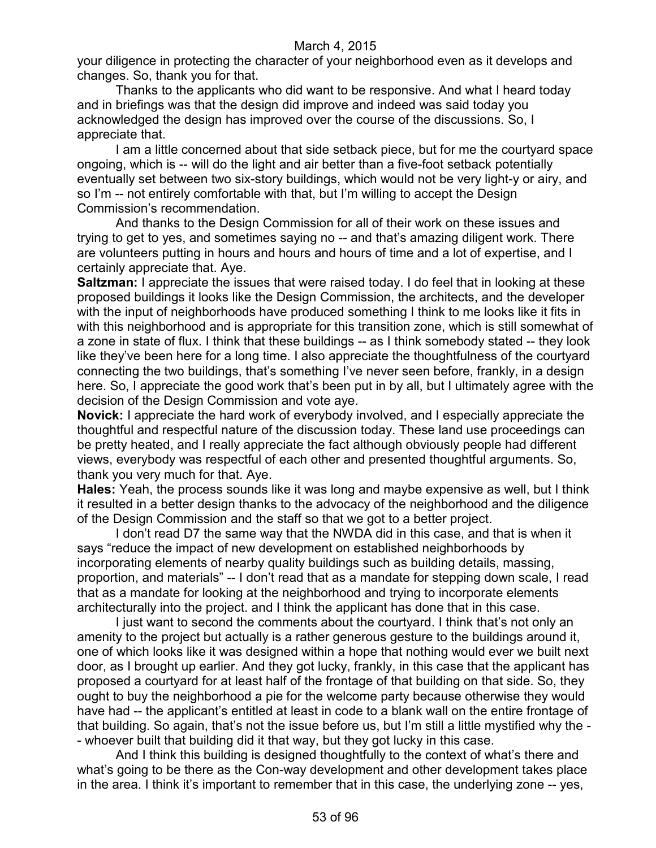your diligence in protecting the character of your neighborhood even as it develops and changes. So, thank you for that.

Thanks to the applicants who did want to be responsive. And what I heard today and in briefings was that the design did improve and indeed was said today you acknowledged the design has improved over the course of the discussions. So, I appreciate that.

I am a little concerned about that side setback piece, but for me the courtyard space ongoing, which is -- will do the light and air better than a five-foot setback potentially eventually set between two six-story buildings, which would not be very light-y or airy, and so I'm -- not entirely comfortable with that, but I'm willing to accept the Design Commission's recommendation.

And thanks to the Design Commission for all of their work on these issues and trying to get to yes, and sometimes saying no -- and that's amazing diligent work. There are volunteers putting in hours and hours and hours of time and a lot of expertise, and I certainly appreciate that. Aye.

**Saltzman:** I appreciate the issues that were raised today. I do feel that in looking at these proposed buildings it looks like the Design Commission, the architects, and the developer with the input of neighborhoods have produced something I think to me looks like it fits in with this neighborhood and is appropriate for this transition zone, which is still somewhat of a zone in state of flux. I think that these buildings -- as I think somebody stated -- they look like they've been here for a long time. I also appreciate the thoughtfulness of the courtyard connecting the two buildings, that's something I've never seen before, frankly, in a design here. So, I appreciate the good work that's been put in by all, but I ultimately agree with the decision of the Design Commission and vote aye.

**Novick:** I appreciate the hard work of everybody involved, and I especially appreciate the thoughtful and respectful nature of the discussion today. These land use proceedings can be pretty heated, and I really appreciate the fact although obviously people had different views, everybody was respectful of each other and presented thoughtful arguments. So, thank you very much for that. Aye.

**Hales:** Yeah, the process sounds like it was long and maybe expensive as well, but I think it resulted in a better design thanks to the advocacy of the neighborhood and the diligence of the Design Commission and the staff so that we got to a better project.

I don't read D7 the same way that the NWDA did in this case, and that is when it says "reduce the impact of new development on established neighborhoods by incorporating elements of nearby quality buildings such as building details, massing, proportion, and materials" -- I don't read that as a mandate for stepping down scale, I read that as a mandate for looking at the neighborhood and trying to incorporate elements architecturally into the project. and I think the applicant has done that in this case.

I just want to second the comments about the courtyard. I think that's not only an amenity to the project but actually is a rather generous gesture to the buildings around it, one of which looks like it was designed within a hope that nothing would ever we built next door, as I brought up earlier. And they got lucky, frankly, in this case that the applicant has proposed a courtyard for at least half of the frontage of that building on that side. So, they ought to buy the neighborhood a pie for the welcome party because otherwise they would have had -- the applicant's entitled at least in code to a blank wall on the entire frontage of that building. So again, that's not the issue before us, but I'm still a little mystified why the - - whoever built that building did it that way, but they got lucky in this case.

And I think this building is designed thoughtfully to the context of what's there and what's going to be there as the Con-way development and other development takes place in the area. I think it's important to remember that in this case, the underlying zone -- yes,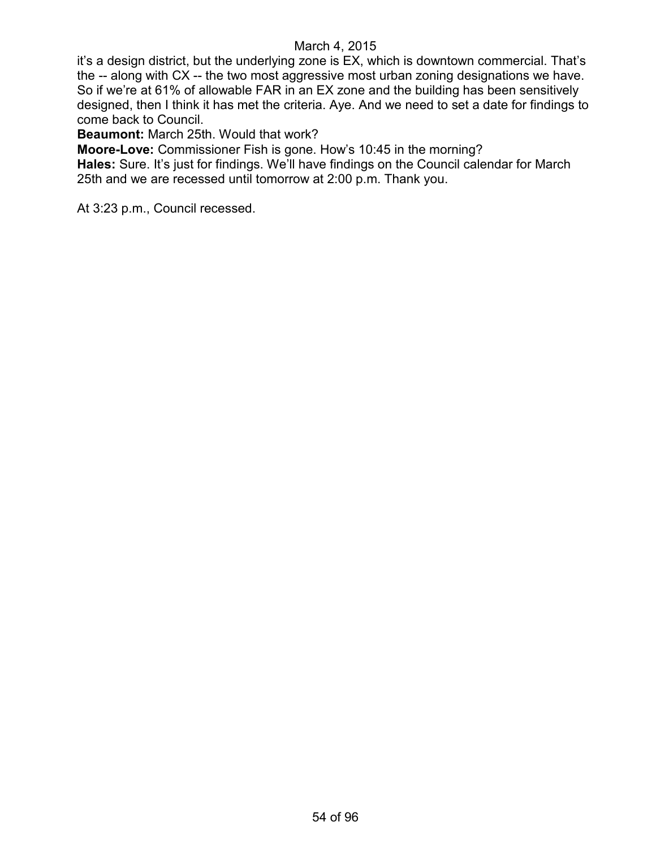it's a design district, but the underlying zone is EX, which is downtown commercial. That's the -- along with CX -- the two most aggressive most urban zoning designations we have. So if we're at 61% of allowable FAR in an EX zone and the building has been sensitively designed, then I think it has met the criteria. Aye. And we need to set a date for findings to come back to Council.

**Beaumont:** March 25th. Would that work?

**Moore-Love:** Commissioner Fish is gone. How's 10:45 in the morning?

**Hales:** Sure. It's just for findings. We'll have findings on the Council calendar for March 25th and we are recessed until tomorrow at 2:00 p.m. Thank you.

At 3:23 p.m., Council recessed.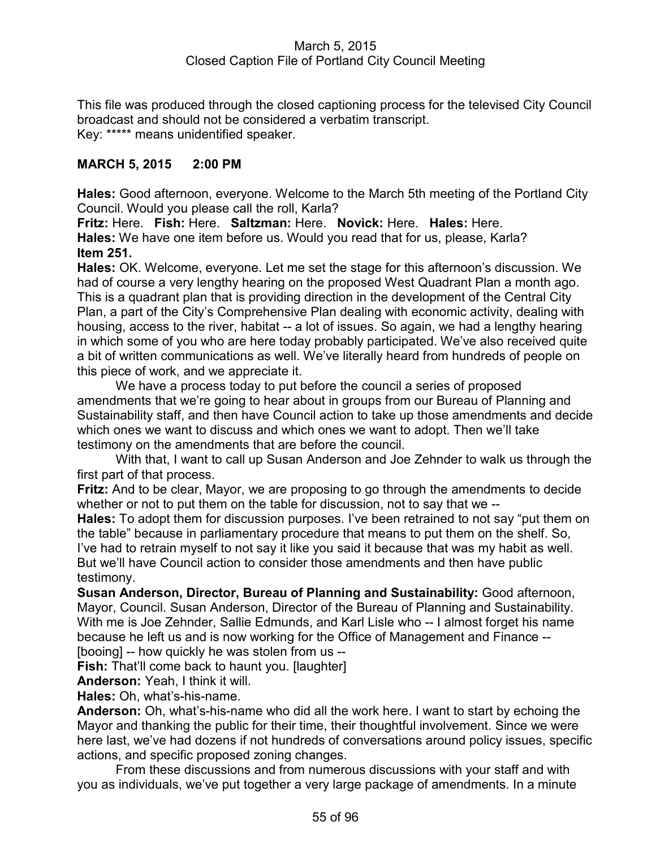## March 5, 2015 Closed Caption File of Portland City Council Meeting

This file was produced through the closed captioning process for the televised City Council broadcast and should not be considered a verbatim transcript. Key: \*\*\*\*\* means unidentified speaker.

# **MARCH 5, 2015 2:00 PM**

**Hales:** Good afternoon, everyone. Welcome to the March 5th meeting of the Portland City Council. Would you please call the roll, Karla?

**Fritz:** Here. **Fish:** Here. **Saltzman:** Here. **Novick:** Here. **Hales:** Here. **Hales:** We have one item before us. Would you read that for us, please, Karla? **Item 251.**

**Hales:** OK. Welcome, everyone. Let me set the stage for this afternoon's discussion. We had of course a very lengthy hearing on the proposed West Quadrant Plan a month ago. This is a quadrant plan that is providing direction in the development of the Central City Plan, a part of the City's Comprehensive Plan dealing with economic activity, dealing with housing, access to the river, habitat -- a lot of issues. So again, we had a lengthy hearing in which some of you who are here today probably participated. We've also received quite a bit of written communications as well. We've literally heard from hundreds of people on this piece of work, and we appreciate it.

We have a process today to put before the council a series of proposed amendments that we're going to hear about in groups from our Bureau of Planning and Sustainability staff, and then have Council action to take up those amendments and decide which ones we want to discuss and which ones we want to adopt. Then we'll take testimony on the amendments that are before the council.

With that, I want to call up Susan Anderson and Joe Zehnder to walk us through the first part of that process.

**Fritz:** And to be clear, Mayor, we are proposing to go through the amendments to decide whether or not to put them on the table for discussion, not to say that we --

**Hales:** To adopt them for discussion purposes. I've been retrained to not say "put them on the table" because in parliamentary procedure that means to put them on the shelf. So, I've had to retrain myself to not say it like you said it because that was my habit as well. But we'll have Council action to consider those amendments and then have public testimony.

**Susan Anderson, Director, Bureau of Planning and Sustainability:** Good afternoon, Mayor, Council. Susan Anderson, Director of the Bureau of Planning and Sustainability. With me is Joe Zehnder, Sallie Edmunds, and Karl Lisle who -- I almost forget his name because he left us and is now working for the Office of Management and Finance -- [booing] -- how quickly he was stolen from us --

**Fish:** That'll come back to haunt you. [laughter]

**Anderson:** Yeah, I think it will. **Hales:** Oh, what's-his-name.

**Anderson:** Oh, what's-his-name who did all the work here. I want to start by echoing the Mayor and thanking the public for their time, their thoughtful involvement. Since we were here last, we've had dozens if not hundreds of conversations around policy issues, specific actions, and specific proposed zoning changes.

From these discussions and from numerous discussions with your staff and with you as individuals, we've put together a very large package of amendments. In a minute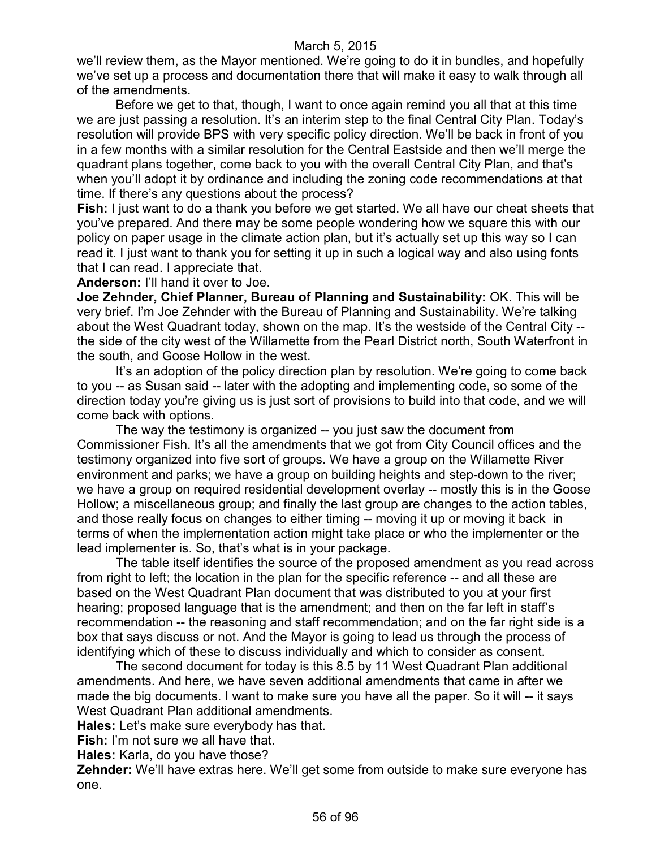we'll review them, as the Mayor mentioned. We're going to do it in bundles, and hopefully we've set up a process and documentation there that will make it easy to walk through all of the amendments.

Before we get to that, though, I want to once again remind you all that at this time we are just passing a resolution. It's an interim step to the final Central City Plan. Today's resolution will provide BPS with very specific policy direction. We'll be back in front of you in a few months with a similar resolution for the Central Eastside and then we'll merge the quadrant plans together, come back to you with the overall Central City Plan, and that's when you'll adopt it by ordinance and including the zoning code recommendations at that time. If there's any questions about the process?

**Fish:** I just want to do a thank you before we get started. We all have our cheat sheets that you've prepared. And there may be some people wondering how we square this with our policy on paper usage in the climate action plan, but it's actually set up this way so I can read it. I just want to thank you for setting it up in such a logical way and also using fonts that I can read. I appreciate that.

**Anderson:** I'll hand it over to Joe.

**Joe Zehnder, Chief Planner, Bureau of Planning and Sustainability:** OK. This will be very brief. I'm Joe Zehnder with the Bureau of Planning and Sustainability. We're talking about the West Quadrant today, shown on the map. It's the westside of the Central City - the side of the city west of the Willamette from the Pearl District north, South Waterfront in the south, and Goose Hollow in the west.

It's an adoption of the policy direction plan by resolution. We're going to come back to you -- as Susan said -- later with the adopting and implementing code, so some of the direction today you're giving us is just sort of provisions to build into that code, and we will come back with options.

The way the testimony is organized -- you just saw the document from Commissioner Fish. It's all the amendments that we got from City Council offices and the testimony organized into five sort of groups. We have a group on the Willamette River environment and parks; we have a group on building heights and step-down to the river; we have a group on required residential development overlay -- mostly this is in the Goose Hollow; a miscellaneous group; and finally the last group are changes to the action tables, and those really focus on changes to either timing -- moving it up or moving it back in terms of when the implementation action might take place or who the implementer or the lead implementer is. So, that's what is in your package.

The table itself identifies the source of the proposed amendment as you read across from right to left; the location in the plan for the specific reference -- and all these are based on the West Quadrant Plan document that was distributed to you at your first hearing; proposed language that is the amendment; and then on the far left in staff's recommendation -- the reasoning and staff recommendation; and on the far right side is a box that says discuss or not. And the Mayor is going to lead us through the process of identifying which of these to discuss individually and which to consider as consent.

The second document for today is this 8.5 by 11 West Quadrant Plan additional amendments. And here, we have seven additional amendments that came in after we made the big documents. I want to make sure you have all the paper. So it will -- it says West Quadrant Plan additional amendments.

**Hales:** Let's make sure everybody has that.

**Fish:** I'm not sure we all have that.

**Hales:** Karla, do you have those?

**Zehnder:** We'll have extras here. We'll get some from outside to make sure everyone has one.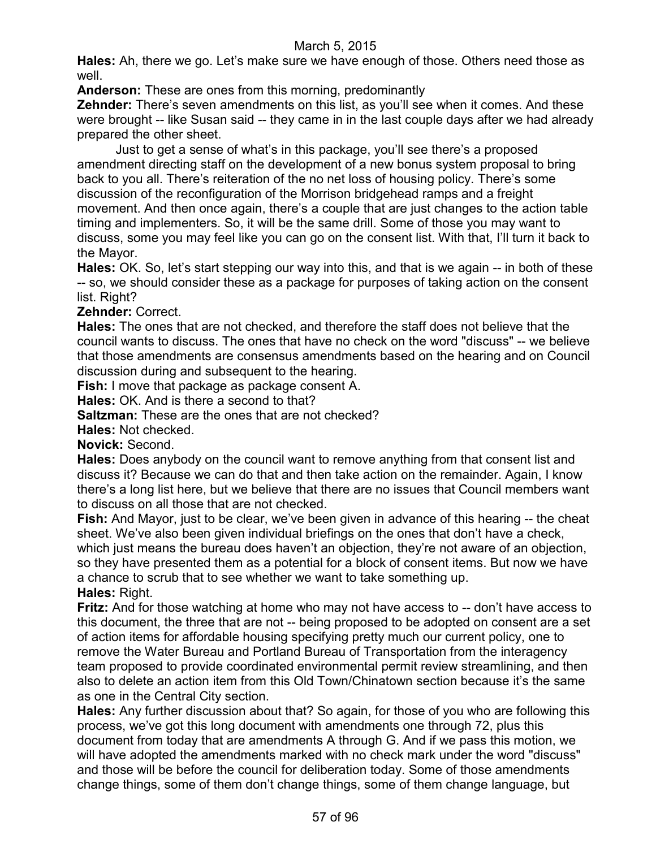**Hales:** Ah, there we go. Let's make sure we have enough of those. Others need those as well.

**Anderson:** These are ones from this morning, predominantly

**Zehnder:** There's seven amendments on this list, as you'll see when it comes. And these were brought -- like Susan said -- they came in in the last couple days after we had already prepared the other sheet.

Just to get a sense of what's in this package, you'll see there's a proposed amendment directing staff on the development of a new bonus system proposal to bring back to you all. There's reiteration of the no net loss of housing policy. There's some discussion of the reconfiguration of the Morrison bridgehead ramps and a freight movement. And then once again, there's a couple that are just changes to the action table timing and implementers. So, it will be the same drill. Some of those you may want to discuss, some you may feel like you can go on the consent list. With that, I'll turn it back to the Mayor.

**Hales:** OK. So, let's start stepping our way into this, and that is we again -- in both of these -- so, we should consider these as a package for purposes of taking action on the consent list. Right?

**Zehnder:** Correct.

**Hales:** The ones that are not checked, and therefore the staff does not believe that the council wants to discuss. The ones that have no check on the word "discuss" -- we believe that those amendments are consensus amendments based on the hearing and on Council discussion during and subsequent to the hearing.

**Fish:** I move that package as package consent A.

**Hales:** OK. And is there a second to that?

**Saltzman:** These are the ones that are not checked?

**Hales:** Not checked.

**Novick:** Second.

**Hales:** Does anybody on the council want to remove anything from that consent list and discuss it? Because we can do that and then take action on the remainder. Again, I know there's a long list here, but we believe that there are no issues that Council members want to discuss on all those that are not checked.

**Fish:** And Mayor, just to be clear, we've been given in advance of this hearing -- the cheat sheet. We've also been given individual briefings on the ones that don't have a check, which just means the bureau does haven't an objection, they're not aware of an objection, so they have presented them as a potential for a block of consent items. But now we have a chance to scrub that to see whether we want to take something up. **Hales:** Right.

**Fritz:** And for those watching at home who may not have access to -- don't have access to this document, the three that are not -- being proposed to be adopted on consent are a set of action items for affordable housing specifying pretty much our current policy, one to remove the Water Bureau and Portland Bureau of Transportation from the interagency team proposed to provide coordinated environmental permit review streamlining, and then also to delete an action item from this Old Town/Chinatown section because it's the same as one in the Central City section.

**Hales:** Any further discussion about that? So again, for those of you who are following this process, we've got this long document with amendments one through 72, plus this document from today that are amendments A through G. And if we pass this motion, we will have adopted the amendments marked with no check mark under the word "discuss" and those will be before the council for deliberation today. Some of those amendments change things, some of them don't change things, some of them change language, but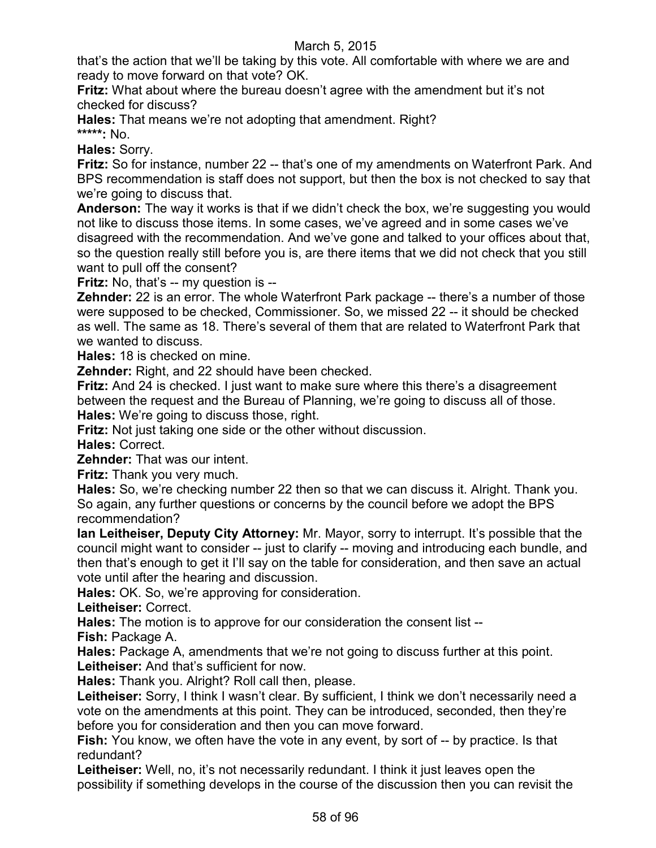that's the action that we'll be taking by this vote. All comfortable with where we are and ready to move forward on that vote? OK.

**Fritz:** What about where the bureau doesn't agree with the amendment but it's not checked for discuss?

**Hales:** That means we're not adopting that amendment. Right? **\*\*\*\*\*:** No.

**Hales:** Sorry.

**Fritz:** So for instance, number 22 -- that's one of my amendments on Waterfront Park. And BPS recommendation is staff does not support, but then the box is not checked to say that we're going to discuss that.

**Anderson:** The way it works is that if we didn't check the box, we're suggesting you would not like to discuss those items. In some cases, we've agreed and in some cases we've disagreed with the recommendation. And we've gone and talked to your offices about that, so the question really still before you is, are there items that we did not check that you still want to pull off the consent?

**Fritz:** No, that's -- my question is --

**Zehnder:** 22 is an error. The whole Waterfront Park package -- there's a number of those were supposed to be checked, Commissioner. So, we missed 22 -- it should be checked as well. The same as 18. There's several of them that are related to Waterfront Park that we wanted to discuss.

**Hales:** 18 is checked on mine.

**Zehnder:** Right, and 22 should have been checked.

**Fritz:** And 24 is checked. I just want to make sure where this there's a disagreement between the request and the Bureau of Planning, we're going to discuss all of those.

**Hales:** We're going to discuss those, right.

**Fritz:** Not just taking one side or the other without discussion.

**Hales:** Correct.

**Zehnder:** That was our intent.

**Fritz:** Thank you very much.

**Hales:** So, we're checking number 22 then so that we can discuss it. Alright. Thank you. So again, any further questions or concerns by the council before we adopt the BPS recommendation?

**Ian Leitheiser, Deputy City Attorney:** Mr. Mayor, sorry to interrupt. It's possible that the council might want to consider -- just to clarify -- moving and introducing each bundle, and then that's enough to get it I'll say on the table for consideration, and then save an actual vote until after the hearing and discussion.

**Hales:** OK. So, we're approving for consideration.

**Leitheiser:** Correct.

**Hales:** The motion is to approve for our consideration the consent list --

**Fish:** Package A.

**Hales:** Package A, amendments that we're not going to discuss further at this point. **Leitheiser:** And that's sufficient for now.

**Hales:** Thank you. Alright? Roll call then, please.

Leitheiser: Sorry, I think I wasn't clear. By sufficient, I think we don't necessarily need a vote on the amendments at this point. They can be introduced, seconded, then they're before you for consideration and then you can move forward.

**Fish:** You know, we often have the vote in any event, by sort of -- by practice. Is that redundant?

Leitheiser: Well, no, it's not necessarily redundant. I think it just leaves open the possibility if something develops in the course of the discussion then you can revisit the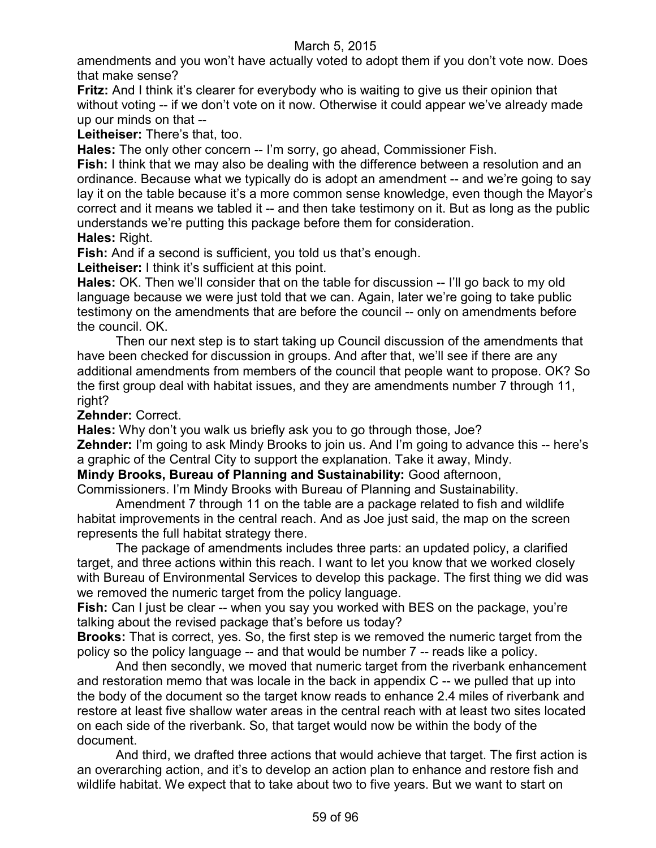amendments and you won't have actually voted to adopt them if you don't vote now. Does that make sense?

**Fritz:** And I think it's clearer for everybody who is waiting to give us their opinion that without voting -- if we don't vote on it now. Otherwise it could appear we've already made up our minds on that --

**Leitheiser:** There's that, too.

**Hales:** The only other concern -- I'm sorry, go ahead, Commissioner Fish.

**Fish:** I think that we may also be dealing with the difference between a resolution and an ordinance. Because what we typically do is adopt an amendment -- and we're going to say lay it on the table because it's a more common sense knowledge, even though the Mayor's correct and it means we tabled it -- and then take testimony on it. But as long as the public understands we're putting this package before them for consideration. **Hales:** Right.

**Fish:** And if a second is sufficient, you told us that's enough.

**Leitheiser:** I think it's sufficient at this point.

**Hales:** OK. Then we'll consider that on the table for discussion -- I'll go back to my old language because we were just told that we can. Again, later we're going to take public testimony on the amendments that are before the council -- only on amendments before the council. OK.

Then our next step is to start taking up Council discussion of the amendments that have been checked for discussion in groups. And after that, we'll see if there are any additional amendments from members of the council that people want to propose. OK? So the first group deal with habitat issues, and they are amendments number 7 through 11, right?

**Zehnder:** Correct.

**Hales:** Why don't you walk us briefly ask you to go through those, Joe?

**Zehnder:** I'm going to ask Mindy Brooks to join us. And I'm going to advance this -- here's a graphic of the Central City to support the explanation. Take it away, Mindy.

# **Mindy Brooks, Bureau of Planning and Sustainability:** Good afternoon,

Commissioners. I'm Mindy Brooks with Bureau of Planning and Sustainability.

Amendment 7 through 11 on the table are a package related to fish and wildlife habitat improvements in the central reach. And as Joe just said, the map on the screen represents the full habitat strategy there.

The package of amendments includes three parts: an updated policy, a clarified target, and three actions within this reach. I want to let you know that we worked closely with Bureau of Environmental Services to develop this package. The first thing we did was we removed the numeric target from the policy language.

**Fish:** Can I just be clear -- when you say you worked with BES on the package, you're talking about the revised package that's before us today?

**Brooks:** That is correct, yes. So, the first step is we removed the numeric target from the policy so the policy language -- and that would be number 7 -- reads like a policy.

And then secondly, we moved that numeric target from the riverbank enhancement and restoration memo that was locale in the back in appendix C -- we pulled that up into the body of the document so the target know reads to enhance 2.4 miles of riverbank and restore at least five shallow water areas in the central reach with at least two sites located on each side of the riverbank. So, that target would now be within the body of the document.

And third, we drafted three actions that would achieve that target. The first action is an overarching action, and it's to develop an action plan to enhance and restore fish and wildlife habitat. We expect that to take about two to five years. But we want to start on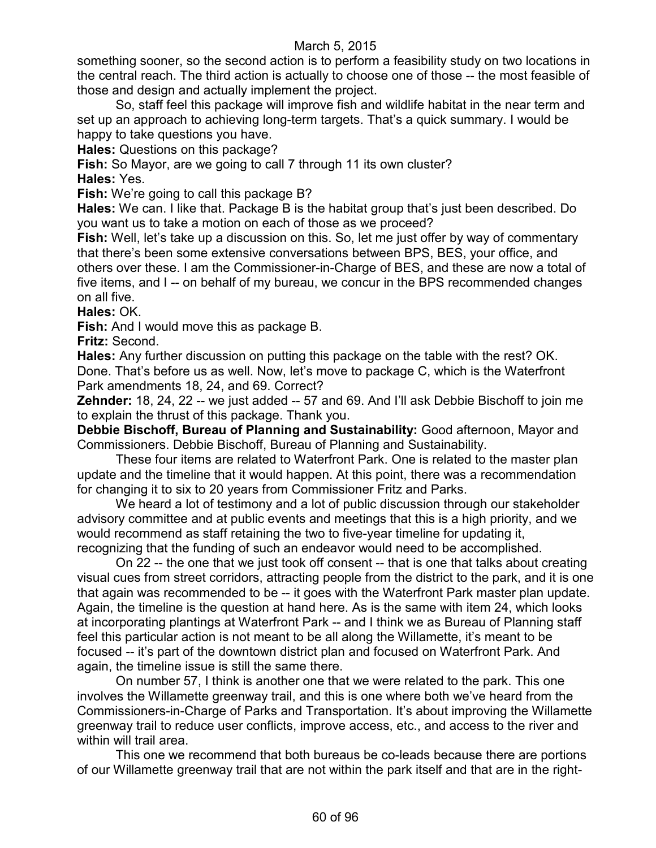something sooner, so the second action is to perform a feasibility study on two locations in the central reach. The third action is actually to choose one of those -- the most feasible of those and design and actually implement the project.

So, staff feel this package will improve fish and wildlife habitat in the near term and set up an approach to achieving long-term targets. That's a quick summary. I would be happy to take questions you have.

**Hales:** Questions on this package?

**Fish:** So Mayor, are we going to call 7 through 11 its own cluster?

**Hales:** Yes.

**Fish:** We're going to call this package B?

**Hales:** We can. I like that. Package B is the habitat group that's just been described. Do you want us to take a motion on each of those as we proceed?

**Fish:** Well, let's take up a discussion on this. So, let me just offer by way of commentary that there's been some extensive conversations between BPS, BES, your office, and others over these. I am the Commissioner-in-Charge of BES, and these are now a total of five items, and I -- on behalf of my bureau, we concur in the BPS recommended changes on all five.

**Hales:** OK.

**Fish:** And I would move this as package B.

**Fritz:** Second.

**Hales:** Any further discussion on putting this package on the table with the rest? OK. Done. That's before us as well. Now, let's move to package C, which is the Waterfront Park amendments 18, 24, and 69. Correct?

**Zehnder:** 18, 24, 22 -- we just added -- 57 and 69. And I'll ask Debbie Bischoff to join me to explain the thrust of this package. Thank you.

**Debbie Bischoff, Bureau of Planning and Sustainability:** Good afternoon, Mayor and Commissioners. Debbie Bischoff, Bureau of Planning and Sustainability.

These four items are related to Waterfront Park. One is related to the master plan update and the timeline that it would happen. At this point, there was a recommendation for changing it to six to 20 years from Commissioner Fritz and Parks.

We heard a lot of testimony and a lot of public discussion through our stakeholder advisory committee and at public events and meetings that this is a high priority, and we would recommend as staff retaining the two to five-year timeline for updating it, recognizing that the funding of such an endeavor would need to be accomplished.

On 22 -- the one that we just took off consent -- that is one that talks about creating visual cues from street corridors, attracting people from the district to the park, and it is one that again was recommended to be -- it goes with the Waterfront Park master plan update. Again, the timeline is the question at hand here. As is the same with item 24, which looks at incorporating plantings at Waterfront Park -- and I think we as Bureau of Planning staff feel this particular action is not meant to be all along the Willamette, it's meant to be focused -- it's part of the downtown district plan and focused on Waterfront Park. And again, the timeline issue is still the same there.

On number 57, I think is another one that we were related to the park. This one involves the Willamette greenway trail, and this is one where both we've heard from the Commissioners-in-Charge of Parks and Transportation. It's about improving the Willamette greenway trail to reduce user conflicts, improve access, etc., and access to the river and within will trail area.

This one we recommend that both bureaus be co-leads because there are portions of our Willamette greenway trail that are not within the park itself and that are in the right-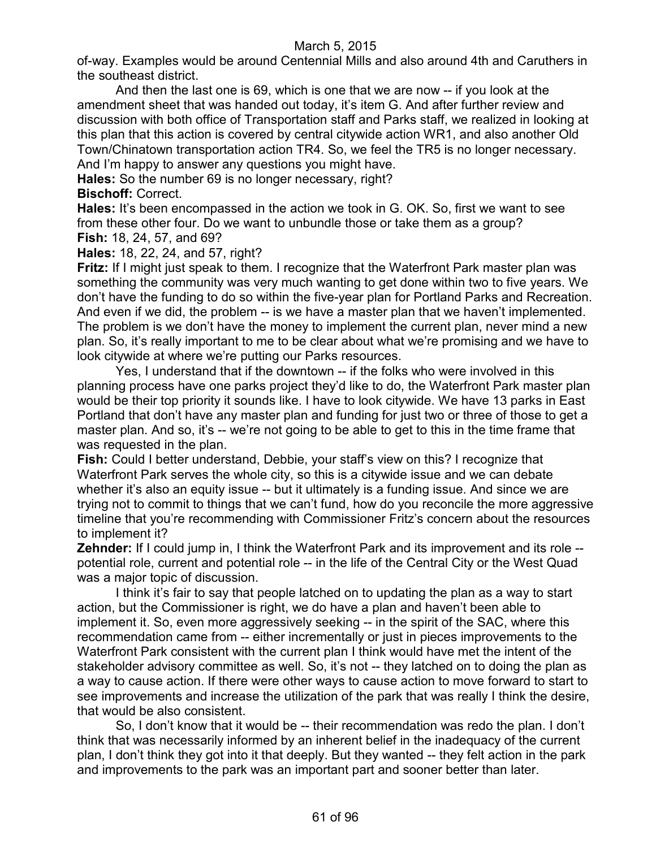of-way. Examples would be around Centennial Mills and also around 4th and Caruthers in the southeast district.

And then the last one is 69, which is one that we are now -- if you look at the amendment sheet that was handed out today, it's item G. And after further review and discussion with both office of Transportation staff and Parks staff, we realized in looking at this plan that this action is covered by central citywide action WR1, and also another Old Town/Chinatown transportation action TR4. So, we feel the TR5 is no longer necessary. And I'm happy to answer any questions you might have.

**Hales:** So the number 69 is no longer necessary, right?

### **Bischoff:** Correct.

**Hales:** It's been encompassed in the action we took in G. OK. So, first we want to see from these other four. Do we want to unbundle those or take them as a group? **Fish:** 18, 24, 57, and 69?

**Hales:** 18, 22, 24, and 57, right?

**Fritz:** If I might just speak to them. I recognize that the Waterfront Park master plan was something the community was very much wanting to get done within two to five years. We don't have the funding to do so within the five-year plan for Portland Parks and Recreation. And even if we did, the problem -- is we have a master plan that we haven't implemented. The problem is we don't have the money to implement the current plan, never mind a new plan. So, it's really important to me to be clear about what we're promising and we have to look citywide at where we're putting our Parks resources.

Yes, I understand that if the downtown -- if the folks who were involved in this planning process have one parks project they'd like to do, the Waterfront Park master plan would be their top priority it sounds like. I have to look citywide. We have 13 parks in East Portland that don't have any master plan and funding for just two or three of those to get a master plan. And so, it's -- we're not going to be able to get to this in the time frame that was requested in the plan.

**Fish:** Could I better understand, Debbie, your staff's view on this? I recognize that Waterfront Park serves the whole city, so this is a citywide issue and we can debate whether it's also an equity issue -- but it ultimately is a funding issue. And since we are trying not to commit to things that we can't fund, how do you reconcile the more aggressive timeline that you're recommending with Commissioner Fritz's concern about the resources to implement it?

**Zehnder:** If I could jump in, I think the Waterfront Park and its improvement and its role -potential role, current and potential role -- in the life of the Central City or the West Quad was a major topic of discussion.

I think it's fair to say that people latched on to updating the plan as a way to start action, but the Commissioner is right, we do have a plan and haven't been able to implement it. So, even more aggressively seeking -- in the spirit of the SAC, where this recommendation came from -- either incrementally or just in pieces improvements to the Waterfront Park consistent with the current plan I think would have met the intent of the stakeholder advisory committee as well. So, it's not -- they latched on to doing the plan as a way to cause action. If there were other ways to cause action to move forward to start to see improvements and increase the utilization of the park that was really I think the desire, that would be also consistent.

So, I don't know that it would be -- their recommendation was redo the plan. I don't think that was necessarily informed by an inherent belief in the inadequacy of the current plan, I don't think they got into it that deeply. But they wanted -- they felt action in the park and improvements to the park was an important part and sooner better than later.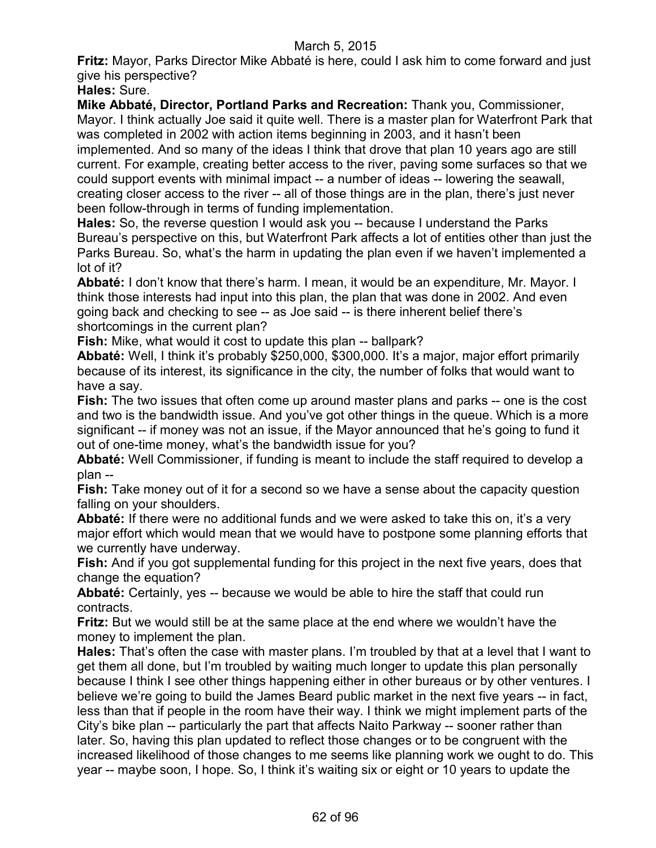**Fritz:** Mayor, Parks Director Mike Abbaté is here, could I ask him to come forward and just give his perspective?

**Hales:** Sure.

**Mike Abbaté, Director, Portland Parks and Recreation:** Thank you, Commissioner, Mayor. I think actually Joe said it quite well. There is a master plan for Waterfront Park that was completed in 2002 with action items beginning in 2003, and it hasn't been implemented. And so many of the ideas I think that drove that plan 10 years ago are still current. For example, creating better access to the river, paving some surfaces so that we

could support events with minimal impact -- a number of ideas -- lowering the seawall, creating closer access to the river -- all of those things are in the plan, there's just never been follow-through in terms of funding implementation.

**Hales:** So, the reverse question I would ask you -- because I understand the Parks Bureau's perspective on this, but Waterfront Park affects a lot of entities other than just the Parks Bureau. So, what's the harm in updating the plan even if we haven't implemented a lot of it?

**Abbaté:** I don't know that there's harm. I mean, it would be an expenditure, Mr. Mayor. I think those interests had input into this plan, the plan that was done in 2002. And even going back and checking to see -- as Joe said -- is there inherent belief there's shortcomings in the current plan?

**Fish:** Mike, what would it cost to update this plan -- ballpark?

**Abbaté:** Well, I think it's probably \$250,000, \$300,000. It's a major, major effort primarily because of its interest, its significance in the city, the number of folks that would want to have a say.

**Fish:** The two issues that often come up around master plans and parks -- one is the cost and two is the bandwidth issue. And you've got other things in the queue. Which is a more significant -- if money was not an issue, if the Mayor announced that he's going to fund it out of one-time money, what's the bandwidth issue for you?

**Abbaté:** Well Commissioner, if funding is meant to include the staff required to develop a plan --

**Fish:** Take money out of it for a second so we have a sense about the capacity question falling on your shoulders.

**Abbaté:** If there were no additional funds and we were asked to take this on, it's a very major effort which would mean that we would have to postpone some planning efforts that we currently have underway.

**Fish:** And if you got supplemental funding for this project in the next five years, does that change the equation?

**Abbaté:** Certainly, yes -- because we would be able to hire the staff that could run contracts.

**Fritz:** But we would still be at the same place at the end where we wouldn't have the money to implement the plan.

**Hales:** That's often the case with master plans. I'm troubled by that at a level that I want to get them all done, but I'm troubled by waiting much longer to update this plan personally because I think I see other things happening either in other bureaus or by other ventures. I believe we're going to build the James Beard public market in the next five years -- in fact, less than that if people in the room have their way. I think we might implement parts of the City's bike plan -- particularly the part that affects Naito Parkway -- sooner rather than later. So, having this plan updated to reflect those changes or to be congruent with the increased likelihood of those changes to me seems like planning work we ought to do. This year -- maybe soon, I hope. So, I think it's waiting six or eight or 10 years to update the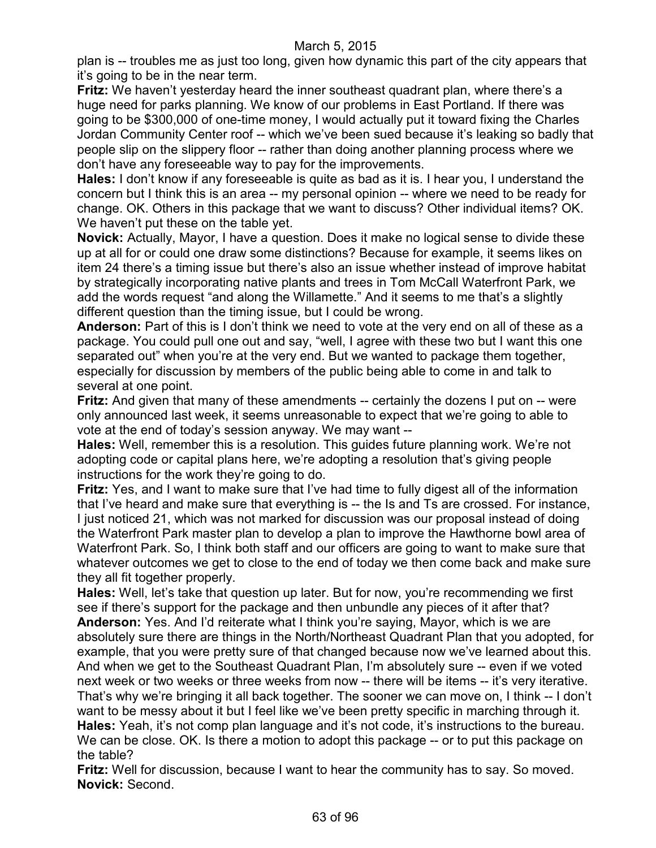plan is -- troubles me as just too long, given how dynamic this part of the city appears that it's going to be in the near term.

**Fritz:** We haven't yesterday heard the inner southeast quadrant plan, where there's a huge need for parks planning. We know of our problems in East Portland. If there was going to be \$300,000 of one-time money, I would actually put it toward fixing the Charles Jordan Community Center roof -- which we've been sued because it's leaking so badly that people slip on the slippery floor -- rather than doing another planning process where we don't have any foreseeable way to pay for the improvements.

**Hales:** I don't know if any foreseeable is quite as bad as it is. I hear you, I understand the concern but I think this is an area -- my personal opinion -- where we need to be ready for change. OK. Others in this package that we want to discuss? Other individual items? OK. We haven't put these on the table yet.

**Novick:** Actually, Mayor, I have a question. Does it make no logical sense to divide these up at all for or could one draw some distinctions? Because for example, it seems likes on item 24 there's a timing issue but there's also an issue whether instead of improve habitat by strategically incorporating native plants and trees in Tom McCall Waterfront Park, we add the words request "and along the Willamette." And it seems to me that's a slightly different question than the timing issue, but I could be wrong.

**Anderson:** Part of this is I don't think we need to vote at the very end on all of these as a package. You could pull one out and say, "well, I agree with these two but I want this one separated out" when you're at the very end. But we wanted to package them together, especially for discussion by members of the public being able to come in and talk to several at one point.

**Fritz:** And given that many of these amendments -- certainly the dozens I put on -- were only announced last week, it seems unreasonable to expect that we're going to able to vote at the end of today's session anyway. We may want --

**Hales:** Well, remember this is a resolution. This guides future planning work. We're not adopting code or capital plans here, we're adopting a resolution that's giving people instructions for the work they're going to do.

**Fritz:** Yes, and I want to make sure that I've had time to fully digest all of the information that I've heard and make sure that everything is -- the Is and Ts are crossed. For instance, I just noticed 21, which was not marked for discussion was our proposal instead of doing the Waterfront Park master plan to develop a plan to improve the Hawthorne bowl area of Waterfront Park. So, I think both staff and our officers are going to want to make sure that whatever outcomes we get to close to the end of today we then come back and make sure they all fit together properly.

**Hales:** Well, let's take that question up later. But for now, you're recommending we first see if there's support for the package and then unbundle any pieces of it after that? **Anderson:** Yes. And I'd reiterate what I think you're saying, Mayor, which is we are absolutely sure there are things in the North/Northeast Quadrant Plan that you adopted, for example, that you were pretty sure of that changed because now we've learned about this. And when we get to the Southeast Quadrant Plan, I'm absolutely sure -- even if we voted next week or two weeks or three weeks from now -- there will be items -- it's very iterative. That's why we're bringing it all back together. The sooner we can move on, I think -- I don't want to be messy about it but I feel like we've been pretty specific in marching through it. **Hales:** Yeah, it's not comp plan language and it's not code, it's instructions to the bureau. We can be close. OK. Is there a motion to adopt this package -- or to put this package on the table?

**Fritz:** Well for discussion, because I want to hear the community has to say. So moved. **Novick:** Second.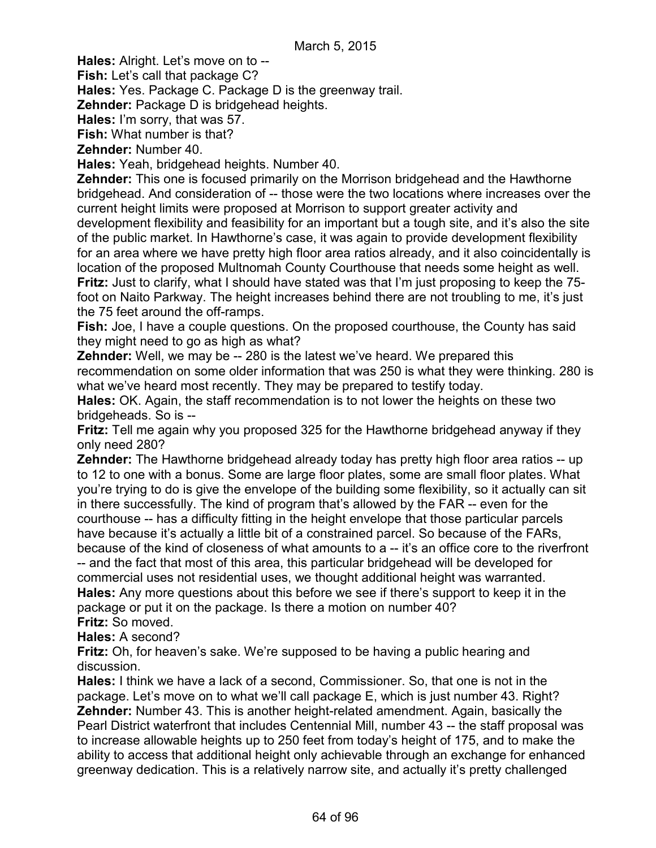**Hales:** Alright. Let's move on to --

**Fish:** Let's call that package C?

**Hales:** Yes. Package C. Package D is the greenway trail.

**Zehnder:** Package D is bridgehead heights.

**Hales:** I'm sorry, that was 57.

**Fish:** What number is that?

**Zehnder:** Number 40.

**Hales:** Yeah, bridgehead heights. Number 40.

**Zehnder:** This one is focused primarily on the Morrison bridgehead and the Hawthorne bridgehead. And consideration of -- those were the two locations where increases over the current height limits were proposed at Morrison to support greater activity and development flexibility and feasibility for an important but a tough site, and it's also the site of the public market. In Hawthorne's case, it was again to provide development flexibility for an area where we have pretty high floor area ratios already, and it also coincidentally is location of the proposed Multnomah County Courthouse that needs some height as well. **Fritz:** Just to clarify, what I should have stated was that I'm just proposing to keep the 75 foot on Naito Parkway. The height increases behind there are not troubling to me, it's just the 75 feet around the off-ramps.

**Fish:** Joe, I have a couple questions. On the proposed courthouse, the County has said they might need to go as high as what?

**Zehnder:** Well, we may be -- 280 is the latest we've heard. We prepared this recommendation on some older information that was 250 is what they were thinking. 280 is what we've heard most recently. They may be prepared to testify today.

**Hales:** OK. Again, the staff recommendation is to not lower the heights on these two bridgeheads. So is --

**Fritz:** Tell me again why you proposed 325 for the Hawthorne bridgehead anyway if they only need 280?

**Zehnder:** The Hawthorne bridgehead already today has pretty high floor area ratios -- up to 12 to one with a bonus. Some are large floor plates, some are small floor plates. What you're trying to do is give the envelope of the building some flexibility, so it actually can sit in there successfully. The kind of program that's allowed by the FAR -- even for the courthouse -- has a difficulty fitting in the height envelope that those particular parcels have because it's actually a little bit of a constrained parcel. So because of the FARs, because of the kind of closeness of what amounts to a -- it's an office core to the riverfront

-- and the fact that most of this area, this particular bridgehead will be developed for commercial uses not residential uses, we thought additional height was warranted. **Hales:** Any more questions about this before we see if there's support to keep it in the package or put it on the package. Is there a motion on number 40? **Fritz:** So moved.

**Hales:** A second?

**Fritz:** Oh, for heaven's sake. We're supposed to be having a public hearing and discussion.

**Hales:** I think we have a lack of a second, Commissioner. So, that one is not in the package. Let's move on to what we'll call package E, which is just number 43. Right? **Zehnder:** Number 43. This is another height-related amendment. Again, basically the Pearl District waterfront that includes Centennial Mill, number 43 -- the staff proposal was to increase allowable heights up to 250 feet from today's height of 175, and to make the ability to access that additional height only achievable through an exchange for enhanced greenway dedication. This is a relatively narrow site, and actually it's pretty challenged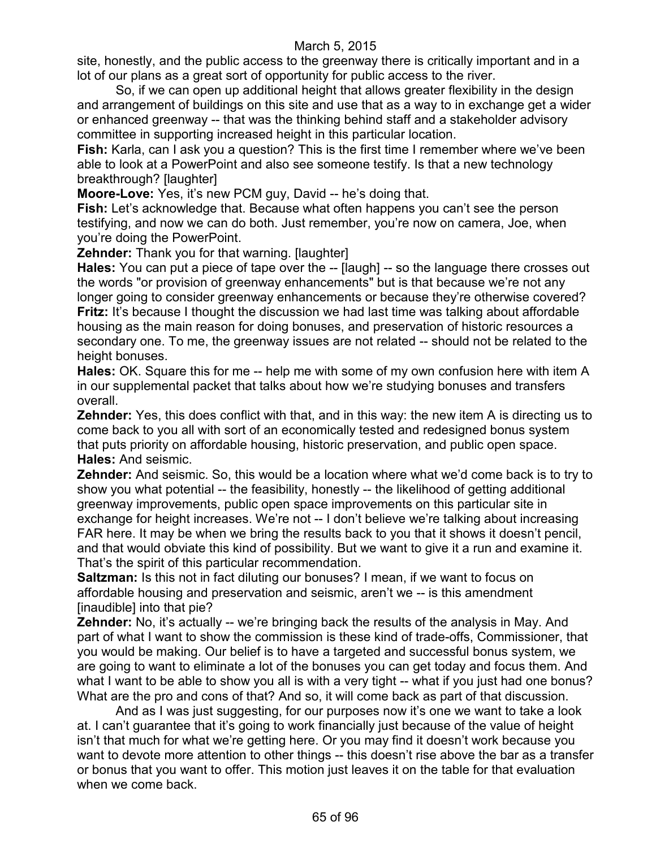site, honestly, and the public access to the greenway there is critically important and in a lot of our plans as a great sort of opportunity for public access to the river.

So, if we can open up additional height that allows greater flexibility in the design and arrangement of buildings on this site and use that as a way to in exchange get a wider or enhanced greenway -- that was the thinking behind staff and a stakeholder advisory committee in supporting increased height in this particular location.

**Fish:** Karla, can I ask you a question? This is the first time I remember where we've been able to look at a PowerPoint and also see someone testify. Is that a new technology breakthrough? [laughter]

**Moore-Love:** Yes, it's new PCM guy, David -- he's doing that.

**Fish:** Let's acknowledge that. Because what often happens you can't see the person testifying, and now we can do both. Just remember, you're now on camera, Joe, when you're doing the PowerPoint.

**Zehnder:** Thank you for that warning. [laughter]

**Hales:** You can put a piece of tape over the -- [laugh] -- so the language there crosses out the words "or provision of greenway enhancements" but is that because we're not any longer going to consider greenway enhancements or because they're otherwise covered? **Fritz:** It's because I thought the discussion we had last time was talking about affordable housing as the main reason for doing bonuses, and preservation of historic resources a secondary one. To me, the greenway issues are not related -- should not be related to the height bonuses.

**Hales:** OK. Square this for me -- help me with some of my own confusion here with item A in our supplemental packet that talks about how we're studying bonuses and transfers overall.

**Zehnder:** Yes, this does conflict with that, and in this way: the new item A is directing us to come back to you all with sort of an economically tested and redesigned bonus system that puts priority on affordable housing, historic preservation, and public open space. **Hales:** And seismic.

**Zehnder:** And seismic. So, this would be a location where what we'd come back is to try to show you what potential -- the feasibility, honestly -- the likelihood of getting additional greenway improvements, public open space improvements on this particular site in exchange for height increases. We're not -- I don't believe we're talking about increasing FAR here. It may be when we bring the results back to you that it shows it doesn't pencil, and that would obviate this kind of possibility. But we want to give it a run and examine it. That's the spirit of this particular recommendation.

**Saltzman:** Is this not in fact diluting our bonuses? I mean, if we want to focus on affordable housing and preservation and seismic, aren't we -- is this amendment [inaudible] into that pie?

**Zehnder:** No, it's actually -- we're bringing back the results of the analysis in May. And part of what I want to show the commission is these kind of trade-offs, Commissioner, that you would be making. Our belief is to have a targeted and successful bonus system, we are going to want to eliminate a lot of the bonuses you can get today and focus them. And what I want to be able to show you all is with a very tight -- what if you just had one bonus? What are the pro and cons of that? And so, it will come back as part of that discussion.

And as I was just suggesting, for our purposes now it's one we want to take a look at. I can't guarantee that it's going to work financially just because of the value of height isn't that much for what we're getting here. Or you may find it doesn't work because you want to devote more attention to other things -- this doesn't rise above the bar as a transfer or bonus that you want to offer. This motion just leaves it on the table for that evaluation when we come back.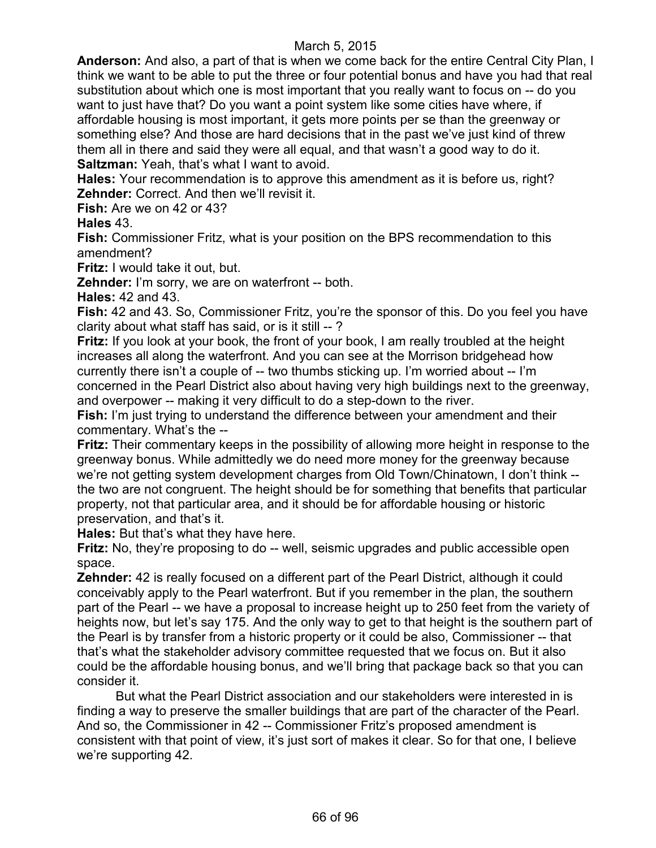**Anderson:** And also, a part of that is when we come back for the entire Central City Plan, I think we want to be able to put the three or four potential bonus and have you had that real substitution about which one is most important that you really want to focus on -- do you want to just have that? Do you want a point system like some cities have where, if affordable housing is most important, it gets more points per se than the greenway or something else? And those are hard decisions that in the past we've just kind of threw them all in there and said they were all equal, and that wasn't a good way to do it. **Saltzman:** Yeah, that's what I want to avoid.

**Hales:** Your recommendation is to approve this amendment as it is before us, right? **Zehnder:** Correct. And then we'll revisit it.

**Fish:** Are we on 42 or 43?

**Hales** 43.

**Fish:** Commissioner Fritz, what is your position on the BPS recommendation to this amendment?

**Fritz:** I would take it out, but.

**Zehnder:** I'm sorry, we are on waterfront -- both.

**Hales:** 42 and 43.

**Fish:** 42 and 43. So, Commissioner Fritz, you're the sponsor of this. Do you feel you have clarity about what staff has said, or is it still -- ?

**Fritz:** If you look at your book, the front of your book, I am really troubled at the height increases all along the waterfront. And you can see at the Morrison bridgehead how currently there isn't a couple of -- two thumbs sticking up. I'm worried about -- I'm concerned in the Pearl District also about having very high buildings next to the greenway, and overpower -- making it very difficult to do a step-down to the river.

**Fish:** I'm just trying to understand the difference between your amendment and their commentary. What's the --

**Fritz:** Their commentary keeps in the possibility of allowing more height in response to the greenway bonus. While admittedly we do need more money for the greenway because we're not getting system development charges from Old Town/Chinatown, I don't think - the two are not congruent. The height should be for something that benefits that particular property, not that particular area, and it should be for affordable housing or historic preservation, and that's it.

**Hales:** But that's what they have here.

**Fritz:** No, they're proposing to do -- well, seismic upgrades and public accessible open space.

**Zehnder:** 42 is really focused on a different part of the Pearl District, although it could conceivably apply to the Pearl waterfront. But if you remember in the plan, the southern part of the Pearl -- we have a proposal to increase height up to 250 feet from the variety of heights now, but let's say 175. And the only way to get to that height is the southern part of the Pearl is by transfer from a historic property or it could be also, Commissioner -- that that's what the stakeholder advisory committee requested that we focus on. But it also could be the affordable housing bonus, and we'll bring that package back so that you can consider it.

But what the Pearl District association and our stakeholders were interested in is finding a way to preserve the smaller buildings that are part of the character of the Pearl. And so, the Commissioner in 42 -- Commissioner Fritz's proposed amendment is consistent with that point of view, it's just sort of makes it clear. So for that one, I believe we're supporting 42.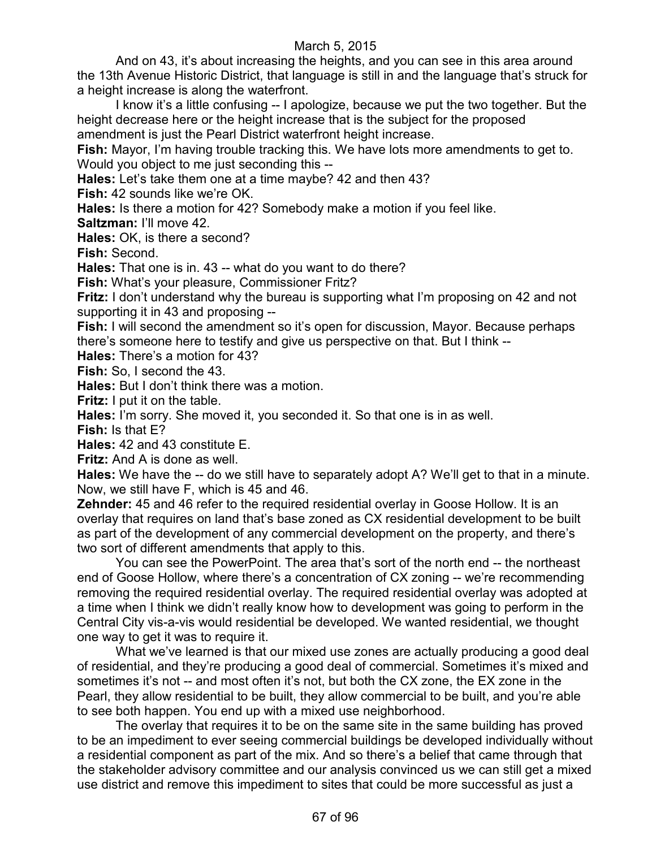And on 43, it's about increasing the heights, and you can see in this area around the 13th Avenue Historic District, that language is still in and the language that's struck for a height increase is along the waterfront.

I know it's a little confusing -- I apologize, because we put the two together. But the height decrease here or the height increase that is the subject for the proposed amendment is just the Pearl District waterfront height increase.

**Fish:** Mayor, I'm having trouble tracking this. We have lots more amendments to get to. Would you object to me just seconding this --

**Hales:** Let's take them one at a time maybe? 42 and then 43?

**Fish:** 42 sounds like we're OK.

**Hales:** Is there a motion for 42? Somebody make a motion if you feel like.

**Saltzman:** I'll move 42.

**Hales:** OK, is there a second?

**Fish:** Second.

**Hales:** That one is in. 43 -- what do you want to do there?

**Fish:** What's your pleasure, Commissioner Fritz?

**Fritz:** I don't understand why the bureau is supporting what I'm proposing on 42 and not supporting it in 43 and proposing --

**Fish:** I will second the amendment so it's open for discussion, Mayor. Because perhaps there's someone here to testify and give us perspective on that. But I think --

**Hales:** There's a motion for 43?

**Fish:** So, I second the 43.

**Hales:** But I don't think there was a motion.

**Fritz:** I put it on the table.

**Hales:** I'm sorry. She moved it, you seconded it. So that one is in as well.

**Fish:** Is that E?

**Hales:** 42 and 43 constitute E.

**Fritz:** And A is done as well.

**Hales:** We have the -- do we still have to separately adopt A? We'll get to that in a minute. Now, we still have F, which is 45 and 46.

**Zehnder:** 45 and 46 refer to the required residential overlay in Goose Hollow. It is an overlay that requires on land that's base zoned as CX residential development to be built as part of the development of any commercial development on the property, and there's two sort of different amendments that apply to this.

You can see the PowerPoint. The area that's sort of the north end -- the northeast end of Goose Hollow, where there's a concentration of CX zoning -- we're recommending removing the required residential overlay. The required residential overlay was adopted at a time when I think we didn't really know how to development was going to perform in the Central City vis-a-vis would residential be developed. We wanted residential, we thought one way to get it was to require it.

What we've learned is that our mixed use zones are actually producing a good deal of residential, and they're producing a good deal of commercial. Sometimes it's mixed and sometimes it's not -- and most often it's not, but both the CX zone, the EX zone in the Pearl, they allow residential to be built, they allow commercial to be built, and you're able to see both happen. You end up with a mixed use neighborhood.

The overlay that requires it to be on the same site in the same building has proved to be an impediment to ever seeing commercial buildings be developed individually without a residential component as part of the mix. And so there's a belief that came through that the stakeholder advisory committee and our analysis convinced us we can still get a mixed use district and remove this impediment to sites that could be more successful as just a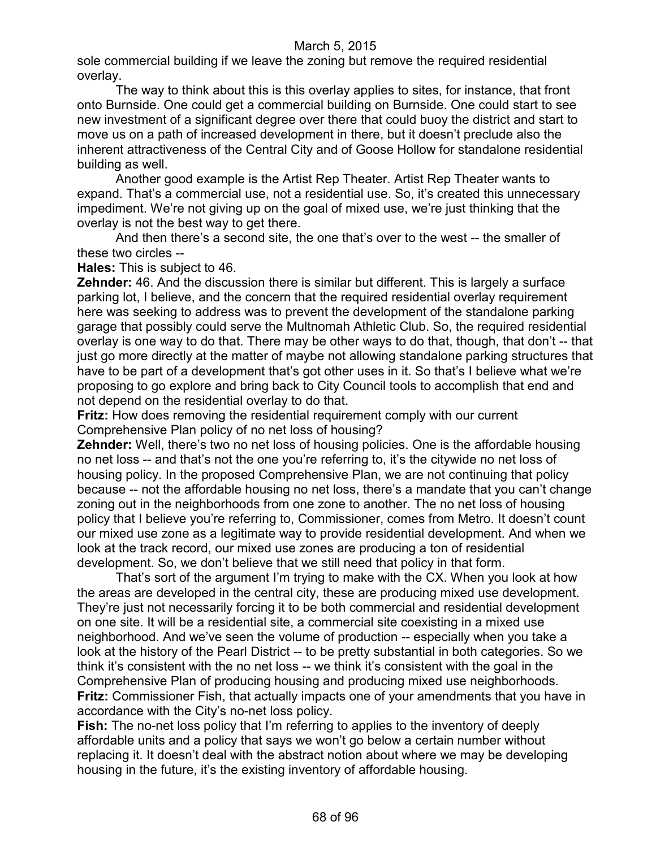sole commercial building if we leave the zoning but remove the required residential overlay.

The way to think about this is this overlay applies to sites, for instance, that front onto Burnside. One could get a commercial building on Burnside. One could start to see new investment of a significant degree over there that could buoy the district and start to move us on a path of increased development in there, but it doesn't preclude also the inherent attractiveness of the Central City and of Goose Hollow for standalone residential building as well.

Another good example is the Artist Rep Theater. Artist Rep Theater wants to expand. That's a commercial use, not a residential use. So, it's created this unnecessary impediment. We're not giving up on the goal of mixed use, we're just thinking that the overlay is not the best way to get there.

And then there's a second site, the one that's over to the west -- the smaller of these two circles --

**Hales:** This is subject to 46.

**Zehnder:** 46. And the discussion there is similar but different. This is largely a surface parking lot, I believe, and the concern that the required residential overlay requirement here was seeking to address was to prevent the development of the standalone parking garage that possibly could serve the Multnomah Athletic Club. So, the required residential overlay is one way to do that. There may be other ways to do that, though, that don't -- that just go more directly at the matter of maybe not allowing standalone parking structures that have to be part of a development that's got other uses in it. So that's I believe what we're proposing to go explore and bring back to City Council tools to accomplish that end and not depend on the residential overlay to do that.

**Fritz:** How does removing the residential requirement comply with our current Comprehensive Plan policy of no net loss of housing?

**Zehnder:** Well, there's two no net loss of housing policies. One is the affordable housing no net loss -- and that's not the one you're referring to, it's the citywide no net loss of housing policy. In the proposed Comprehensive Plan, we are not continuing that policy because -- not the affordable housing no net loss, there's a mandate that you can't change zoning out in the neighborhoods from one zone to another. The no net loss of housing policy that I believe you're referring to, Commissioner, comes from Metro. It doesn't count our mixed use zone as a legitimate way to provide residential development. And when we look at the track record, our mixed use zones are producing a ton of residential development. So, we don't believe that we still need that policy in that form.

That's sort of the argument I'm trying to make with the CX. When you look at how the areas are developed in the central city, these are producing mixed use development. They're just not necessarily forcing it to be both commercial and residential development on one site. It will be a residential site, a commercial site coexisting in a mixed use neighborhood. And we've seen the volume of production -- especially when you take a look at the history of the Pearl District -- to be pretty substantial in both categories. So we think it's consistent with the no net loss -- we think it's consistent with the goal in the Comprehensive Plan of producing housing and producing mixed use neighborhoods. **Fritz:** Commissioner Fish, that actually impacts one of your amendments that you have in accordance with the City's no-net loss policy.

**Fish:** The no-net loss policy that I'm referring to applies to the inventory of deeply affordable units and a policy that says we won't go below a certain number without replacing it. It doesn't deal with the abstract notion about where we may be developing housing in the future, it's the existing inventory of affordable housing.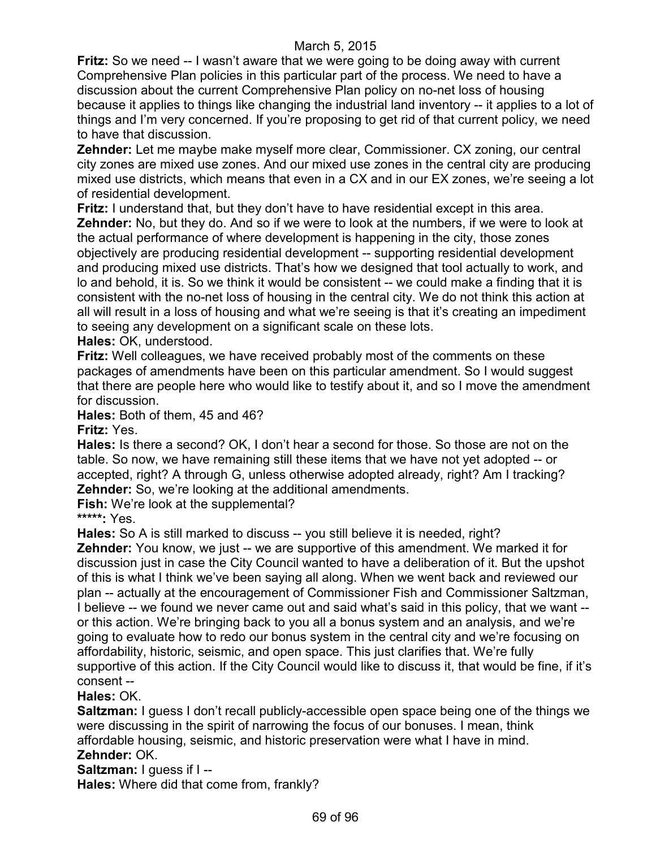**Fritz:** So we need -- I wasn't aware that we were going to be doing away with current Comprehensive Plan policies in this particular part of the process. We need to have a discussion about the current Comprehensive Plan policy on no-net loss of housing because it applies to things like changing the industrial land inventory -- it applies to a lot of things and I'm very concerned. If you're proposing to get rid of that current policy, we need to have that discussion.

**Zehnder:** Let me maybe make myself more clear, Commissioner. CX zoning, our central city zones are mixed use zones. And our mixed use zones in the central city are producing mixed use districts, which means that even in a CX and in our EX zones, we're seeing a lot of residential development.

**Fritz:** I understand that, but they don't have to have residential except in this area. **Zehnder:** No, but they do. And so if we were to look at the numbers, if we were to look at the actual performance of where development is happening in the city, those zones objectively are producing residential development -- supporting residential development and producing mixed use districts. That's how we designed that tool actually to work, and lo and behold, it is. So we think it would be consistent -- we could make a finding that it is consistent with the no-net loss of housing in the central city. We do not think this action at all will result in a loss of housing and what we're seeing is that it's creating an impediment to seeing any development on a significant scale on these lots.

**Hales:** OK, understood.

**Fritz:** Well colleagues, we have received probably most of the comments on these packages of amendments have been on this particular amendment. So I would suggest that there are people here who would like to testify about it, and so I move the amendment for discussion.

**Hales:** Both of them, 45 and 46?

**Fritz:** Yes.

**Hales:** Is there a second? OK, I don't hear a second for those. So those are not on the table. So now, we have remaining still these items that we have not yet adopted -- or accepted, right? A through G, unless otherwise adopted already, right? Am I tracking? **Zehnder:** So, we're looking at the additional amendments.

**Fish:** We're look at the supplemental?

**\*\*\*\*\*:** Yes.

**Hales:** So A is still marked to discuss -- you still believe it is needed, right?

**Zehnder:** You know, we just -- we are supportive of this amendment. We marked it for discussion just in case the City Council wanted to have a deliberation of it. But the upshot of this is what I think we've been saying all along. When we went back and reviewed our plan -- actually at the encouragement of Commissioner Fish and Commissioner Saltzman, I believe -- we found we never came out and said what's said in this policy, that we want - or this action. We're bringing back to you all a bonus system and an analysis, and we're going to evaluate how to redo our bonus system in the central city and we're focusing on affordability, historic, seismic, and open space. This just clarifies that. We're fully supportive of this action. If the City Council would like to discuss it, that would be fine, if it's consent --

**Hales:** OK.

**Saltzman:** I guess I don't recall publicly-accessible open space being one of the things we were discussing in the spirit of narrowing the focus of our bonuses. I mean, think affordable housing, seismic, and historic preservation were what I have in mind. **Zehnder:** OK.

**Saltzman:** I guess if I --

**Hales:** Where did that come from, frankly?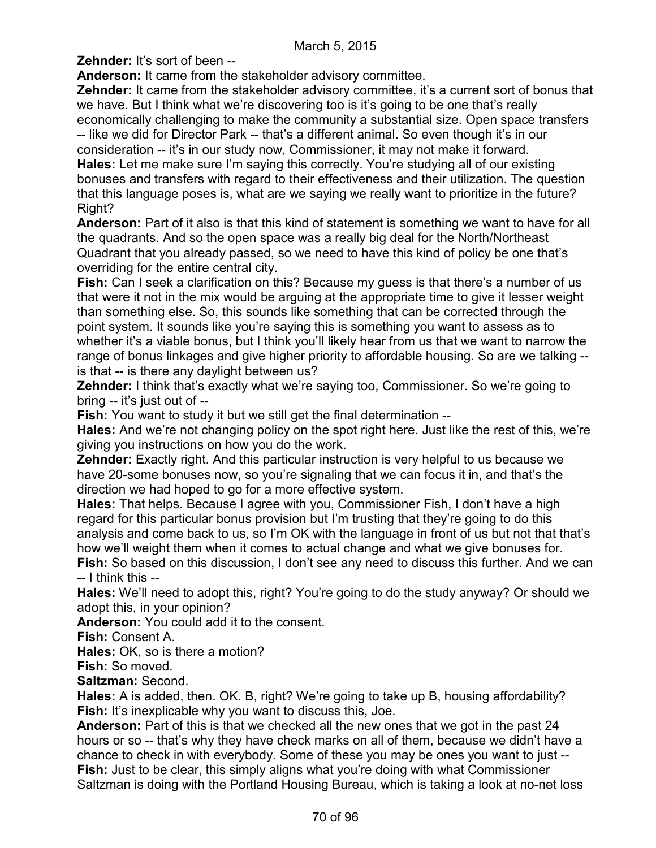**Zehnder:** It's sort of been --

**Anderson:** It came from the stakeholder advisory committee.

**Zehnder:** It came from the stakeholder advisory committee, it's a current sort of bonus that we have. But I think what we're discovering too is it's going to be one that's really economically challenging to make the community a substantial size. Open space transfers -- like we did for Director Park -- that's a different animal. So even though it's in our consideration -- it's in our study now, Commissioner, it may not make it forward. **Hales:** Let me make sure I'm saying this correctly. You're studying all of our existing bonuses and transfers with regard to their effectiveness and their utilization. The question that this language poses is, what are we saying we really want to prioritize in the future? Right?

**Anderson:** Part of it also is that this kind of statement is something we want to have for all the quadrants. And so the open space was a really big deal for the North/Northeast Quadrant that you already passed, so we need to have this kind of policy be one that's overriding for the entire central city.

**Fish:** Can I seek a clarification on this? Because my guess is that there's a number of us that were it not in the mix would be arguing at the appropriate time to give it lesser weight than something else. So, this sounds like something that can be corrected through the point system. It sounds like you're saying this is something you want to assess as to whether it's a viable bonus, but I think you'll likely hear from us that we want to narrow the range of bonus linkages and give higher priority to affordable housing. So are we talking - is that -- is there any daylight between us?

**Zehnder:** I think that's exactly what we're saying too, Commissioner. So we're going to bring -- it's just out of --

**Fish:** You want to study it but we still get the final determination --

**Hales:** And we're not changing policy on the spot right here. Just like the rest of this, we're giving you instructions on how you do the work.

**Zehnder:** Exactly right. And this particular instruction is very helpful to us because we have 20-some bonuses now, so you're signaling that we can focus it in, and that's the direction we had hoped to go for a more effective system.

**Hales:** That helps. Because I agree with you, Commissioner Fish, I don't have a high regard for this particular bonus provision but I'm trusting that they're going to do this analysis and come back to us, so I'm OK with the language in front of us but not that that's how we'll weight them when it comes to actual change and what we give bonuses for.

**Fish:** So based on this discussion, I don't see any need to discuss this further. And we can -- I think this --

**Hales:** We'll need to adopt this, right? You're going to do the study anyway? Or should we adopt this, in your opinion?

**Anderson:** You could add it to the consent.

**Fish:** Consent A.

**Hales:** OK, so is there a motion?

**Fish:** So moved.

**Saltzman:** Second.

**Hales:** A is added, then. OK. B, right? We're going to take up B, housing affordability? **Fish:** It's inexplicable why you want to discuss this, Joe.

**Anderson:** Part of this is that we checked all the new ones that we got in the past 24 hours or so -- that's why they have check marks on all of them, because we didn't have a chance to check in with everybody. Some of these you may be ones you want to just -- **Fish:** Just to be clear, this simply aligns what you're doing with what Commissioner Saltzman is doing with the Portland Housing Bureau, which is taking a look at no-net loss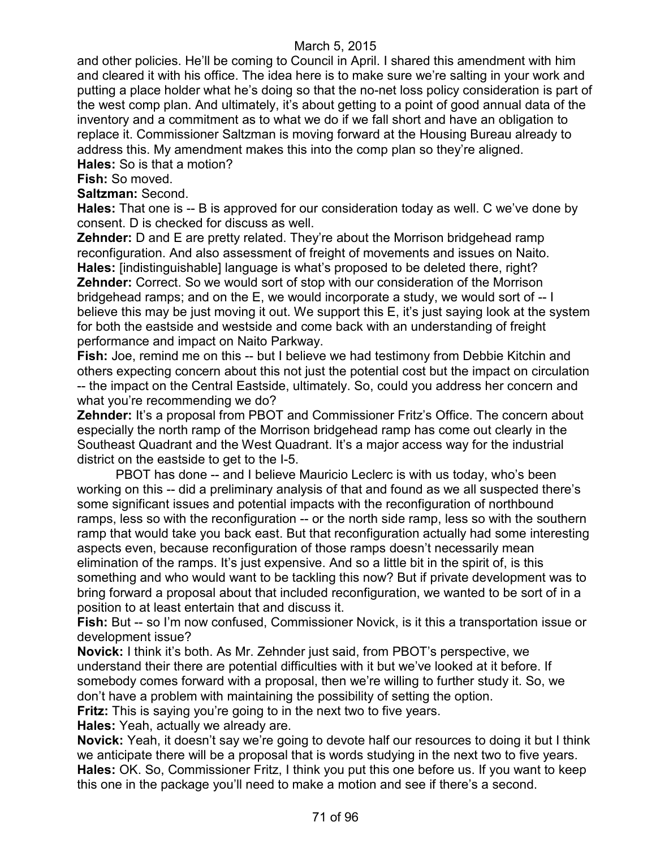and other policies. He'll be coming to Council in April. I shared this amendment with him and cleared it with his office. The idea here is to make sure we're salting in your work and putting a place holder what he's doing so that the no-net loss policy consideration is part of the west comp plan. And ultimately, it's about getting to a point of good annual data of the inventory and a commitment as to what we do if we fall short and have an obligation to replace it. Commissioner Saltzman is moving forward at the Housing Bureau already to address this. My amendment makes this into the comp plan so they're aligned.

**Hales:** So is that a motion?

**Fish:** So moved.

**Saltzman:** Second.

**Hales:** That one is -- B is approved for our consideration today as well. C we've done by consent. D is checked for discuss as well.

**Zehnder:** D and E are pretty related. They're about the Morrison bridgehead ramp reconfiguration. And also assessment of freight of movements and issues on Naito. **Hales:** [indistinguishable] language is what's proposed to be deleted there, right? **Zehnder:** Correct. So we would sort of stop with our consideration of the Morrison bridgehead ramps; and on the E, we would incorporate a study, we would sort of -- I believe this may be just moving it out. We support this E, it's just saying look at the system for both the eastside and westside and come back with an understanding of freight performance and impact on Naito Parkway.

**Fish:** Joe, remind me on this -- but I believe we had testimony from Debbie Kitchin and others expecting concern about this not just the potential cost but the impact on circulation -- the impact on the Central Eastside, ultimately. So, could you address her concern and what you're recommending we do?

**Zehnder:** It's a proposal from PBOT and Commissioner Fritz's Office. The concern about especially the north ramp of the Morrison bridgehead ramp has come out clearly in the Southeast Quadrant and the West Quadrant. It's a major access way for the industrial district on the eastside to get to the I-5.

PBOT has done -- and I believe Mauricio Leclerc is with us today, who's been working on this -- did a preliminary analysis of that and found as we all suspected there's some significant issues and potential impacts with the reconfiguration of northbound ramps, less so with the reconfiguration -- or the north side ramp, less so with the southern ramp that would take you back east. But that reconfiguration actually had some interesting aspects even, because reconfiguration of those ramps doesn't necessarily mean elimination of the ramps. It's just expensive. And so a little bit in the spirit of, is this something and who would want to be tackling this now? But if private development was to bring forward a proposal about that included reconfiguration, we wanted to be sort of in a position to at least entertain that and discuss it.

**Fish:** But -- so I'm now confused, Commissioner Novick, is it this a transportation issue or development issue?

**Novick:** I think it's both. As Mr. Zehnder just said, from PBOT's perspective, we understand their there are potential difficulties with it but we've looked at it before. If somebody comes forward with a proposal, then we're willing to further study it. So, we don't have a problem with maintaining the possibility of setting the option.

**Fritz:** This is saying you're going to in the next two to five years.

**Hales:** Yeah, actually we already are.

**Novick:** Yeah, it doesn't say we're going to devote half our resources to doing it but I think we anticipate there will be a proposal that is words studying in the next two to five years. **Hales:** OK. So, Commissioner Fritz, I think you put this one before us. If you want to keep this one in the package you'll need to make a motion and see if there's a second.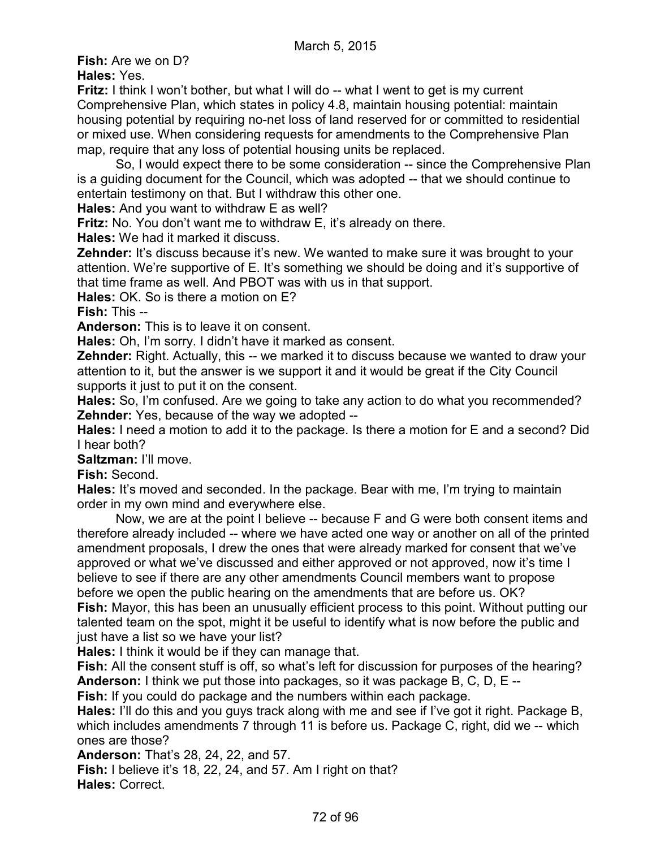**Fish:** Are we on D?

**Hales:** Yes.

**Fritz:** I think I won't bother, but what I will do -- what I went to get is my current Comprehensive Plan, which states in policy 4.8, maintain housing potential: maintain housing potential by requiring no-net loss of land reserved for or committed to residential or mixed use. When considering requests for amendments to the Comprehensive Plan map, require that any loss of potential housing units be replaced.

So, I would expect there to be some consideration -- since the Comprehensive Plan is a guiding document for the Council, which was adopted -- that we should continue to entertain testimony on that. But I withdraw this other one.

**Hales:** And you want to withdraw E as well?

**Fritz:** No. You don't want me to withdraw E, it's already on there.

**Hales:** We had it marked it discuss.

**Zehnder:** It's discuss because it's new. We wanted to make sure it was brought to your attention. We're supportive of E. It's something we should be doing and it's supportive of that time frame as well. And PBOT was with us in that support.

**Hales:** OK. So is there a motion on E?

**Fish:** This --

**Anderson:** This is to leave it on consent.

**Hales:** Oh, I'm sorry. I didn't have it marked as consent.

**Zehnder:** Right. Actually, this -- we marked it to discuss because we wanted to draw your attention to it, but the answer is we support it and it would be great if the City Council supports it just to put it on the consent.

**Hales:** So, I'm confused. Are we going to take any action to do what you recommended? **Zehnder:** Yes, because of the way we adopted --

**Hales:** I need a motion to add it to the package. Is there a motion for E and a second? Did I hear both?

**Saltzman:** I'll move.

**Fish:** Second.

**Hales:** It's moved and seconded. In the package. Bear with me, I'm trying to maintain order in my own mind and everywhere else.

Now, we are at the point I believe -- because F and G were both consent items and therefore already included -- where we have acted one way or another on all of the printed amendment proposals, I drew the ones that were already marked for consent that we've approved or what we've discussed and either approved or not approved, now it's time I believe to see if there are any other amendments Council members want to propose before we open the public hearing on the amendments that are before us. OK? **Fish:** Mayor, this has been an unusually efficient process to this point. Without putting our talented team on the spot, might it be useful to identify what is now before the public and just have a list so we have your list?

**Hales:** I think it would be if they can manage that.

**Fish:** All the consent stuff is off, so what's left for discussion for purposes of the hearing? **Anderson:** I think we put those into packages, so it was package B, C, D, E --

**Fish:** If you could do package and the numbers within each package.

**Hales:** I'll do this and you guys track along with me and see if I've got it right. Package B, which includes amendments 7 through 11 is before us. Package C, right, did we -- which ones are those?

**Anderson:** That's 28, 24, 22, and 57.

**Fish:** I believe it's 18, 22, 24, and 57. Am I right on that? **Hales:** Correct.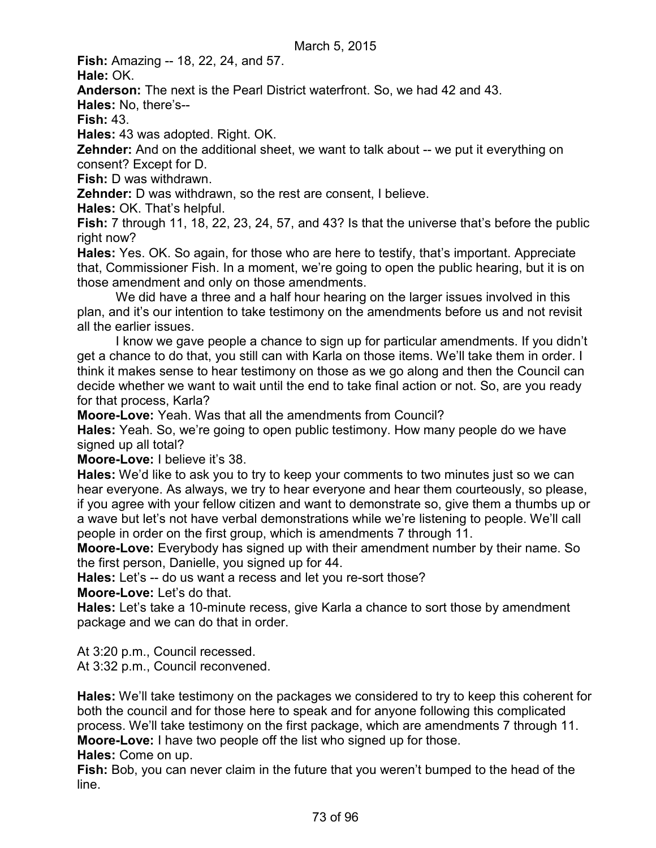**Fish:** Amazing -- 18, 22, 24, and 57.

**Hale:** OK.

**Anderson:** The next is the Pearl District waterfront. So, we had 42 and 43.

**Hales:** No, there's--

**Fish:** 43.

**Hales:** 43 was adopted. Right. OK.

**Zehnder:** And on the additional sheet, we want to talk about -- we put it everything on consent? Except for D.

**Fish:** D was withdrawn.

**Zehnder:** D was withdrawn, so the rest are consent, I believe.

**Hales:** OK. That's helpful.

**Fish:** 7 through 11, 18, 22, 23, 24, 57, and 43? Is that the universe that's before the public right now?

**Hales:** Yes. OK. So again, for those who are here to testify, that's important. Appreciate that, Commissioner Fish. In a moment, we're going to open the public hearing, but it is on those amendment and only on those amendments.

We did have a three and a half hour hearing on the larger issues involved in this plan, and it's our intention to take testimony on the amendments before us and not revisit all the earlier issues.

I know we gave people a chance to sign up for particular amendments. If you didn't get a chance to do that, you still can with Karla on those items. We'll take them in order. I think it makes sense to hear testimony on those as we go along and then the Council can decide whether we want to wait until the end to take final action or not. So, are you ready for that process, Karla?

**Moore-Love:** Yeah. Was that all the amendments from Council?

**Hales:** Yeah. So, we're going to open public testimony. How many people do we have signed up all total?

**Moore-Love:** I believe it's 38.

**Hales:** We'd like to ask you to try to keep your comments to two minutes just so we can hear everyone. As always, we try to hear everyone and hear them courteously, so please, if you agree with your fellow citizen and want to demonstrate so, give them a thumbs up or a wave but let's not have verbal demonstrations while we're listening to people. We'll call people in order on the first group, which is amendments 7 through 11.

**Moore-Love:** Everybody has signed up with their amendment number by their name. So the first person, Danielle, you signed up for 44.

**Hales:** Let's -- do us want a recess and let you re-sort those?

**Moore-Love:** Let's do that.

**Hales:** Let's take a 10-minute recess, give Karla a chance to sort those by amendment package and we can do that in order.

At 3:20 p.m., Council recessed.

At 3:32 p.m., Council reconvened.

**Hales:** We'll take testimony on the packages we considered to try to keep this coherent for both the council and for those here to speak and for anyone following this complicated process. We'll take testimony on the first package, which are amendments 7 through 11. **Moore-Love:** I have two people off the list who signed up for those.

**Hales:** Come on up.

**Fish:** Bob, you can never claim in the future that you weren't bumped to the head of the line.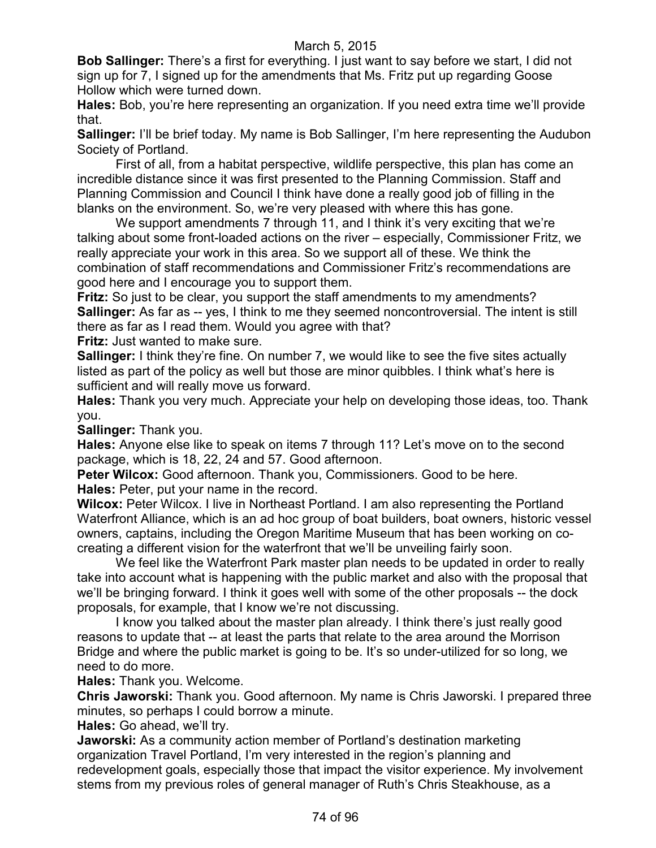**Bob Sallinger:** There's a first for everything. I just want to say before we start, I did not sign up for 7, I signed up for the amendments that Ms. Fritz put up regarding Goose Hollow which were turned down.

**Hales:** Bob, you're here representing an organization. If you need extra time we'll provide that.

**Sallinger:** I'll be brief today. My name is Bob Sallinger, I'm here representing the Audubon Society of Portland.

First of all, from a habitat perspective, wildlife perspective, this plan has come an incredible distance since it was first presented to the Planning Commission. Staff and Planning Commission and Council I think have done a really good job of filling in the blanks on the environment. So, we're very pleased with where this has gone.

We support amendments 7 through 11, and I think it's very exciting that we're talking about some front-loaded actions on the river – especially, Commissioner Fritz, we really appreciate your work in this area. So we support all of these. We think the combination of staff recommendations and Commissioner Fritz's recommendations are good here and I encourage you to support them.

**Fritz:** So just to be clear, you support the staff amendments to my amendments? **Sallinger:** As far as -- yes, I think to me they seemed noncontroversial. The intent is still there as far as I read them. Would you agree with that?

**Fritz:** Just wanted to make sure.

**Sallinger:** I think they're fine. On number 7, we would like to see the five sites actually listed as part of the policy as well but those are minor quibbles. I think what's here is sufficient and will really move us forward.

**Hales:** Thank you very much. Appreciate your help on developing those ideas, too. Thank you.

**Sallinger:** Thank you.

**Hales:** Anyone else like to speak on items 7 through 11? Let's move on to the second package, which is 18, 22, 24 and 57. Good afternoon.

**Peter Wilcox:** Good afternoon. Thank you, Commissioners. Good to be here. **Hales:** Peter, put your name in the record.

**Wilcox:** Peter Wilcox. I live in Northeast Portland. I am also representing the Portland Waterfront Alliance, which is an ad hoc group of boat builders, boat owners, historic vessel owners, captains, including the Oregon Maritime Museum that has been working on cocreating a different vision for the waterfront that we'll be unveiling fairly soon.

We feel like the Waterfront Park master plan needs to be updated in order to really take into account what is happening with the public market and also with the proposal that we'll be bringing forward. I think it goes well with some of the other proposals -- the dock proposals, for example, that I know we're not discussing.

I know you talked about the master plan already. I think there's just really good reasons to update that -- at least the parts that relate to the area around the Morrison Bridge and where the public market is going to be. It's so under-utilized for so long, we need to do more.

**Hales:** Thank you. Welcome.

**Chris Jaworski:** Thank you. Good afternoon. My name is Chris Jaworski. I prepared three minutes, so perhaps I could borrow a minute.

**Hales:** Go ahead, we'll try.

**Jaworski:** As a community action member of Portland's destination marketing organization Travel Portland, I'm very interested in the region's planning and redevelopment goals, especially those that impact the visitor experience. My involvement stems from my previous roles of general manager of Ruth's Chris Steakhouse, as a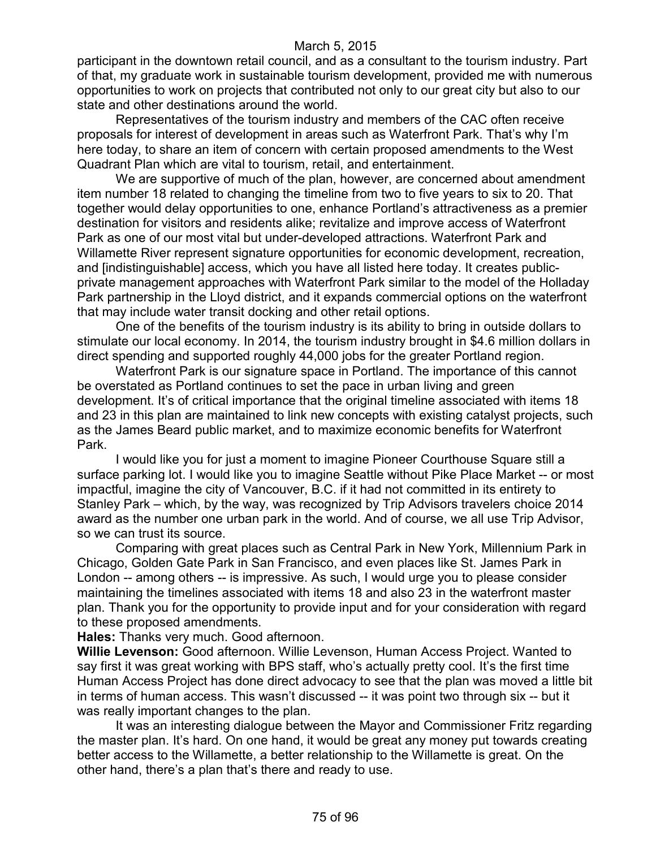participant in the downtown retail council, and as a consultant to the tourism industry. Part of that, my graduate work in sustainable tourism development, provided me with numerous opportunities to work on projects that contributed not only to our great city but also to our state and other destinations around the world.

Representatives of the tourism industry and members of the CAC often receive proposals for interest of development in areas such as Waterfront Park. That's why I'm here today, to share an item of concern with certain proposed amendments to the West Quadrant Plan which are vital to tourism, retail, and entertainment.

We are supportive of much of the plan, however, are concerned about amendment item number 18 related to changing the timeline from two to five years to six to 20. That together would delay opportunities to one, enhance Portland's attractiveness as a premier destination for visitors and residents alike; revitalize and improve access of Waterfront Park as one of our most vital but under-developed attractions. Waterfront Park and Willamette River represent signature opportunities for economic development, recreation, and [indistinguishable] access, which you have all listed here today. It creates publicprivate management approaches with Waterfront Park similar to the model of the Holladay Park partnership in the Lloyd district, and it expands commercial options on the waterfront that may include water transit docking and other retail options.

One of the benefits of the tourism industry is its ability to bring in outside dollars to stimulate our local economy. In 2014, the tourism industry brought in \$4.6 million dollars in direct spending and supported roughly 44,000 jobs for the greater Portland region.

Waterfront Park is our signature space in Portland. The importance of this cannot be overstated as Portland continues to set the pace in urban living and green development. It's of critical importance that the original timeline associated with items 18 and 23 in this plan are maintained to link new concepts with existing catalyst projects, such as the James Beard public market, and to maximize economic benefits for Waterfront Park.

I would like you for just a moment to imagine Pioneer Courthouse Square still a surface parking lot. I would like you to imagine Seattle without Pike Place Market -- or most impactful, imagine the city of Vancouver, B.C. if it had not committed in its entirety to Stanley Park – which, by the way, was recognized by Trip Advisors travelers choice 2014 award as the number one urban park in the world. And of course, we all use Trip Advisor, so we can trust its source.

Comparing with great places such as Central Park in New York, Millennium Park in Chicago, Golden Gate Park in San Francisco, and even places like St. James Park in London -- among others -- is impressive. As such, I would urge you to please consider maintaining the timelines associated with items 18 and also 23 in the waterfront master plan. Thank you for the opportunity to provide input and for your consideration with regard to these proposed amendments.

**Hales:** Thanks very much. Good afternoon.

**Willie Levenson:** Good afternoon. Willie Levenson, Human Access Project. Wanted to say first it was great working with BPS staff, who's actually pretty cool. It's the first time Human Access Project has done direct advocacy to see that the plan was moved a little bit in terms of human access. This wasn't discussed -- it was point two through six -- but it was really important changes to the plan.

It was an interesting dialogue between the Mayor and Commissioner Fritz regarding the master plan. It's hard. On one hand, it would be great any money put towards creating better access to the Willamette, a better relationship to the Willamette is great. On the other hand, there's a plan that's there and ready to use.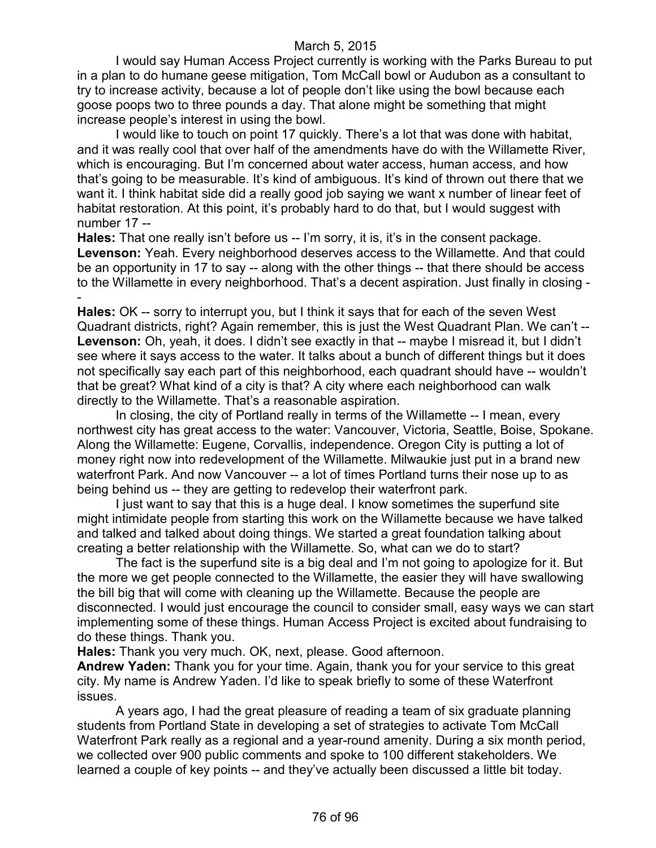I would say Human Access Project currently is working with the Parks Bureau to put in a plan to do humane geese mitigation, Tom McCall bowl or Audubon as a consultant to try to increase activity, because a lot of people don't like using the bowl because each goose poops two to three pounds a day. That alone might be something that might increase people's interest in using the bowl.

I would like to touch on point 17 quickly. There's a lot that was done with habitat, and it was really cool that over half of the amendments have do with the Willamette River, which is encouraging. But I'm concerned about water access, human access, and how that's going to be measurable. It's kind of ambiguous. It's kind of thrown out there that we want it. I think habitat side did a really good job saying we want x number of linear feet of habitat restoration. At this point, it's probably hard to do that, but I would suggest with number 17 --

**Hales:** That one really isn't before us -- I'm sorry, it is, it's in the consent package. **Levenson:** Yeah. Every neighborhood deserves access to the Willamette. And that could be an opportunity in 17 to say -- along with the other things -- that there should be access to the Willamette in every neighborhood. That's a decent aspiration. Just finally in closing -

- **Hales:** OK -- sorry to interrupt you, but I think it says that for each of the seven West Quadrant districts, right? Again remember, this is just the West Quadrant Plan. We can't -- Levenson: Oh, yeah, it does. I didn't see exactly in that -- maybe I misread it, but I didn't see where it says access to the water. It talks about a bunch of different things but it does not specifically say each part of this neighborhood, each quadrant should have -- wouldn't that be great? What kind of a city is that? A city where each neighborhood can walk directly to the Willamette. That's a reasonable aspiration.

In closing, the city of Portland really in terms of the Willamette -- I mean, every northwest city has great access to the water: Vancouver, Victoria, Seattle, Boise, Spokane. Along the Willamette: Eugene, Corvallis, independence. Oregon City is putting a lot of money right now into redevelopment of the Willamette. Milwaukie just put in a brand new waterfront Park. And now Vancouver -- a lot of times Portland turns their nose up to as being behind us -- they are getting to redevelop their waterfront park.

I just want to say that this is a huge deal. I know sometimes the superfund site might intimidate people from starting this work on the Willamette because we have talked and talked and talked about doing things. We started a great foundation talking about creating a better relationship with the Willamette. So, what can we do to start?

The fact is the superfund site is a big deal and I'm not going to apologize for it. But the more we get people connected to the Willamette, the easier they will have swallowing the bill big that will come with cleaning up the Willamette. Because the people are disconnected. I would just encourage the council to consider small, easy ways we can start implementing some of these things. Human Access Project is excited about fundraising to do these things. Thank you.

**Hales:** Thank you very much. OK, next, please. Good afternoon.

**Andrew Yaden:** Thank you for your time. Again, thank you for your service to this great city. My name is Andrew Yaden. I'd like to speak briefly to some of these Waterfront issues.

A years ago, I had the great pleasure of reading a team of six graduate planning students from Portland State in developing a set of strategies to activate Tom McCall Waterfront Park really as a regional and a year-round amenity. During a six month period, we collected over 900 public comments and spoke to 100 different stakeholders. We learned a couple of key points -- and they've actually been discussed a little bit today.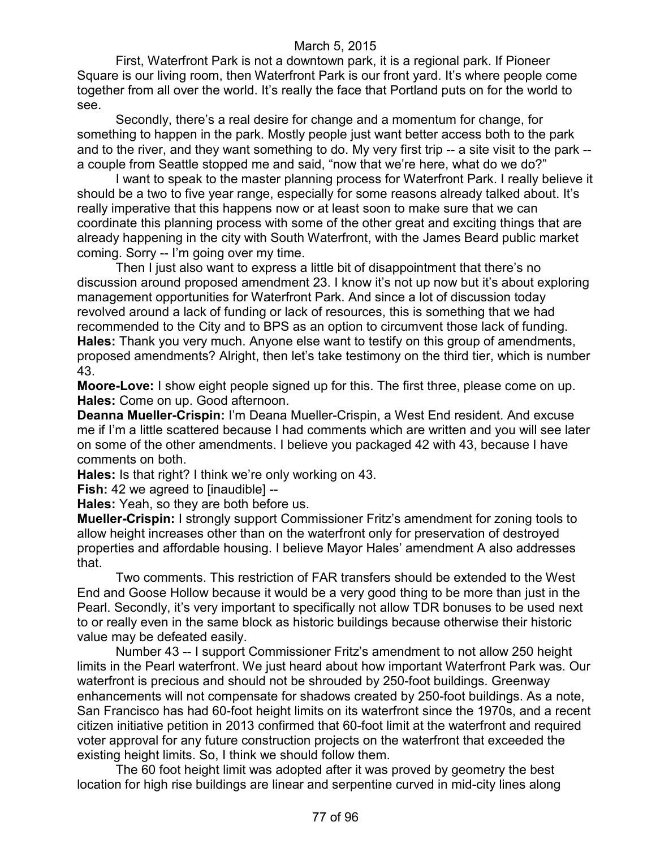First, Waterfront Park is not a downtown park, it is a regional park. If Pioneer Square is our living room, then Waterfront Park is our front yard. It's where people come together from all over the world. It's really the face that Portland puts on for the world to see.

Secondly, there's a real desire for change and a momentum for change, for something to happen in the park. Mostly people just want better access both to the park and to the river, and they want something to do. My very first trip -- a site visit to the park - a couple from Seattle stopped me and said, "now that we're here, what do we do?"

I want to speak to the master planning process for Waterfront Park. I really believe it should be a two to five year range, especially for some reasons already talked about. It's really imperative that this happens now or at least soon to make sure that we can coordinate this planning process with some of the other great and exciting things that are already happening in the city with South Waterfront, with the James Beard public market coming. Sorry -- I'm going over my time.

Then I just also want to express a little bit of disappointment that there's no discussion around proposed amendment 23. I know it's not up now but it's about exploring management opportunities for Waterfront Park. And since a lot of discussion today revolved around a lack of funding or lack of resources, this is something that we had recommended to the City and to BPS as an option to circumvent those lack of funding. **Hales:** Thank you very much. Anyone else want to testify on this group of amendments, proposed amendments? Alright, then let's take testimony on the third tier, which is number 43.

**Moore-Love:** I show eight people signed up for this. The first three, please come on up. **Hales:** Come on up. Good afternoon.

**Deanna Mueller-Crispin:** I'm Deana Mueller-Crispin, a West End resident. And excuse me if I'm a little scattered because I had comments which are written and you will see later on some of the other amendments. I believe you packaged 42 with 43, because I have comments on both.

**Hales:** Is that right? I think we're only working on 43.

**Fish:** 42 we agreed to [inaudible] --

**Hales:** Yeah, so they are both before us.

**Mueller-Crispin:** I strongly support Commissioner Fritz's amendment for zoning tools to allow height increases other than on the waterfront only for preservation of destroyed properties and affordable housing. I believe Mayor Hales' amendment A also addresses that.

Two comments. This restriction of FAR transfers should be extended to the West End and Goose Hollow because it would be a very good thing to be more than just in the Pearl. Secondly, it's very important to specifically not allow TDR bonuses to be used next to or really even in the same block as historic buildings because otherwise their historic value may be defeated easily.

Number 43 -- I support Commissioner Fritz's amendment to not allow 250 height limits in the Pearl waterfront. We just heard about how important Waterfront Park was. Our waterfront is precious and should not be shrouded by 250-foot buildings. Greenway enhancements will not compensate for shadows created by 250-foot buildings. As a note, San Francisco has had 60-foot height limits on its waterfront since the 1970s, and a recent citizen initiative petition in 2013 confirmed that 60-foot limit at the waterfront and required voter approval for any future construction projects on the waterfront that exceeded the existing height limits. So, I think we should follow them.

The 60 foot height limit was adopted after it was proved by geometry the best location for high rise buildings are linear and serpentine curved in mid-city lines along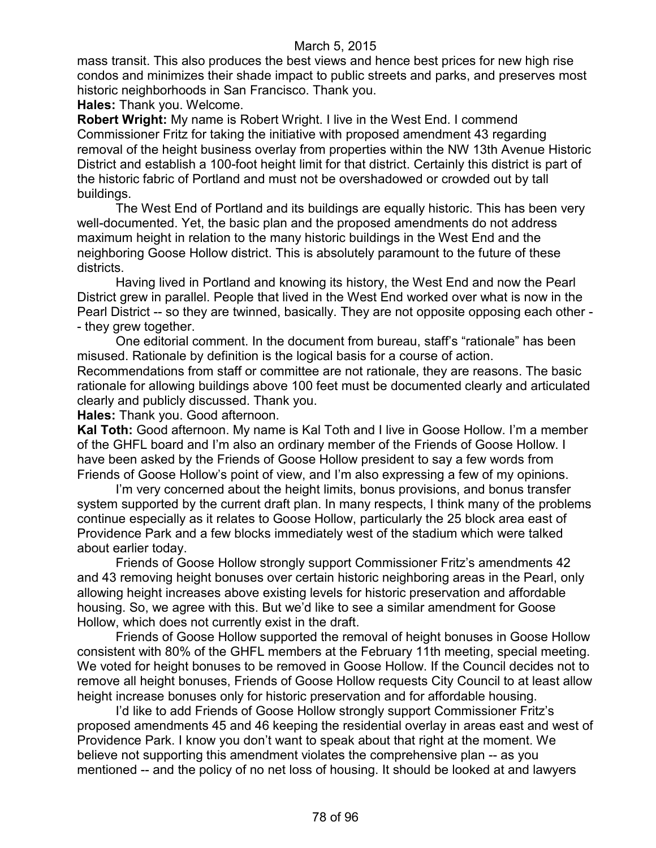mass transit. This also produces the best views and hence best prices for new high rise condos and minimizes their shade impact to public streets and parks, and preserves most historic neighborhoods in San Francisco. Thank you.

**Hales:** Thank you. Welcome.

**Robert Wright:** My name is Robert Wright. I live in the West End. I commend Commissioner Fritz for taking the initiative with proposed amendment 43 regarding removal of the height business overlay from properties within the NW 13th Avenue Historic District and establish a 100-foot height limit for that district. Certainly this district is part of the historic fabric of Portland and must not be overshadowed or crowded out by tall buildings.

The West End of Portland and its buildings are equally historic. This has been very well-documented. Yet, the basic plan and the proposed amendments do not address maximum height in relation to the many historic buildings in the West End and the neighboring Goose Hollow district. This is absolutely paramount to the future of these districts.

Having lived in Portland and knowing its history, the West End and now the Pearl District grew in parallel. People that lived in the West End worked over what is now in the Pearl District -- so they are twinned, basically. They are not opposite opposing each other -- they grew together.

One editorial comment. In the document from bureau, staff's "rationale" has been misused. Rationale by definition is the logical basis for a course of action. Recommendations from staff or committee are not rationale, they are reasons. The basic rationale for allowing buildings above 100 feet must be documented clearly and articulated clearly and publicly discussed. Thank you.

**Hales:** Thank you. Good afternoon.

**Kal Toth:** Good afternoon. My name is Kal Toth and I live in Goose Hollow. I'm a member of the GHFL board and I'm also an ordinary member of the Friends of Goose Hollow. I have been asked by the Friends of Goose Hollow president to say a few words from Friends of Goose Hollow's point of view, and I'm also expressing a few of my opinions.

I'm very concerned about the height limits, bonus provisions, and bonus transfer system supported by the current draft plan. In many respects, I think many of the problems continue especially as it relates to Goose Hollow, particularly the 25 block area east of Providence Park and a few blocks immediately west of the stadium which were talked about earlier today.

Friends of Goose Hollow strongly support Commissioner Fritz's amendments 42 and 43 removing height bonuses over certain historic neighboring areas in the Pearl, only allowing height increases above existing levels for historic preservation and affordable housing. So, we agree with this. But we'd like to see a similar amendment for Goose Hollow, which does not currently exist in the draft.

Friends of Goose Hollow supported the removal of height bonuses in Goose Hollow consistent with 80% of the GHFL members at the February 11th meeting, special meeting. We voted for height bonuses to be removed in Goose Hollow. If the Council decides not to remove all height bonuses, Friends of Goose Hollow requests City Council to at least allow height increase bonuses only for historic preservation and for affordable housing.

I'd like to add Friends of Goose Hollow strongly support Commissioner Fritz's proposed amendments 45 and 46 keeping the residential overlay in areas east and west of Providence Park. I know you don't want to speak about that right at the moment. We believe not supporting this amendment violates the comprehensive plan -- as you mentioned -- and the policy of no net loss of housing. It should be looked at and lawyers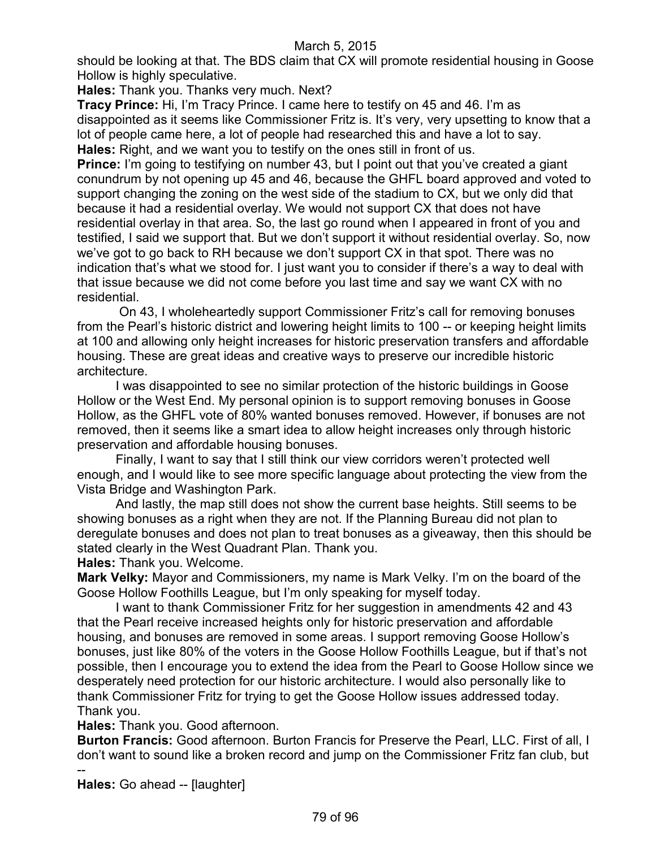should be looking at that. The BDS claim that CX will promote residential housing in Goose Hollow is highly speculative.

**Hales:** Thank you. Thanks very much. Next?

**Tracy Prince:** Hi, I'm Tracy Prince. I came here to testify on 45 and 46. I'm as disappointed as it seems like Commissioner Fritz is. It's very, very upsetting to know that a lot of people came here, a lot of people had researched this and have a lot to say. **Hales:** Right, and we want you to testify on the ones still in front of us.

**Prince:** I'm going to testifying on number 43, but I point out that you've created a giant conundrum by not opening up 45 and 46, because the GHFL board approved and voted to support changing the zoning on the west side of the stadium to CX, but we only did that because it had a residential overlay. We would not support CX that does not have residential overlay in that area. So, the last go round when I appeared in front of you and testified, I said we support that. But we don't support it without residential overlay. So, now we've got to go back to RH because we don't support CX in that spot. There was no indication that's what we stood for. I just want you to consider if there's a way to deal with that issue because we did not come before you last time and say we want CX with no residential.

On 43, I wholeheartedly support Commissioner Fritz's call for removing bonuses from the Pearl's historic district and lowering height limits to 100 -- or keeping height limits at 100 and allowing only height increases for historic preservation transfers and affordable housing. These are great ideas and creative ways to preserve our incredible historic architecture.

I was disappointed to see no similar protection of the historic buildings in Goose Hollow or the West End. My personal opinion is to support removing bonuses in Goose Hollow, as the GHFL vote of 80% wanted bonuses removed. However, if bonuses are not removed, then it seems like a smart idea to allow height increases only through historic preservation and affordable housing bonuses.

Finally, I want to say that I still think our view corridors weren't protected well enough, and I would like to see more specific language about protecting the view from the Vista Bridge and Washington Park.

And lastly, the map still does not show the current base heights. Still seems to be showing bonuses as a right when they are not. If the Planning Bureau did not plan to deregulate bonuses and does not plan to treat bonuses as a giveaway, then this should be stated clearly in the West Quadrant Plan. Thank you.

**Hales:** Thank you. Welcome.

**Mark Velky:** Mayor and Commissioners, my name is Mark Velky. I'm on the board of the Goose Hollow Foothills League, but I'm only speaking for myself today.

I want to thank Commissioner Fritz for her suggestion in amendments 42 and 43 that the Pearl receive increased heights only for historic preservation and affordable housing, and bonuses are removed in some areas. I support removing Goose Hollow's bonuses, just like 80% of the voters in the Goose Hollow Foothills League, but if that's not possible, then I encourage you to extend the idea from the Pearl to Goose Hollow since we desperately need protection for our historic architecture. I would also personally like to thank Commissioner Fritz for trying to get the Goose Hollow issues addressed today. Thank you.

**Hales:** Thank you. Good afternoon.

**Burton Francis:** Good afternoon. Burton Francis for Preserve the Pearl, LLC. First of all, I don't want to sound like a broken record and jump on the Commissioner Fritz fan club, but --

**Hales:** Go ahead -- [laughter]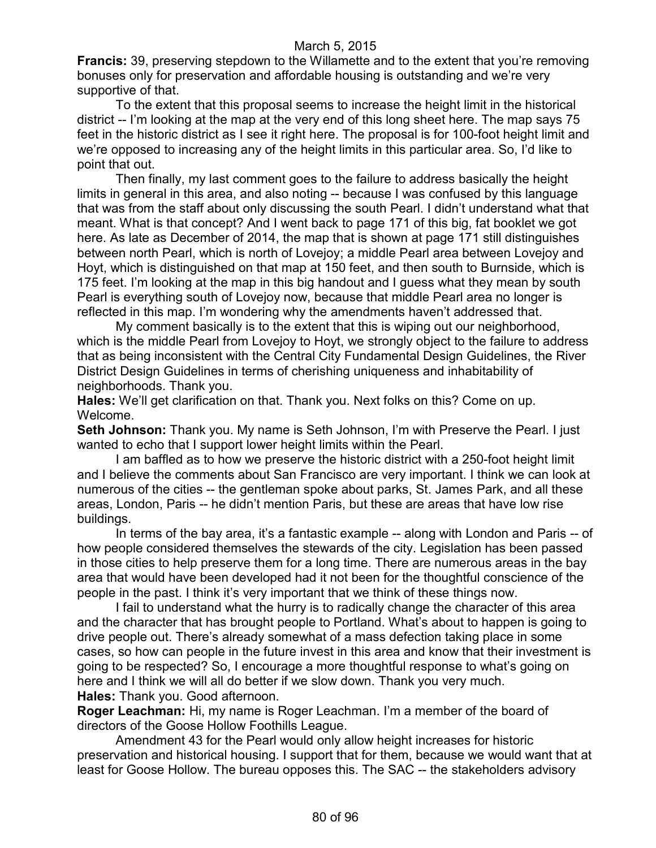**Francis:** 39, preserving stepdown to the Willamette and to the extent that you're removing bonuses only for preservation and affordable housing is outstanding and we're very supportive of that.

To the extent that this proposal seems to increase the height limit in the historical district -- I'm looking at the map at the very end of this long sheet here. The map says 75 feet in the historic district as I see it right here. The proposal is for 100-foot height limit and we're opposed to increasing any of the height limits in this particular area. So, I'd like to point that out.

Then finally, my last comment goes to the failure to address basically the height limits in general in this area, and also noting -- because I was confused by this language that was from the staff about only discussing the south Pearl. I didn't understand what that meant. What is that concept? And I went back to page 171 of this big, fat booklet we got here. As late as December of 2014, the map that is shown at page 171 still distinguishes between north Pearl, which is north of Lovejoy; a middle Pearl area between Lovejoy and Hoyt, which is distinguished on that map at 150 feet, and then south to Burnside, which is 175 feet. I'm looking at the map in this big handout and I guess what they mean by south Pearl is everything south of Lovejoy now, because that middle Pearl area no longer is reflected in this map. I'm wondering why the amendments haven't addressed that.

My comment basically is to the extent that this is wiping out our neighborhood, which is the middle Pearl from Lovejoy to Hoyt, we strongly object to the failure to address that as being inconsistent with the Central City Fundamental Design Guidelines, the River District Design Guidelines in terms of cherishing uniqueness and inhabitability of neighborhoods. Thank you.

**Hales:** We'll get clarification on that. Thank you. Next folks on this? Come on up. Welcome.

**Seth Johnson:** Thank you. My name is Seth Johnson, I'm with Preserve the Pearl. I just wanted to echo that I support lower height limits within the Pearl.

I am baffled as to how we preserve the historic district with a 250-foot height limit and I believe the comments about San Francisco are very important. I think we can look at numerous of the cities -- the gentleman spoke about parks, St. James Park, and all these areas, London, Paris -- he didn't mention Paris, but these are areas that have low rise buildings.

In terms of the bay area, it's a fantastic example -- along with London and Paris -- of how people considered themselves the stewards of the city. Legislation has been passed in those cities to help preserve them for a long time. There are numerous areas in the bay area that would have been developed had it not been for the thoughtful conscience of the people in the past. I think it's very important that we think of these things now.

I fail to understand what the hurry is to radically change the character of this area and the character that has brought people to Portland. What's about to happen is going to drive people out. There's already somewhat of a mass defection taking place in some cases, so how can people in the future invest in this area and know that their investment is going to be respected? So, I encourage a more thoughtful response to what's going on here and I think we will all do better if we slow down. Thank you very much. **Hales:** Thank you. Good afternoon.

**Roger Leachman:** Hi, my name is Roger Leachman. I'm a member of the board of directors of the Goose Hollow Foothills League.

Amendment 43 for the Pearl would only allow height increases for historic preservation and historical housing. I support that for them, because we would want that at least for Goose Hollow. The bureau opposes this. The SAC -- the stakeholders advisory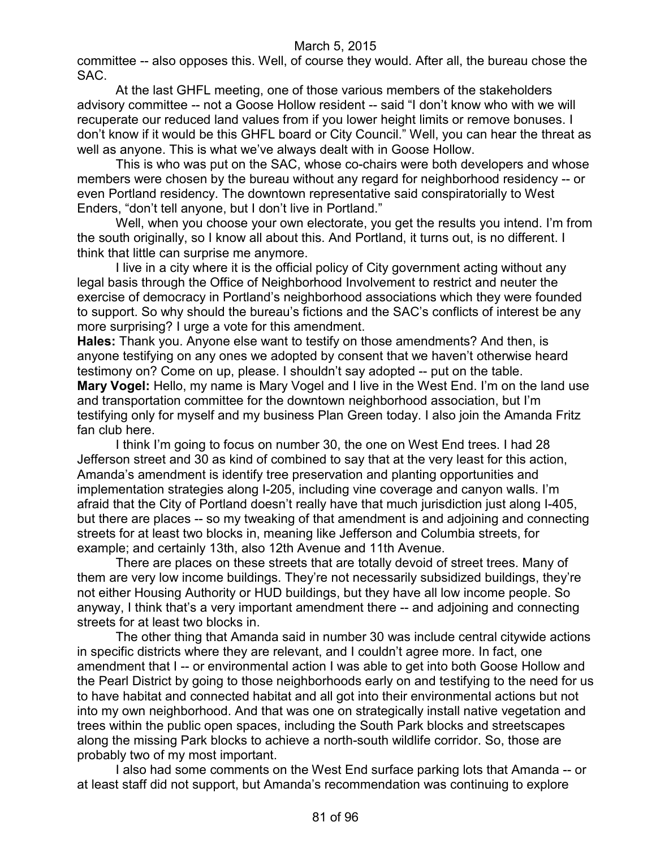committee -- also opposes this. Well, of course they would. After all, the bureau chose the SAC.

At the last GHFL meeting, one of those various members of the stakeholders advisory committee -- not a Goose Hollow resident -- said "I don't know who with we will recuperate our reduced land values from if you lower height limits or remove bonuses. I don't know if it would be this GHFL board or City Council." Well, you can hear the threat as well as anyone. This is what we've always dealt with in Goose Hollow.

This is who was put on the SAC, whose co-chairs were both developers and whose members were chosen by the bureau without any regard for neighborhood residency -- or even Portland residency. The downtown representative said conspiratorially to West Enders, "don't tell anyone, but I don't live in Portland."

Well, when you choose your own electorate, you get the results you intend. I'm from the south originally, so I know all about this. And Portland, it turns out, is no different. I think that little can surprise me anymore.

I live in a city where it is the official policy of City government acting without any legal basis through the Office of Neighborhood Involvement to restrict and neuter the exercise of democracy in Portland's neighborhood associations which they were founded to support. So why should the bureau's fictions and the SAC's conflicts of interest be any more surprising? I urge a vote for this amendment.

**Hales:** Thank you. Anyone else want to testify on those amendments? And then, is anyone testifying on any ones we adopted by consent that we haven't otherwise heard testimony on? Come on up, please. I shouldn't say adopted -- put on the table. **Mary Vogel:** Hello, my name is Mary Vogel and I live in the West End. I'm on the land use and transportation committee for the downtown neighborhood association, but I'm testifying only for myself and my business Plan Green today. I also join the Amanda Fritz fan club here.

I think I'm going to focus on number 30, the one on West End trees. I had 28 Jefferson street and 30 as kind of combined to say that at the very least for this action, Amanda's amendment is identify tree preservation and planting opportunities and implementation strategies along I-205, including vine coverage and canyon walls. I'm afraid that the City of Portland doesn't really have that much jurisdiction just along I-405, but there are places -- so my tweaking of that amendment is and adjoining and connecting streets for at least two blocks in, meaning like Jefferson and Columbia streets, for example; and certainly 13th, also 12th Avenue and 11th Avenue.

There are places on these streets that are totally devoid of street trees. Many of them are very low income buildings. They're not necessarily subsidized buildings, they're not either Housing Authority or HUD buildings, but they have all low income people. So anyway, I think that's a very important amendment there -- and adjoining and connecting streets for at least two blocks in.

The other thing that Amanda said in number 30 was include central citywide actions in specific districts where they are relevant, and I couldn't agree more. In fact, one amendment that I -- or environmental action I was able to get into both Goose Hollow and the Pearl District by going to those neighborhoods early on and testifying to the need for us to have habitat and connected habitat and all got into their environmental actions but not into my own neighborhood. And that was one on strategically install native vegetation and trees within the public open spaces, including the South Park blocks and streetscapes along the missing Park blocks to achieve a north-south wildlife corridor. So, those are probably two of my most important.

I also had some comments on the West End surface parking lots that Amanda -- or at least staff did not support, but Amanda's recommendation was continuing to explore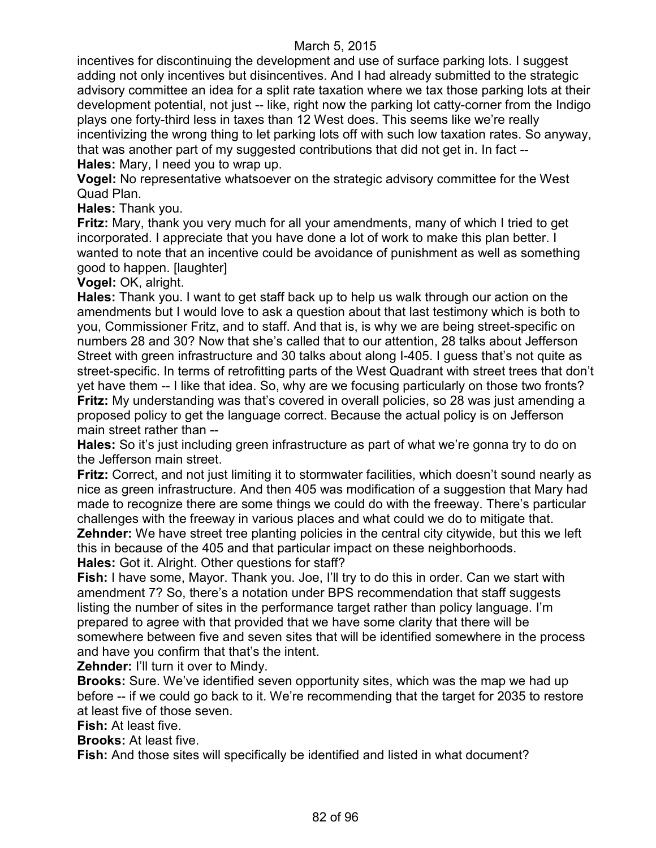incentives for discontinuing the development and use of surface parking lots. I suggest adding not only incentives but disincentives. And I had already submitted to the strategic advisory committee an idea for a split rate taxation where we tax those parking lots at their development potential, not just -- like, right now the parking lot catty-corner from the Indigo plays one forty-third less in taxes than 12 West does. This seems like we're really incentivizing the wrong thing to let parking lots off with such low taxation rates. So anyway, that was another part of my suggested contributions that did not get in. In fact -- **Hales:** Mary, I need you to wrap up.

**Vogel:** No representative whatsoever on the strategic advisory committee for the West Quad Plan.

**Hales:** Thank you.

**Fritz:** Mary, thank you very much for all your amendments, many of which I tried to get incorporated. I appreciate that you have done a lot of work to make this plan better. I wanted to note that an incentive could be avoidance of punishment as well as something good to happen. [laughter]

**Vogel:** OK, alright.

**Hales:** Thank you. I want to get staff back up to help us walk through our action on the amendments but I would love to ask a question about that last testimony which is both to you, Commissioner Fritz, and to staff. And that is, is why we are being street-specific on numbers 28 and 30? Now that she's called that to our attention, 28 talks about Jefferson Street with green infrastructure and 30 talks about along I-405. I guess that's not quite as street-specific. In terms of retrofitting parts of the West Quadrant with street trees that don't yet have them -- I like that idea. So, why are we focusing particularly on those two fronts? **Fritz:** My understanding was that's covered in overall policies, so 28 was just amending a proposed policy to get the language correct. Because the actual policy is on Jefferson main street rather than --

**Hales:** So it's just including green infrastructure as part of what we're gonna try to do on the Jefferson main street.

**Fritz:** Correct, and not just limiting it to stormwater facilities, which doesn't sound nearly as nice as green infrastructure. And then 405 was modification of a suggestion that Mary had made to recognize there are some things we could do with the freeway. There's particular challenges with the freeway in various places and what could we do to mitigate that. **Zehnder:** We have street tree planting policies in the central city citywide, but this we left this in because of the 405 and that particular impact on these neighborhoods. **Hales:** Got it. Alright. Other questions for staff?

**Fish:** I have some, Mayor. Thank you. Joe, I'll try to do this in order. Can we start with amendment 7? So, there's a notation under BPS recommendation that staff suggests listing the number of sites in the performance target rather than policy language. I'm prepared to agree with that provided that we have some clarity that there will be somewhere between five and seven sites that will be identified somewhere in the process and have you confirm that that's the intent.

**Zehnder: I'll turn it over to Mindy.** 

**Brooks:** Sure. We've identified seven opportunity sites, which was the map we had up before -- if we could go back to it. We're recommending that the target for 2035 to restore at least five of those seven.

**Fish:** At least five.

**Brooks:** At least five.

**Fish:** And those sites will specifically be identified and listed in what document?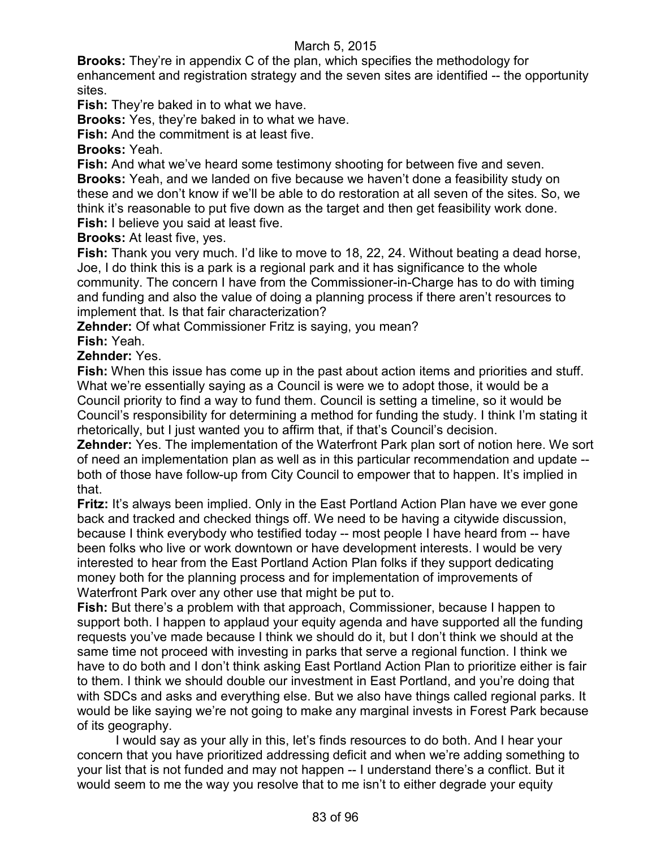**Brooks:** They're in appendix C of the plan, which specifies the methodology for enhancement and registration strategy and the seven sites are identified -- the opportunity sites.

**Fish:** They're baked in to what we have.

**Brooks:** Yes, they're baked in to what we have.

**Fish:** And the commitment is at least five.

**Brooks:** Yeah.

**Fish:** And what we've heard some testimony shooting for between five and seven. **Brooks:** Yeah, and we landed on five because we haven't done a feasibility study on these and we don't know if we'll be able to do restoration at all seven of the sites. So, we think it's reasonable to put five down as the target and then get feasibility work done. **Fish:** I believe you said at least five.

**Brooks:** At least five, yes.

**Fish:** Thank you very much. I'd like to move to 18, 22, 24. Without beating a dead horse, Joe, I do think this is a park is a regional park and it has significance to the whole community. The concern I have from the Commissioner-in-Charge has to do with timing and funding and also the value of doing a planning process if there aren't resources to implement that. Is that fair characterization?

**Zehnder:** Of what Commissioner Fritz is saying, you mean?

**Fish:** Yeah.

**Zehnder:** Yes.

**Fish:** When this issue has come up in the past about action items and priorities and stuff. What we're essentially saying as a Council is were we to adopt those, it would be a Council priority to find a way to fund them. Council is setting a timeline, so it would be Council's responsibility for determining a method for funding the study. I think I'm stating it rhetorically, but I just wanted you to affirm that, if that's Council's decision.

**Zehnder:** Yes. The implementation of the Waterfront Park plan sort of notion here. We sort of need an implementation plan as well as in this particular recommendation and update - both of those have follow-up from City Council to empower that to happen. It's implied in that.

**Fritz:** It's always been implied. Only in the East Portland Action Plan have we ever gone back and tracked and checked things off. We need to be having a citywide discussion, because I think everybody who testified today -- most people I have heard from -- have been folks who live or work downtown or have development interests. I would be very interested to hear from the East Portland Action Plan folks if they support dedicating money both for the planning process and for implementation of improvements of Waterfront Park over any other use that might be put to.

**Fish:** But there's a problem with that approach, Commissioner, because I happen to support both. I happen to applaud your equity agenda and have supported all the funding requests you've made because I think we should do it, but I don't think we should at the same time not proceed with investing in parks that serve a regional function. I think we have to do both and I don't think asking East Portland Action Plan to prioritize either is fair to them. I think we should double our investment in East Portland, and you're doing that with SDCs and asks and everything else. But we also have things called regional parks. It would be like saying we're not going to make any marginal invests in Forest Park because of its geography.

I would say as your ally in this, let's finds resources to do both. And I hear your concern that you have prioritized addressing deficit and when we're adding something to your list that is not funded and may not happen -- I understand there's a conflict. But it would seem to me the way you resolve that to me isn't to either degrade your equity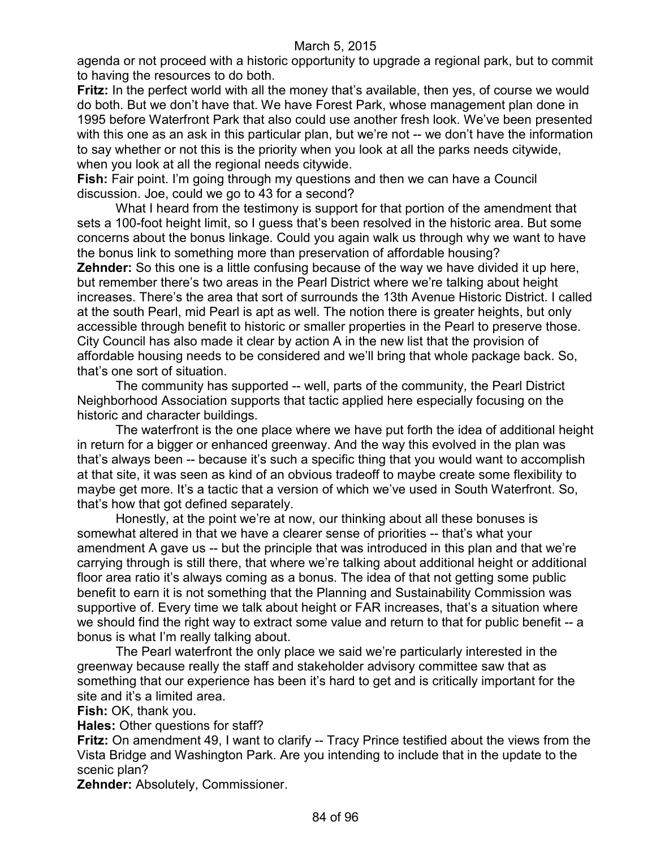agenda or not proceed with a historic opportunity to upgrade a regional park, but to commit to having the resources to do both.

**Fritz:** In the perfect world with all the money that's available, then yes, of course we would do both. But we don't have that. We have Forest Park, whose management plan done in 1995 before Waterfront Park that also could use another fresh look. We've been presented with this one as an ask in this particular plan, but we're not -- we don't have the information to say whether or not this is the priority when you look at all the parks needs citywide, when you look at all the regional needs citywide.

**Fish:** Fair point. I'm going through my questions and then we can have a Council discussion. Joe, could we go to 43 for a second?

What I heard from the testimony is support for that portion of the amendment that sets a 100-foot height limit, so I guess that's been resolved in the historic area. But some concerns about the bonus linkage. Could you again walk us through why we want to have the bonus link to something more than preservation of affordable housing? **Zehnder:** So this one is a little confusing because of the way we have divided it up here, but remember there's two areas in the Pearl District where we're talking about height increases. There's the area that sort of surrounds the 13th Avenue Historic District. I called at the south Pearl, mid Pearl is apt as well. The notion there is greater heights, but only accessible through benefit to historic or smaller properties in the Pearl to preserve those. City Council has also made it clear by action A in the new list that the provision of affordable housing needs to be considered and we'll bring that whole package back. So, that's one sort of situation.

The community has supported -- well, parts of the community, the Pearl District Neighborhood Association supports that tactic applied here especially focusing on the historic and character buildings.

The waterfront is the one place where we have put forth the idea of additional height in return for a bigger or enhanced greenway. And the way this evolved in the plan was that's always been -- because it's such a specific thing that you would want to accomplish at that site, it was seen as kind of an obvious tradeoff to maybe create some flexibility to maybe get more. It's a tactic that a version of which we've used in South Waterfront. So, that's how that got defined separately.

Honestly, at the point we're at now, our thinking about all these bonuses is somewhat altered in that we have a clearer sense of priorities -- that's what your amendment A gave us -- but the principle that was introduced in this plan and that we're carrying through is still there, that where we're talking about additional height or additional floor area ratio it's always coming as a bonus. The idea of that not getting some public benefit to earn it is not something that the Planning and Sustainability Commission was supportive of. Every time we talk about height or FAR increases, that's a situation where we should find the right way to extract some value and return to that for public benefit -- a bonus is what I'm really talking about.

The Pearl waterfront the only place we said we're particularly interested in the greenway because really the staff and stakeholder advisory committee saw that as something that our experience has been it's hard to get and is critically important for the site and it's a limited area.

**Fish:** OK, thank you.

**Hales:** Other questions for staff?

**Fritz:** On amendment 49, I want to clarify -- Tracy Prince testified about the views from the Vista Bridge and Washington Park. Are you intending to include that in the update to the scenic plan?

**Zehnder:** Absolutely, Commissioner.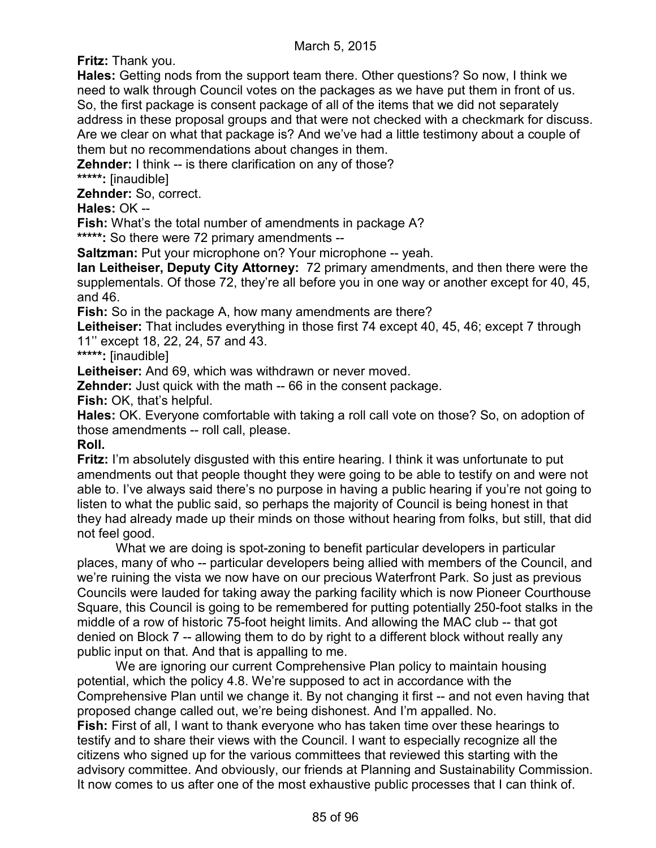**Fritz:** Thank you.

**Hales:** Getting nods from the support team there. Other questions? So now, I think we need to walk through Council votes on the packages as we have put them in front of us. So, the first package is consent package of all of the items that we did not separately address in these proposal groups and that were not checked with a checkmark for discuss. Are we clear on what that package is? And we've had a little testimony about a couple of them but no recommendations about changes in them.

**Zehnder:** I think -- is there clarification on any of those? **\*\*\*\*\*:** [inaudible]

**Zehnder:** So, correct.

**Hales:** OK --

**Fish:** What's the total number of amendments in package A?

**\*\*\*\*\*:** So there were 72 primary amendments --

**Saltzman:** Put your microphone on? Your microphone -- yeah.

**Ian Leitheiser, Deputy City Attorney:** 72 primary amendments, and then there were the supplementals. Of those 72, they're all before you in one way or another except for 40, 45, and 46.

**Fish:** So in the package A, how many amendments are there?

**Leitheiser:** That includes everything in those first 74 except 40, 45, 46; except 7 through 11'' except 18, 22, 24, 57 and 43.

**\*\*\*\*\*:** [inaudible]

**Leitheiser:** And 69, which was withdrawn or never moved.

**Zehnder:** Just quick with the math -- 66 in the consent package.

**Fish:** OK, that's helpful.

**Hales:** OK. Everyone comfortable with taking a roll call vote on those? So, on adoption of those amendments -- roll call, please.

**Roll.**

**Fritz:** I'm absolutely disgusted with this entire hearing. I think it was unfortunate to put amendments out that people thought they were going to be able to testify on and were not able to. I've always said there's no purpose in having a public hearing if you're not going to listen to what the public said, so perhaps the majority of Council is being honest in that they had already made up their minds on those without hearing from folks, but still, that did not feel good.

What we are doing is spot-zoning to benefit particular developers in particular places, many of who -- particular developers being allied with members of the Council, and we're ruining the vista we now have on our precious Waterfront Park. So just as previous Councils were lauded for taking away the parking facility which is now Pioneer Courthouse Square, this Council is going to be remembered for putting potentially 250-foot stalks in the middle of a row of historic 75-foot height limits. And allowing the MAC club -- that got denied on Block 7 -- allowing them to do by right to a different block without really any public input on that. And that is appalling to me.

We are ignoring our current Comprehensive Plan policy to maintain housing potential, which the policy 4.8. We're supposed to act in accordance with the Comprehensive Plan until we change it. By not changing it first -- and not even having that proposed change called out, we're being dishonest. And I'm appalled. No. **Fish:** First of all, I want to thank everyone who has taken time over these hearings to testify and to share their views with the Council. I want to especially recognize all the citizens who signed up for the various committees that reviewed this starting with the advisory committee. And obviously, our friends at Planning and Sustainability Commission. It now comes to us after one of the most exhaustive public processes that I can think of.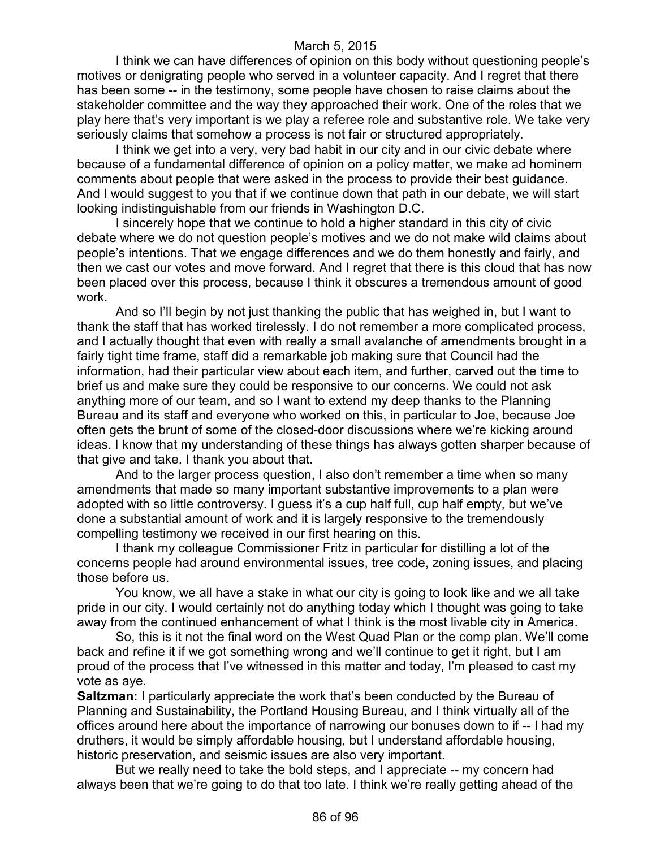I think we can have differences of opinion on this body without questioning people's motives or denigrating people who served in a volunteer capacity. And I regret that there has been some -- in the testimony, some people have chosen to raise claims about the stakeholder committee and the way they approached their work. One of the roles that we play here that's very important is we play a referee role and substantive role. We take very seriously claims that somehow a process is not fair or structured appropriately.

I think we get into a very, very bad habit in our city and in our civic debate where because of a fundamental difference of opinion on a policy matter, we make ad hominem comments about people that were asked in the process to provide their best guidance. And I would suggest to you that if we continue down that path in our debate, we will start looking indistinguishable from our friends in Washington D.C.

I sincerely hope that we continue to hold a higher standard in this city of civic debate where we do not question people's motives and we do not make wild claims about people's intentions. That we engage differences and we do them honestly and fairly, and then we cast our votes and move forward. And I regret that there is this cloud that has now been placed over this process, because I think it obscures a tremendous amount of good work.

And so I'll begin by not just thanking the public that has weighed in, but I want to thank the staff that has worked tirelessly. I do not remember a more complicated process, and I actually thought that even with really a small avalanche of amendments brought in a fairly tight time frame, staff did a remarkable job making sure that Council had the information, had their particular view about each item, and further, carved out the time to brief us and make sure they could be responsive to our concerns. We could not ask anything more of our team, and so I want to extend my deep thanks to the Planning Bureau and its staff and everyone who worked on this, in particular to Joe, because Joe often gets the brunt of some of the closed-door discussions where we're kicking around ideas. I know that my understanding of these things has always gotten sharper because of that give and take. I thank you about that.

And to the larger process question, I also don't remember a time when so many amendments that made so many important substantive improvements to a plan were adopted with so little controversy. I guess it's a cup half full, cup half empty, but we've done a substantial amount of work and it is largely responsive to the tremendously compelling testimony we received in our first hearing on this.

I thank my colleague Commissioner Fritz in particular for distilling a lot of the concerns people had around environmental issues, tree code, zoning issues, and placing those before us.

You know, we all have a stake in what our city is going to look like and we all take pride in our city. I would certainly not do anything today which I thought was going to take away from the continued enhancement of what I think is the most livable city in America.

So, this is it not the final word on the West Quad Plan or the comp plan. We'll come back and refine it if we got something wrong and we'll continue to get it right, but I am proud of the process that I've witnessed in this matter and today, I'm pleased to cast my vote as aye.

**Saltzman:** I particularly appreciate the work that's been conducted by the Bureau of Planning and Sustainability, the Portland Housing Bureau, and I think virtually all of the offices around here about the importance of narrowing our bonuses down to if -- I had my druthers, it would be simply affordable housing, but I understand affordable housing, historic preservation, and seismic issues are also very important.

But we really need to take the bold steps, and I appreciate -- my concern had always been that we're going to do that too late. I think we're really getting ahead of the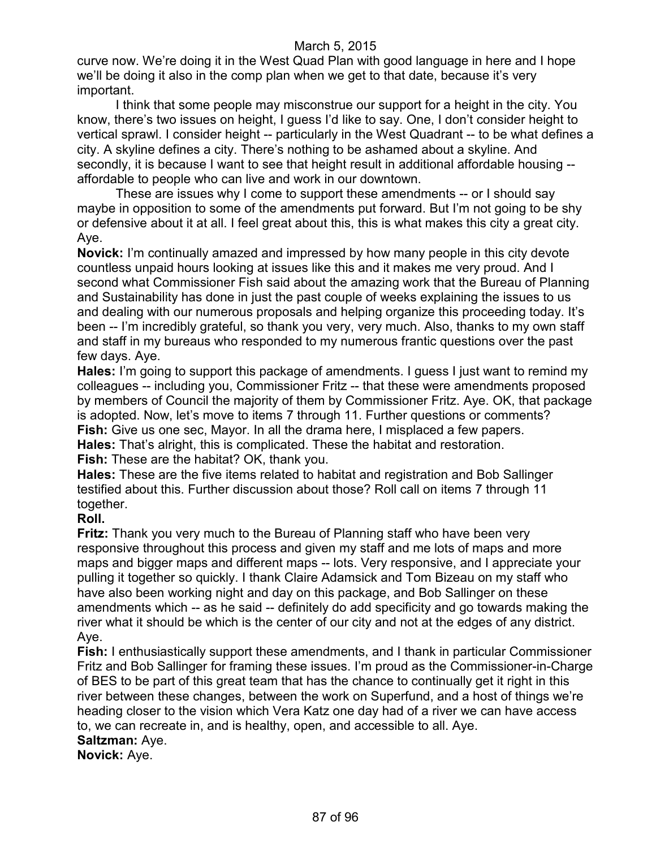curve now. We're doing it in the West Quad Plan with good language in here and I hope we'll be doing it also in the comp plan when we get to that date, because it's very important.

I think that some people may misconstrue our support for a height in the city. You know, there's two issues on height, I guess I'd like to say. One, I don't consider height to vertical sprawl. I consider height -- particularly in the West Quadrant -- to be what defines a city. A skyline defines a city. There's nothing to be ashamed about a skyline. And secondly, it is because I want to see that height result in additional affordable housing - affordable to people who can live and work in our downtown.

These are issues why I come to support these amendments -- or I should say maybe in opposition to some of the amendments put forward. But I'm not going to be shy or defensive about it at all. I feel great about this, this is what makes this city a great city. Aye.

**Novick:** I'm continually amazed and impressed by how many people in this city devote countless unpaid hours looking at issues like this and it makes me very proud. And I second what Commissioner Fish said about the amazing work that the Bureau of Planning and Sustainability has done in just the past couple of weeks explaining the issues to us and dealing with our numerous proposals and helping organize this proceeding today. It's been -- I'm incredibly grateful, so thank you very, very much. Also, thanks to my own staff and staff in my bureaus who responded to my numerous frantic questions over the past few days. Aye.

**Hales:** I'm going to support this package of amendments. I guess I just want to remind my colleagues -- including you, Commissioner Fritz -- that these were amendments proposed by members of Council the majority of them by Commissioner Fritz. Aye. OK, that package is adopted. Now, let's move to items 7 through 11. Further questions or comments? **Fish:** Give us one sec, Mayor. In all the drama here, I misplaced a few papers. **Hales:** That's alright, this is complicated. These the habitat and restoration. **Fish:** These are the habitat? OK, thank you.

**Hales:** These are the five items related to habitat and registration and Bob Sallinger testified about this. Further discussion about those? Roll call on items 7 through 11 together.

## **Roll.**

**Fritz:** Thank you very much to the Bureau of Planning staff who have been very responsive throughout this process and given my staff and me lots of maps and more maps and bigger maps and different maps -- lots. Very responsive, and I appreciate your pulling it together so quickly. I thank Claire Adamsick and Tom Bizeau on my staff who have also been working night and day on this package, and Bob Sallinger on these amendments which -- as he said -- definitely do add specificity and go towards making the river what it should be which is the center of our city and not at the edges of any district. Aye.

**Fish:** I enthusiastically support these amendments, and I thank in particular Commissioner Fritz and Bob Sallinger for framing these issues. I'm proud as the Commissioner-in-Charge of BES to be part of this great team that has the chance to continually get it right in this river between these changes, between the work on Superfund, and a host of things we're heading closer to the vision which Vera Katz one day had of a river we can have access to, we can recreate in, and is healthy, open, and accessible to all. Aye.

#### **Saltzman:** Aye.

**Novick:** Aye.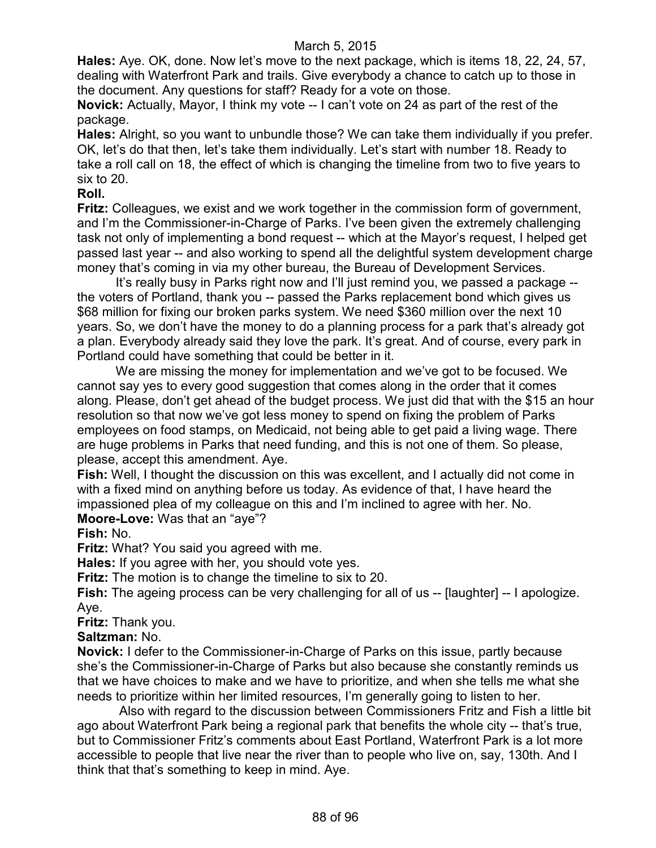**Hales:** Aye. OK, done. Now let's move to the next package, which is items 18, 22, 24, 57, dealing with Waterfront Park and trails. Give everybody a chance to catch up to those in the document. Any questions for staff? Ready for a vote on those.

**Novick:** Actually, Mayor, I think my vote -- I can't vote on 24 as part of the rest of the package.

**Hales:** Alright, so you want to unbundle those? We can take them individually if you prefer. OK, let's do that then, let's take them individually. Let's start with number 18. Ready to take a roll call on 18, the effect of which is changing the timeline from two to five years to six to 20.

# **Roll.**

**Fritz:** Colleagues, we exist and we work together in the commission form of government, and I'm the Commissioner-in-Charge of Parks. I've been given the extremely challenging task not only of implementing a bond request -- which at the Mayor's request, I helped get passed last year -- and also working to spend all the delightful system development charge money that's coming in via my other bureau, the Bureau of Development Services.

It's really busy in Parks right now and I'll just remind you, we passed a package - the voters of Portland, thank you -- passed the Parks replacement bond which gives us \$68 million for fixing our broken parks system. We need \$360 million over the next 10 years. So, we don't have the money to do a planning process for a park that's already got a plan. Everybody already said they love the park. It's great. And of course, every park in Portland could have something that could be better in it.

We are missing the money for implementation and we've got to be focused. We cannot say yes to every good suggestion that comes along in the order that it comes along. Please, don't get ahead of the budget process. We just did that with the \$15 an hour resolution so that now we've got less money to spend on fixing the problem of Parks employees on food stamps, on Medicaid, not being able to get paid a living wage. There are huge problems in Parks that need funding, and this is not one of them. So please, please, accept this amendment. Aye.

**Fish:** Well, I thought the discussion on this was excellent, and I actually did not come in with a fixed mind on anything before us today. As evidence of that, I have heard the impassioned plea of my colleague on this and I'm inclined to agree with her. No. **Moore-Love:** Was that an "aye"?

**Fish:** No.

**Fritz:** What? You said you agreed with me.

**Hales:** If you agree with her, you should vote yes.

**Fritz:** The motion is to change the timeline to six to 20.

**Fish:** The ageing process can be very challenging for all of us -- [laughter] -- I apologize. Aye.

**Fritz:** Thank you.

## **Saltzman:** No.

**Novick:** I defer to the Commissioner-in-Charge of Parks on this issue, partly because she's the Commissioner-in-Charge of Parks but also because she constantly reminds us that we have choices to make and we have to prioritize, and when she tells me what she needs to prioritize within her limited resources, I'm generally going to listen to her.

Also with regard to the discussion between Commissioners Fritz and Fish a little bit ago about Waterfront Park being a regional park that benefits the whole city -- that's true, but to Commissioner Fritz's comments about East Portland, Waterfront Park is a lot more accessible to people that live near the river than to people who live on, say, 130th. And I think that that's something to keep in mind. Aye.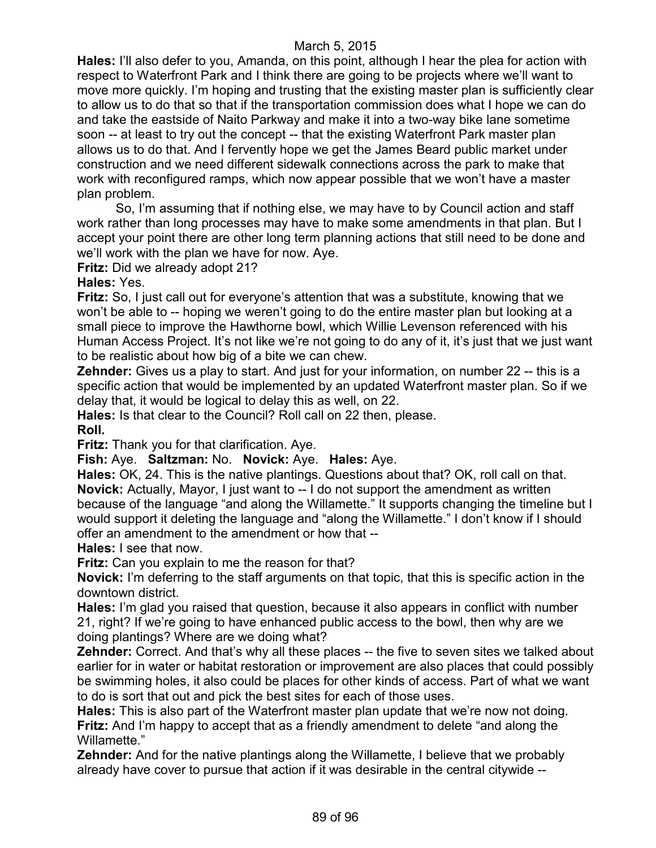**Hales:** I'll also defer to you, Amanda, on this point, although I hear the plea for action with respect to Waterfront Park and I think there are going to be projects where we'll want to move more quickly. I'm hoping and trusting that the existing master plan is sufficiently clear to allow us to do that so that if the transportation commission does what I hope we can do and take the eastside of Naito Parkway and make it into a two-way bike lane sometime soon -- at least to try out the concept -- that the existing Waterfront Park master plan allows us to do that. And I fervently hope we get the James Beard public market under construction and we need different sidewalk connections across the park to make that work with reconfigured ramps, which now appear possible that we won't have a master plan problem.

So, I'm assuming that if nothing else, we may have to by Council action and staff work rather than long processes may have to make some amendments in that plan. But I accept your point there are other long term planning actions that still need to be done and we'll work with the plan we have for now. Aye.

**Fritz:** Did we already adopt 21?

**Hales:** Yes.

**Fritz:** So, I just call out for everyone's attention that was a substitute, knowing that we won't be able to -- hoping we weren't going to do the entire master plan but looking at a small piece to improve the Hawthorne bowl, which Willie Levenson referenced with his Human Access Project. It's not like we're not going to do any of it, it's just that we just want to be realistic about how big of a bite we can chew.

**Zehnder:** Gives us a play to start. And just for your information, on number 22 -- this is a specific action that would be implemented by an updated Waterfront master plan. So if we delay that, it would be logical to delay this as well, on 22.

**Hales:** Is that clear to the Council? Roll call on 22 then, please.

**Roll.**

**Fritz:** Thank you for that clarification. Aye.

**Fish:** Aye. **Saltzman:** No. **Novick:** Aye. **Hales:** Aye.

**Hales:** OK, 24. This is the native plantings. Questions about that? OK, roll call on that. **Novick:** Actually, Mayor, I just want to -- I do not support the amendment as written because of the language "and along the Willamette." It supports changing the timeline but I would support it deleting the language and "along the Willamette." I don't know if I should offer an amendment to the amendment or how that --

**Hales:** I see that now.

**Fritz:** Can you explain to me the reason for that?

**Novick:** I'm deferring to the staff arguments on that topic, that this is specific action in the downtown district.

**Hales:** I'm glad you raised that question, because it also appears in conflict with number 21, right? If we're going to have enhanced public access to the bowl, then why are we doing plantings? Where are we doing what?

**Zehnder:** Correct. And that's why all these places -- the five to seven sites we talked about earlier for in water or habitat restoration or improvement are also places that could possibly be swimming holes, it also could be places for other kinds of access. Part of what we want to do is sort that out and pick the best sites for each of those uses.

**Hales:** This is also part of the Waterfront master plan update that we're now not doing. **Fritz:** And I'm happy to accept that as a friendly amendment to delete "and along the Willamette."

**Zehnder:** And for the native plantings along the Willamette, I believe that we probably already have cover to pursue that action if it was desirable in the central citywide --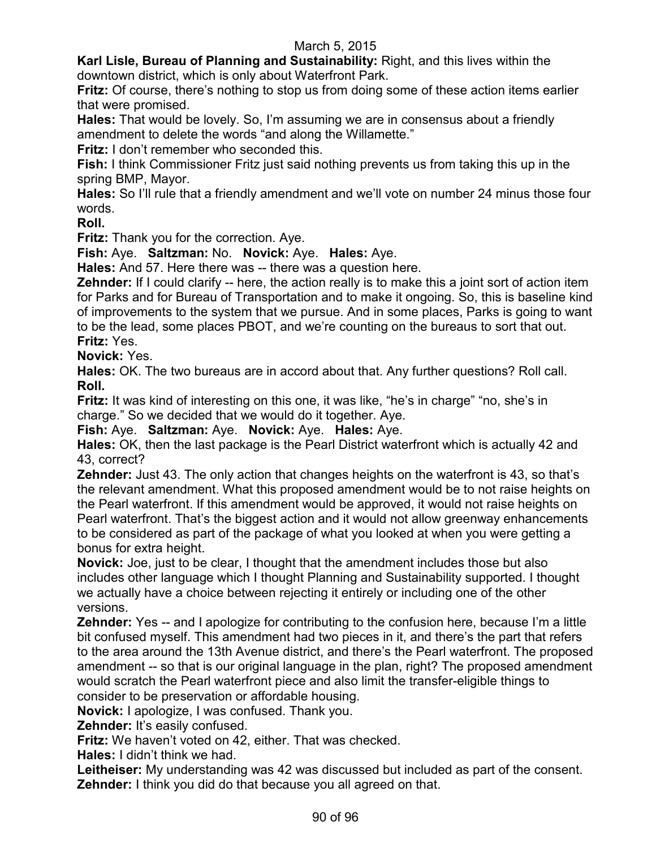**Karl Lisle, Bureau of Planning and Sustainability:** Right, and this lives within the downtown district, which is only about Waterfront Park.

**Fritz:** Of course, there's nothing to stop us from doing some of these action items earlier that were promised.

**Hales:** That would be lovely. So, I'm assuming we are in consensus about a friendly amendment to delete the words "and along the Willamette."

**Fritz:** I don't remember who seconded this.

**Fish:** I think Commissioner Fritz just said nothing prevents us from taking this up in the spring BMP, Mayor.

**Hales:** So I'll rule that a friendly amendment and we'll vote on number 24 minus those four words.

**Roll.**

**Fritz:** Thank you for the correction. Aye.

**Fish:** Aye. **Saltzman:** No. **Novick:** Aye. **Hales:** Aye.

**Hales:** And 57. Here there was -- there was a question here.

**Zehnder:** If I could clarify -- here, the action really is to make this a joint sort of action item for Parks and for Bureau of Transportation and to make it ongoing. So, this is baseline kind of improvements to the system that we pursue. And in some places, Parks is going to want to be the lead, some places PBOT, and we're counting on the bureaus to sort that out. **Fritz:** Yes.

**Novick:** Yes.

**Hales:** OK. The two bureaus are in accord about that. Any further questions? Roll call. **Roll.**

**Fritz:** It was kind of interesting on this one, it was like, "he's in charge" "no, she's in charge." So we decided that we would do it together. Aye.

**Fish:** Aye. **Saltzman:** Aye. **Novick:** Aye. **Hales:** Aye.

**Hales:** OK, then the last package is the Pearl District waterfront which is actually 42 and 43, correct?

**Zehnder:** Just 43. The only action that changes heights on the waterfront is 43, so that's the relevant amendment. What this proposed amendment would be to not raise heights on the Pearl waterfront. If this amendment would be approved, it would not raise heights on Pearl waterfront. That's the biggest action and it would not allow greenway enhancements to be considered as part of the package of what you looked at when you were getting a bonus for extra height.

**Novick:** Joe, just to be clear, I thought that the amendment includes those but also includes other language which I thought Planning and Sustainability supported. I thought we actually have a choice between rejecting it entirely or including one of the other versions.

**Zehnder:** Yes -- and I apologize for contributing to the confusion here, because I'm a little bit confused myself. This amendment had two pieces in it, and there's the part that refers to the area around the 13th Avenue district, and there's the Pearl waterfront. The proposed amendment -- so that is our original language in the plan, right? The proposed amendment would scratch the Pearl waterfront piece and also limit the transfer-eligible things to consider to be preservation or affordable housing.

**Novick:** I apologize, I was confused. Thank you.

**Zehnder:** It's easily confused.

**Fritz:** We haven't voted on 42, either. That was checked.

**Hales:** I didn't think we had.

**Leitheiser:** My understanding was 42 was discussed but included as part of the consent. **Zehnder:** I think you did do that because you all agreed on that.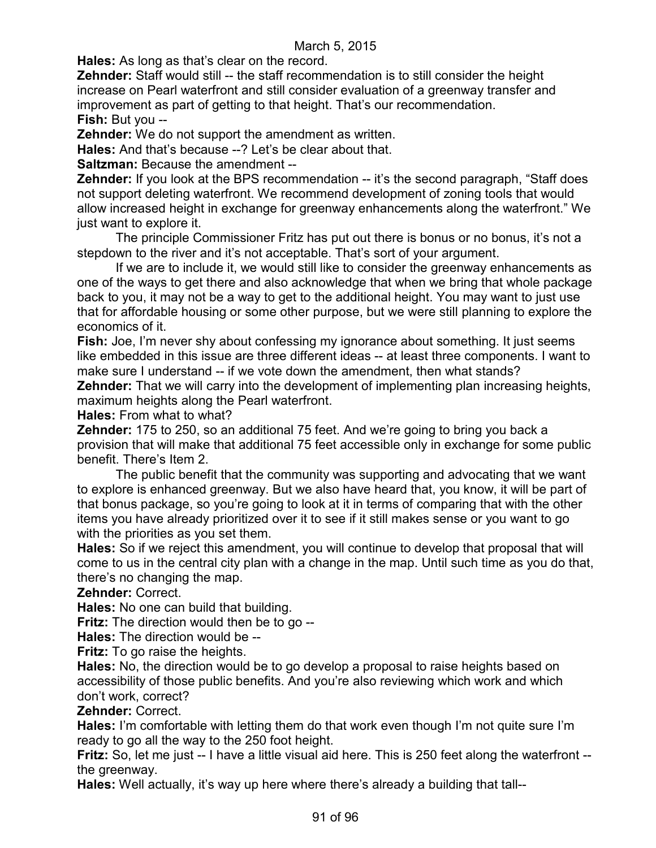**Hales:** As long as that's clear on the record.

**Zehnder:** Staff would still -- the staff recommendation is to still consider the height increase on Pearl waterfront and still consider evaluation of a greenway transfer and improvement as part of getting to that height. That's our recommendation.

**Fish:** But you --

**Zehnder:** We do not support the amendment as written.

**Hales:** And that's because --? Let's be clear about that.

**Saltzman: Because the amendment --**

**Zehnder:** If you look at the BPS recommendation -- it's the second paragraph, "Staff does" not support deleting waterfront. We recommend development of zoning tools that would allow increased height in exchange for greenway enhancements along the waterfront." We just want to explore it.

The principle Commissioner Fritz has put out there is bonus or no bonus, it's not a stepdown to the river and it's not acceptable. That's sort of your argument.

If we are to include it, we would still like to consider the greenway enhancements as one of the ways to get there and also acknowledge that when we bring that whole package back to you, it may not be a way to get to the additional height. You may want to just use that for affordable housing or some other purpose, but we were still planning to explore the economics of it.

**Fish:** Joe, I'm never shy about confessing my ignorance about something. It just seems like embedded in this issue are three different ideas -- at least three components. I want to make sure I understand -- if we vote down the amendment, then what stands?

**Zehnder:** That we will carry into the development of implementing plan increasing heights, maximum heights along the Pearl waterfront.

**Hales:** From what to what?

**Zehnder:** 175 to 250, so an additional 75 feet. And we're going to bring you back a provision that will make that additional 75 feet accessible only in exchange for some public benefit. There's Item 2.

The public benefit that the community was supporting and advocating that we want to explore is enhanced greenway. But we also have heard that, you know, it will be part of that bonus package, so you're going to look at it in terms of comparing that with the other items you have already prioritized over it to see if it still makes sense or you want to go with the priorities as you set them.

**Hales:** So if we reject this amendment, you will continue to develop that proposal that will come to us in the central city plan with a change in the map. Until such time as you do that, there's no changing the map.

**Zehnder:** Correct.

**Hales:** No one can build that building.

**Fritz:** The direction would then be to go --

**Hales:** The direction would be --

**Fritz:** To go raise the heights.

**Hales:** No, the direction would be to go develop a proposal to raise heights based on accessibility of those public benefits. And you're also reviewing which work and which don't work, correct?

**Zehnder:** Correct.

**Hales:** I'm comfortable with letting them do that work even though I'm not quite sure I'm ready to go all the way to the 250 foot height.

**Fritz:** So, let me just -- I have a little visual aid here. This is 250 feet along the waterfront -the greenway.

**Hales:** Well actually, it's way up here where there's already a building that tall--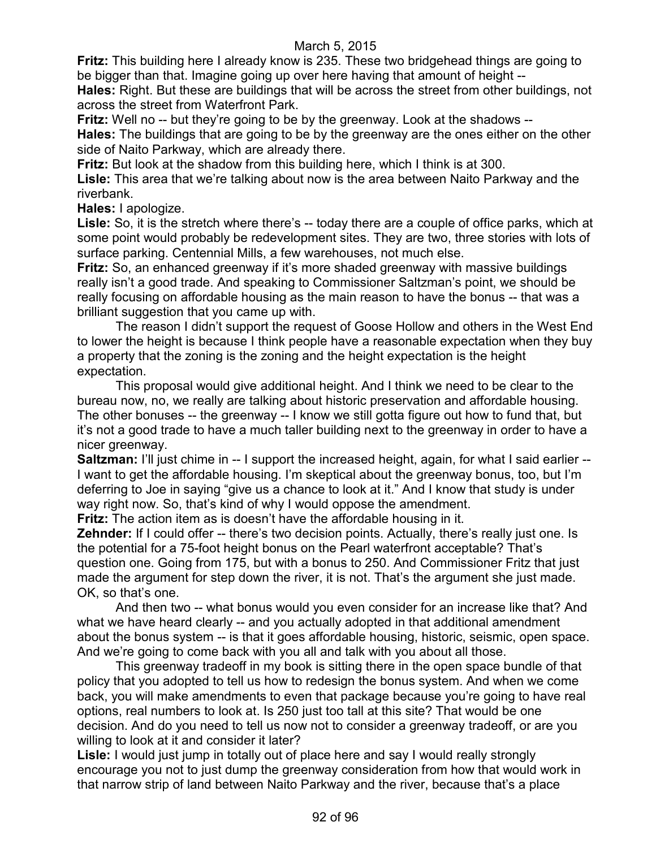**Fritz:** This building here I already know is 235. These two bridgehead things are going to be bigger than that. Imagine going up over here having that amount of height --

**Hales:** Right. But these are buildings that will be across the street from other buildings, not across the street from Waterfront Park.

**Fritz:** Well no -- but they're going to be by the greenway. Look at the shadows -- **Hales:** The buildings that are going to be by the greenway are the ones either on the other

side of Naito Parkway, which are already there.

**Fritz:** But look at the shadow from this building here, which I think is at 300.

**Lisle:** This area that we're talking about now is the area between Naito Parkway and the riverbank.

**Hales:** I apologize.

Lisle: So, it is the stretch where there's -- today there are a couple of office parks, which at some point would probably be redevelopment sites. They are two, three stories with lots of surface parking. Centennial Mills, a few warehouses, not much else.

**Fritz:** So, an enhanced greenway if it's more shaded greenway with massive buildings really isn't a good trade. And speaking to Commissioner Saltzman's point, we should be really focusing on affordable housing as the main reason to have the bonus -- that was a brilliant suggestion that you came up with.

The reason I didn't support the request of Goose Hollow and others in the West End to lower the height is because I think people have a reasonable expectation when they buy a property that the zoning is the zoning and the height expectation is the height expectation.

This proposal would give additional height. And I think we need to be clear to the bureau now, no, we really are talking about historic preservation and affordable housing. The other bonuses -- the greenway -- I know we still gotta figure out how to fund that, but it's not a good trade to have a much taller building next to the greenway in order to have a nicer greenway.

**Saltzman:** I'll just chime in -- I support the increased height, again, for what I said earlier --I want to get the affordable housing. I'm skeptical about the greenway bonus, too, but I'm deferring to Joe in saying "give us a chance to look at it." And I know that study is under way right now. So, that's kind of why I would oppose the amendment.

**Fritz:** The action item as is doesn't have the affordable housing in it.

**Zehnder:** If I could offer -- there's two decision points. Actually, there's really just one. Is the potential for a 75-foot height bonus on the Pearl waterfront acceptable? That's question one. Going from 175, but with a bonus to 250. And Commissioner Fritz that just made the argument for step down the river, it is not. That's the argument she just made. OK, so that's one.

And then two -- what bonus would you even consider for an increase like that? And what we have heard clearly -- and you actually adopted in that additional amendment about the bonus system -- is that it goes affordable housing, historic, seismic, open space. And we're going to come back with you all and talk with you about all those.

This greenway tradeoff in my book is sitting there in the open space bundle of that policy that you adopted to tell us how to redesign the bonus system. And when we come back, you will make amendments to even that package because you're going to have real options, real numbers to look at. Is 250 just too tall at this site? That would be one decision. And do you need to tell us now not to consider a greenway tradeoff, or are you willing to look at it and consider it later?

Lisle: I would just jump in totally out of place here and say I would really strongly encourage you not to just dump the greenway consideration from how that would work in that narrow strip of land between Naito Parkway and the river, because that's a place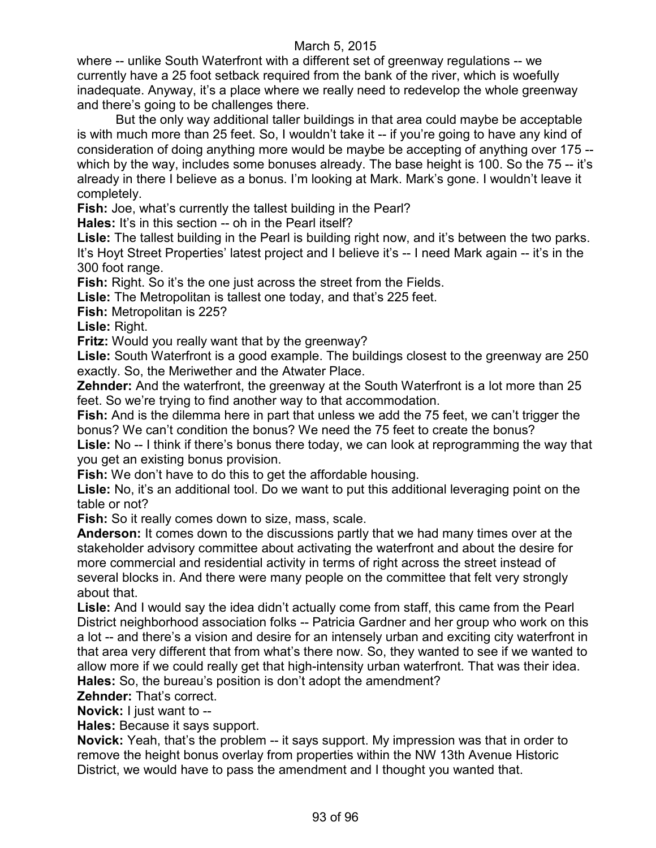where -- unlike South Waterfront with a different set of greenway regulations -- we currently have a 25 foot setback required from the bank of the river, which is woefully inadequate. Anyway, it's a place where we really need to redevelop the whole greenway and there's going to be challenges there.

But the only way additional taller buildings in that area could maybe be acceptable is with much more than 25 feet. So, I wouldn't take it -- if you're going to have any kind of consideration of doing anything more would be maybe be accepting of anything over 175 - which by the way, includes some bonuses already. The base height is 100. So the 75 -- it's already in there I believe as a bonus. I'm looking at Mark. Mark's gone. I wouldn't leave it completely.

**Fish:** Joe, what's currently the tallest building in the Pearl?

**Hales:** It's in this section -- oh in the Pearl itself?

**Lisle:** The tallest building in the Pearl is building right now, and it's between the two parks. It's Hoyt Street Properties' latest project and I believe it's -- I need Mark again -- it's in the 300 foot range.

Fish: Right. So it's the one just across the street from the Fields.

**Lisle:** The Metropolitan is tallest one today, and that's 225 feet.

**Fish:** Metropolitan is 225?

**Lisle:** Right.

**Fritz:** Would you really want that by the greenway?

**Lisle:** South Waterfront is a good example. The buildings closest to the greenway are 250 exactly. So, the Meriwether and the Atwater Place.

**Zehnder:** And the waterfront, the greenway at the South Waterfront is a lot more than 25 feet. So we're trying to find another way to that accommodation.

**Fish:** And is the dilemma here in part that unless we add the 75 feet, we can't trigger the bonus? We can't condition the bonus? We need the 75 feet to create the bonus?

**Lisle:** No -- I think if there's bonus there today, we can look at reprogramming the way that you get an existing bonus provision.

**Fish:** We don't have to do this to get the affordable housing.

Lisle: No, it's an additional tool. Do we want to put this additional leveraging point on the table or not?

**Fish:** So it really comes down to size, mass, scale.

**Anderson:** It comes down to the discussions partly that we had many times over at the stakeholder advisory committee about activating the waterfront and about the desire for more commercial and residential activity in terms of right across the street instead of several blocks in. And there were many people on the committee that felt very strongly about that.

**Lisle:** And I would say the idea didn't actually come from staff, this came from the Pearl District neighborhood association folks -- Patricia Gardner and her group who work on this a lot -- and there's a vision and desire for an intensely urban and exciting city waterfront in that area very different that from what's there now. So, they wanted to see if we wanted to allow more if we could really get that high-intensity urban waterfront. That was their idea. **Hales:** So, the bureau's position is don't adopt the amendment?

**Zehnder:** That's correct.

**Novick:** I just want to --

**Hales:** Because it says support.

**Novick:** Yeah, that's the problem -- it says support. My impression was that in order to remove the height bonus overlay from properties within the NW 13th Avenue Historic District, we would have to pass the amendment and I thought you wanted that.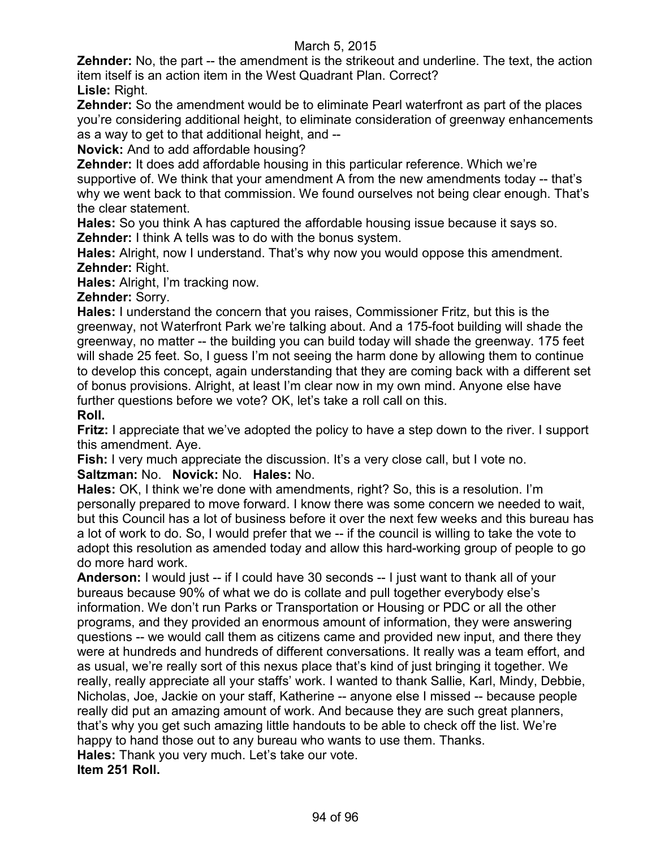**Zehnder:** No, the part -- the amendment is the strikeout and underline. The text, the action item itself is an action item in the West Quadrant Plan. Correct?

**Lisle:** Right.

**Zehnder:** So the amendment would be to eliminate Pearl waterfront as part of the places you're considering additional height, to eliminate consideration of greenway enhancements as a way to get to that additional height, and --

**Novick:** And to add affordable housing?

**Zehnder:** It does add affordable housing in this particular reference. Which we're supportive of. We think that your amendment A from the new amendments today -- that's why we went back to that commission. We found ourselves not being clear enough. That's the clear statement.

**Hales:** So you think A has captured the affordable housing issue because it says so. **Zehnder:** I think A tells was to do with the bonus system.

**Hales:** Alright, now I understand. That's why now you would oppose this amendment. **Zehnder:** Right.

**Hales:** Alright, I'm tracking now.

**Zehnder:** Sorry.

**Hales:** I understand the concern that you raises, Commissioner Fritz, but this is the greenway, not Waterfront Park we're talking about. And a 175-foot building will shade the greenway, no matter -- the building you can build today will shade the greenway. 175 feet will shade 25 feet. So, I guess I'm not seeing the harm done by allowing them to continue to develop this concept, again understanding that they are coming back with a different set of bonus provisions. Alright, at least I'm clear now in my own mind. Anyone else have further questions before we vote? OK, let's take a roll call on this.

**Roll.**

**Fritz:** I appreciate that we've adopted the policy to have a step down to the river. I support this amendment. Aye.

**Fish:** I very much appreciate the discussion. It's a very close call, but I vote no. **Saltzman:** No. **Novick:** No. **Hales:** No.

**Hales:** OK, I think we're done with amendments, right? So, this is a resolution. I'm personally prepared to move forward. I know there was some concern we needed to wait, but this Council has a lot of business before it over the next few weeks and this bureau has a lot of work to do. So, I would prefer that we -- if the council is willing to take the vote to adopt this resolution as amended today and allow this hard-working group of people to go do more hard work.

**Anderson:** I would just -- if I could have 30 seconds -- I just want to thank all of your bureaus because 90% of what we do is collate and pull together everybody else's information. We don't run Parks or Transportation or Housing or PDC or all the other programs, and they provided an enormous amount of information, they were answering questions -- we would call them as citizens came and provided new input, and there they were at hundreds and hundreds of different conversations. It really was a team effort, and as usual, we're really sort of this nexus place that's kind of just bringing it together. We really, really appreciate all your staffs' work. I wanted to thank Sallie, Karl, Mindy, Debbie, Nicholas, Joe, Jackie on your staff, Katherine -- anyone else I missed -- because people really did put an amazing amount of work. And because they are such great planners, that's why you get such amazing little handouts to be able to check off the list. We're happy to hand those out to any bureau who wants to use them. Thanks. **Hales:** Thank you very much. Let's take our vote. **Item 251 Roll.**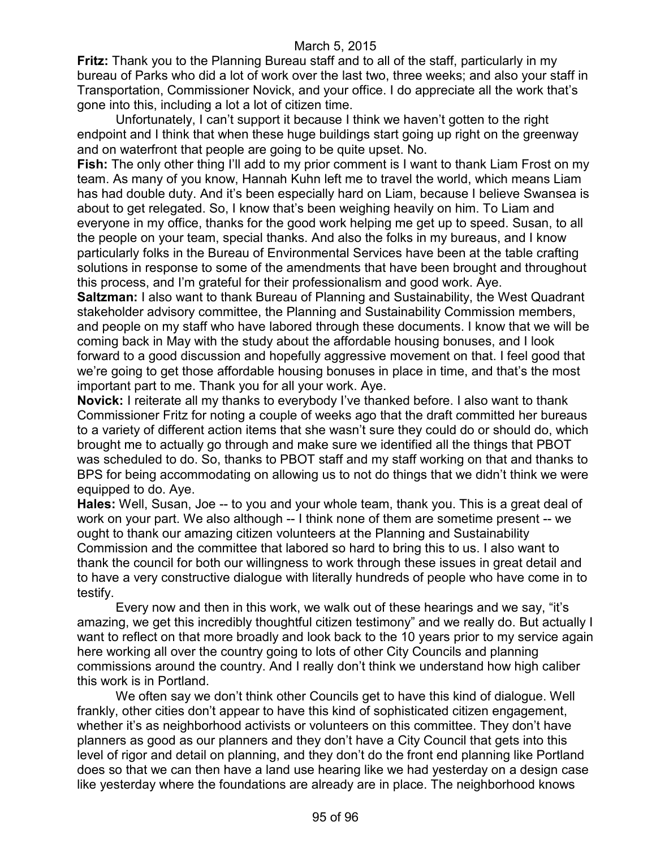**Fritz:** Thank you to the Planning Bureau staff and to all of the staff, particularly in my bureau of Parks who did a lot of work over the last two, three weeks; and also your staff in Transportation, Commissioner Novick, and your office. I do appreciate all the work that's gone into this, including a lot a lot of citizen time.

Unfortunately, I can't support it because I think we haven't gotten to the right endpoint and I think that when these huge buildings start going up right on the greenway and on waterfront that people are going to be quite upset. No.

**Fish:** The only other thing I'll add to my prior comment is I want to thank Liam Frost on my team. As many of you know, Hannah Kuhn left me to travel the world, which means Liam has had double duty. And it's been especially hard on Liam, because I believe Swansea is about to get relegated. So, I know that's been weighing heavily on him. To Liam and everyone in my office, thanks for the good work helping me get up to speed. Susan, to all the people on your team, special thanks. And also the folks in my bureaus, and I know particularly folks in the Bureau of Environmental Services have been at the table crafting solutions in response to some of the amendments that have been brought and throughout this process, and I'm grateful for their professionalism and good work. Aye.

**Saltzman:** I also want to thank Bureau of Planning and Sustainability, the West Quadrant stakeholder advisory committee, the Planning and Sustainability Commission members, and people on my staff who have labored through these documents. I know that we will be coming back in May with the study about the affordable housing bonuses, and I look forward to a good discussion and hopefully aggressive movement on that. I feel good that we're going to get those affordable housing bonuses in place in time, and that's the most important part to me. Thank you for all your work. Aye.

**Novick:** I reiterate all my thanks to everybody I've thanked before. I also want to thank Commissioner Fritz for noting a couple of weeks ago that the draft committed her bureaus to a variety of different action items that she wasn't sure they could do or should do, which brought me to actually go through and make sure we identified all the things that PBOT was scheduled to do. So, thanks to PBOT staff and my staff working on that and thanks to BPS for being accommodating on allowing us to not do things that we didn't think we were equipped to do. Aye.

**Hales:** Well, Susan, Joe -- to you and your whole team, thank you. This is a great deal of work on your part. We also although -- I think none of them are sometime present -- we ought to thank our amazing citizen volunteers at the Planning and Sustainability Commission and the committee that labored so hard to bring this to us. I also want to thank the council for both our willingness to work through these issues in great detail and to have a very constructive dialogue with literally hundreds of people who have come in to testify.

Every now and then in this work, we walk out of these hearings and we say, "it's amazing, we get this incredibly thoughtful citizen testimony" and we really do. But actually I want to reflect on that more broadly and look back to the 10 years prior to my service again here working all over the country going to lots of other City Councils and planning commissions around the country. And I really don't think we understand how high caliber this work is in Portland.

We often say we don't think other Councils get to have this kind of dialogue. Well frankly, other cities don't appear to have this kind of sophisticated citizen engagement, whether it's as neighborhood activists or volunteers on this committee. They don't have planners as good as our planners and they don't have a City Council that gets into this level of rigor and detail on planning, and they don't do the front end planning like Portland does so that we can then have a land use hearing like we had yesterday on a design case like yesterday where the foundations are already are in place. The neighborhood knows